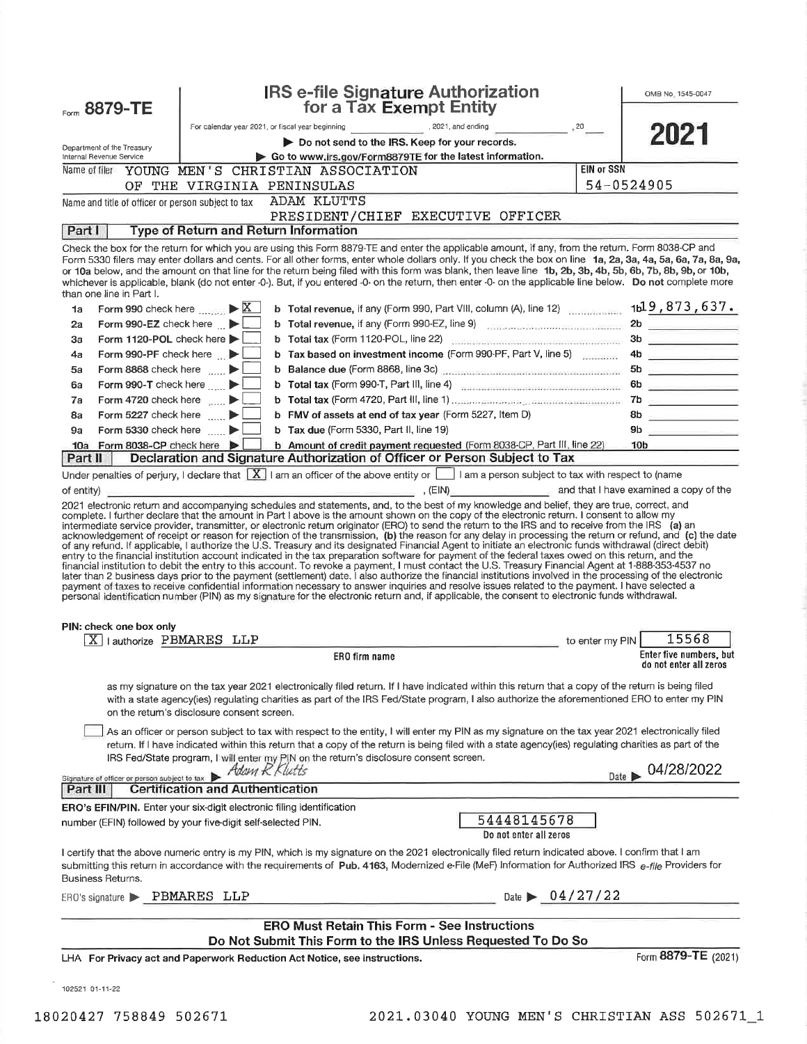| Form 8879-TE                                                                                                                          | <b>IRS e-file Signature Authorization</b>                                                                                                 | for a Tax Exempt Entity                                                                                                                                                                                                                                                                                                                                                                                                                                                                                                                                                                                                                                                                                                                                                                                                                                                                                                                                                                                                                                                                                                                            |                                                                                                                                                                        |                                                                        |
|---------------------------------------------------------------------------------------------------------------------------------------|-------------------------------------------------------------------------------------------------------------------------------------------|----------------------------------------------------------------------------------------------------------------------------------------------------------------------------------------------------------------------------------------------------------------------------------------------------------------------------------------------------------------------------------------------------------------------------------------------------------------------------------------------------------------------------------------------------------------------------------------------------------------------------------------------------------------------------------------------------------------------------------------------------------------------------------------------------------------------------------------------------------------------------------------------------------------------------------------------------------------------------------------------------------------------------------------------------------------------------------------------------------------------------------------------------|------------------------------------------------------------------------------------------------------------------------------------------------------------------------|------------------------------------------------------------------------|
|                                                                                                                                       |                                                                                                                                           |                                                                                                                                                                                                                                                                                                                                                                                                                                                                                                                                                                                                                                                                                                                                                                                                                                                                                                                                                                                                                                                                                                                                                    |                                                                                                                                                                        |                                                                        |
|                                                                                                                                       |                                                                                                                                           | Do not send to the IRS. Keep for your records.                                                                                                                                                                                                                                                                                                                                                                                                                                                                                                                                                                                                                                                                                                                                                                                                                                                                                                                                                                                                                                                                                                     |                                                                                                                                                                        | 2021                                                                   |
| Department of the Treasury<br>Internal Revenue Service                                                                                |                                                                                                                                           | Go to www.irs.gov/Form8879TE for the latest information.                                                                                                                                                                                                                                                                                                                                                                                                                                                                                                                                                                                                                                                                                                                                                                                                                                                                                                                                                                                                                                                                                           |                                                                                                                                                                        |                                                                        |
|                                                                                                                                       |                                                                                                                                           | Name of filer YOUNG MEN'S CHRISTIAN ASSOCIATION                                                                                                                                                                                                                                                                                                                                                                                                                                                                                                                                                                                                                                                                                                                                                                                                                                                                                                                                                                                                                                                                                                    | <b>EIN or SSN</b>                                                                                                                                                      |                                                                        |
|                                                                                                                                       |                                                                                                                                           | OF THE VIRGINIA PENINSULAS                                                                                                                                                                                                                                                                                                                                                                                                                                                                                                                                                                                                                                                                                                                                                                                                                                                                                                                                                                                                                                                                                                                         |                                                                                                                                                                        | 54-0524905                                                             |
| Name and title of officer or person subject to tax                                                                                    |                                                                                                                                           | ADAM KLUTTS                                                                                                                                                                                                                                                                                                                                                                                                                                                                                                                                                                                                                                                                                                                                                                                                                                                                                                                                                                                                                                                                                                                                        |                                                                                                                                                                        |                                                                        |
|                                                                                                                                       |                                                                                                                                           | PRESIDENT/CHIEF EXECUTIVE OFFICER                                                                                                                                                                                                                                                                                                                                                                                                                                                                                                                                                                                                                                                                                                                                                                                                                                                                                                                                                                                                                                                                                                                  |                                                                                                                                                                        |                                                                        |
| Part I                                                                                                                                |                                                                                                                                           | Type of Return and Return Information<br>Check the box for the return for which you are using this Form 8879-TE and enter the applicable amount, if any, from the return. Form 8038-CP and                                                                                                                                                                                                                                                                                                                                                                                                                                                                                                                                                                                                                                                                                                                                                                                                                                                                                                                                                         |                                                                                                                                                                        |                                                                        |
| than one line in Part I.<br>1a<br>2a<br>За<br>Form 990-PF check here $\Box$<br>4a<br>Form 8868 check here <b>[1000]</b><br>5a         | Form 990 check here $\mathbb{R}$<br>Form 990-EZ check here $\blacktriangleright$<br>Form 1120-POL check here $\blacktriangleright$ $\Box$ | or 10a below, and the amount on that line for the return being filed with this form was blank, then leave line 1b, 2b, 3b, 4b, 5b, 6b, 7b, 8b, 9b, or 10b,<br>whichever is applicable, blank (do not enter -0-). But, if you entered -0- on the return, then enter -0- on the applicable line below. Do not complete more<br><b>b</b> Total revenue, if any (Form 990, Part VIII, column (A), line 12) $\ldots$ 1b $\frac{9}{873}$ , 873, 637.<br>b Total tax (Form 1120-POL, line 22)<br>b Tax based on investment income (Form 990-PF, Part V, line 5)<br>b Balance due (Form 8868, line 3c) [[11] Balance due (Form 8868, line 3c)                                                                                                                                                                                                                                                                                                                                                                                                                                                                                                              |                                                                                                                                                                        | 2b<br>3b<br>4b                                                         |
| Form 990-T check here<br>6a                                                                                                           |                                                                                                                                           | b Total tax (Form 990-T, Part III, line 4)                                                                                                                                                                                                                                                                                                                                                                                                                                                                                                                                                                                                                                                                                                                                                                                                                                                                                                                                                                                                                                                                                                         |                                                                                                                                                                        | 6b                                                                     |
| Form 4720 check here $\blacktriangleright$<br>7a                                                                                      |                                                                                                                                           |                                                                                                                                                                                                                                                                                                                                                                                                                                                                                                                                                                                                                                                                                                                                                                                                                                                                                                                                                                                                                                                                                                                                                    |                                                                                                                                                                        | 7b                                                                     |
| Form 5227 check here $\qquad \qquad \blacktriangleright$<br>8a                                                                        |                                                                                                                                           | b FMV of assets at end of tax year (Form 5227, Item D)                                                                                                                                                                                                                                                                                                                                                                                                                                                                                                                                                                                                                                                                                                                                                                                                                                                                                                                                                                                                                                                                                             |                                                                                                                                                                        | 8b                                                                     |
| Form 5330 check here<br>9a                                                                                                            |                                                                                                                                           | <b>b</b> Tax due (Form 5330, Part II, line 19)                                                                                                                                                                                                                                                                                                                                                                                                                                                                                                                                                                                                                                                                                                                                                                                                                                                                                                                                                                                                                                                                                                     |                                                                                                                                                                        |                                                                        |
| 10a Form 8038-CP check here                                                                                                           |                                                                                                                                           | b Amount of credit payment requested (Form 8038-CP, Part III, line 22)                                                                                                                                                                                                                                                                                                                                                                                                                                                                                                                                                                                                                                                                                                                                                                                                                                                                                                                                                                                                                                                                             |                                                                                                                                                                        | 10b                                                                    |
| Part II                                                                                                                               |                                                                                                                                           | Declaration and Signature Authorization of Officer or Person Subject to Tax                                                                                                                                                                                                                                                                                                                                                                                                                                                                                                                                                                                                                                                                                                                                                                                                                                                                                                                                                                                                                                                                        |                                                                                                                                                                        |                                                                        |
|                                                                                                                                       |                                                                                                                                           | of entity) entity and that I have examined a copy of the<br>2021 electronic return and accompanying schedules and statements, and, to the best of my knowledge and belief, they are true, correct, and<br>complete. I further declare that the amount in Part I above is the amount shown on the copy of the electronic return. I consent to allow my<br>intermediate service provider, transmitter, or electronic return originator (ERO) to send the return to the IRS and to receive from the IRS (a) an<br>acknowledgement of receipt or reason for rejection of the transmission, (b) the reason for any delay in processing the return or refund, and (c) the date<br>of any refund. If applicable, I authorize the U.S. Treasury and its designated Financial Agent to initiate an electronic funds withdrawal (direct debit)<br>entry to the financial institution account indicated in the tax preparation software for payment of the federal taxes owed on this return, and the<br>financial institution to debit the entry to this account. To revoke a payment, I must contact the U.S. Treasury Financial Agent at 1-888-353-4537 no | Under penalties of perjury, I declare that $\boxed{X}$ I am an officer of the above entity or $\boxed{\phantom{a}}$ I am a person subject to tax with respect to (name |                                                                        |
|                                                                                                                                       |                                                                                                                                           | later than 2 business days prior to the payment (settlement) date. I also authorize the financial institutions involved in the processing of the electronic<br>payment of taxes to receive confidential information necessary to answer inquiries and resolve issues related to the payment. I have selected a<br>personal identification number (PIN) as my signature for the electronic return and, if applicable, the consent to electronic funds withdrawal.                                                                                                                                                                                                                                                                                                                                                                                                                                                                                                                                                                                                                                                                                   |                                                                                                                                                                        |                                                                        |
| PIN: check one box only<br>X   authorize PBMARES LLP                                                                                  |                                                                                                                                           |                                                                                                                                                                                                                                                                                                                                                                                                                                                                                                                                                                                                                                                                                                                                                                                                                                                                                                                                                                                                                                                                                                                                                    | to enter my PIN                                                                                                                                                        | 15568                                                                  |
|                                                                                                                                       |                                                                                                                                           | ERO firm name<br>as my signature on the tax year 2021 electronically filed return. If I have indicated within this return that a copy of the return is being filed<br>with a state agency(ies) regulating charities as part of the IRS Fed/State program, I also authorize the aforementioned ERO to enter my PIN                                                                                                                                                                                                                                                                                                                                                                                                                                                                                                                                                                                                                                                                                                                                                                                                                                  |                                                                                                                                                                        |                                                                        |
|                                                                                                                                       | on the return's disclosure consent screen.                                                                                                | As an officer or person subject to tax with respect to the entity, I will enter my PIN as my signature on the tax year 2021 electronically filed<br>return. If I have indicated within this return that a copy of the return is being filed with a state agency(ies) regulating charities as part of the<br>IRS Fed/State program, I will enter my PIN on the return's disclosure consent screen.<br>Adam <i>K</i> Klutts                                                                                                                                                                                                                                                                                                                                                                                                                                                                                                                                                                                                                                                                                                                          |                                                                                                                                                                        |                                                                        |
| Signature of officer or person subject to tax<br>Part III                                                                             |                                                                                                                                           |                                                                                                                                                                                                                                                                                                                                                                                                                                                                                                                                                                                                                                                                                                                                                                                                                                                                                                                                                                                                                                                                                                                                                    |                                                                                                                                                                        |                                                                        |
|                                                                                                                                       | <b>Certification and Authentication</b>                                                                                                   |                                                                                                                                                                                                                                                                                                                                                                                                                                                                                                                                                                                                                                                                                                                                                                                                                                                                                                                                                                                                                                                                                                                                                    |                                                                                                                                                                        |                                                                        |
| ERO's EFIN/PIN. Enter your six-digit electronic filing identification<br>number (EFIN) followed by your five-digit self-selected PIN. |                                                                                                                                           | 54448145678<br>Do not enter all zeros                                                                                                                                                                                                                                                                                                                                                                                                                                                                                                                                                                                                                                                                                                                                                                                                                                                                                                                                                                                                                                                                                                              |                                                                                                                                                                        |                                                                        |
| Business Returns.                                                                                                                     |                                                                                                                                           | I certify that the above numeric entry is my PIN, which is my signature on the 2021 electronically filed return indicated above. I confirm that I am<br>submitting this return in accordance with the requirements of Pub. 4163, Modernized e-File (MeF) Information for Authorized IRS e-file Providers for                                                                                                                                                                                                                                                                                                                                                                                                                                                                                                                                                                                                                                                                                                                                                                                                                                       |                                                                                                                                                                        |                                                                        |
|                                                                                                                                       |                                                                                                                                           |                                                                                                                                                                                                                                                                                                                                                                                                                                                                                                                                                                                                                                                                                                                                                                                                                                                                                                                                                                                                                                                                                                                                                    | Date $\triangleright$ 04/27/22                                                                                                                                         |                                                                        |
| ERO's signature PBMARES LLP                                                                                                           |                                                                                                                                           | <b>ERO Must Retain This Form - See Instructions</b><br>Do Not Submit This Form to the IRS Unless Requested To Do So                                                                                                                                                                                                                                                                                                                                                                                                                                                                                                                                                                                                                                                                                                                                                                                                                                                                                                                                                                                                                                |                                                                                                                                                                        | Enter five numbers, but<br>do not enter all zeros<br>Date > 04/28/2022 |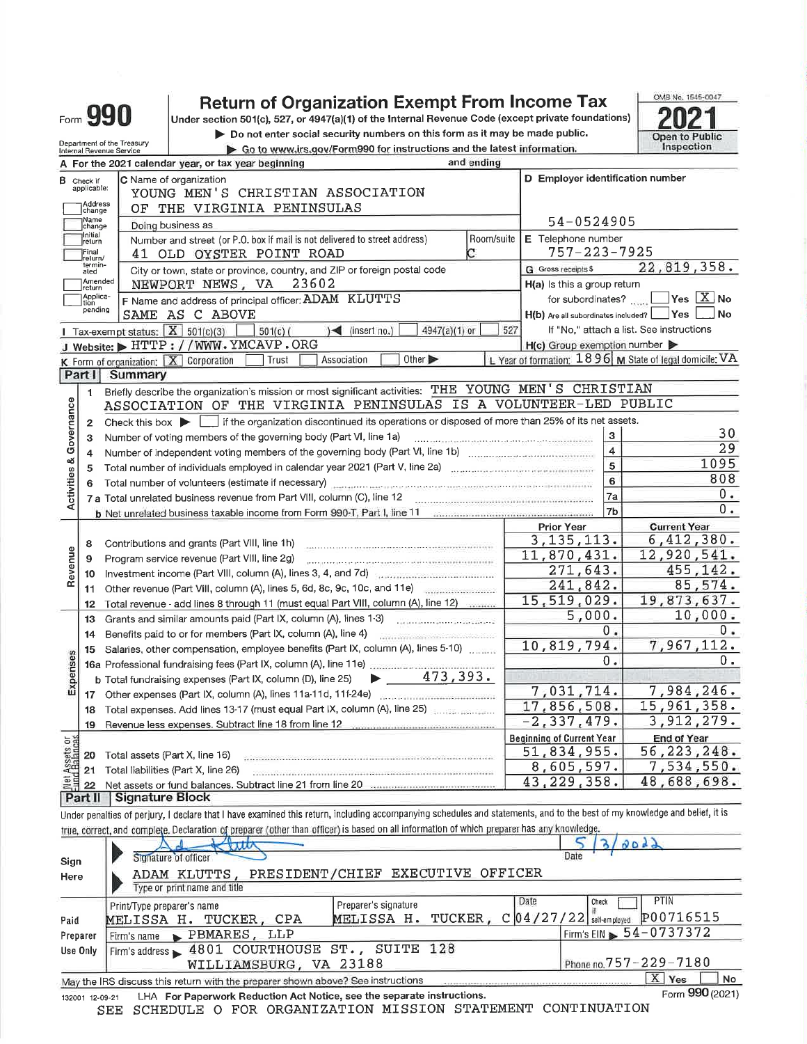|                         |                                                   | Form <b>YYU</b>                                        | <b>Return of Organization Exempt From Income Tax</b><br>Under section 501(c), 527, or 4947(a)(1) of the Internal Revenue Code (except private foundations)<br>Do not enter social security numbers on this form as it may be made public. |                                                     | OMB No. 1545-0047<br><b>Open to Public</b>                  |  |  |
|-------------------------|---------------------------------------------------|--------------------------------------------------------|-------------------------------------------------------------------------------------------------------------------------------------------------------------------------------------------------------------------------------------------|-----------------------------------------------------|-------------------------------------------------------------|--|--|
|                         |                                                   | Department of the Treasury<br>Internal Revenue Service | Go to www.irs.gov/Form990 for instructions and the latest information.                                                                                                                                                                    |                                                     | Inspection                                                  |  |  |
|                         |                                                   |                                                        | and ending<br>A For the 2021 calendar year, or tax year beginning                                                                                                                                                                         |                                                     |                                                             |  |  |
|                         | <b>B</b> Check if<br>applicable:                  |                                                        | C Name of organization<br>YOUNG MEN'S CHRISTIAN ASSOCIATION                                                                                                                                                                               | D Employer identification number                    |                                                             |  |  |
|                         | Address<br>OF THE VIRGINIA PENINSULAS<br>change   |                                                        |                                                                                                                                                                                                                                           |                                                     |                                                             |  |  |
|                         | Name<br>54-0524905<br>Doing business as<br>change |                                                        |                                                                                                                                                                                                                                           |                                                     |                                                             |  |  |
|                         | ]Initial<br>]return                               |                                                        | Room/suite<br>Number and street (or P.O. box if mail is not delivered to street address)                                                                                                                                                  | E Telephone number<br>$757 - 223 - 7925$            |                                                             |  |  |
|                         | Final<br>return/<br>termin-                       |                                                        | 41 OLD OYSTER POINT ROAD                                                                                                                                                                                                                  |                                                     | 22,819,358.                                                 |  |  |
|                         | aled<br>Amended                                   |                                                        | City or town, state or province, country, and ZIP or foreign postal code<br>23602<br>NEWPORT NEWS, VA                                                                                                                                     | G Gross receipts \$<br>H(a) Is this a group return  |                                                             |  |  |
|                         | return<br>Applica-                                |                                                        | F Name and address of principal officer: ADAM KLUTTS                                                                                                                                                                                      | for subordinates?                                   | $\sqrt{}$ Yes $\sqrt{}$ X $\sqrt{}$ No                      |  |  |
|                         | tion<br>pending                                   |                                                        | SAME AS C ABOVE                                                                                                                                                                                                                           | H(b) Are all subordinates included?                 | Yes<br>⊥No                                                  |  |  |
|                         |                                                   | Tax-exempt status: $X$ 501(c)(3)                       | 4947(a)(1) or<br>$501(c)$ (<br>$\leq$ (insert no.)                                                                                                                                                                                        | 527                                                 | If "No," attach a list. See instructions                    |  |  |
|                         |                                                   |                                                        | J Website: FHTTP: / / WWW. YMCAVP. ORG                                                                                                                                                                                                    | $H(c)$ Group exemption number $\blacktriangleright$ |                                                             |  |  |
|                         |                                                   |                                                        | Other $\blacktriangleright$<br>K Form of organization:   X   Corporation<br>Association<br>Trust                                                                                                                                          |                                                     | L Year of formation: $1896$ M State of legal domicile: $VA$ |  |  |
|                         | Part I                                            | Summary                                                |                                                                                                                                                                                                                                           |                                                     |                                                             |  |  |
|                         | 1                                                 |                                                        | Briefly describe the organization's mission or most significant activities: THE YOUNG MEN'S CHRISTIAN                                                                                                                                     |                                                     |                                                             |  |  |
|                         |                                                   |                                                        | ASSOCIATION OF THE VIRGINIA PENINSULAS IS A VOLUNTEER-LED PUBLIC                                                                                                                                                                          |                                                     |                                                             |  |  |
| Governance              | $\mathbf{2}$                                      |                                                        | Check this box if the organization discontinued its operations or disposed of more than 25% of its net assets.                                                                                                                            |                                                     |                                                             |  |  |
|                         | з                                                 |                                                        | Number of voting members of the governing body (Part VI, line 1a)                                                                                                                                                                         | 3                                                   | 30                                                          |  |  |
|                         | 4                                                 |                                                        | Number of independent voting members of the governing body (Part VI, line 1b)                                                                                                                                                             | 4                                                   | 29                                                          |  |  |
| <b>Activities &amp;</b> | 5                                                 |                                                        | Total number of individuals employed in calendar year 2021 (Part V, line 2a) [10] manufacture of individuals employed in calendar year 2021 (Part V, line 2a)                                                                             | 5                                                   | 1095                                                        |  |  |
|                         |                                                   |                                                        | Total number of volunteers (estimate if necessary) manufactured and contact the control of volunteers (estimate if necessary)                                                                                                             | 6                                                   | 808                                                         |  |  |
|                         |                                                   |                                                        |                                                                                                                                                                                                                                           | 7a                                                  | 0.<br>0.                                                    |  |  |
|                         |                                                   |                                                        |                                                                                                                                                                                                                                           | 7 <sub>b</sub>                                      |                                                             |  |  |
|                         |                                                   |                                                        |                                                                                                                                                                                                                                           | <b>Prior Year</b><br>3, 135, 113.                   | <b>Current Year</b><br>6,412,380.                           |  |  |
|                         | 8                                                 |                                                        | Contributions and grants (Part VIII, line 1h)                                                                                                                                                                                             | 11,870,431.                                         | 12,920,541.                                                 |  |  |
| Revenue                 | 9                                                 |                                                        | Program service revenue (Part VIII, line 2g)                                                                                                                                                                                              | 271,643.                                            | 455,142.                                                    |  |  |
|                         | 10                                                |                                                        | Investment income (Part VIII, column (A), lines 3, 4, and 7d)                                                                                                                                                                             | 241,842.                                            | 85,574.                                                     |  |  |
|                         | 11<br>12                                          |                                                        | Total revenue - add lines 8 through 11 (must equal Part VIII, column (A), line 12)                                                                                                                                                        | 15,519,029.                                         | 19,873,637.                                                 |  |  |
|                         | 13                                                |                                                        | Grants and similar amounts paid (Part IX, column (A), lines 1-3) [11] [12] Crants and similar amounts paid (Part IX, column (A), lines 1-3)                                                                                               | 5,000.                                              | 10,000.                                                     |  |  |
|                         | 14                                                |                                                        | Benefits paid to or for members (Part IX, column (A), line 4)                                                                                                                                                                             | 0.                                                  | 0.                                                          |  |  |
|                         | 15                                                |                                                        | Salaries, other compensation, employee benefits (Part IX, column (A), lines 5-10)                                                                                                                                                         | 10,819,794.                                         | 7,967,112.                                                  |  |  |
| penses                  |                                                   |                                                        |                                                                                                                                                                                                                                           | 0.                                                  | 0.                                                          |  |  |
|                         |                                                   |                                                        | 473,393.<br><b>b</b> Total fundraising expenses (Part IX, column (D), line 25)                                                                                                                                                            |                                                     |                                                             |  |  |
| 囚                       |                                                   |                                                        | 17 Other expenses (Part IX, column (A), lines 11a-11d, 11f-24e)                                                                                                                                                                           | 7,031,714.                                          | 7,984,246.                                                  |  |  |
|                         | 18                                                |                                                        | Total expenses. Add lines 13-17 (must equal Part IX, column (A), line 25) [11, 11, 11, 11, 11, 11, 11, 11, 11,                                                                                                                            | 17,856,508.                                         | 15,961,358.                                                 |  |  |
|                         | 19                                                |                                                        | Revenue less expenses. Subtract line 18 from line 12 minutes in the substitution of                                                                                                                                                       | $-2, 337, 479.$                                     | 3, 912, 279.                                                |  |  |
| ិគី                     |                                                   |                                                        |                                                                                                                                                                                                                                           | <b>Beginning of Current Year</b>                    | <b>End of Year</b>                                          |  |  |
| Assets<br>Balanc        | 20                                                | Total assets (Part X, line 16)                         |                                                                                                                                                                                                                                           | 51,834,955.                                         | 56, 223, 248.                                               |  |  |
|                         | 21                                                |                                                        | Total liabilities (Part X, line 26)                                                                                                                                                                                                       | 8,605,597.<br>43, 229, 358.                         | 7,534,550.<br>48,688,698.                                   |  |  |
| 흵                       | 22<br>Part II                                     | <b>Signature Block</b>                                 | Net assets or fund balances. Subtract line 21 from line 20 manuscreases and the Net assets or fund balances.                                                                                                                              |                                                     |                                                             |  |  |
|                         |                                                   |                                                        | Under penalties of perjury, I declare that I have examined this return, including accompanying schedules and statements, and to the best of my knowledge and belief, it is                                                                |                                                     |                                                             |  |  |
|                         |                                                   |                                                        | true, correct, and complete. Declaration of preparer (other than officer) is based on all information of which preparer has any knowledge.                                                                                                |                                                     |                                                             |  |  |
|                         |                                                   |                                                        | ut                                                                                                                                                                                                                                        |                                                     | 002                                                         |  |  |
| Sign                    |                                                   |                                                        | Signature of officer                                                                                                                                                                                                                      | Date                                                |                                                             |  |  |
| Here                    |                                                   |                                                        | <b>EXECUTIVE OFFICER</b><br>PRESIDENT/CHIEF<br>ADAM KLUTTS,                                                                                                                                                                               |                                                     |                                                             |  |  |
|                         |                                                   |                                                        | Type or print name and title                                                                                                                                                                                                              |                                                     |                                                             |  |  |
|                         |                                                   | Print/Type preparer's name                             | Preparer's signature                                                                                                                                                                                                                      | Date<br>Check                                       | PTIN                                                        |  |  |
| Paid                    |                                                   |                                                        | TUCKER,<br>MELISSA H.<br>MELISSA H. TUCKER,<br>CPA                                                                                                                                                                                        | C 04/27/22 self-employed                            | P00716515                                                   |  |  |
| Preparer                |                                                   |                                                        | Firm's name > PBMARES, LLP                                                                                                                                                                                                                |                                                     | Firm's EIN $\triangleright$ 54-0737372                      |  |  |
| Use Only                |                                                   |                                                        | 128<br>SUITE<br>Firm's address $\blacktriangleright$ 4801 COURTHOUSE ST.,                                                                                                                                                                 |                                                     |                                                             |  |  |
|                         |                                                   |                                                        | WILLIAMSBURG, VA 23188                                                                                                                                                                                                                    |                                                     | Phone no. 757 - 229 - 7180                                  |  |  |
|                         |                                                   |                                                        | May the IRS discuss this return with the preparer shown above? See instructions                                                                                                                                                           |                                                     | X Yes<br>No.                                                |  |  |

132001 12-09-21 LHA For Paperwork Reduction Act Notice, see the separate instructions.<br>SEE SCHEDULE O FOR ORGANIZATION MISSION STATEMENT CONTINUATION

Form 990 (2021)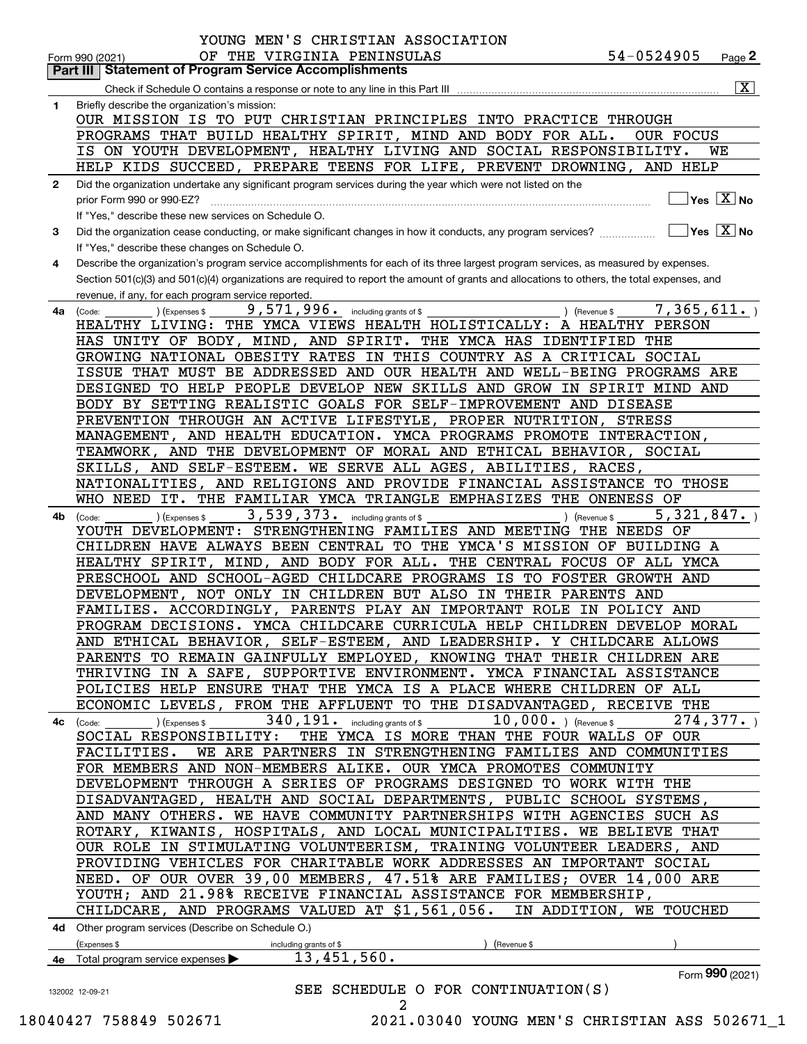|              | YOUNG MEN'S CHRISTIAN ASSOCIATION                                                                                                                               |                      |                                                      |
|--------------|-----------------------------------------------------------------------------------------------------------------------------------------------------------------|----------------------|------------------------------------------------------|
|              | OF THE VIRGINIA PENINSULAS<br>Form 990 (2021)                                                                                                                   | 54-0524905           | Page $2$                                             |
|              | <b>Statement of Program Service Accomplishments</b><br>Part III I                                                                                               |                      |                                                      |
|              | Check if Schedule O contains a response or note to any line in this Part III                                                                                    |                      | $\mathbf{X}$                                         |
| $\mathbf{1}$ | Briefly describe the organization's mission:                                                                                                                    |                      |                                                      |
|              | OUR MISSION IS TO PUT CHRISTIAN PRINCIPLES INTO PRACTICE THROUGH                                                                                                |                      |                                                      |
|              | PROGRAMS THAT BUILD HEALTHY SPIRIT, MIND AND BODY FOR ALL.                                                                                                      | OUR FOCUS            |                                                      |
|              | IS ON YOUTH DEVELOPMENT, HEALTHY LIVING AND SOCIAL RESPONSIBILITY.                                                                                              |                      | WE.                                                  |
|              | HELP KIDS SUCCEED, PREPARE TEENS FOR LIFE, PREVENT DROWNING, AND HELP                                                                                           |                      |                                                      |
| $\mathbf{2}$ | Did the organization undertake any significant program services during the year which were not listed on the                                                    |                      | $Yes \ \boxed{X}$ No                                 |
|              | prior Form 990 or 990-EZ?                                                                                                                                       |                      |                                                      |
| 3            | If "Yes," describe these new services on Schedule O.                                                                                                            |                      | $\overline{\mathsf{Yes}}$ $\overline{\mathsf{X}}$ No |
|              | Did the organization cease conducting, or make significant changes in how it conducts, any program services?<br>If "Yes," describe these changes on Schedule O. |                      |                                                      |
| 4            | Describe the organization's program service accomplishments for each of its three largest program services, as measured by expenses.                            |                      |                                                      |
|              | Section 501(c)(3) and 501(c)(4) organizations are required to report the amount of grants and allocations to others, the total expenses, and                    |                      |                                                      |
|              | revenue, if any, for each program service reported.                                                                                                             |                      |                                                      |
| 4a           | 9,571,996. including grants of \$<br>(Expenses \$<br>) (Revenue \$<br>(Code:                                                                                    | 7,365,611.           |                                                      |
|              | HEALTHY LIVING: THE YMCA VIEWS HEALTH HOLISTICALLY: A HEALTHY PERSON                                                                                            |                      |                                                      |
|              | HAS UNITY OF BODY, MIND, AND SPIRIT. THE YMCA HAS IDENTIFIED                                                                                                    | THE                  |                                                      |
|              | GROWING NATIONAL OBESITY RATES IN THIS COUNTRY AS A CRITICAL SOCIAL                                                                                             |                      |                                                      |
|              | ISSUE THAT MUST BE ADDRESSED AND OUR HEALTH AND WELL-BEING PROGRAMS ARE                                                                                         |                      |                                                      |
|              | DESIGNED TO HELP PEOPLE DEVELOP NEW SKILLS AND GROW IN SPIRIT MIND AND                                                                                          |                      |                                                      |
|              | BODY BY SETTING REALISTIC GOALS FOR SELF-IMPROVEMENT AND DISEASE                                                                                                |                      |                                                      |
|              | PREVENTION THROUGH AN ACTIVE LIFESTYLE, PROPER NUTRITION, STRESS                                                                                                |                      |                                                      |
|              | MANAGEMENT, AND HEALTH EDUCATION. YMCA PROGRAMS PROMOTE INTERACTION,                                                                                            |                      |                                                      |
|              | TEAMWORK, AND THE DEVELOPMENT OF MORAL AND ETHICAL BEHAVIOR, SOCIAL                                                                                             |                      |                                                      |
|              | SKILLS, AND SELF-ESTEEM. WE SERVE ALL AGES, ABILITIES, RACES,                                                                                                   |                      |                                                      |
|              | NATIONALITIES, AND RELIGIONS AND PROVIDE FINANCIAL ASSISTANCE TO THOSE                                                                                          |                      |                                                      |
|              | WHO NEED IT. THE FAMILIAR YMCA TRIANGLE EMPHASIZES THE ONENESS OF                                                                                               |                      |                                                      |
| 4b           | 3,539,373.                                                                                                                                                      | 5,321,847.           |                                                      |
|              | including grants of \$<br>(Code:<br>(Expenses \$<br>) (Revenue \$<br>YOUTH DEVELOPMENT: STRENGTHENING FAMILIES AND MEETING THE NEEDS OF                         |                      |                                                      |
|              | CHILDREN HAVE ALWAYS BEEN CENTRAL TO THE YMCA'S MISSION OF BUILDING A                                                                                           |                      |                                                      |
|              | HEALTHY SPIRIT, MIND, AND BODY FOR ALL.<br>THE CENTRAL FOCUS OF ALL YMCA                                                                                        |                      |                                                      |
|              | PRESCHOOL AND SCHOOL-AGED CHILDCARE PROGRAMS IS                                                                                                                 | TO FOSTER GROWTH AND |                                                      |
|              | DEVELOPMENT, NOT ONLY IN CHILDREN BUT ALSO IN THEIR PARENTS AND                                                                                                 |                      |                                                      |
|              | FAMILIES. ACCORDINGLY, PARENTS PLAY AN IMPORTANT ROLE IN POLICY AND                                                                                             |                      |                                                      |
|              | PROGRAM DECISIONS. YMCA CHILDCARE CURRICULA HELP CHILDREN DEVELOP MORAL                                                                                         |                      |                                                      |
|              | AND ETHICAL BEHAVIOR, SELF-ESTEEM, AND LEADERSHIP. Y CHILDCARE ALLOWS                                                                                           |                      |                                                      |
|              | PARENTS TO REMAIN GAINFULLY EMPLOYED, KNOWING THAT THEIR CHILDREN ARE                                                                                           |                      |                                                      |
|              | THRIVING IN A SAFE, SUPPORTIVE ENVIRONMENT. YMCA FINANCIAL ASSISTANCE                                                                                           |                      |                                                      |
|              | POLICIES HELP ENSURE THAT THE YMCA IS A PLACE WHERE CHILDREN OF ALL                                                                                             |                      |                                                      |
|              | ECONOMIC LEVELS, FROM THE AFFLUENT TO THE DISADVANTAGED, RECEIVE THE                                                                                            |                      |                                                      |
|              | 340, 191. including grants of \$ 10, 000. ) (Revenue \$<br><b>4c</b> (Code: ) (Expenses \$                                                                      |                      | 274, 377.                                            |
|              | SOCIAL RESPONSIBILITY: THE YMCA IS MORE THAN THE FOUR WALLS OF OUR                                                                                              |                      |                                                      |
|              | WE ARE PARTNERS IN STRENGTHENING FAMILIES AND COMMUNITIES<br>FACILITIES.                                                                                        |                      |                                                      |
|              | FOR MEMBERS AND NON-MEMBERS ALIKE. OUR YMCA PROMOTES COMMUNITY                                                                                                  |                      |                                                      |
|              | DEVELOPMENT THROUGH A SERIES OF PROGRAMS DESIGNED TO WORK WITH THE                                                                                              |                      |                                                      |
|              | DISADVANTAGED, HEALTH AND SOCIAL DEPARTMENTS, PUBLIC SCHOOL SYSTEMS,                                                                                            |                      |                                                      |
|              | AND MANY OTHERS. WE HAVE COMMUNITY PARTNERSHIPS WITH AGENCIES SUCH AS                                                                                           |                      |                                                      |
|              | ROTARY, KIWANIS, HOSPITALS, AND LOCAL MUNICIPALITIES. WE BELIEVE THAT                                                                                           |                      |                                                      |
|              | OUR ROLE IN STIMULATING VOLUNTEERISM, TRAINING VOLUNTEER LEADERS, AND                                                                                           |                      |                                                      |
|              | PROVIDING VEHICLES FOR CHARITABLE WORK ADDRESSES AN IMPORTANT SOCIAL                                                                                            |                      |                                                      |
|              | NEED. OF OUR OVER 39,00 MEMBERS, 47.51% ARE FAMILIES; OVER 14,000 ARE                                                                                           |                      |                                                      |
|              | YOUTH; AND 21.98% RECEIVE FINANCIAL ASSISTANCE FOR MEMBERSHIP,                                                                                                  |                      |                                                      |
|              | CHILDCARE, AND PROGRAMS VALUED AT \$1,561,056. IN ADDITION, WE TOUCHED                                                                                          |                      |                                                      |
|              | 4d Other program services (Describe on Schedule O.)                                                                                                             |                      |                                                      |
|              |                                                                                                                                                                 |                      |                                                      |
|              | (Expenses \$<br>including grants of \$<br>(Revenue \$<br>13,451,560.<br>4e Total program service expenses $\blacktriangleright$                                 |                      |                                                      |
|              |                                                                                                                                                                 |                      | Form 990 (2021)                                      |
|              | SEE SCHEDULE O FOR CONTINUATION(S)<br>132002 12-09-21                                                                                                           |                      |                                                      |
|              | 2                                                                                                                                                               |                      |                                                      |
|              |                                                                                                                                                                 |                      |                                                      |

| 18040427 758849 50267 |  |
|-----------------------|--|
|                       |  |

71 2021.03040 YOUNG MEN'S CHRISTIAN ASS 502671\_1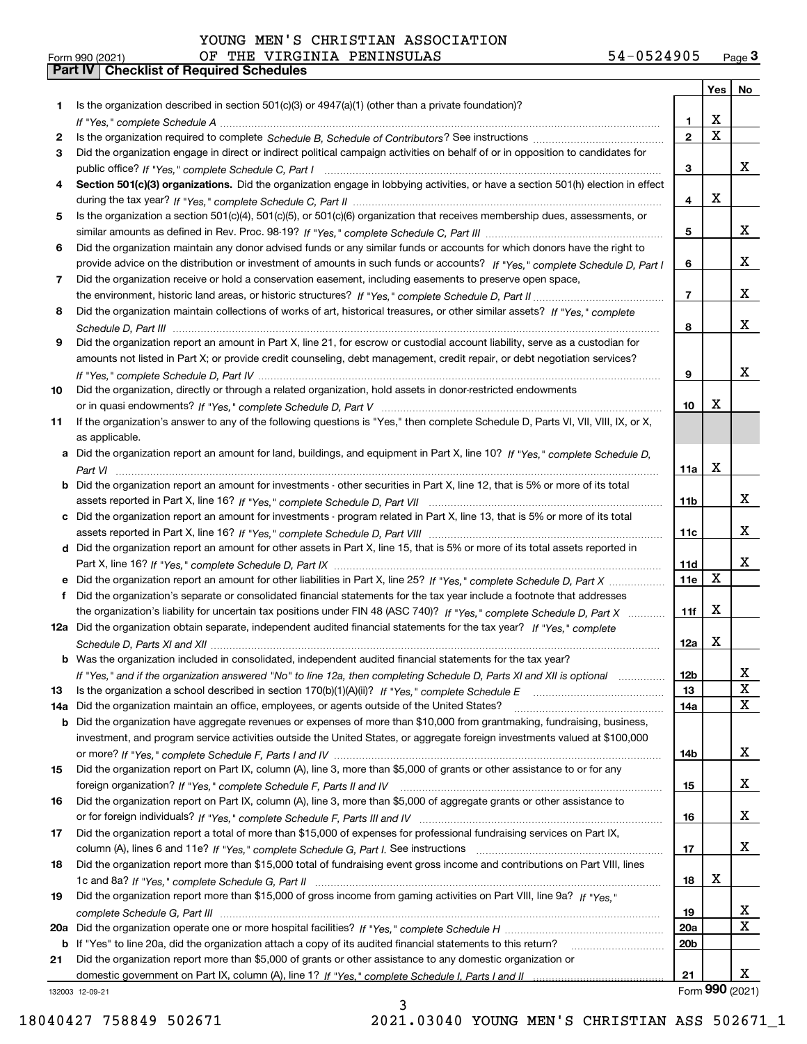YOUNG MEN'S CHRISTIAN ASSOCIATION

|     |                                                                                                                                       |                 | Yes   No                |                 |
|-----|---------------------------------------------------------------------------------------------------------------------------------------|-----------------|-------------------------|-----------------|
| 1.  | Is the organization described in section $501(c)(3)$ or $4947(a)(1)$ (other than a private foundation)?                               |                 |                         |                 |
|     |                                                                                                                                       | 1.              | X                       |                 |
| 2   |                                                                                                                                       | $\overline{2}$  | $\overline{\mathbf{x}}$ |                 |
| 3   | Did the organization engage in direct or indirect political campaign activities on behalf of or in opposition to candidates for       |                 |                         |                 |
|     |                                                                                                                                       | 3               |                         | x               |
| 4   | Section 501(c)(3) organizations. Did the organization engage in lobbying activities, or have a section 501(h) election in effect      |                 |                         |                 |
|     |                                                                                                                                       | 4               | X                       |                 |
| 5   | Is the organization a section 501(c)(4), 501(c)(5), or 501(c)(6) organization that receives membership dues, assessments, or          |                 |                         |                 |
|     |                                                                                                                                       | 5               |                         | x               |
| 6   | Did the organization maintain any donor advised funds or any similar funds or accounts for which donors have the right to             |                 |                         |                 |
|     | provide advice on the distribution or investment of amounts in such funds or accounts? If "Yes," complete Schedule D, Part I          | 6               |                         | X               |
| 7   | Did the organization receive or hold a conservation easement, including easements to preserve open space,                             |                 |                         |                 |
|     |                                                                                                                                       | $\overline{7}$  |                         | X               |
| 8   | Did the organization maintain collections of works of art, historical treasures, or other similar assets? If "Yes," complete          |                 |                         |                 |
|     |                                                                                                                                       | 8               |                         | X               |
| 9   | Did the organization report an amount in Part X, line 21, for escrow or custodial account liability, serve as a custodian for         |                 |                         |                 |
|     | amounts not listed in Part X; or provide credit counseling, debt management, credit repair, or debt negotiation services?             |                 |                         | х               |
|     |                                                                                                                                       | 9               |                         |                 |
| 10  | Did the organization, directly or through a related organization, hold assets in donor-restricted endowments                          |                 | X                       |                 |
|     |                                                                                                                                       | 10              |                         |                 |
| 11  | If the organization's answer to any of the following questions is "Yes," then complete Schedule D, Parts VI, VII, VIII, IX, or X,     |                 |                         |                 |
|     | as applicable.                                                                                                                        |                 |                         |                 |
| a   | Did the organization report an amount for land, buildings, and equipment in Part X, line 10? If "Yes." complete Schedule D.           | 11a             | $\mathbf X$             |                 |
|     | <b>b</b> Did the organization report an amount for investments - other securities in Part X, line 12, that is 5% or more of its total |                 |                         |                 |
|     |                                                                                                                                       | 11 <sub>b</sub> |                         | X               |
| c   | Did the organization report an amount for investments - program related in Part X, line 13, that is 5% or more of its total           |                 |                         |                 |
|     |                                                                                                                                       | 11c             |                         | х               |
|     | d Did the organization report an amount for other assets in Part X, line 15, that is 5% or more of its total assets reported in       |                 |                         |                 |
|     |                                                                                                                                       | 11d             |                         | X               |
|     | Did the organization report an amount for other liabilities in Part X, line 25? If "Yes," complete Schedule D, Part X                 | 11e             | X                       |                 |
| f   | Did the organization's separate or consolidated financial statements for the tax year include a footnote that addresses               |                 |                         |                 |
|     | the organization's liability for uncertain tax positions under FIN 48 (ASC 740)? If "Yes," complete Schedule D, Part X                | 11f             | X                       |                 |
|     | 12a Did the organization obtain separate, independent audited financial statements for the tax year? If "Yes," complete               |                 |                         |                 |
|     |                                                                                                                                       | 12a             | X                       |                 |
|     | <b>b</b> Was the organization included in consolidated, independent audited financial statements for the tax year?                    |                 |                         |                 |
|     | If "Yes," and if the organization answered "No" to line 12a, then completing Schedule D, Parts XI and XII is optional                 | 12b             |                         | 4               |
| 13  |                                                                                                                                       | 13              |                         | X               |
| 14a | Did the organization maintain an office, employees, or agents outside of the United States?                                           | 14a             |                         | X               |
| b   | Did the organization have aggregate revenues or expenses of more than \$10,000 from grantmaking, fundraising, business,               |                 |                         |                 |
|     | investment, and program service activities outside the United States, or aggregate foreign investments valued at \$100,000            |                 |                         |                 |
|     |                                                                                                                                       | 14b             |                         | X               |
| 15  | Did the organization report on Part IX, column (A), line 3, more than \$5,000 of grants or other assistance to or for any             |                 |                         |                 |
|     |                                                                                                                                       | 15              |                         | X               |
| 16  | Did the organization report on Part IX, column (A), line 3, more than \$5,000 of aggregate grants or other assistance to              |                 |                         |                 |
|     |                                                                                                                                       | 16              |                         | X               |
| 17  | Did the organization report a total of more than \$15,000 of expenses for professional fundraising services on Part IX,               |                 |                         |                 |
|     |                                                                                                                                       | 17              |                         | X               |
| 18  | Did the organization report more than \$15,000 total of fundraising event gross income and contributions on Part VIII, lines          |                 |                         |                 |
|     |                                                                                                                                       | 18              | х                       |                 |
| 19  | Did the organization report more than \$15,000 of gross income from gaming activities on Part VIII, line 9a? If "Yes."                |                 |                         |                 |
|     |                                                                                                                                       | 19              |                         | x               |
|     |                                                                                                                                       | 20a             |                         | $\mathbf X$     |
|     | <b>b</b> If "Yes" to line 20a, did the organization attach a copy of its audited financial statements to this return?                 | 20 <sub>b</sub> |                         |                 |
| 21  | Did the organization report more than \$5,000 of grants or other assistance to any domestic organization or                           |                 |                         |                 |
|     |                                                                                                                                       | 21              |                         | x               |
|     | 132003 12-09-21                                                                                                                       |                 |                         | Form 990 (2021) |

132003 12-09-21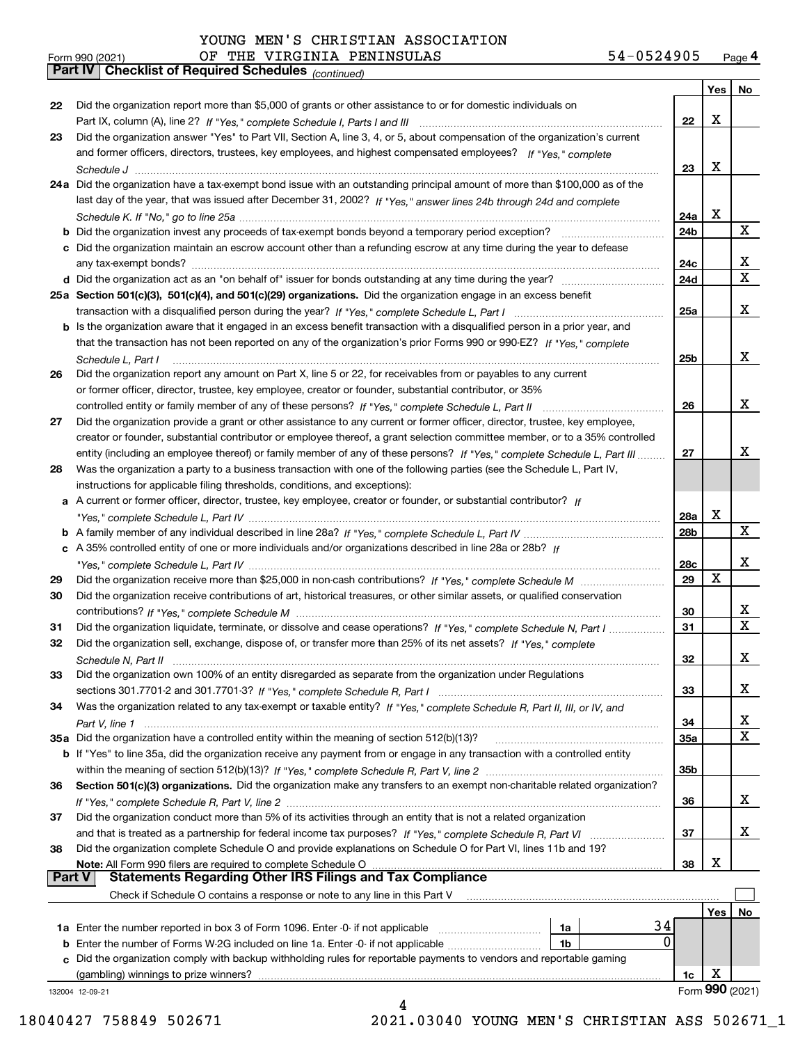|  |  | YOUNG MEN'S CHRISTIAN ASSOCIATION |
|--|--|-----------------------------------|
|  |  |                                   |

*(continued)*

|               |                                                                                                                              |     | Yes | No              |
|---------------|------------------------------------------------------------------------------------------------------------------------------|-----|-----|-----------------|
| 22            | Did the organization report more than \$5,000 of grants or other assistance to or for domestic individuals on                |     |     |                 |
|               |                                                                                                                              | 22  | X   |                 |
| 23            | Did the organization answer "Yes" to Part VII, Section A, line 3, 4, or 5, about compensation of the organization's current  |     |     |                 |
|               | and former officers, directors, trustees, key employees, and highest compensated employees? If "Yes," complete               |     |     |                 |
|               |                                                                                                                              | 23  | x   |                 |
|               | 24a Did the organization have a tax-exempt bond issue with an outstanding principal amount of more than \$100,000 as of the  |     |     |                 |
|               | last day of the year, that was issued after December 31, 2002? If "Yes," answer lines 24b through 24d and complete           |     |     |                 |
|               |                                                                                                                              | 24a | x   |                 |
|               | b Did the organization invest any proceeds of tax-exempt bonds beyond a temporary period exception?                          | 24b |     | X               |
|               | c Did the organization maintain an escrow account other than a refunding escrow at any time during the year to defease       |     |     |                 |
|               | any tax-exempt bonds?                                                                                                        | 24с |     | x               |
|               | d Did the organization act as an "on behalf of" issuer for bonds outstanding at any time during the year?                    | 24d |     | $\mathbf X$     |
|               | 25a Section 501(c)(3), 501(c)(4), and 501(c)(29) organizations. Did the organization engage in an excess benefit             |     |     |                 |
|               |                                                                                                                              | 25a |     | x               |
|               | b Is the organization aware that it engaged in an excess benefit transaction with a disqualified person in a prior year, and |     |     |                 |
|               | that the transaction has not been reported on any of the organization's prior Forms 990 or 990-EZ? If "Yes." complete        |     |     |                 |
|               | Schedule L, Part I                                                                                                           | 25b |     | x               |
| 26            | Did the organization report any amount on Part X, line 5 or 22, for receivables from or payables to any current              |     |     |                 |
|               | or former officer, director, trustee, key employee, creator or founder, substantial contributor, or 35%                      |     |     |                 |
|               |                                                                                                                              | 26  |     | x               |
| 27            | Did the organization provide a grant or other assistance to any current or former officer, director, trustee, key employee,  |     |     |                 |
|               | creator or founder, substantial contributor or employee thereof, a grant selection committee member, or to a 35% controlled  |     |     |                 |
|               | entity (including an employee thereof) or family member of any of these persons? If "Yes," complete Schedule L, Part III     | 27  |     | х               |
| 28            | Was the organization a party to a business transaction with one of the following parties (see the Schedule L, Part IV,       |     |     |                 |
|               | instructions for applicable filing thresholds, conditions, and exceptions):                                                  |     |     |                 |
|               | a A current or former officer, director, trustee, key employee, creator or founder, or substantial contributor? If           |     |     |                 |
|               |                                                                                                                              | 28a | x   |                 |
|               |                                                                                                                              | 28b |     | X               |
|               | c A 35% controlled entity of one or more individuals and/or organizations described in line 28a or 28b? If                   |     |     |                 |
|               |                                                                                                                              | 28c |     | x               |
| 29            |                                                                                                                              | 29  | Χ   |                 |
| 30            | Did the organization receive contributions of art, historical treasures, or other similar assets, or qualified conservation  |     |     |                 |
|               |                                                                                                                              | 30  |     | x               |
| 31            | Did the organization liquidate, terminate, or dissolve and cease operations? If "Yes," complete Schedule N, Part I           | 31  |     | X               |
| 32            | Did the organization sell, exchange, dispose of, or transfer more than 25% of its net assets? If "Yes," complete             |     |     |                 |
|               | Schedule N, Part II                                                                                                          | 32  |     | x               |
| 33            | Did the organization own 100% of an entity disregarded as separate from the organization under Regulations                   |     |     |                 |
|               |                                                                                                                              | 33  |     | X               |
| 34            | Was the organization related to any tax-exempt or taxable entity? If "Yes," complete Schedule R, Part II, III, or IV, and    |     |     |                 |
|               |                                                                                                                              | 34  |     | x               |
|               | 35a Did the organization have a controlled entity within the meaning of section 512(b)(13)?                                  | 35a |     | X               |
|               | b If "Yes" to line 35a, did the organization receive any payment from or engage in any transaction with a controlled entity  |     |     |                 |
|               |                                                                                                                              | 35b |     |                 |
| 36            | Section 501(c)(3) organizations. Did the organization make any transfers to an exempt non-charitable related organization?   |     |     |                 |
|               |                                                                                                                              | 36  |     | x               |
| 37            | Did the organization conduct more than 5% of its activities through an entity that is not a related organization             |     |     |                 |
|               | and that is treated as a partnership for federal income tax purposes? If "Yes," complete Schedule R, Part VI                 | 37  |     | x               |
| 38            | Did the organization complete Schedule O and provide explanations on Schedule O for Part VI, lines 11b and 19?               |     |     |                 |
|               | Note: All Form 990 filers are required to complete Schedule O                                                                | 38  | X   |                 |
| <b>Part V</b> | <b>Statements Regarding Other IRS Filings and Tax Compliance</b>                                                             |     |     |                 |
|               | Check if Schedule O contains a response or note to any line in this Part V                                                   |     |     |                 |
|               |                                                                                                                              |     | Yes | No              |
|               | 34<br>1a<br>1a Enter the number reported in box 3 of Form 1096. Enter -0- if not applicable                                  |     |     |                 |
|               | 0<br><b>b</b> Enter the number of Forms W-2G included on line 1a. Enter -0- if not applicable <i>manumumum</i><br>1b         |     |     |                 |
|               | c Did the organization comply with backup withholding rules for reportable payments to vendors and reportable gaming         |     |     |                 |
|               | (gambling) winnings to prize winners?                                                                                        | 1c  | х   |                 |
|               | 132004 12-09-21                                                                                                              |     |     | Form 990 (2021) |
|               |                                                                                                                              |     |     |                 |

18040427 758849 502671 2021.03040 YOUNG MEN'S CHRISTIAN ASS 502671\_1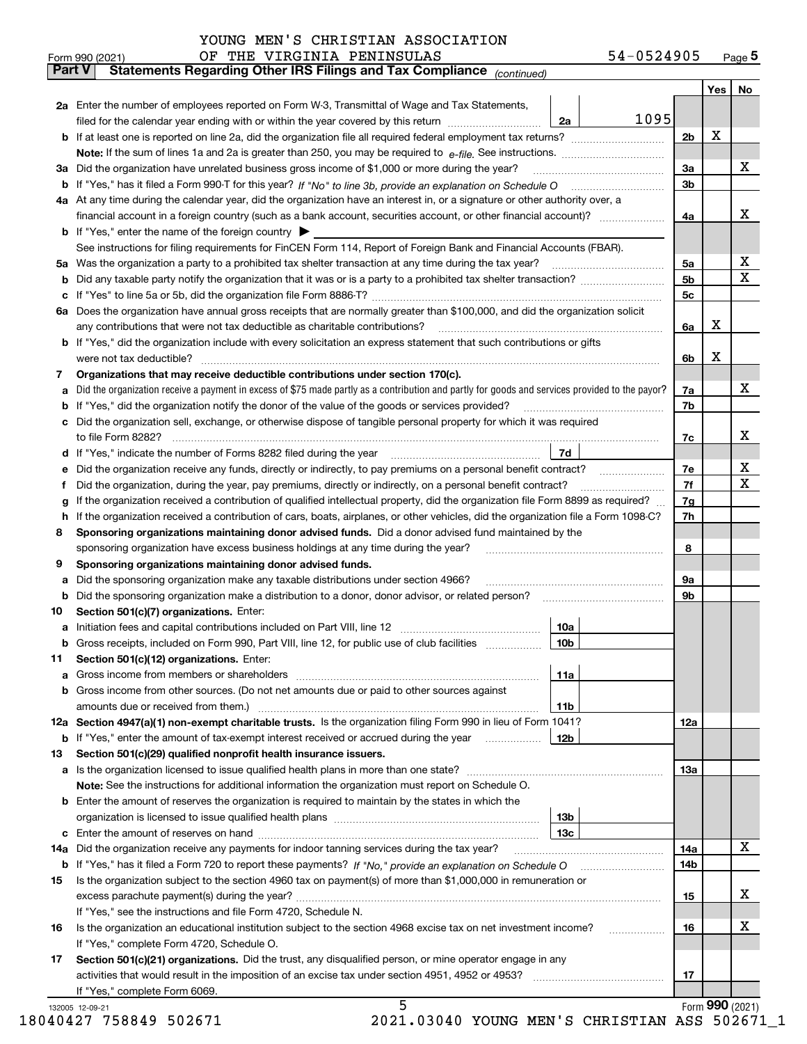| YOUNG MEN'S CHRISTIAN ASSOCIATION |  |  |  |  |
|-----------------------------------|--|--|--|--|
|-----------------------------------|--|--|--|--|

| ran v | Statements Regarding Other IRS Fillings and Tax Compilance $_{(continued)}$                                                                                                                |     |     |                 |  |
|-------|--------------------------------------------------------------------------------------------------------------------------------------------------------------------------------------------|-----|-----|-----------------|--|
|       |                                                                                                                                                                                            |     | Yes | No              |  |
|       | 2a Enter the number of employees reported on Form W-3, Transmittal of Wage and Tax Statements,<br>1095                                                                                     |     |     |                 |  |
|       | 2a<br>filed for the calendar year ending with or within the year covered by this return <i>manumumumum</i>                                                                                 |     | X   |                 |  |
|       |                                                                                                                                                                                            | 2b  |     |                 |  |
|       | 3a Did the organization have unrelated business gross income of \$1,000 or more during the year?                                                                                           | За  |     | х               |  |
| b     |                                                                                                                                                                                            | 3b  |     |                 |  |
|       | 4a At any time during the calendar year, did the organization have an interest in, or a signature or other authority over, a                                                               |     |     |                 |  |
|       |                                                                                                                                                                                            | 4a  |     | х               |  |
|       | <b>b</b> If "Yes," enter the name of the foreign country $\triangleright$                                                                                                                  |     |     |                 |  |
|       | See instructions for filing requirements for FinCEN Form 114, Report of Foreign Bank and Financial Accounts (FBAR).                                                                        |     |     |                 |  |
|       |                                                                                                                                                                                            | 5a  |     | х               |  |
| b     |                                                                                                                                                                                            | 5b  |     | Х               |  |
| с     |                                                                                                                                                                                            | 5c  |     |                 |  |
|       | 6a Does the organization have annual gross receipts that are normally greater than \$100,000, and did the organization solicit                                                             |     |     |                 |  |
|       | any contributions that were not tax deductible as charitable contributions?                                                                                                                | 6a  | х   |                 |  |
|       | <b>b</b> If "Yes," did the organization include with every solicitation an express statement that such contributions or gifts                                                              |     |     |                 |  |
|       | were not tax deductible?                                                                                                                                                                   | 6b  | х   |                 |  |
| 7     | Organizations that may receive deductible contributions under section 170(c).                                                                                                              |     |     |                 |  |
| а     | Did the organization receive a payment in excess of \$75 made partly as a contribution and partly for goods and services provided to the payor?                                            | 7a  |     | х               |  |
| b     | If "Yes," did the organization notify the donor of the value of the goods or services provided?                                                                                            | 7b  |     |                 |  |
|       | c Did the organization sell, exchange, or otherwise dispose of tangible personal property for which it was required                                                                        |     |     |                 |  |
|       | to file Form 8282?                                                                                                                                                                         | 7c  |     | х               |  |
|       | 7d<br>d If "Yes," indicate the number of Forms 8282 filed during the year                                                                                                                  |     |     |                 |  |
| е     | Did the organization receive any funds, directly or indirectly, to pay premiums on a personal benefit contract?                                                                            | 7e  |     | х<br>Х          |  |
| f     | Did the organization, during the year, pay premiums, directly or indirectly, on a personal benefit contract?                                                                               | 7f  |     |                 |  |
| g     | If the organization received a contribution of qualified intellectual property, did the organization file Form 8899 as required?                                                           | 7g  |     |                 |  |
| h.    | If the organization received a contribution of cars, boats, airplanes, or other vehicles, did the organization file a Form 1098-C?                                                         | 7h  |     |                 |  |
| 8     | Sponsoring organizations maintaining donor advised funds. Did a donor advised fund maintained by the<br>sponsoring organization have excess business holdings at any time during the year? | 8   |     |                 |  |
| 9     | Sponsoring organizations maintaining donor advised funds.                                                                                                                                  |     |     |                 |  |
| а     | Did the sponsoring organization make any taxable distributions under section 4966?                                                                                                         | 9а  |     |                 |  |
| b     | Did the sponsoring organization make a distribution to a donor, donor advisor, or related person?                                                                                          | 9b  |     |                 |  |
| 10    | Section 501(c)(7) organizations. Enter:                                                                                                                                                    |     |     |                 |  |
| а     | 10a                                                                                                                                                                                        |     |     |                 |  |
| b     | Gross receipts, included on Form 990, Part VIII, line 12, for public use of club facilities<br>10 <sub>b</sub>                                                                             |     |     |                 |  |
| 11.   | Section 501(c)(12) organizations. Enter:                                                                                                                                                   |     |     |                 |  |
|       | 11a                                                                                                                                                                                        |     |     |                 |  |
| b     | Gross income from other sources. (Do not net amounts due or paid to other sources against                                                                                                  |     |     |                 |  |
|       | 11b                                                                                                                                                                                        |     |     |                 |  |
|       | 12a Section 4947(a)(1) non-exempt charitable trusts. Is the organization filing Form 990 in lieu of Form 1041?                                                                             | 12a |     |                 |  |
|       | 12b<br><b>b</b> If "Yes," enter the amount of tax-exempt interest received or accrued during the year                                                                                      |     |     |                 |  |
| 13    | Section 501(c)(29) qualified nonprofit health insurance issuers.                                                                                                                           |     |     |                 |  |
|       | a Is the organization licensed to issue qualified health plans in more than one state?                                                                                                     | 13a |     |                 |  |
|       | Note: See the instructions for additional information the organization must report on Schedule O.                                                                                          |     |     |                 |  |
|       | <b>b</b> Enter the amount of reserves the organization is required to maintain by the states in which the                                                                                  |     |     |                 |  |
|       | 13b                                                                                                                                                                                        |     |     |                 |  |
|       | 13с                                                                                                                                                                                        | 14a |     | х               |  |
| 14a   | Did the organization receive any payments for indoor tanning services during the tax year?                                                                                                 | 14b |     |                 |  |
| 15    | Is the organization subject to the section 4960 tax on payment(s) of more than \$1,000,000 in remuneration or                                                                              |     |     |                 |  |
|       |                                                                                                                                                                                            | 15  |     | х               |  |
|       | If "Yes," see the instructions and file Form 4720, Schedule N.                                                                                                                             |     |     |                 |  |
| 16    | Is the organization an educational institution subject to the section 4968 excise tax on net investment income?                                                                            | 16  |     | х               |  |
|       | If "Yes," complete Form 4720, Schedule O.                                                                                                                                                  |     |     |                 |  |
| 17    | Section 501(c)(21) organizations. Did the trust, any disqualified person, or mine operator engage in any                                                                                   |     |     |                 |  |
|       | activities that would result in the imposition of an excise tax under section 4951, 4952 or 4953?                                                                                          | 17  |     |                 |  |
|       | If "Yes," complete Form 6069.                                                                                                                                                              |     |     |                 |  |
|       | 5<br>132005 12-09-21                                                                                                                                                                       |     |     | Form 990 (2021) |  |

2021.03040 YOUNG MEN'S CHRISTIAN ASS 502671\_1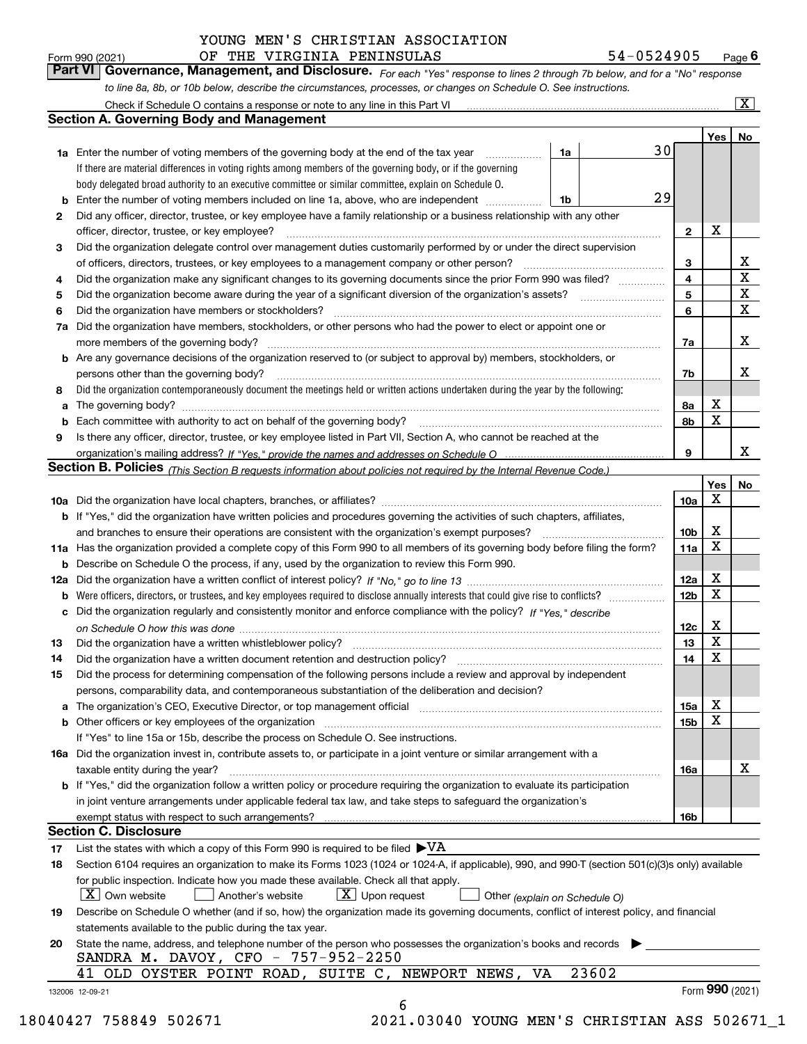### YOUNG MEN'S CHRISTIAN ASSOCIATION

**Yes No 1a1b1a** Enter the number of voting members of the governing body at the end of the tax year **234567a** Did the organization have members, stockholders, or other persons who had the power to elect or appoint one or **89b** Enter the number of voting members included on line 1a, above, who are independent  $\ldots$ **234567a7b8a8b9b** Are any governance decisions of the organization reserved to (or subject to approval by) members, stockholders, or **a**The governing body? ~~~~~~~~~~~~~~~~~~~~~~~~~~~~~~~~~~~~~~~~~~~~~~~~~~~**b** Each committee with authority to act on behalf of the governing body? **Yes No 10 a** Did the organization have local chapters, branches, or affiliates? ~~~~~~~~~~~~~~~~~~~~~~~~~~~~~~ **11a** Has the organization provided a complete copy of this Form 990 to all members of its governing body before filing the form? **b** If "Yes," did the organization have written policies and procedures governing the activities of such chapters, affiliates, **10a10b11a12a12b12c131415a15b16a16bb** Describe on Schedule O the process, if any, used by the organization to review this Form 990. **12a** *If "No," go to line 13* Did the organization have a written conflict of interest policy? ~~~~~~~~~~~~~~~~~~~~~ **b** Were officers, directors, or trustees, and key employees required to disclose annually interests that could give rise to conflicts? **c** Did the organization regularly and consistently monitor and enforce compliance with the policy? If "Yes," describe **131415a**The organization's CEO, Executive Director, or top management official **b16a** Did the organization invest in, contribute assets to, or participate in a joint venture or similar arrangement with a **b** If "Yes," did the organization follow a written policy or procedure requiring the organization to evaluate its participation **17181920**orm 990 (2021) OF THE VIRGINIA PENINSULAS 54-0524905 <sub>Page</sub> 6<br>**Part VI Governance, Management, and Disclosure.** <sub>For each "Yes" response to lines 2 through 7b below, and for a "No" res</sub> *to line 8a, 8b, or 10b below, describe the circumstances, processes, or changes on Schedule O. See instructions. If "Yes," provide the names and addresses on Schedule O* organization's mailing address? **Section B. Policies** <sub>(This Section B requests information about policies not required by the Internal Revenue Code.)</sub> *on Schedule O how this was done* ~~~~~~~~~~~~~~~~~~~~~~~~~~~~~~~~~~~~~~~~~~~~~ *(explain on Schedule O)* If there are material differences in voting rights among members of the governing body, or if the governing body delegated broad authority to an executive committee or similar committee, explain on Schedule O. Did the organization contemporaneously document the meetings held or written actions undertaken during the year by the following: Check if Schedule O contains a response or note to any line in this Part VI Did any officer, director, trustee, or key employee have a family relationship or a business relationship with any other officer, director, trustee, or key employee? ~~~~~~~~~~~~~~~~~~~~~~~~~~~~~~~~~~~~~~~~Did the organization delegate control over management duties customarily performed by or under the direct supervision of officers, directors, trustees, or key employees to a management company or other person? Did the organization make any significant changes to its governing documents since the prior Form 990 was filed? Did the organization become aware during the year of a significant diversion of the organization's assets? Did the organization have members or stockholders? <sub>……………………………………………………………………………</sub>………… more members of the governing body? ~~~~~~~~~~~~~~~~~~~~~~~~~~~~~~~~~~~~~~~~~~persons other than the governing body? Is there any officer, director, trustee, or key employee listed in Part VII, Section A, who cannot be reached at the and branches to ensure their operations are consistent with the organization's exempt purposes? \_\_\_\_\_\_\_\_\_\_\_\_\_\_\_\_\_\_\_\_\_\_\_ Did the organization have a written whistleblower policy? Did the organization have a written document retention and destruction policy? ~~~~~~~~~~~~~~~~~~~~~~Did the process for determining compensation of the following persons include a review and approval by independent persons, comparability data, and contemporaneous substantiation of the deliberation and decision? Other officers or key employees of the organization If "Yes" to line 15a or 15b, describe the process on Schedule O. See instructions. taxable entity during the year? ~~~~~~~~~~~~~~~~~~~~~~~~~~~~~~~~~~~~~~~~~~~~~~ in joint venture arrangements under applicable federal tax law, and take steps to safeguard the organization's exempt status with respect to such arrangements? List the states with which a copy of this Form 990 is required to be filed  $\blacktriangleright\!\textrm{VA}$ Section 6104 requires an organization to make its Forms 1023 (1024 or 1024-A, if applicable), 990, and 990-T (section 501(c)(3)s only) available for public inspection. Indicate how you made these available. Check all that apply. | Another's website Describe on Schedule O whether (and if so, how) the organization made its governing documents, conflict of interest policy, and financial statements available to the public during the tax year. State the name, address, and telephone number of the person who possesses the organization's books and records **Section A. Governing Body and Management Section C. Disclosure**  $\boxed{\text{X}}$  X  $\boxed{\textbf{X}}$  Own website  $\boxed{\phantom{a}}$  Another's website  $\boxed{\textbf{X}}$  Upon request  $\boxed{\phantom{a}}$ 30 29 X X X X X X X X X X X X X X X X X X X X X SANDRA M. DAVOY, CFO - 757-952-2250 41 OLD OYSTER POINT ROAD, SUITE C, NEWPORT NEWS, VA 23602

6

132006 12-09-21

| 18040427 758849 502671 |  |  |  | 2021.03040 YOUNG MEN'S CHRISTIAN ASS 502671 1 |  |  |
|------------------------|--|--|--|-----------------------------------------------|--|--|
|                        |  |  |  |                                               |  |  |

Form (2021) **990**

| Form 990 (2021) |  |  |
|-----------------|--|--|
| $P = 1111$      |  |  |

 $_{\rm Form}$   $_{990}$  (2021) OF THE VIRGINIA PENINSULAS 54-0524905  $_{\rm Page}$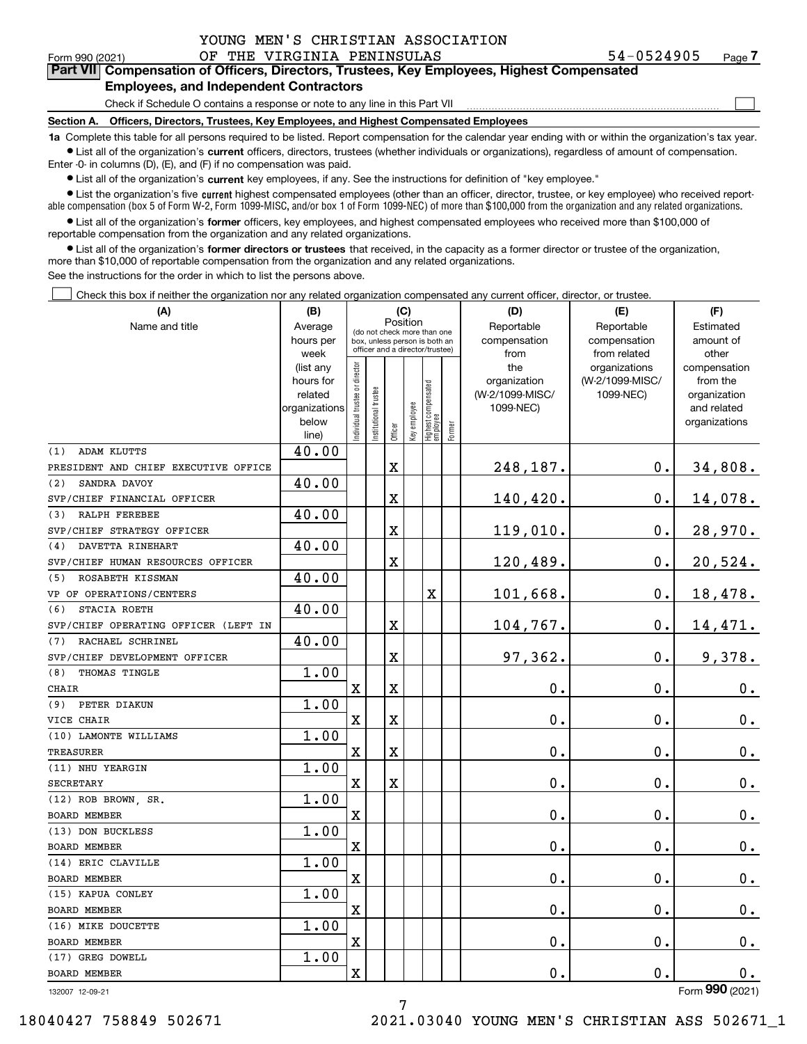$\mathcal{L}^{\text{max}}$ 

#### $_{\rm Form}$   $_{990}$  (2021) OF THE VIRGINIA PENINSULAS 54-0524905  $_{\rm Page}$ **7Part VII Compensation of Officers, Directors, Trustees, Key Employees, Highest Compensated Employees, and Independent Contractors**

Check if Schedule O contains a response or note to any line in this Part VII

**Section A. Officers, Directors, Trustees, Key Employees, and Highest Compensated Employees**

**1a**  Complete this table for all persons required to be listed. Report compensation for the calendar year ending with or within the organization's tax year. **•** List all of the organization's current officers, directors, trustees (whether individuals or organizations), regardless of amount of compensation.

Enter -0- in columns (D), (E), and (F) if no compensation was paid.

 $\bullet$  List all of the organization's  $\sf current$  key employees, if any. See the instructions for definition of "key employee."

**•** List the organization's five current highest compensated employees (other than an officer, director, trustee, or key employee) who received reportable compensation (box 5 of Form W-2, Form 1099-MISC, and/or box 1 of Form 1099-NEC) of more than \$100,000 from the organization and any related organizations.

**•** List all of the organization's former officers, key employees, and highest compensated employees who received more than \$100,000 of reportable compensation from the organization and any related organizations.

**former directors or trustees**  ¥ List all of the organization's that received, in the capacity as a former director or trustee of the organization, more than \$10,000 of reportable compensation from the organization and any related organizations.

See the instructions for the order in which to list the persons above.

Check this box if neither the organization nor any related organization compensated any current officer, director, or trustee.  $\mathcal{L}^{\text{max}}$ 

| (A)                                  | (B)                    |                               |                                                                  |         | (C)          |                                  |        | (D)                 | (E)                              | (F)                      |
|--------------------------------------|------------------------|-------------------------------|------------------------------------------------------------------|---------|--------------|----------------------------------|--------|---------------------|----------------------------------|--------------------------|
| Name and title                       | Average                |                               | (do not check more than one                                      |         | Position     |                                  |        | Reportable          | Reportable                       | Estimated                |
|                                      | hours per              |                               | box, unless person is both an<br>officer and a director/trustee) |         |              |                                  |        | compensation        | compensation                     | amount of                |
|                                      | week                   |                               |                                                                  |         |              |                                  |        | from                | from related                     | other                    |
|                                      | (list any<br>hours for |                               |                                                                  |         |              |                                  |        | the<br>organization | organizations<br>(W-2/1099-MISC/ | compensation<br>from the |
|                                      | related                |                               |                                                                  |         |              |                                  |        | (W-2/1099-MISC/     | 1099-NEC)                        | organization             |
|                                      | organizations          |                               |                                                                  |         |              |                                  |        | 1099-NEC)           |                                  | and related              |
|                                      | below                  | ndividual trustee or director | Institutional trustee                                            |         | Key employee |                                  |        |                     |                                  | organizations            |
|                                      | line)                  |                               |                                                                  | Officer |              | Highest compensated<br> employee | Former |                     |                                  |                          |
| ADAM KLUTTS<br>(1)                   | 40.00                  |                               |                                                                  |         |              |                                  |        |                     |                                  |                          |
| PRESIDENT AND CHIEF EXECUTIVE OFFICE |                        |                               |                                                                  | X       |              |                                  |        | 248,187.            | 0.                               | 34,808.                  |
| (2)<br>SANDRA DAVOY                  | 40.00                  |                               |                                                                  |         |              |                                  |        |                     |                                  |                          |
| SVP/CHIEF FINANCIAL OFFICER          |                        |                               |                                                                  | X       |              |                                  |        | 140,420.            | 0.                               | 14,078.                  |
| RALPH FEREBEE<br>(3)                 | 40.00                  |                               |                                                                  |         |              |                                  |        |                     |                                  |                          |
| SVP/CHIEF STRATEGY OFFICER           |                        |                               |                                                                  | X       |              |                                  |        | 119,010.            | 0.                               | 28,970.                  |
| DAVETTA RINEHART<br>(4)              | 40.00                  |                               |                                                                  |         |              |                                  |        |                     |                                  |                          |
| SVP/CHIEF HUMAN RESOURCES OFFICER    |                        |                               |                                                                  | X       |              |                                  |        | 120,489.            | 0.                               | 20,524.                  |
| ROSABETH KISSMAN<br>(5)              | 40.00                  |                               |                                                                  |         |              |                                  |        |                     |                                  |                          |
| VP OF OPERATIONS/CENTERS             |                        |                               |                                                                  |         |              | X                                |        | 101,668.            | 0.                               | 18,478.                  |
| STACIA ROETH<br>(6)                  | 40.00                  |                               |                                                                  |         |              |                                  |        |                     |                                  |                          |
| SVP/CHIEF OPERATING OFFICER (LEFT IN |                        |                               |                                                                  | х       |              |                                  |        | 104,767.            | 0.                               | 14,471.                  |
| RACHAEL SCHRINEL<br>(7)              | 40.00                  |                               |                                                                  |         |              |                                  |        |                     |                                  |                          |
| SVP/CHIEF DEVELOPMENT OFFICER        |                        |                               |                                                                  | X       |              |                                  |        | 97,362.             | 0.                               | 9,378.                   |
| THOMAS TINGLE<br>(8)                 | 1.00                   |                               |                                                                  |         |              |                                  |        |                     |                                  |                          |
| CHAIR                                |                        | $\mathbf X$                   |                                                                  | X       |              |                                  |        | 0.                  | 0.                               | 0.                       |
| PETER DIAKUN<br>(9)                  | 1.00                   |                               |                                                                  |         |              |                                  |        |                     |                                  |                          |
| VICE CHAIR                           |                        | $\mathbf X$                   |                                                                  | X       |              |                                  |        | 0.                  | 0.                               | 0.                       |
| (10) LAMONTE WILLIAMS                | 1.00                   |                               |                                                                  |         |              |                                  |        |                     |                                  |                          |
| <b>TREASURER</b>                     |                        | $\overline{\text{X}}$         |                                                                  | X       |              |                                  |        | 0.                  | 0.                               | $0_{.}$                  |
| (11) NHU YEARGIN                     | 1.00                   |                               |                                                                  |         |              |                                  |        |                     |                                  |                          |
| SECRETARY                            |                        | X                             |                                                                  | X       |              |                                  |        | 0.                  | 0.                               | $\mathbf 0$ .            |
| (12) ROB BROWN, SR.                  | 1.00                   |                               |                                                                  |         |              |                                  |        |                     |                                  |                          |
| <b>BOARD MEMBER</b>                  |                        | $\overline{\textbf{X}}$       |                                                                  |         |              |                                  |        | 0.                  | 0.                               | $0_{.}$                  |
| (13) DON BUCKLESS                    | 1.00                   |                               |                                                                  |         |              |                                  |        |                     |                                  |                          |
| <b>BOARD MEMBER</b>                  |                        | X                             |                                                                  |         |              |                                  |        | 0.                  | 0.                               | $\mathbf 0$ .            |
| (14) ERIC CLAVILLE                   | 1.00                   |                               |                                                                  |         |              |                                  |        |                     |                                  |                          |
| BOARD MEMBER                         |                        | $\rm X$                       |                                                                  |         |              |                                  |        | 0.                  | 0.                               | 0.                       |
| (15) KAPUA CONLEY                    | 1.00                   |                               |                                                                  |         |              |                                  |        |                     |                                  |                          |
| <b>BOARD MEMBER</b>                  |                        | $\overline{\mathbf{X}}$       |                                                                  |         |              |                                  |        | 0.                  | 0.                               | 0.                       |
| (16) MIKE DOUCETTE                   | 1.00                   |                               |                                                                  |         |              |                                  |        |                     |                                  |                          |
| BOARD MEMBER                         |                        | X                             |                                                                  |         |              |                                  |        | 0.                  | 0.                               | 0.                       |
| (17) GREG DOWELL                     | 1.00                   |                               |                                                                  |         |              |                                  |        |                     |                                  |                          |
| <b>BOARD MEMBER</b>                  |                        | X                             |                                                                  |         |              |                                  |        | 0.                  | 0.                               | 0.                       |
|                                      |                        |                               |                                                                  |         |              |                                  |        |                     |                                  | $\mathbf{a}$             |

132007 12-09-21

Form (2021) **990**

18040427 758849 502671 2021.03040 YOUNG MEN'S CHRISTIAN ASS 502671\_1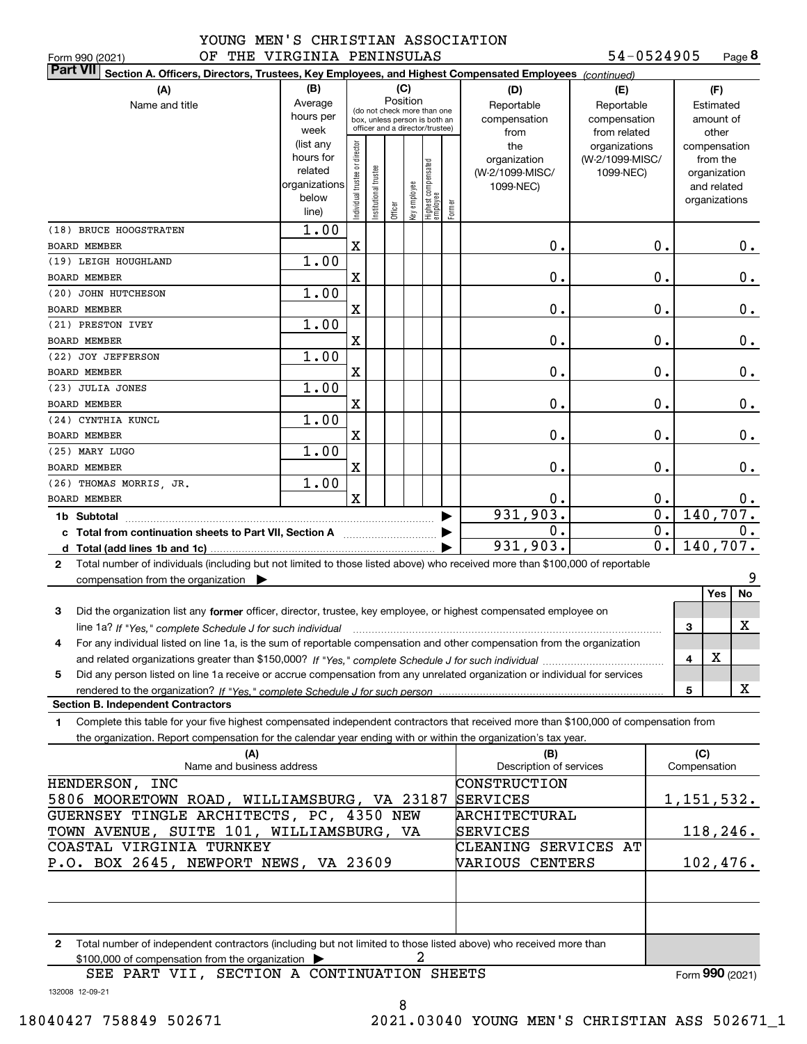# YOUNG MEN'S CHRISTIAN ASSOCIATION

**8**54-0524905

| OF THE VIRGINIA PENINSULAS<br>Form 990 (2021)                                                                                                        |               |                               |                                                              |         |              |                                  |        |                         | 54-0524905       | Page 8            |
|------------------------------------------------------------------------------------------------------------------------------------------------------|---------------|-------------------------------|--------------------------------------------------------------|---------|--------------|----------------------------------|--------|-------------------------|------------------|-------------------|
| <b>Part VII</b><br>Section A. Officers, Directors, Trustees, Key Employees, and Highest Compensated Employees (continued)                            |               |                               |                                                              |         |              |                                  |        |                         |                  |                   |
| (A)                                                                                                                                                  | (B)           |                               |                                                              |         | (C)          |                                  |        | (D)                     | (E)              | (F)               |
| Name and title                                                                                                                                       | Average       |                               |                                                              |         | Position     |                                  |        | Reportable              | Reportable       | Estimated         |
|                                                                                                                                                      | hours per     |                               | (do not check more than one<br>box, unless person is both an |         |              |                                  |        | compensation            | compensation     | amount of         |
|                                                                                                                                                      | week          |                               | officer and a director/trustee)                              |         |              |                                  |        | from                    | from related     | other             |
|                                                                                                                                                      | (list any     |                               |                                                              |         |              |                                  |        | the                     | organizations    | compensation      |
|                                                                                                                                                      | hours for     |                               |                                                              |         |              |                                  |        | organization            | (W-2/1099-MISC/  | from the          |
|                                                                                                                                                      | related       |                               |                                                              |         |              |                                  |        | (W-2/1099-MISC/         | 1099-NEC)        | organization      |
|                                                                                                                                                      | organizations |                               |                                                              |         |              |                                  |        | 1099-NEC)               |                  | and related       |
|                                                                                                                                                      | below         |                               |                                                              |         |              |                                  |        |                         |                  |                   |
|                                                                                                                                                      | line)         | ndividual trustee or director | nstitutional trustee                                         | Officer | Key employee | Highest compensated<br> employee | Former |                         |                  | organizations     |
|                                                                                                                                                      |               |                               |                                                              |         |              |                                  |        |                         |                  |                   |
| (18) BRUCE HOOGSTRATEN                                                                                                                               | 1.00          |                               |                                                              |         |              |                                  |        |                         |                  |                   |
| <b>BOARD MEMBER</b>                                                                                                                                  |               | $\mathbf X$                   |                                                              |         |              |                                  |        | 0.                      | 0.               | $0$ .             |
| (19) LEIGH HOUGHLAND                                                                                                                                 | 1.00          |                               |                                                              |         |              |                                  |        |                         |                  |                   |
| <b>BOARD MEMBER</b>                                                                                                                                  |               | X                             |                                                              |         |              |                                  |        | 0.                      | 0.               | 0.                |
| (20) JOHN HUTCHESON                                                                                                                                  | 1.00          |                               |                                                              |         |              |                                  |        |                         |                  |                   |
| <b>BOARD MEMBER</b>                                                                                                                                  |               | X                             |                                                              |         |              |                                  |        | $\mathbf 0$ .           | 0.               | 0.                |
| (21) PRESTON IVEY                                                                                                                                    | 1.00          |                               |                                                              |         |              |                                  |        |                         |                  |                   |
|                                                                                                                                                      |               |                               |                                                              |         |              |                                  |        |                         |                  |                   |
| <b>BOARD MEMBER</b>                                                                                                                                  |               | X                             |                                                              |         |              |                                  |        | $\mathbf 0$ .           | 0.               | 0.                |
| (22) JOY JEFFERSON                                                                                                                                   | 1.00          |                               |                                                              |         |              |                                  |        |                         |                  |                   |
| <b>BOARD MEMBER</b>                                                                                                                                  |               | X                             |                                                              |         |              |                                  |        | $\mathbf 0$ .           | 0.               | 0.                |
| (23) JULIA JONES                                                                                                                                     | 1.00          |                               |                                                              |         |              |                                  |        |                         |                  |                   |
| <b>BOARD MEMBER</b>                                                                                                                                  |               | X                             |                                                              |         |              |                                  |        | $\mathbf 0$ .           | 0.               | $0$ .             |
| (24) CYNTHIA KUNCL                                                                                                                                   | 1.00          |                               |                                                              |         |              |                                  |        |                         |                  |                   |
| BOARD MEMBER                                                                                                                                         |               | X                             |                                                              |         |              |                                  |        | $\mathbf 0$ .           | 0.               | 0.                |
| (25) MARY LUGO                                                                                                                                       | 1.00          |                               |                                                              |         |              |                                  |        |                         |                  |                   |
|                                                                                                                                                      |               |                               |                                                              |         |              |                                  |        |                         |                  |                   |
| BOARD MEMBER                                                                                                                                         |               | X                             |                                                              |         |              |                                  |        | $\mathbf 0$ .           | 0.               | $0$ .             |
| (26) THOMAS MORRIS, JR.                                                                                                                              | 1.00          |                               |                                                              |         |              |                                  |        |                         |                  |                   |
| <b>BOARD MEMBER</b>                                                                                                                                  |               | $\mathbf x$                   |                                                              |         |              |                                  |        | 0.                      | 0.               | $0$ .             |
| 1b Subtotal                                                                                                                                          |               |                               |                                                              |         |              |                                  |        | 931,903.                | $\overline{0}$ . | 140, 707.         |
| c Total from continuation sheets to Part VII, Section A <b>Constant Contact Part</b>                                                                 |               |                               |                                                              |         |              |                                  |        | 0.                      | $\overline{0}$ . | 0.                |
|                                                                                                                                                      |               |                               |                                                              |         |              |                                  |        | 931,903.                | $\overline{0}$ . | 140,707.          |
| Total number of individuals (including but not limited to those listed above) who received more than \$100,000 of reportable<br>$\mathbf{2}$         |               |                               |                                                              |         |              |                                  |        |                         |                  |                   |
| compensation from the organization $\blacktriangleright$                                                                                             |               |                               |                                                              |         |              |                                  |        |                         |                  |                   |
|                                                                                                                                                      |               |                               |                                                              |         |              |                                  |        |                         |                  | No<br>Yes         |
|                                                                                                                                                      |               |                               |                                                              |         |              |                                  |        |                         |                  |                   |
| 3<br>Did the organization list any former officer, director, trustee, key employee, or highest compensated employee on                               |               |                               |                                                              |         |              |                                  |        |                         |                  |                   |
| line 1a? If "Yes," complete Schedule J for such individual manufactured contained and the line 1a? If "Yes," complete Schedule J for such individual |               |                               |                                                              |         |              |                                  |        |                         |                  | x<br>3            |
| For any individual listed on line 1a, is the sum of reportable compensation and other compensation from the organization                             |               |                               |                                                              |         |              |                                  |        |                         |                  |                   |
|                                                                                                                                                      |               |                               |                                                              |         |              |                                  |        |                         |                  | х<br>4            |
| Did any person listed on line 1a receive or accrue compensation from any unrelated organization or individual for services<br>5                      |               |                               |                                                              |         |              |                                  |        |                         |                  |                   |
| rendered to the organization? If "Yes." complete Schedule J for such person                                                                          |               |                               |                                                              |         |              |                                  |        |                         |                  | x<br>5            |
| <b>Section B. Independent Contractors</b>                                                                                                            |               |                               |                                                              |         |              |                                  |        |                         |                  |                   |
|                                                                                                                                                      |               |                               |                                                              |         |              |                                  |        |                         |                  |                   |
| Complete this table for your five highest compensated independent contractors that received more than \$100,000 of compensation from<br>1            |               |                               |                                                              |         |              |                                  |        |                         |                  |                   |
| the organization. Report compensation for the calendar year ending with or within the organization's tax year.                                       |               |                               |                                                              |         |              |                                  |        |                         |                  |                   |
| (A)                                                                                                                                                  |               |                               |                                                              |         |              |                                  |        | (B)                     |                  | (C)               |
| Name and business address                                                                                                                            |               |                               |                                                              |         |              |                                  |        | Description of services |                  | Compensation      |
| HENDERSON, INC                                                                                                                                       |               |                               |                                                              |         |              |                                  |        | CONSTRUCTION            |                  |                   |
| 5806 MOORETOWN ROAD, WILLIAMSBURG, VA 23187                                                                                                          |               |                               |                                                              |         |              |                                  |        | SERVICES                |                  | <u>1,151,532.</u> |
| GUERNSEY TINGLE ARCHITECTS, PC, 4350 NEW                                                                                                             |               |                               |                                                              |         |              |                                  |        | ARCHITECTURAL           |                  |                   |
| TOWN AVENUE, SUITE 101, WILLIAMSBURG, VA                                                                                                             |               |                               |                                                              |         |              |                                  |        | SERVICES                |                  | 118,246.          |
| COASTAL VIRGINIA TURNKEY                                                                                                                             |               |                               |                                                              |         |              |                                  |        | CLEANING SERVICES AT    |                  |                   |
|                                                                                                                                                      |               |                               |                                                              |         |              |                                  |        |                         |                  |                   |
| P.O. BOX 2645, NEWPORT NEWS, VA 23609                                                                                                                |               |                               |                                                              |         |              |                                  |        | VARIOUS CENTERS         |                  | 102,476.          |
|                                                                                                                                                      |               |                               |                                                              |         |              |                                  |        |                         |                  |                   |
|                                                                                                                                                      |               |                               |                                                              |         |              |                                  |        |                         |                  |                   |
|                                                                                                                                                      |               |                               |                                                              |         |              |                                  |        |                         |                  |                   |
|                                                                                                                                                      |               |                               |                                                              |         |              |                                  |        |                         |                  |                   |
| Total number of independent contractors (including but not limited to those listed above) who received more than<br>2                                |               |                               |                                                              |         |              |                                  |        |                         |                  |                   |
| \$100,000 of compensation from the organization                                                                                                      |               |                               |                                                              |         |              |                                  |        |                         |                  |                   |
| SEE PART VII, SECTION A CONTINUATION SHEETS                                                                                                          |               |                               |                                                              |         |              |                                  |        |                         |                  | Form 990 (2021)   |
|                                                                                                                                                      |               |                               |                                                              |         |              |                                  |        |                         |                  |                   |

132008 12-09-21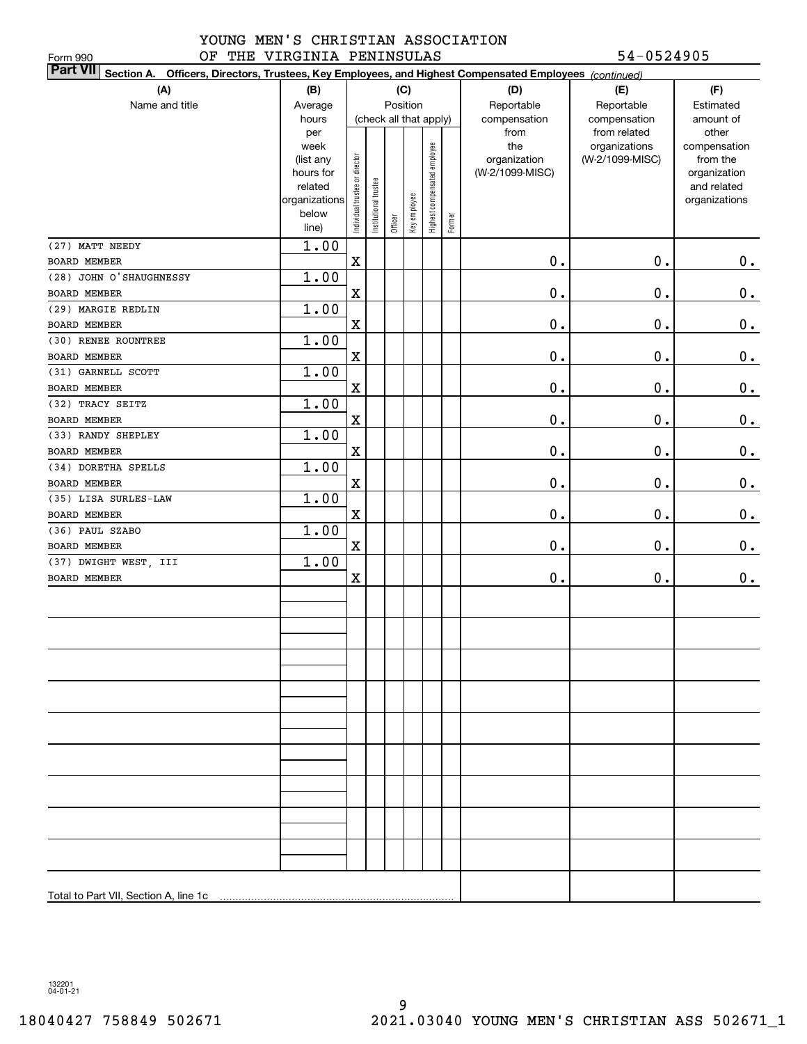#### YOUNG MEN'S CHRISTIAN ASSOCIATION OF THE VIRGINIA PENINSULAS 54-0524905

| OF THE VIRGINIA PENINSULAS<br>Form 990                                                                                    |                          |                                |                       |         |              |                              |        |                 | 54-0524905      |                             |
|---------------------------------------------------------------------------------------------------------------------------|--------------------------|--------------------------------|-----------------------|---------|--------------|------------------------------|--------|-----------------|-----------------|-----------------------------|
| <b>Part VII</b><br>Section A. Officers, Directors, Trustees, Key Employees, and Highest Compensated Employees (continued) |                          |                                |                       |         |              |                              |        |                 |                 |                             |
| (A)                                                                                                                       | (B)                      |                                |                       |         | (C)          |                              |        | (D)             | (E)             | (F)                         |
| Name and title                                                                                                            | Average                  |                                |                       |         | Position     |                              |        | Reportable      | Reportable      | Estimated                   |
|                                                                                                                           | hours                    |                                |                       |         |              | (check all that apply)       |        | compensation    | compensation    | amount of                   |
|                                                                                                                           | per                      |                                |                       |         |              |                              |        | from            | from related    | other                       |
|                                                                                                                           | week                     |                                |                       |         |              |                              |        | the             | organizations   | compensation                |
|                                                                                                                           | (list any                |                                |                       |         |              |                              |        | organization    | (W-2/1099-MISC) | from the                    |
|                                                                                                                           | hours for                |                                |                       |         |              |                              |        | (W-2/1099-MISC) |                 | organization<br>and related |
|                                                                                                                           | related<br>organizations |                                |                       |         |              |                              |        |                 |                 | organizations               |
|                                                                                                                           | below                    | Individual trustee or director |                       |         |              |                              |        |                 |                 |                             |
|                                                                                                                           | line)                    |                                | Institutional trustee | Officer | Key employee | Highest compensated employee | Former |                 |                 |                             |
| (27) MATT NEEDY                                                                                                           | 1.00                     |                                |                       |         |              |                              |        |                 |                 |                             |
| BOARD MEMBER                                                                                                              |                          | $\mathbf X$                    |                       |         |              |                              |        | 0.              | $0$ .           | $\mathbf 0$ .               |
| (28) JOHN O'SHAUGHNESSY                                                                                                   | 1.00                     |                                |                       |         |              |                              |        |                 |                 |                             |
| BOARD MEMBER                                                                                                              |                          | $\mathbf X$                    |                       |         |              |                              |        | 0.              | $0$ .           | $\mathbf 0$ .               |
| (29) MARGIE REDLIN                                                                                                        | 1.00                     |                                |                       |         |              |                              |        |                 |                 |                             |
| <b>BOARD MEMBER</b>                                                                                                       |                          | $\mathbf X$                    |                       |         |              |                              |        | 0.              | $\mathbf 0$ .   | $\mathbf 0$ .               |
| (30) RENEE ROUNTREE                                                                                                       | 1.00                     |                                |                       |         |              |                              |        |                 |                 |                             |
| <b>BOARD MEMBER</b>                                                                                                       |                          | $\mathbf X$                    |                       |         |              |                              |        | 0.              | $\mathbf 0$ .   | $\mathbf 0$ .               |
| (31) GARNELL SCOTT                                                                                                        | 1.00                     |                                |                       |         |              |                              |        |                 |                 |                             |
| BOARD MEMBER                                                                                                              |                          | $\mathbf X$                    |                       |         |              |                              |        | 0.              | $\mathbf 0$ .   | $\mathbf 0$ .               |
| (32) TRACY SEITZ                                                                                                          | 1.00                     |                                |                       |         |              |                              |        |                 |                 |                             |
| <b>BOARD MEMBER</b>                                                                                                       |                          | $\mathbf X$                    |                       |         |              |                              |        | 0.              | $\mathbf 0$ .   | $\mathbf 0$ .               |
| (33) RANDY SHEPLEY                                                                                                        | 1.00                     |                                |                       |         |              |                              |        |                 |                 |                             |
| BOARD MEMBER                                                                                                              |                          | $\mathbf X$                    |                       |         |              |                              |        | 0.              | $\mathbf 0$ .   | $\mathbf 0$ .               |
| (34) DORETHA SPELLS                                                                                                       | 1.00                     |                                |                       |         |              |                              |        |                 |                 |                             |
| BOARD MEMBER                                                                                                              |                          | $\mathbf X$                    |                       |         |              |                              |        | 0.              | $\mathbf 0$ .   | $\mathbf 0$ .               |
| (35) LISA SURLES-LAW                                                                                                      | 1.00                     |                                |                       |         |              |                              |        |                 |                 |                             |
| BOARD MEMBER                                                                                                              |                          | $\mathbf X$                    |                       |         |              |                              |        | $\mathbf 0$ .   | $\mathbf 0$ .   | $\mathbf 0$ .               |
| (36) PAUL SZABO                                                                                                           | 1.00                     |                                |                       |         |              |                              |        |                 |                 |                             |
| BOARD MEMBER                                                                                                              |                          | $\mathbf X$                    |                       |         |              |                              |        | $\mathbf 0$ .   | $\mathbf 0$ .   | $\mathbf 0$ .               |
| (37) DWIGHT WEST, III                                                                                                     | 1.00                     |                                |                       |         |              |                              |        |                 |                 |                             |
| BOARD MEMBER                                                                                                              |                          | $\mathbf X$                    |                       |         |              |                              |        | $\mathfrak o$ . | $\mathbf 0$ .   | 0.                          |
|                                                                                                                           |                          |                                |                       |         |              |                              |        |                 |                 |                             |
|                                                                                                                           |                          |                                |                       |         |              |                              |        |                 |                 |                             |
|                                                                                                                           |                          |                                |                       |         |              |                              |        |                 |                 |                             |
|                                                                                                                           |                          |                                |                       |         |              |                              |        |                 |                 |                             |
|                                                                                                                           |                          |                                |                       |         |              |                              |        |                 |                 |                             |
|                                                                                                                           |                          |                                |                       |         |              |                              |        |                 |                 |                             |
|                                                                                                                           |                          |                                |                       |         |              |                              |        |                 |                 |                             |
|                                                                                                                           |                          |                                |                       |         |              |                              |        |                 |                 |                             |
|                                                                                                                           |                          |                                |                       |         |              |                              |        |                 |                 |                             |
|                                                                                                                           |                          |                                |                       |         |              |                              |        |                 |                 |                             |
|                                                                                                                           |                          |                                |                       |         |              |                              |        |                 |                 |                             |
|                                                                                                                           |                          |                                |                       |         |              |                              |        |                 |                 |                             |
|                                                                                                                           |                          |                                |                       |         |              |                              |        |                 |                 |                             |
|                                                                                                                           |                          |                                |                       |         |              |                              |        |                 |                 |                             |
|                                                                                                                           |                          |                                |                       |         |              |                              |        |                 |                 |                             |
|                                                                                                                           |                          |                                |                       |         |              |                              |        |                 |                 |                             |

132201 04-01-21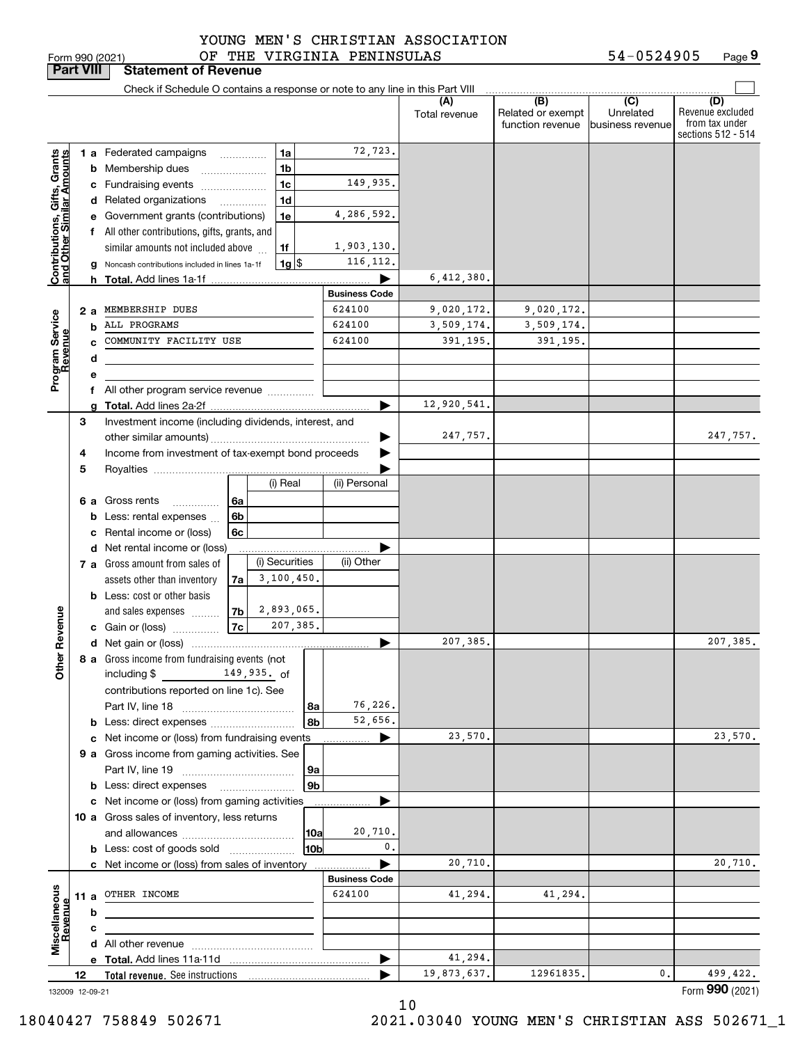|  | rm 990 (2021) |
|--|---------------|

#### OF THE VIRGINIA PENINSULAS YOUNG MEN'S CHRISTIAN ASSOCIATION

| <b>Part VIII</b>                              |    |    | <b>Statement of Revenue</b>                                                   |                          |                    |                      |                      |                                              |                                                 |                                                                 |
|-----------------------------------------------|----|----|-------------------------------------------------------------------------------|--------------------------|--------------------|----------------------|----------------------|----------------------------------------------|-------------------------------------------------|-----------------------------------------------------------------|
|                                               |    |    | Check if Schedule O contains a response or note to any line in this Part VIII |                          |                    |                      |                      |                                              |                                                 |                                                                 |
|                                               |    |    |                                                                               |                          |                    |                      | (A)<br>Total revenue | (B)<br>Related or exempt<br>function revenue | $\overline{C}$<br>Unrelated<br>business revenue | (D)<br>Revenue excluded<br>from tax under<br>sections 512 - 514 |
|                                               |    |    | 1 a Federated campaigns                                                       |                          | 1a                 | 72,723.              |                      |                                              |                                                 |                                                                 |
| , Grants<br>Imounts                           |    |    | <b>b</b> Membership dues                                                      |                          | 1 <sub>b</sub>     |                      |                      |                                              |                                                 |                                                                 |
|                                               |    |    | c Fundraising events                                                          |                          | 1 <sub>c</sub>     | 149,935.             |                      |                                              |                                                 |                                                                 |
| Contributions, Gifts,<br>and Other Similar Ar |    |    | d Related organizations                                                       | $\overline{\phantom{a}}$ | 1 <sub>d</sub>     |                      |                      |                                              |                                                 |                                                                 |
|                                               |    |    | e Government grants (contributions)                                           |                          | 1e                 | 4,286,592.           |                      |                                              |                                                 |                                                                 |
|                                               |    |    | f All other contributions, gifts, grants, and                                 |                          |                    |                      |                      |                                              |                                                 |                                                                 |
|                                               |    |    | similar amounts not included above                                            |                          | 1f                 | 1,903,130.           |                      |                                              |                                                 |                                                                 |
|                                               |    |    | Noncash contributions included in lines 1a-1f                                 |                          | $1g$ $\frac{1}{3}$ | 116, 112.            |                      |                                              |                                                 |                                                                 |
|                                               |    |    |                                                                               |                          |                    |                      | 6,412,380.           |                                              |                                                 |                                                                 |
|                                               |    |    |                                                                               |                          |                    | <b>Business Code</b> |                      |                                              |                                                 |                                                                 |
|                                               |    | 2а | MEMBERSHIP DUES                                                               |                          |                    | 624100               | 9,020,172.           | 9,020,172.                                   |                                                 |                                                                 |
| Program Service<br>Revenue                    |    |    | <b>b</b> ALL PROGRAMS                                                         |                          |                    | 624100               | 3,509,174.           | 3,509,174.                                   |                                                 |                                                                 |
|                                               |    |    | COMMUNITY FACILITY USE                                                        |                          |                    | 624100               | 391,195.             | 391,195.                                     |                                                 |                                                                 |
|                                               |    | d  |                                                                               |                          |                    |                      |                      |                                              |                                                 |                                                                 |
|                                               |    | е  |                                                                               |                          |                    |                      |                      |                                              |                                                 |                                                                 |
|                                               |    |    | f All other program service revenue                                           |                          |                    |                      |                      |                                              |                                                 |                                                                 |
|                                               |    | a  |                                                                               |                          |                    |                      | 12,920,541.          |                                              |                                                 |                                                                 |
|                                               | З  |    | Investment income (including dividends, interest, and                         |                          |                    |                      |                      |                                              |                                                 |                                                                 |
|                                               |    |    |                                                                               |                          |                    |                      | 247,757.             |                                              |                                                 | 247,757.                                                        |
|                                               | 4  |    | Income from investment of tax-exempt bond proceeds                            |                          |                    |                      |                      |                                              |                                                 |                                                                 |
|                                               | 5  |    |                                                                               |                          |                    |                      |                      |                                              |                                                 |                                                                 |
|                                               |    |    |                                                                               |                          | (i) Real           | (ii) Personal        |                      |                                              |                                                 |                                                                 |
|                                               |    |    | 6 a Gross rents<br>.                                                          | 6а                       |                    |                      |                      |                                              |                                                 |                                                                 |
|                                               |    |    | <b>b</b> Less: rental expenses                                                | 6b                       |                    |                      |                      |                                              |                                                 |                                                                 |
|                                               |    |    | c Rental income or (loss)                                                     | 6c                       |                    |                      |                      |                                              |                                                 |                                                                 |
|                                               |    |    | d Net rental income or (loss)                                                 |                          |                    |                      |                      |                                              |                                                 |                                                                 |
|                                               |    |    | 7 a Gross amount from sales of                                                |                          | (i) Securities     | (ii) Other           |                      |                                              |                                                 |                                                                 |
|                                               |    |    | assets other than inventory                                                   | 7a                       | 3,100,450.         |                      |                      |                                              |                                                 |                                                                 |
|                                               |    |    | <b>b</b> Less: cost or other basis                                            |                          |                    |                      |                      |                                              |                                                 |                                                                 |
|                                               |    |    | and sales expenses                                                            | 7b l                     | 2,893,065.         |                      |                      |                                              |                                                 |                                                                 |
| Revenue                                       |    |    | c Gain or (loss)                                                              | 7c                       | 207,385.           |                      |                      |                                              |                                                 |                                                                 |
|                                               |    |    |                                                                               |                          |                    |                      | 207,385.             |                                              |                                                 | 207,385.                                                        |
| <b>Othe</b>                                   |    |    | 8 a Gross income from fundraising events (not                                 |                          |                    |                      |                      |                                              |                                                 |                                                                 |
|                                               |    |    | 149,935. of<br>including \$                                                   |                          |                    |                      |                      |                                              |                                                 |                                                                 |
|                                               |    |    | contributions reported on line 1c). See                                       |                          |                    |                      |                      |                                              |                                                 |                                                                 |
|                                               |    |    |                                                                               |                          | 8a                 | 76,226.              |                      |                                              |                                                 |                                                                 |
|                                               |    |    |                                                                               |                          | 8b                 | 52,656.              |                      |                                              |                                                 |                                                                 |
|                                               |    |    | c Net income or (loss) from fundraising events                                |                          |                    |                      | 23,570.              |                                              |                                                 | 23,570.                                                         |
|                                               |    |    | 9 a Gross income from gaming activities. See                                  |                          |                    |                      |                      |                                              |                                                 |                                                                 |
|                                               |    |    |                                                                               |                          | 9a                 |                      |                      |                                              |                                                 |                                                                 |
|                                               |    |    | <b>b</b> Less: direct expenses                                                |                          | 9 <sub>b</sub>     |                      |                      |                                              |                                                 |                                                                 |
|                                               |    |    | c Net income or (loss) from gaming activities                                 |                          |                    |                      |                      |                                              |                                                 |                                                                 |
|                                               |    |    | 10 a Gross sales of inventory, less returns                                   |                          |                    | 20,710.              |                      |                                              |                                                 |                                                                 |
|                                               |    |    |                                                                               |                          |                    | 10a<br>0.            |                      |                                              |                                                 |                                                                 |
|                                               |    |    | <b>b</b> Less: cost of goods sold                                             |                          |                    | 10b                  | 20,710.              |                                              |                                                 | 20,710.                                                         |
|                                               |    |    | c Net income or (loss) from sales of inventory                                |                          |                    | <b>Business Code</b> |                      |                                              |                                                 |                                                                 |
|                                               |    |    | 11 a OTHER INCOME                                                             |                          |                    | 624100               | 41,294.              | 41,294.                                      |                                                 |                                                                 |
|                                               |    | b  |                                                                               |                          |                    |                      |                      |                                              |                                                 |                                                                 |
| Miscellaneous<br>Revenue                      |    | c  |                                                                               |                          |                    |                      |                      |                                              |                                                 |                                                                 |
|                                               |    |    |                                                                               |                          |                    |                      |                      |                                              |                                                 |                                                                 |
|                                               |    |    |                                                                               |                          |                    | ▶                    | 41,294.              |                                              |                                                 |                                                                 |
|                                               | 12 |    |                                                                               |                          |                    |                      | 19,873,637.          | 12961835,                                    | 0.                                              | 499,422.                                                        |
| 132009 12-09-21                               |    |    |                                                                               |                          |                    |                      |                      |                                              |                                                 | Form 990 (2021)                                                 |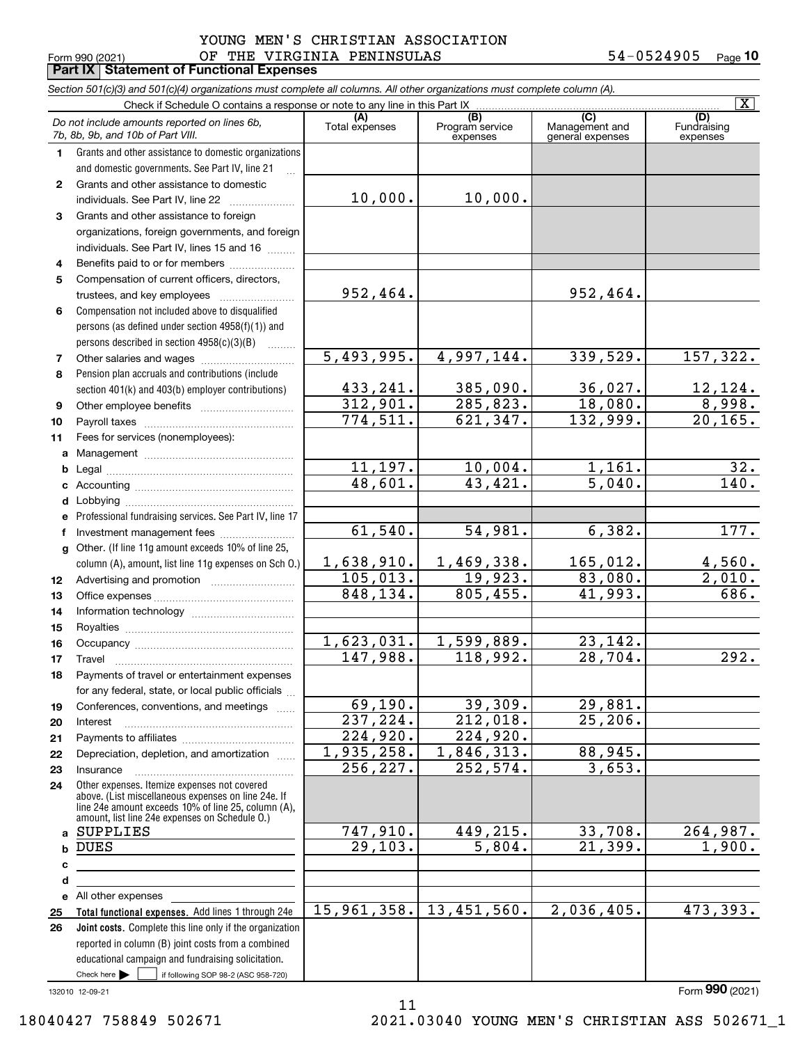#### Form 990 (2021) Page **Part IX Statement of Functional Expenses** OF THE VIRGINIA PENINSULAS 54-0524905 YOUNG MEN'S CHRISTIAN ASSOCIATION

|              | Section 501(c)(3) and 501(c)(4) organizations must complete all columns. All other organizations must complete column (A).                                 |                        |                                    |                                           |                                |
|--------------|------------------------------------------------------------------------------------------------------------------------------------------------------------|------------------------|------------------------------------|-------------------------------------------|--------------------------------|
|              | Check if Schedule O contains a response or note to any line in this Part IX                                                                                |                        |                                    |                                           | $\overline{\mathbf{X}}$        |
|              | Do not include amounts reported on lines 6b,<br>7b, 8b, 9b, and 10b of Part VIII.                                                                          | (A)<br>Total expenses  | (B)<br>Program service<br>expenses | (C)<br>Management and<br>general expenses | (D)<br>Fundraising<br>expenses |
| $\mathbf 1$  | Grants and other assistance to domestic organizations                                                                                                      |                        |                                    |                                           |                                |
|              | and domestic governments. See Part IV, line 21                                                                                                             |                        |                                    |                                           |                                |
| $\mathbf{2}$ | Grants and other assistance to domestic                                                                                                                    |                        |                                    |                                           |                                |
|              | individuals. See Part IV, line 22                                                                                                                          | 10,000.                | 10,000.                            |                                           |                                |
| 3            | Grants and other assistance to foreign                                                                                                                     |                        |                                    |                                           |                                |
|              | organizations, foreign governments, and foreign                                                                                                            |                        |                                    |                                           |                                |
|              | individuals. See Part IV, lines 15 and 16                                                                                                                  |                        |                                    |                                           |                                |
| 4            | Benefits paid to or for members                                                                                                                            |                        |                                    |                                           |                                |
| 5            | Compensation of current officers, directors,                                                                                                               |                        |                                    |                                           |                                |
|              | trustees, and key employees                                                                                                                                | 952,464.               |                                    | 952,464.                                  |                                |
| 6            | Compensation not included above to disqualified                                                                                                            |                        |                                    |                                           |                                |
|              | persons (as defined under section 4958(f)(1)) and                                                                                                          |                        |                                    |                                           |                                |
|              | persons described in section 4958(c)(3)(B)                                                                                                                 |                        |                                    |                                           |                                |
| 7            | Other salaries and wages                                                                                                                                   | 5,493,995.             | 4,997,144.                         | 339,529.                                  | 157,322.                       |
| 8            | Pension plan accruals and contributions (include                                                                                                           |                        |                                    |                                           |                                |
|              | section 401(k) and 403(b) employer contributions)                                                                                                          | 433,241.               | 385,090.                           | 36,027.                                   | 12,124.                        |
| 9            |                                                                                                                                                            | 312,901.               | 285,823.                           | 18,080.                                   | <u>8,998.</u>                  |
| 10           |                                                                                                                                                            | $\overline{774,511}$ . | 621,347.                           | 132,999.                                  | 20, 165.                       |
| 11           | Fees for services (nonemployees):                                                                                                                          |                        |                                    |                                           |                                |
|              |                                                                                                                                                            |                        |                                    |                                           |                                |
| b            |                                                                                                                                                            | 11,197.                | 10,004.                            | <u>1,161.</u>                             | 32.                            |
|              |                                                                                                                                                            | 48,601.                | 43,421.                            | 5,040.                                    | $\overline{140}$ .             |
|              |                                                                                                                                                            |                        |                                    |                                           |                                |
|              | e Professional fundraising services. See Part IV, line 17                                                                                                  |                        |                                    |                                           |                                |
|              | f Investment management fees                                                                                                                               | 61,540.                | 54,981.                            | 6,382.                                    | $\overline{177}$ .             |
|              | g Other. (If line 11g amount exceeds 10% of line 25,                                                                                                       |                        |                                    |                                           |                                |
|              | column (A), amount, list line 11g expenses on Sch O.)                                                                                                      | 1,638,910.             | 1,469,338.                         | 165,012.                                  | 4,560.                         |
| 12           |                                                                                                                                                            | 105,013.<br>848,134.   | 19,923.<br>805,455.                | 83,080.<br>41,993.                        | 2,010.<br>686.                 |
| 13           |                                                                                                                                                            |                        |                                    |                                           |                                |
| 14           |                                                                                                                                                            |                        |                                    |                                           |                                |
| 15           |                                                                                                                                                            | 1,623,031.             | 1,599,889.                         | 23, 142.                                  |                                |
| 16           |                                                                                                                                                            | 147,988.               | 118,992.                           | 28,704.                                   | 292.                           |
| 17           | Payments of travel or entertainment expenses                                                                                                               |                        |                                    |                                           |                                |
| 18           | for any federal, state, or local public officials                                                                                                          |                        |                                    |                                           |                                |
| 19           | Conferences, conventions, and meetings                                                                                                                     | 69,190.                | 39,309.                            | 29,881.                                   |                                |
| 20           | Interest                                                                                                                                                   | 237,224.               | 212,018.                           | 25, 206.                                  |                                |
| 21           |                                                                                                                                                            | 224,920.               | 224,920.                           |                                           |                                |
| 22           | Depreciation, depletion, and amortization                                                                                                                  | 1,935,258.             | 1,846,313.                         | 88,945.                                   |                                |
| 23           | Insurance                                                                                                                                                  | 256, 227.              | 252,574.                           | 3,653.                                    |                                |
| 24           | Other expenses. Itemize expenses not covered<br>above. (List miscellaneous expenses on line 24e. If<br>line 24e amount exceeds 10% of line 25, column (A), |                        |                                    |                                           |                                |
| a            | amount, list line 24e expenses on Schedule O.)<br>SUPPLIES                                                                                                 | 747,910.               | 449,215.                           | 33,708.                                   | 264,987.                       |
| b            | DUES                                                                                                                                                       | 29,103.                | 5,804.                             | 21,399.                                   | 1,900.                         |
| c            | the control of the control of the control of the control of the control of                                                                                 |                        |                                    |                                           |                                |
| d            |                                                                                                                                                            |                        |                                    |                                           |                                |
| е            | All other expenses                                                                                                                                         |                        |                                    |                                           |                                |
| 25           | Total functional expenses. Add lines 1 through 24e                                                                                                         | 15,961,358.            | 13,451,560.                        | 2,036,405.                                | 473,393.                       |
| 26           | Joint costs. Complete this line only if the organization                                                                                                   |                        |                                    |                                           |                                |
|              | reported in column (B) joint costs from a combined                                                                                                         |                        |                                    |                                           |                                |
|              | educational campaign and fundraising solicitation.                                                                                                         |                        |                                    |                                           |                                |
|              | Check here $\blacktriangleright$<br>if following SOP 98-2 (ASC 958-720)                                                                                    |                        |                                    |                                           |                                |

11

132010 12-09-21

Form (2021) **990**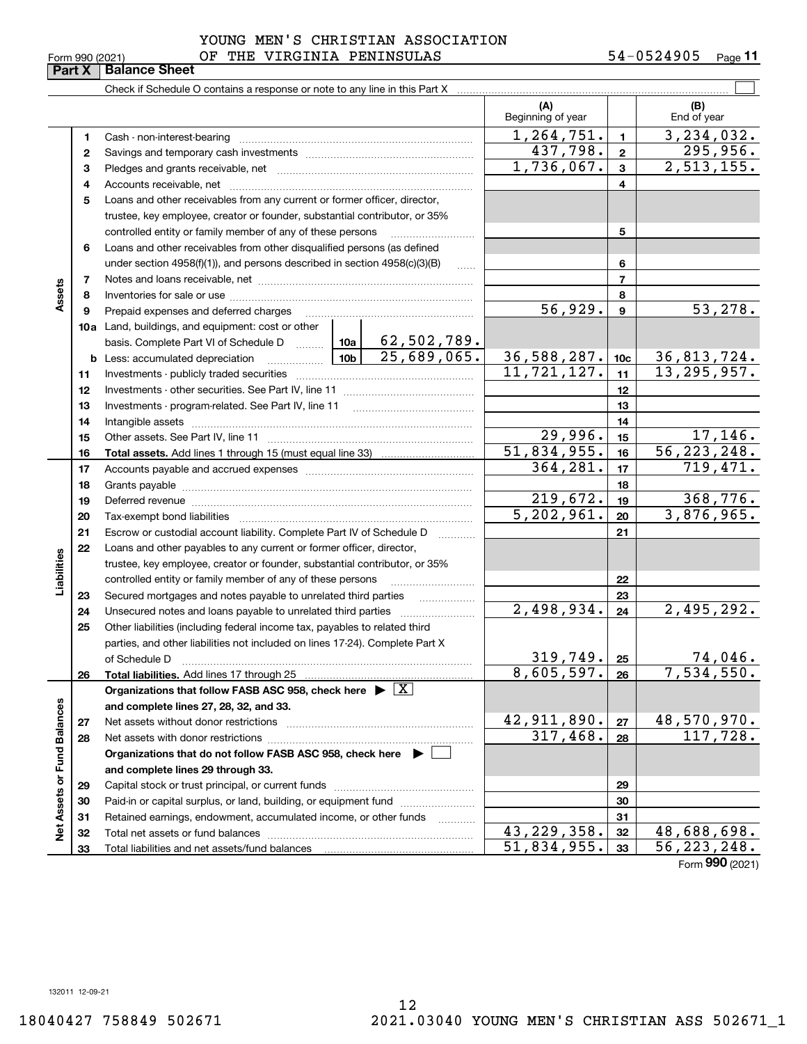| Form 990 (2021) |  |
|-----------------|--|
|-----------------|--|

#### $_{\rm Form}$  990 (2021) OF THE VIRGINIA PENINSULAS 54-0524905  $_{\rm Page}$ YOUNG MEN'S CHRISTIAN ASSOCIATION

|                             | <b>Balance Sheet</b><br>Part X |                                                                                                                                                                                                                                |                             |                 |                             |  |  |  |  |
|-----------------------------|--------------------------------|--------------------------------------------------------------------------------------------------------------------------------------------------------------------------------------------------------------------------------|-----------------------------|-----------------|-----------------------------|--|--|--|--|
|                             |                                |                                                                                                                                                                                                                                |                             |                 |                             |  |  |  |  |
|                             |                                |                                                                                                                                                                                                                                | (A)<br>Beginning of year    |                 | (B)<br>End of year          |  |  |  |  |
|                             | 1                              |                                                                                                                                                                                                                                | 1, 264, 751.                | 1               | 3, 234, 032.                |  |  |  |  |
|                             | 2                              |                                                                                                                                                                                                                                | 437,798.                    | $\mathbf{2}$    | 295,956.                    |  |  |  |  |
|                             | з                              |                                                                                                                                                                                                                                | 1,736,067.                  | $\mathbf{3}$    | 2,513,155.                  |  |  |  |  |
|                             | 4                              |                                                                                                                                                                                                                                |                             | 4               |                             |  |  |  |  |
|                             | 5                              | Loans and other receivables from any current or former officer, director,                                                                                                                                                      |                             |                 |                             |  |  |  |  |
|                             |                                | trustee, key employee, creator or founder, substantial contributor, or 35%                                                                                                                                                     |                             |                 |                             |  |  |  |  |
|                             |                                |                                                                                                                                                                                                                                |                             | 5               |                             |  |  |  |  |
|                             | 6                              | Loans and other receivables from other disqualified persons (as defined                                                                                                                                                        |                             |                 |                             |  |  |  |  |
|                             |                                | under section $4958(f)(1)$ , and persons described in section $4958(c)(3)(B)$<br>$\mathbf{1}$                                                                                                                                  |                             | 6               |                             |  |  |  |  |
|                             | 7                              |                                                                                                                                                                                                                                |                             | 7               |                             |  |  |  |  |
| Assets                      | 8                              |                                                                                                                                                                                                                                |                             | 8               |                             |  |  |  |  |
|                             | 9                              | Prepaid expenses and deferred charges                                                                                                                                                                                          | 56,929.                     | 9               | 53, 278.                    |  |  |  |  |
|                             |                                | <b>10a</b> Land, buildings, and equipment: cost or other                                                                                                                                                                       |                             |                 |                             |  |  |  |  |
|                             |                                | basis. Complete Part VI of Schedule D    10a   62,502,789.                                                                                                                                                                     |                             |                 |                             |  |  |  |  |
|                             |                                | <b>b</b> Less: accumulated depreciation $\frac{10b}{25,689,065}$ .                                                                                                                                                             | 36,588,287.                 | 10 <sub>c</sub> | 36,813,724.                 |  |  |  |  |
|                             | 11                             |                                                                                                                                                                                                                                | 11,721,127.                 | 11              | 13, 295, 957.               |  |  |  |  |
|                             | 12                             |                                                                                                                                                                                                                                |                             | 12              |                             |  |  |  |  |
|                             | 13                             |                                                                                                                                                                                                                                |                             | 13              |                             |  |  |  |  |
|                             | 14                             |                                                                                                                                                                                                                                |                             | 14              |                             |  |  |  |  |
|                             | 15                             |                                                                                                                                                                                                                                | 29,996.                     | 15              | 17,146.                     |  |  |  |  |
|                             | 16                             |                                                                                                                                                                                                                                | $\overline{51}$ , 834, 955. | 16              | $\overline{56,223,248}$ .   |  |  |  |  |
|                             | 17                             |                                                                                                                                                                                                                                | 364,281.                    | 17              | 719,471.                    |  |  |  |  |
|                             | 18                             |                                                                                                                                                                                                                                |                             | 18              |                             |  |  |  |  |
|                             | 19                             | Deferred revenue information and contact the contract of the contract of the contract of the contract of the contract of the contract of the contract of the contract of the contract of the contract of the contract of the c | 219, 672.                   | 19              | 368,776.                    |  |  |  |  |
|                             | 20                             |                                                                                                                                                                                                                                | 5, 202, 961.                | 20              | 3,876,965.                  |  |  |  |  |
|                             | 21                             | Escrow or custodial account liability. Complete Part IV of Schedule D                                                                                                                                                          |                             | 21              |                             |  |  |  |  |
|                             | 22                             | Loans and other payables to any current or former officer, director,                                                                                                                                                           |                             |                 |                             |  |  |  |  |
|                             |                                | trustee, key employee, creator or founder, substantial contributor, or 35%                                                                                                                                                     |                             |                 |                             |  |  |  |  |
| Liabilities                 |                                | controlled entity or family member of any of these persons                                                                                                                                                                     |                             | 22              |                             |  |  |  |  |
|                             | 23                             | Secured mortgages and notes payable to unrelated third parties                                                                                                                                                                 |                             | 23              |                             |  |  |  |  |
|                             | 24                             |                                                                                                                                                                                                                                | 2,498,934.                  | 24              | 2,495,292.                  |  |  |  |  |
|                             | 25                             | Other liabilities (including federal income tax, payables to related third                                                                                                                                                     |                             |                 |                             |  |  |  |  |
|                             |                                | parties, and other liabilities not included on lines 17-24). Complete Part X                                                                                                                                                   |                             |                 |                             |  |  |  |  |
|                             |                                | of Schedule D                                                                                                                                                                                                                  | 319,749.<br>8,605,597.      | 25              | 74,046.<br>7,534,550.       |  |  |  |  |
|                             | 26                             | Total liabilities. Add lines 17 through 25<br>Organizations that follow FASB ASC 958, check here $\blacktriangleright \boxed{X}$                                                                                               |                             | 26              |                             |  |  |  |  |
|                             |                                | and complete lines 27, 28, 32, and 33.                                                                                                                                                                                         |                             |                 |                             |  |  |  |  |
|                             | 27                             |                                                                                                                                                                                                                                | 42,911,890.                 | 27              | 48,570,970.                 |  |  |  |  |
|                             | 28                             |                                                                                                                                                                                                                                | 317,468.                    | 28              | 117,728.                    |  |  |  |  |
|                             |                                | Organizations that do not follow FASB ASC 958, check here $\blacktriangleright$                                                                                                                                                |                             |                 |                             |  |  |  |  |
|                             |                                | and complete lines 29 through 33.                                                                                                                                                                                              |                             |                 |                             |  |  |  |  |
|                             | 29                             |                                                                                                                                                                                                                                |                             | 29              |                             |  |  |  |  |
|                             | 30                             | Paid-in or capital surplus, or land, building, or equipment fund                                                                                                                                                               |                             | 30              |                             |  |  |  |  |
|                             | 31                             | Retained earnings, endowment, accumulated income, or other funds                                                                                                                                                               |                             | 31              |                             |  |  |  |  |
| Net Assets or Fund Balances | 32                             |                                                                                                                                                                                                                                | $\overline{43,229,358}$ .   | 32              | 48,688,698.                 |  |  |  |  |
|                             | 33                             |                                                                                                                                                                                                                                | $\overline{51}$ , 834, 955. | 33              | $\overline{56}$ , 223, 248. |  |  |  |  |
|                             |                                |                                                                                                                                                                                                                                |                             |                 |                             |  |  |  |  |

Form (2021) **990**

132011 12-09-21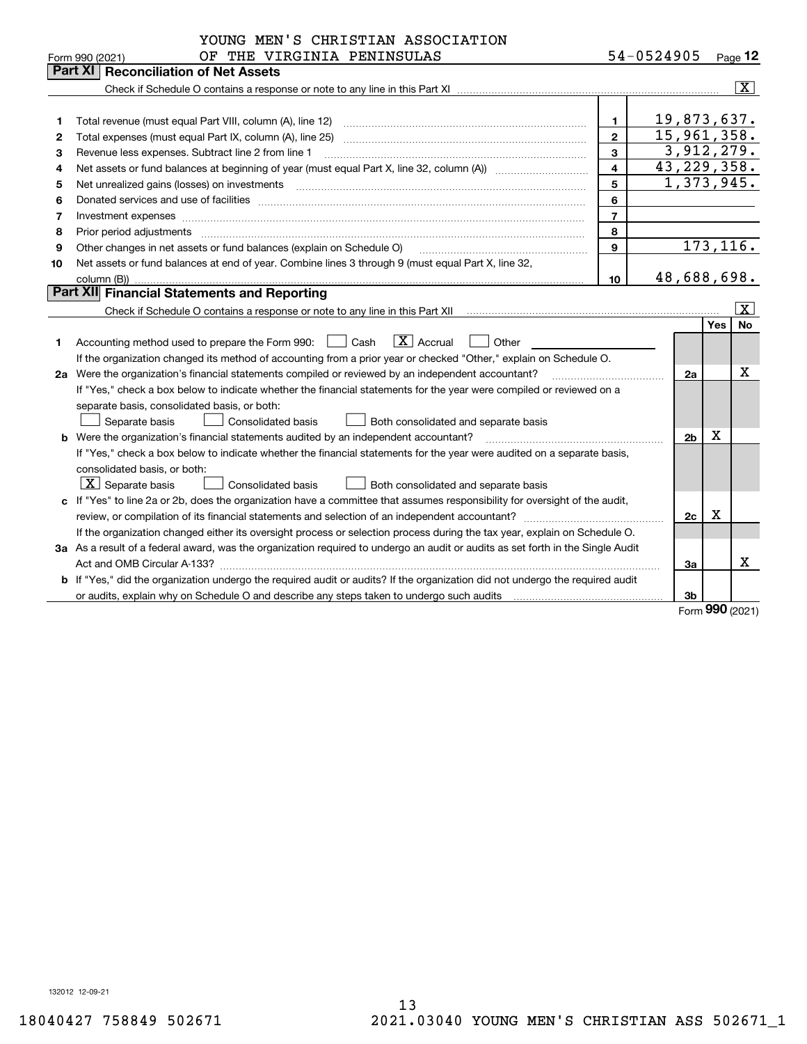|    | YOUNG MEN'S CHRISTIAN ASSOCIATION                                                                                                                                                                                              |                |                |                 |                           |
|----|--------------------------------------------------------------------------------------------------------------------------------------------------------------------------------------------------------------------------------|----------------|----------------|-----------------|---------------------------|
|    | OF THE VIRGINIA PENINSULAS<br>Form 990 (2021)                                                                                                                                                                                  |                | 54-0524905     |                 | Page 12                   |
|    | <b>Part XI</b><br><b>Reconciliation of Net Assets</b>                                                                                                                                                                          |                |                |                 |                           |
|    |                                                                                                                                                                                                                                |                |                |                 | $ \overline{\mathbf{X}} $ |
|    |                                                                                                                                                                                                                                |                |                |                 |                           |
| 1  | Total revenue (must equal Part VIII, column (A), line 12)                                                                                                                                                                      | $\mathbf{1}$   | 19,873,637.    |                 |                           |
| 2  | Total expenses (must equal Part IX, column (A), line 25)                                                                                                                                                                       | $\overline{2}$ | 15,961,358.    |                 |                           |
| з  | Revenue less expenses. Subtract line 2 from line 1                                                                                                                                                                             | 3              | 3,912,279.     |                 |                           |
| 4  |                                                                                                                                                                                                                                | 43, 229, 358.  |                |                 |                           |
| 5  |                                                                                                                                                                                                                                | 5              | 1,373,945.     |                 |                           |
| 6  | Donated services and use of facilities [111] Donated and the service of facilities [11] Donated services and use of facilities [11] Donated and the service of the service of the service of the service of the service of the | 6              |                |                 |                           |
| 7  | Investment expenses www.communication.com/www.communication.com/www.communication.com/www.communication.com                                                                                                                    | $\overline{7}$ |                |                 |                           |
| 8  | Prior period adjustments                                                                                                                                                                                                       | 8              |                |                 |                           |
| 9  | Other changes in net assets or fund balances (explain on Schedule O)                                                                                                                                                           | 9              |                |                 | 173, 116.                 |
| 10 | Net assets or fund balances at end of year. Combine lines 3 through 9 (must equal Part X, line 32,                                                                                                                             |                |                |                 |                           |
|    | column (B))                                                                                                                                                                                                                    | 10             | 48,688,698.    |                 |                           |
|    | Part XII Financial Statements and Reporting                                                                                                                                                                                    |                |                |                 |                           |
|    |                                                                                                                                                                                                                                |                |                |                 | $\boxed{\text{X}}$        |
|    |                                                                                                                                                                                                                                |                |                | Yes             | No                        |
| 1. | $ X $ Accrual<br>Cash<br>Other<br>Accounting method used to prepare the Form 990:                                                                                                                                              |                |                |                 |                           |
|    | If the organization changed its method of accounting from a prior year or checked "Other," explain on Schedule O.                                                                                                              |                |                |                 |                           |
|    | 2a Were the organization's financial statements compiled or reviewed by an independent accountant?<br><u> 1986 - Jan Bernard Bernstein, amerikansk politiker og s</u>                                                          |                | 2a             |                 | X                         |
|    | If "Yes," check a box below to indicate whether the financial statements for the year were compiled or reviewed on a                                                                                                           |                |                |                 |                           |
|    | separate basis, consolidated basis, or both:                                                                                                                                                                                   |                |                |                 |                           |
|    | Separate basis<br>Both consolidated and separate basis<br>Consolidated basis                                                                                                                                                   |                |                |                 |                           |
|    | b Were the organization's financial statements audited by an independent accountant?                                                                                                                                           |                | 2 <sub>b</sub> | X               |                           |
|    | If "Yes," check a box below to indicate whether the financial statements for the year were audited on a separate basis,                                                                                                        |                |                |                 |                           |
|    | consolidated basis, or both:                                                                                                                                                                                                   |                |                |                 |                           |
|    | $\vert X \vert$ Separate basis<br>Consolidated basis<br>Both consolidated and separate basis                                                                                                                                   |                |                |                 |                           |
|    | c If "Yes" to line 2a or 2b, does the organization have a committee that assumes responsibility for oversight of the audit,                                                                                                    |                |                |                 |                           |
|    | review, or compilation of its financial statements and selection of an independent accountant?                                                                                                                                 |                | 2c             | x               |                           |
|    | If the organization changed either its oversight process or selection process during the tax year, explain on Schedule O.                                                                                                      |                |                |                 |                           |
|    | 3a As a result of a federal award, was the organization required to undergo an audit or audits as set forth in the Single Audit                                                                                                |                |                |                 |                           |
|    |                                                                                                                                                                                                                                |                | 3a             |                 | x                         |
|    | b If "Yes," did the organization undergo the required audit or audits? If the organization did not undergo the required audit                                                                                                  |                |                |                 |                           |
|    |                                                                                                                                                                                                                                |                | 3b             | $000 \text{ m}$ |                           |
|    |                                                                                                                                                                                                                                |                |                |                 |                           |

Form (2021) **990**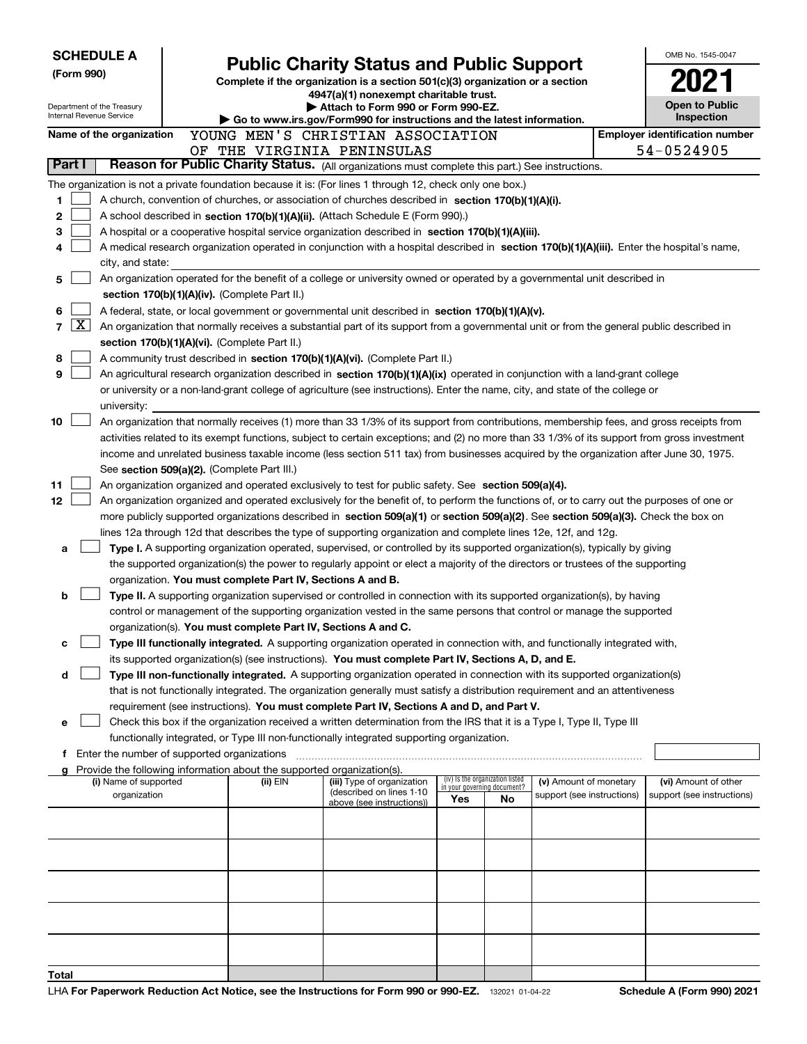| <b>SCHEDULE A</b><br>(Form 990)<br>Department of the Treasury<br>Internal Revenue Service |                                                                                                                                                                                                                                                                                                                                                                                                                                                                                                                                                                     |  | <b>Public Charity Status and Public Support</b><br>Complete if the organization is a section 501(c)(3) organization or a section<br>4947(a)(1) nonexempt charitable trust.<br>Attach to Form 990 or Form 990-EZ.<br>$\blacktriangleright$ Go to www.irs.gov/Form990 for instructions and the latest information. | OMB No. 1545-0047<br><b>Open to Public</b><br>Inspection                                                                                                                                                                                                                                                                                                                                                                                                                                                                                                                                                                                                                                                                                                                                                                                                                                                                                                                                                                        |                                    |                                       |                                                      |  |                                                    |  |
|-------------------------------------------------------------------------------------------|---------------------------------------------------------------------------------------------------------------------------------------------------------------------------------------------------------------------------------------------------------------------------------------------------------------------------------------------------------------------------------------------------------------------------------------------------------------------------------------------------------------------------------------------------------------------|--|------------------------------------------------------------------------------------------------------------------------------------------------------------------------------------------------------------------------------------------------------------------------------------------------------------------|---------------------------------------------------------------------------------------------------------------------------------------------------------------------------------------------------------------------------------------------------------------------------------------------------------------------------------------------------------------------------------------------------------------------------------------------------------------------------------------------------------------------------------------------------------------------------------------------------------------------------------------------------------------------------------------------------------------------------------------------------------------------------------------------------------------------------------------------------------------------------------------------------------------------------------------------------------------------------------------------------------------------------------|------------------------------------|---------------------------------------|------------------------------------------------------|--|----------------------------------------------------|--|
|                                                                                           | Name of the organization                                                                                                                                                                                                                                                                                                                                                                                                                                                                                                                                            |  |                                                                                                                                                                                                                                                                                                                  | YOUNG MEN'S CHRISTIAN ASSOCIATION                                                                                                                                                                                                                                                                                                                                                                                                                                                                                                                                                                                                                                                                                                                                                                                                                                                                                                                                                                                               |                                    |                                       |                                                      |  | <b>Employer identification number</b>              |  |
|                                                                                           |                                                                                                                                                                                                                                                                                                                                                                                                                                                                                                                                                                     |  |                                                                                                                                                                                                                                                                                                                  | OF THE VIRGINIA PENINSULAS                                                                                                                                                                                                                                                                                                                                                                                                                                                                                                                                                                                                                                                                                                                                                                                                                                                                                                                                                                                                      |                                    |                                       |                                                      |  | 54-0524905                                         |  |
| Part I                                                                                    |                                                                                                                                                                                                                                                                                                                                                                                                                                                                                                                                                                     |  |                                                                                                                                                                                                                                                                                                                  | Reason for Public Charity Status. (All organizations must complete this part.) See instructions.                                                                                                                                                                                                                                                                                                                                                                                                                                                                                                                                                                                                                                                                                                                                                                                                                                                                                                                                |                                    |                                       |                                                      |  |                                                    |  |
| 1<br>2<br>3<br>4                                                                          | city, and state:                                                                                                                                                                                                                                                                                                                                                                                                                                                                                                                                                    |  |                                                                                                                                                                                                                                                                                                                  | The organization is not a private foundation because it is: (For lines 1 through 12, check only one box.)<br>A church, convention of churches, or association of churches described in section 170(b)(1)(A)(i).<br>A school described in section 170(b)(1)(A)(ii). (Attach Schedule E (Form 990).)<br>A hospital or a cooperative hospital service organization described in section 170(b)(1)(A)(iii).<br>A medical research organization operated in conjunction with a hospital described in section 170(b)(1)(A)(iii). Enter the hospital's name,                                                                                                                                                                                                                                                                                                                                                                                                                                                                           |                                    |                                       |                                                      |  |                                                    |  |
| 5                                                                                         |                                                                                                                                                                                                                                                                                                                                                                                                                                                                                                                                                                     |  |                                                                                                                                                                                                                                                                                                                  | An organization operated for the benefit of a college or university owned or operated by a governmental unit described in                                                                                                                                                                                                                                                                                                                                                                                                                                                                                                                                                                                                                                                                                                                                                                                                                                                                                                       |                                    |                                       |                                                      |  |                                                    |  |
| 6<br>$\lfloor x \rfloor$<br>$\overline{7}$<br>8<br>9                                      | section 170(b)(1)(A)(iv). (Complete Part II.)<br>A federal, state, or local government or governmental unit described in section $170(b)(1)(A)(v)$ .<br>An organization that normally receives a substantial part of its support from a governmental unit or from the general public described in<br>section 170(b)(1)(A)(vi). (Complete Part II.)<br>A community trust described in section 170(b)(1)(A)(vi). (Complete Part II.)<br>An agricultural research organization described in section 170(b)(1)(A)(ix) operated in conjunction with a land-grant college |  |                                                                                                                                                                                                                                                                                                                  |                                                                                                                                                                                                                                                                                                                                                                                                                                                                                                                                                                                                                                                                                                                                                                                                                                                                                                                                                                                                                                 |                                    |                                       |                                                      |  |                                                    |  |
|                                                                                           | university:                                                                                                                                                                                                                                                                                                                                                                                                                                                                                                                                                         |  |                                                                                                                                                                                                                                                                                                                  | or university or a non-land-grant college of agriculture (see instructions). Enter the name, city, and state of the college or                                                                                                                                                                                                                                                                                                                                                                                                                                                                                                                                                                                                                                                                                                                                                                                                                                                                                                  |                                    |                                       |                                                      |  |                                                    |  |
| 10                                                                                        | An organization that normally receives (1) more than 33 1/3% of its support from contributions, membership fees, and gross receipts from<br>activities related to its exempt functions, subject to certain exceptions; and (2) no more than 33 1/3% of its support from gross investment<br>income and unrelated business taxable income (less section 511 tax) from businesses acquired by the organization after June 30, 1975.<br>See section 509(a)(2). (Complete Part III.)                                                                                    |  |                                                                                                                                                                                                                                                                                                                  |                                                                                                                                                                                                                                                                                                                                                                                                                                                                                                                                                                                                                                                                                                                                                                                                                                                                                                                                                                                                                                 |                                    |                                       |                                                      |  |                                                    |  |
| 11<br>12<br>a<br>b                                                                        |                                                                                                                                                                                                                                                                                                                                                                                                                                                                                                                                                                     |  | organization. You must complete Part IV, Sections A and B.<br>organization(s). You must complete Part IV, Sections A and C.                                                                                                                                                                                      | An organization organized and operated exclusively to test for public safety. See section 509(a)(4).<br>An organization organized and operated exclusively for the benefit of, to perform the functions of, or to carry out the purposes of one or<br>more publicly supported organizations described in section 509(a)(1) or section 509(a)(2). See section 509(a)(3). Check the box on<br>lines 12a through 12d that describes the type of supporting organization and complete lines 12e, 12f, and 12g.<br>Type I. A supporting organization operated, supervised, or controlled by its supported organization(s), typically by giving<br>the supported organization(s) the power to regularly appoint or elect a majority of the directors or trustees of the supporting<br>Type II. A supporting organization supervised or controlled in connection with its supported organization(s), by having<br>control or management of the supporting organization vested in the same persons that control or manage the supported |                                    |                                       |                                                      |  |                                                    |  |
|                                                                                           |                                                                                                                                                                                                                                                                                                                                                                                                                                                                                                                                                                     |  |                                                                                                                                                                                                                                                                                                                  | Type III functionally integrated. A supporting organization operated in connection with, and functionally integrated with,                                                                                                                                                                                                                                                                                                                                                                                                                                                                                                                                                                                                                                                                                                                                                                                                                                                                                                      |                                    |                                       |                                                      |  |                                                    |  |
| d<br>е                                                                                    |                                                                                                                                                                                                                                                                                                                                                                                                                                                                                                                                                                     |  |                                                                                                                                                                                                                                                                                                                  | its supported organization(s) (see instructions). You must complete Part IV, Sections A, D, and E.<br>Type III non-functionally integrated. A supporting organization operated in connection with its supported organization(s)<br>that is not functionally integrated. The organization generally must satisfy a distribution requirement and an attentiveness<br>requirement (see instructions). You must complete Part IV, Sections A and D, and Part V.<br>Check this box if the organization received a written determination from the IRS that it is a Type I, Type II, Type III                                                                                                                                                                                                                                                                                                                                                                                                                                          |                                    |                                       |                                                      |  |                                                    |  |
|                                                                                           |                                                                                                                                                                                                                                                                                                                                                                                                                                                                                                                                                                     |  |                                                                                                                                                                                                                                                                                                                  | functionally integrated, or Type III non-functionally integrated supporting organization.                                                                                                                                                                                                                                                                                                                                                                                                                                                                                                                                                                                                                                                                                                                                                                                                                                                                                                                                       |                                    |                                       |                                                      |  |                                                    |  |
|                                                                                           |                                                                                                                                                                                                                                                                                                                                                                                                                                                                                                                                                                     |  |                                                                                                                                                                                                                                                                                                                  |                                                                                                                                                                                                                                                                                                                                                                                                                                                                                                                                                                                                                                                                                                                                                                                                                                                                                                                                                                                                                                 |                                    |                                       |                                                      |  |                                                    |  |
|                                                                                           | (i) Name of supported<br>organization                                                                                                                                                                                                                                                                                                                                                                                                                                                                                                                               |  | Provide the following information about the supported organization(s).<br>(ii) EIN                                                                                                                                                                                                                               | (iii) Type of organization<br>(described on lines 1-10<br>above (see instructions))                                                                                                                                                                                                                                                                                                                                                                                                                                                                                                                                                                                                                                                                                                                                                                                                                                                                                                                                             | in your governing document?<br>Yes | (iv) Is the organization listed<br>No | (v) Amount of monetary<br>support (see instructions) |  | (vi) Amount of other<br>support (see instructions) |  |
|                                                                                           |                                                                                                                                                                                                                                                                                                                                                                                                                                                                                                                                                                     |  |                                                                                                                                                                                                                                                                                                                  |                                                                                                                                                                                                                                                                                                                                                                                                                                                                                                                                                                                                                                                                                                                                                                                                                                                                                                                                                                                                                                 |                                    |                                       |                                                      |  |                                                    |  |
|                                                                                           |                                                                                                                                                                                                                                                                                                                                                                                                                                                                                                                                                                     |  |                                                                                                                                                                                                                                                                                                                  |                                                                                                                                                                                                                                                                                                                                                                                                                                                                                                                                                                                                                                                                                                                                                                                                                                                                                                                                                                                                                                 |                                    |                                       |                                                      |  |                                                    |  |
|                                                                                           |                                                                                                                                                                                                                                                                                                                                                                                                                                                                                                                                                                     |  |                                                                                                                                                                                                                                                                                                                  |                                                                                                                                                                                                                                                                                                                                                                                                                                                                                                                                                                                                                                                                                                                                                                                                                                                                                                                                                                                                                                 |                                    |                                       |                                                      |  |                                                    |  |
| Total                                                                                     |                                                                                                                                                                                                                                                                                                                                                                                                                                                                                                                                                                     |  |                                                                                                                                                                                                                                                                                                                  |                                                                                                                                                                                                                                                                                                                                                                                                                                                                                                                                                                                                                                                                                                                                                                                                                                                                                                                                                                                                                                 |                                    |                                       |                                                      |  |                                                    |  |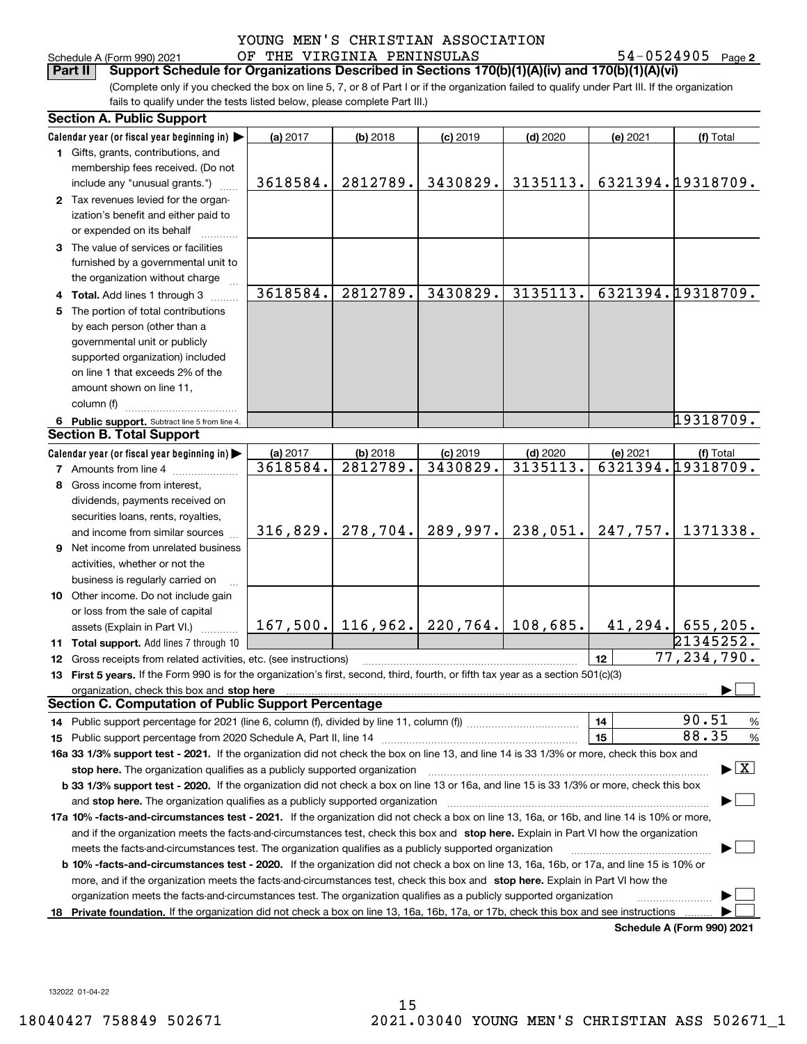$54 - 0524905$  Page 2

(Complete only if you checked the box on line 5, 7, or 8 of Part I or if the organization failed to qualify under Part III. If the organization **Part II Support Schedule for Organizations Described in Sections 170(b)(1)(A)(iv) and 170(b)(1)(A)(vi)**

fails to qualify under the tests listed below, please complete Part III.)

|    | <b>Section A. Public Support</b>                                                                                                                                                                                               |                      |                                           |                        |                        |          |                                         |
|----|--------------------------------------------------------------------------------------------------------------------------------------------------------------------------------------------------------------------------------|----------------------|-------------------------------------------|------------------------|------------------------|----------|-----------------------------------------|
|    | Calendar year (or fiscal year beginning in) $\blacktriangleright$                                                                                                                                                              | (a) 2017             | (b) 2018                                  | $(c)$ 2019             | $(d)$ 2020             | (e) 2021 | (f) Total                               |
|    | 1 Gifts, grants, contributions, and                                                                                                                                                                                            |                      |                                           |                        |                        |          |                                         |
|    | membership fees received. (Do not                                                                                                                                                                                              |                      |                                           |                        |                        |          |                                         |
|    | include any "unusual grants.")                                                                                                                                                                                                 | 3618584.             | 2812789.                                  | 3430829.               | 3135113.               |          | 6321394.19318709.                       |
|    | 2 Tax revenues levied for the organ-                                                                                                                                                                                           |                      |                                           |                        |                        |          |                                         |
|    | ization's benefit and either paid to                                                                                                                                                                                           |                      |                                           |                        |                        |          |                                         |
|    | or expended on its behalf                                                                                                                                                                                                      |                      |                                           |                        |                        |          |                                         |
|    | 3 The value of services or facilities                                                                                                                                                                                          |                      |                                           |                        |                        |          |                                         |
|    | furnished by a governmental unit to                                                                                                                                                                                            |                      |                                           |                        |                        |          |                                         |
|    | the organization without charge                                                                                                                                                                                                |                      |                                           |                        |                        |          |                                         |
|    | Total. Add lines 1 through 3                                                                                                                                                                                                   | 3618584.             | 2812789.                                  | 3430829.               | 3135113.               |          | 6321394.19318709.                       |
|    | The portion of total contributions                                                                                                                                                                                             |                      |                                           |                        |                        |          |                                         |
|    | by each person (other than a                                                                                                                                                                                                   |                      |                                           |                        |                        |          |                                         |
|    | governmental unit or publicly                                                                                                                                                                                                  |                      |                                           |                        |                        |          |                                         |
|    | supported organization) included                                                                                                                                                                                               |                      |                                           |                        |                        |          |                                         |
|    | on line 1 that exceeds 2% of the                                                                                                                                                                                               |                      |                                           |                        |                        |          |                                         |
|    | amount shown on line 11,                                                                                                                                                                                                       |                      |                                           |                        |                        |          |                                         |
|    | column (f)                                                                                                                                                                                                                     |                      |                                           |                        |                        |          |                                         |
|    | 6 Public support. Subtract line 5 from line 4.                                                                                                                                                                                 |                      |                                           |                        |                        |          | 19318709.                               |
|    | <b>Section B. Total Support</b>                                                                                                                                                                                                |                      |                                           |                        |                        |          |                                         |
|    | Calendar year (or fiscal year beginning in)                                                                                                                                                                                    | (a) 2017<br>3618584. | $(b)$ 2018<br>2812789.                    | $(c)$ 2019<br>3430829. | $(d)$ 2020<br>3135113. | (e) 2021 | (f) Total<br>6321394.19318709.          |
|    | 7 Amounts from line 4                                                                                                                                                                                                          |                      |                                           |                        |                        |          |                                         |
|    | 8 Gross income from interest,                                                                                                                                                                                                  |                      |                                           |                        |                        |          |                                         |
|    | dividends, payments received on                                                                                                                                                                                                |                      |                                           |                        |                        |          |                                         |
|    | securities loans, rents, royalties,                                                                                                                                                                                            | 316,829.             | 278, 704.                                 | 289,997.               | 238,051.               | 247,757. | 1371338.                                |
|    | and income from similar sources                                                                                                                                                                                                |                      |                                           |                        |                        |          |                                         |
|    | <b>9</b> Net income from unrelated business                                                                                                                                                                                    |                      |                                           |                        |                        |          |                                         |
|    | activities, whether or not the                                                                                                                                                                                                 |                      |                                           |                        |                        |          |                                         |
|    | business is regularly carried on                                                                                                                                                                                               |                      |                                           |                        |                        |          |                                         |
|    | 10 Other income. Do not include gain                                                                                                                                                                                           |                      |                                           |                        |                        |          |                                         |
|    | or loss from the sale of capital<br>assets (Explain in Part VI.)                                                                                                                                                               |                      | $167, 500.$ 116, 962. 220, 764. 108, 685. |                        |                        |          | $41, 294.$ 655, 205.                    |
|    | 11 Total support. Add lines 7 through 10                                                                                                                                                                                       |                      |                                           |                        |                        |          | $\sqrt{21345252}$ .                     |
| 12 | Gross receipts from related activities, etc. (see instructions)                                                                                                                                                                |                      |                                           |                        |                        | 12       | 77,234,790.                             |
|    | 13 First 5 years. If the Form 990 is for the organization's first, second, third, fourth, or fifth tax year as a section 501(c)(3)                                                                                             |                      |                                           |                        |                        |          |                                         |
|    | organization, check this box and stop here contain and the container and the container and the container and stop here contained and stop here and stop here are all the container and stop here are all the container and sto |                      |                                           |                        |                        |          |                                         |
|    | Section C. Computation of Public Support Percentage                                                                                                                                                                            |                      |                                           |                        |                        |          |                                         |
|    |                                                                                                                                                                                                                                |                      |                                           |                        |                        | 14       | 90.51<br>$\frac{9}{6}$                  |
|    |                                                                                                                                                                                                                                |                      |                                           |                        |                        | 15       | 88.35<br>$\frac{9}{6}$                  |
|    | 16a 33 1/3% support test - 2021. If the organization did not check the box on line 13, and line 14 is 33 1/3% or more, check this box and                                                                                      |                      |                                           |                        |                        |          |                                         |
|    | stop here. The organization qualifies as a publicly supported organization                                                                                                                                                     |                      |                                           |                        |                        |          | $\blacktriangleright$ $\vert$ X $\vert$ |
|    | b 33 1/3% support test - 2020. If the organization did not check a box on line 13 or 16a, and line 15 is 33 1/3% or more, check this box                                                                                       |                      |                                           |                        |                        |          |                                         |
|    | and stop here. The organization qualifies as a publicly supported organization                                                                                                                                                 |                      |                                           |                        |                        |          |                                         |
|    | 17a 10% -facts-and-circumstances test - 2021. If the organization did not check a box on line 13, 16a, or 16b, and line 14 is 10% or more,                                                                                     |                      |                                           |                        |                        |          |                                         |
|    | and if the organization meets the facts-and-circumstances test, check this box and stop here. Explain in Part VI how the organization                                                                                          |                      |                                           |                        |                        |          |                                         |
|    | meets the facts-and-circumstances test. The organization qualifies as a publicly supported organization                                                                                                                        |                      |                                           |                        |                        |          |                                         |
|    | <b>b 10% -facts-and-circumstances test - 2020.</b> If the organization did not check a box on line 13, 16a, 16b, or 17a, and line 15 is 10% or                                                                                 |                      |                                           |                        |                        |          |                                         |
|    | more, and if the organization meets the facts-and-circumstances test, check this box and stop here. Explain in Part VI how the                                                                                                 |                      |                                           |                        |                        |          |                                         |
|    | organization meets the facts-and-circumstances test. The organization qualifies as a publicly supported organization                                                                                                           |                      |                                           |                        |                        |          |                                         |
| 18 | Private foundation. If the organization did not check a box on line 13, 16a, 16b, 17a, or 17b, check this box and see instructions                                                                                             |                      |                                           |                        |                        |          |                                         |
|    |                                                                                                                                                                                                                                |                      |                                           |                        |                        |          | Schedule A (Form 990) 2021              |

132022 01-04-22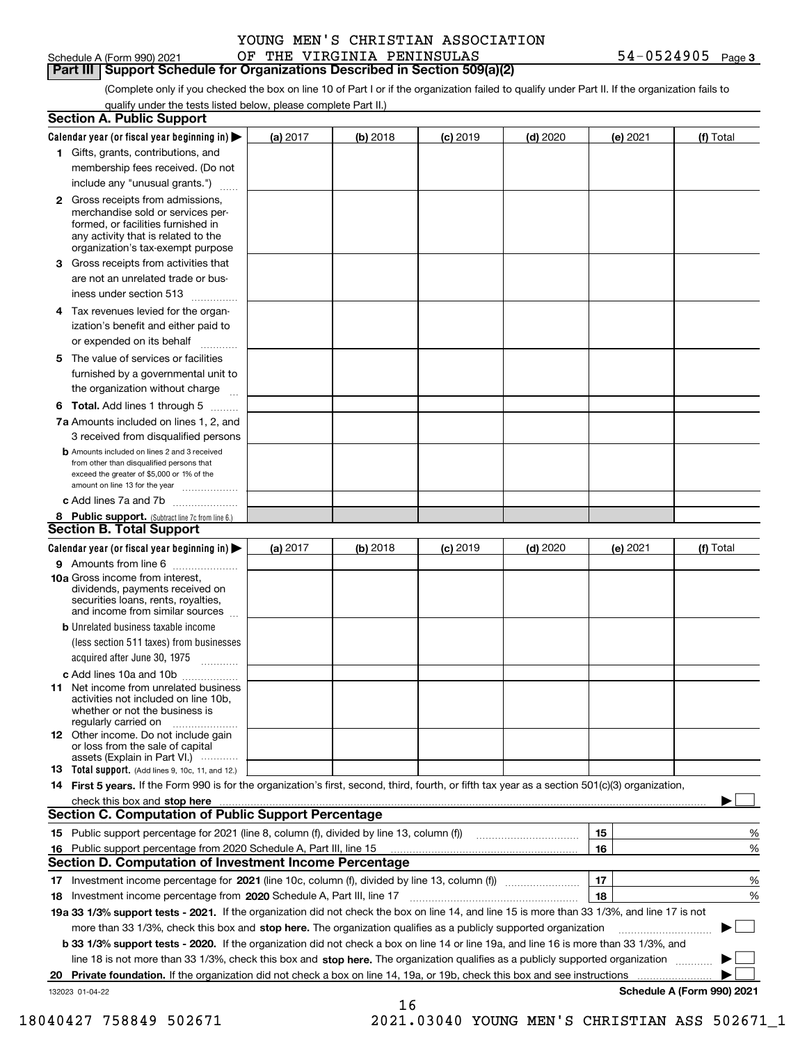|  | $\sim$ 000) 0001 |  |
|--|------------------|--|

#### **Part III Support Schedule for Organizations Described in Section 509(a)(2)**

(Complete only if you checked the box on line 10 of Part I or if the organization failed to qualify under Part II. If the organization fails to qualify under the tests listed below, please complete Part II.)

|    | <b>Section A. Public Support</b>                                                                                                                                                                                               |          |          |            |            |          |                            |
|----|--------------------------------------------------------------------------------------------------------------------------------------------------------------------------------------------------------------------------------|----------|----------|------------|------------|----------|----------------------------|
|    | Calendar year (or fiscal year beginning in) $\blacktriangleright$                                                                                                                                                              | (a) 2017 | (b) 2018 | $(c)$ 2019 | $(d)$ 2020 | (e) 2021 | (f) Total                  |
|    | 1 Gifts, grants, contributions, and                                                                                                                                                                                            |          |          |            |            |          |                            |
|    | membership fees received. (Do not                                                                                                                                                                                              |          |          |            |            |          |                            |
|    | include any "unusual grants.")                                                                                                                                                                                                 |          |          |            |            |          |                            |
|    | <b>2</b> Gross receipts from admissions,<br>merchandise sold or services per-<br>formed, or facilities furnished in<br>any activity that is related to the<br>organization's tax-exempt purpose                                |          |          |            |            |          |                            |
|    | <b>3</b> Gross receipts from activities that<br>are not an unrelated trade or bus-                                                                                                                                             |          |          |            |            |          |                            |
|    | iness under section 513                                                                                                                                                                                                        |          |          |            |            |          |                            |
|    | 4 Tax revenues levied for the organ-<br>ization's benefit and either paid to<br>or expended on its behalf<br>.                                                                                                                 |          |          |            |            |          |                            |
| 5  | The value of services or facilities                                                                                                                                                                                            |          |          |            |            |          |                            |
|    | furnished by a governmental unit to<br>the organization without charge                                                                                                                                                         |          |          |            |            |          |                            |
|    | <b>6 Total.</b> Add lines 1 through 5                                                                                                                                                                                          |          |          |            |            |          |                            |
|    | 7a Amounts included on lines 1, 2, and                                                                                                                                                                                         |          |          |            |            |          |                            |
|    | 3 received from disqualified persons                                                                                                                                                                                           |          |          |            |            |          |                            |
|    | <b>b</b> Amounts included on lines 2 and 3 received<br>from other than disqualified persons that<br>exceed the greater of \$5,000 or 1% of the<br>amount on line 13 for the year                                               |          |          |            |            |          |                            |
|    | c Add lines 7a and 7b                                                                                                                                                                                                          |          |          |            |            |          |                            |
|    | 8 Public support. (Subtract line 7c from line 6.)                                                                                                                                                                              |          |          |            |            |          |                            |
|    | <b>Section B. Total Support</b>                                                                                                                                                                                                |          |          |            |            |          |                            |
|    | Calendar year (or fiscal year beginning in)                                                                                                                                                                                    | (a) 2017 | (b) 2018 | $(c)$ 2019 | $(d)$ 2020 | (e) 2021 | (f) Total                  |
|    | 9 Amounts from line 6                                                                                                                                                                                                          |          |          |            |            |          |                            |
|    | <b>10a</b> Gross income from interest,<br>dividends, payments received on<br>securities loans, rents, royalties,<br>and income from similar sources                                                                            |          |          |            |            |          |                            |
|    | <b>b</b> Unrelated business taxable income                                                                                                                                                                                     |          |          |            |            |          |                            |
|    | (less section 511 taxes) from businesses                                                                                                                                                                                       |          |          |            |            |          |                            |
|    | acquired after June 30, 1975 [10001]                                                                                                                                                                                           |          |          |            |            |          |                            |
|    | c Add lines 10a and 10b                                                                                                                                                                                                        |          |          |            |            |          |                            |
|    | 11 Net income from unrelated business<br>activities not included on line 10b.<br>whether or not the business is<br>regularly carried on                                                                                        |          |          |            |            |          |                            |
|    | <b>12</b> Other income. Do not include gain<br>or loss from the sale of capital<br>assets (Explain in Part VI.)                                                                                                                |          |          |            |            |          |                            |
|    | 13 Total support. (Add lines 9, 10c, 11, and 12.)                                                                                                                                                                              |          |          |            |            |          |                            |
|    | 14 First 5 years. If the Form 990 is for the organization's first, second, third, fourth, or fifth tax year as a section 501(c)(3) organization,                                                                               |          |          |            |            |          |                            |
|    | check this box and stop here www.altamana.com/management/community/community/community/community/community/community/community/community/community/community/community/community/community/community/community/community/commu |          |          |            |            |          |                            |
|    | <b>Section C. Computation of Public Support Percentage</b>                                                                                                                                                                     |          |          |            |            |          |                            |
|    | 15 Public support percentage for 2021 (line 8, column (f), divided by line 13, column (f))                                                                                                                                     |          |          |            |            | 15       | %                          |
|    | 16 Public support percentage from 2020 Schedule A, Part III, line 15                                                                                                                                                           |          |          |            |            | 16       | %                          |
|    | Section D. Computation of Investment Income Percentage                                                                                                                                                                         |          |          |            |            |          |                            |
| 17 | Investment income percentage for 2021 (line 10c, column (f), divided by line 13, column (f))                                                                                                                                   |          |          |            |            | 17       | %                          |
| 18 | Investment income percentage from 2020 Schedule A, Part III, line 17                                                                                                                                                           |          |          |            |            | 18       | %                          |
|    | 19a 33 1/3% support tests - 2021. If the organization did not check the box on line 14, and line 15 is more than 33 1/3%, and line 17 is not                                                                                   |          |          |            |            |          |                            |
|    | more than 33 1/3%, check this box and stop here. The organization qualifies as a publicly supported organization                                                                                                               |          |          |            |            |          |                            |
|    | b 33 1/3% support tests - 2020. If the organization did not check a box on line 14 or line 19a, and line 16 is more than 33 1/3%, and                                                                                          |          |          |            |            |          |                            |
|    | line 18 is not more than 33 1/3%, check this box and stop here. The organization qualifies as a publicly supported organization                                                                                                |          |          |            |            |          |                            |
| 20 | Private foundation. If the organization did not check a box on line 14, 19a, or 19b, check this box and see instructions                                                                                                       |          |          |            |            |          |                            |
|    | 132023 01-04-22                                                                                                                                                                                                                |          |          |            |            |          | Schedule A (Form 990) 2021 |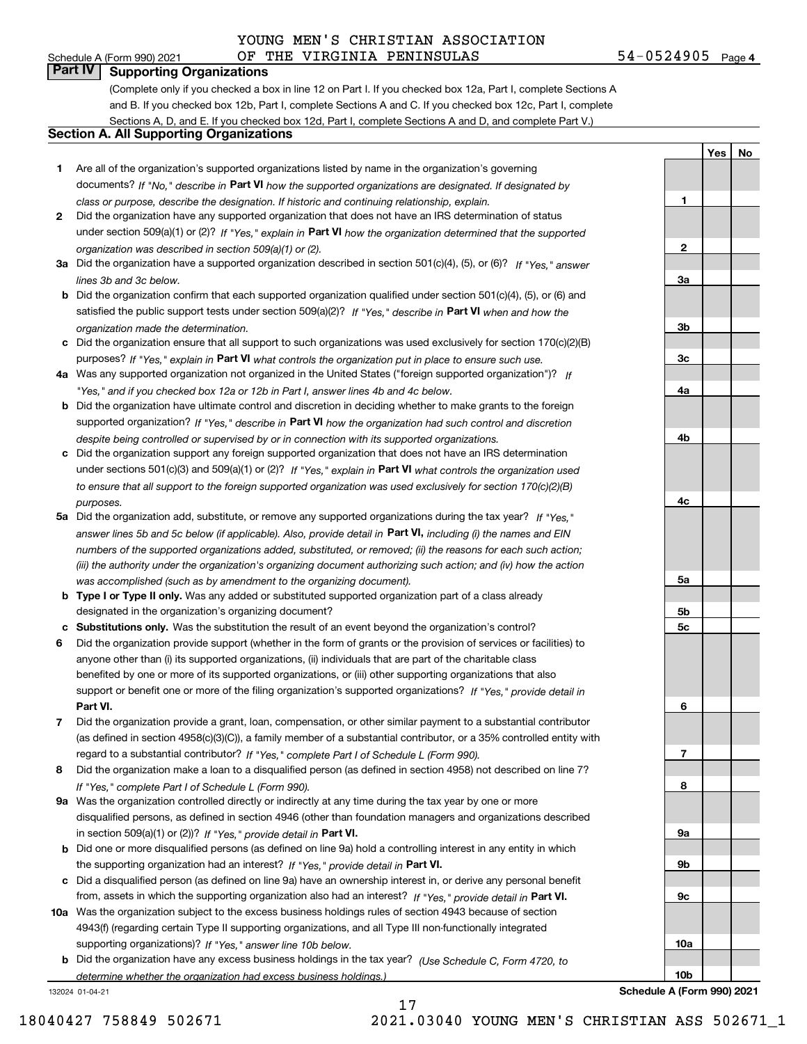**1**

**2**

**3a**

**YesNo**

## **Part IV Supporting Organizations**

(Complete only if you checked a box in line 12 on Part I. If you checked box 12a, Part I, complete Sections A and B. If you checked box 12b, Part I, complete Sections A and C. If you checked box 12c, Part I, complete Sections A, D, and E. If you checked box 12d, Part I, complete Sections A and D, and complete Part V.)

#### **Section A. All Supporting Organizations**

- **1** Are all of the organization's supported organizations listed by name in the organization's governing documents? If "No," describe in **Part VI** how the supported organizations are designated. If designated by *class or purpose, describe the designation. If historic and continuing relationship, explain.*
- **2** Did the organization have any supported organization that does not have an IRS determination of status under section 509(a)(1) or (2)? If "Yes," explain in Part VI how the organization determined that the supported *organization was described in section 509(a)(1) or (2).*
- **3a** Did the organization have a supported organization described in section 501(c)(4), (5), or (6)? If "Yes," answer *lines 3b and 3c below.*
- **b** Did the organization confirm that each supported organization qualified under section 501(c)(4), (5), or (6) and satisfied the public support tests under section 509(a)(2)? If "Yes," describe in **Part VI** when and how the *organization made the determination.*
- **c**Did the organization ensure that all support to such organizations was used exclusively for section 170(c)(2)(B) purposes? If "Yes," explain in **Part VI** what controls the organization put in place to ensure such use.
- **4a***If* Was any supported organization not organized in the United States ("foreign supported organization")? *"Yes," and if you checked box 12a or 12b in Part I, answer lines 4b and 4c below.*
- **b** Did the organization have ultimate control and discretion in deciding whether to make grants to the foreign supported organization? If "Yes," describe in **Part VI** how the organization had such control and discretion *despite being controlled or supervised by or in connection with its supported organizations.*
- **c** Did the organization support any foreign supported organization that does not have an IRS determination under sections 501(c)(3) and 509(a)(1) or (2)? If "Yes," explain in **Part VI** what controls the organization used *to ensure that all support to the foreign supported organization was used exclusively for section 170(c)(2)(B) purposes.*
- **5a** Did the organization add, substitute, or remove any supported organizations during the tax year? If "Yes," answer lines 5b and 5c below (if applicable). Also, provide detail in **Part VI,** including (i) the names and EIN *numbers of the supported organizations added, substituted, or removed; (ii) the reasons for each such action; (iii) the authority under the organization's organizing document authorizing such action; and (iv) how the action was accomplished (such as by amendment to the organizing document).*
- **b** Type I or Type II only. Was any added or substituted supported organization part of a class already designated in the organization's organizing document?
- **cSubstitutions only.**  Was the substitution the result of an event beyond the organization's control?
- **6** Did the organization provide support (whether in the form of grants or the provision of services or facilities) to **Part VI.** *If "Yes," provide detail in* support or benefit one or more of the filing organization's supported organizations? anyone other than (i) its supported organizations, (ii) individuals that are part of the charitable class benefited by one or more of its supported organizations, or (iii) other supporting organizations that also
- **7**Did the organization provide a grant, loan, compensation, or other similar payment to a substantial contributor *If "Yes," complete Part I of Schedule L (Form 990).* regard to a substantial contributor? (as defined in section 4958(c)(3)(C)), a family member of a substantial contributor, or a 35% controlled entity with
- **8** Did the organization make a loan to a disqualified person (as defined in section 4958) not described on line 7? *If "Yes," complete Part I of Schedule L (Form 990).*
- **9a** Was the organization controlled directly or indirectly at any time during the tax year by one or more in section 509(a)(1) or (2))? If "Yes," *provide detail in* <code>Part VI.</code> disqualified persons, as defined in section 4946 (other than foundation managers and organizations described
- **b**the supporting organization had an interest? If "Yes," provide detail in P**art VI**. Did one or more disqualified persons (as defined on line 9a) hold a controlling interest in any entity in which
- **c**Did a disqualified person (as defined on line 9a) have an ownership interest in, or derive any personal benefit from, assets in which the supporting organization also had an interest? If "Yes," provide detail in P**art VI.**
- **10a** Was the organization subject to the excess business holdings rules of section 4943 because of section supporting organizations)? If "Yes," answer line 10b below. 4943(f) (regarding certain Type II supporting organizations, and all Type III non-functionally integrated
- **b** Did the organization have any excess business holdings in the tax year? (Use Schedule C, Form 4720, to *determine whether the organization had excess business holdings.)*

132024 01-04-21



**Schedule A (Form 990) 2021**

18040427 758849 502671 2021.03040 YOUNG MEN'S CHRISTIAN ASS 502671\_1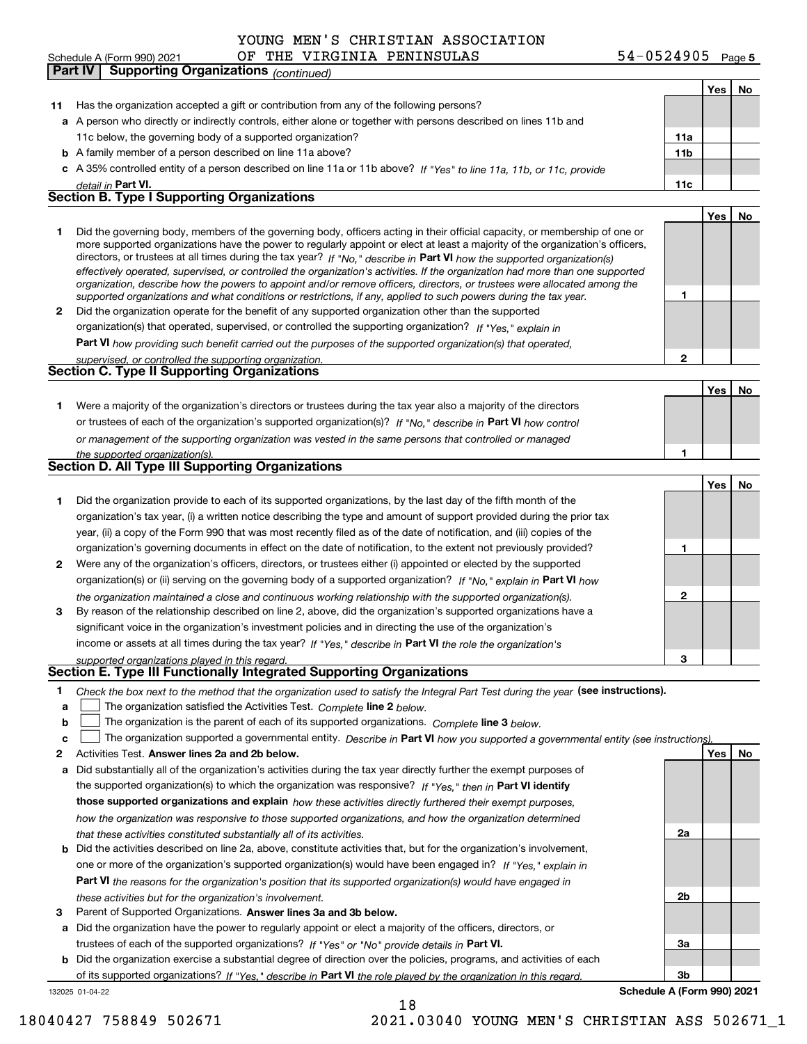**Part IV Supporting Organizations** *(continued)*

**5**

|    |                                                                                                                                                                                                                                                           |                 | Yes | No |
|----|-----------------------------------------------------------------------------------------------------------------------------------------------------------------------------------------------------------------------------------------------------------|-----------------|-----|----|
| 11 | Has the organization accepted a gift or contribution from any of the following persons?                                                                                                                                                                   |                 |     |    |
|    | a A person who directly or indirectly controls, either alone or together with persons described on lines 11b and                                                                                                                                          |                 |     |    |
|    | 11c below, the governing body of a supported organization?                                                                                                                                                                                                | 11a             |     |    |
| b  | A family member of a person described on line 11a above?                                                                                                                                                                                                  | 11 <sub>b</sub> |     |    |
|    |                                                                                                                                                                                                                                                           |                 |     |    |
|    | c A 35% controlled entity of a person described on line 11a or 11b above? If "Yes" to line 11a, 11b, or 11c, provide                                                                                                                                      |                 |     |    |
|    | detail in Part VI.<br>Section B. Type I Supporting Organizations                                                                                                                                                                                          | 11c             |     |    |
|    |                                                                                                                                                                                                                                                           |                 |     |    |
|    |                                                                                                                                                                                                                                                           |                 | Yes | No |
| 1  | Did the governing body, members of the governing body, officers acting in their official capacity, or membership of one or                                                                                                                                |                 |     |    |
|    | more supported organizations have the power to regularly appoint or elect at least a majority of the organization's officers,                                                                                                                             |                 |     |    |
|    | directors, or trustees at all times during the tax year? If "No," describe in Part VI how the supported organization(s)<br>effectively operated, supervised, or controlled the organization's activities. If the organization had more than one supported |                 |     |    |
|    | organization, describe how the powers to appoint and/or remove officers, directors, or trustees were allocated among the                                                                                                                                  |                 |     |    |
|    | supported organizations and what conditions or restrictions, if any, applied to such powers during the tax year.                                                                                                                                          | 1               |     |    |
| 2  | Did the organization operate for the benefit of any supported organization other than the supported                                                                                                                                                       |                 |     |    |
|    | organization(s) that operated, supervised, or controlled the supporting organization? If "Yes," explain in                                                                                                                                                |                 |     |    |
|    | <b>Part VI</b> how providing such benefit carried out the purposes of the supported organization(s) that operated,                                                                                                                                        |                 |     |    |
|    |                                                                                                                                                                                                                                                           | $\mathbf{2}$    |     |    |
|    | supervised, or controlled the supporting organization.<br>Section C. Type II Supporting Organizations                                                                                                                                                     |                 |     |    |
|    |                                                                                                                                                                                                                                                           |                 |     |    |
|    |                                                                                                                                                                                                                                                           |                 | Yes | No |
| 1  | Were a majority of the organization's directors or trustees during the tax year also a majority of the directors                                                                                                                                          |                 |     |    |
|    | or trustees of each of the organization's supported organization(s)? If "No," describe in Part VI how control                                                                                                                                             |                 |     |    |
|    | or management of the supporting organization was vested in the same persons that controlled or managed                                                                                                                                                    |                 |     |    |
|    | the supported organization(s).                                                                                                                                                                                                                            | 1               |     |    |
|    | Section D. All Type III Supporting Organizations                                                                                                                                                                                                          |                 |     |    |
|    |                                                                                                                                                                                                                                                           |                 | Yes | No |
| 1  | Did the organization provide to each of its supported organizations, by the last day of the fifth month of the                                                                                                                                            |                 |     |    |
|    | organization's tax year, (i) a written notice describing the type and amount of support provided during the prior tax                                                                                                                                     |                 |     |    |
|    | year, (ii) a copy of the Form 990 that was most recently filed as of the date of notification, and (iii) copies of the                                                                                                                                    |                 |     |    |
|    | organization's governing documents in effect on the date of notification, to the extent not previously provided?                                                                                                                                          | 1               |     |    |
| 2  | Were any of the organization's officers, directors, or trustees either (i) appointed or elected by the supported                                                                                                                                          |                 |     |    |
|    | organization(s) or (ii) serving on the governing body of a supported organization? If "No," explain in Part VI how                                                                                                                                        |                 |     |    |
|    |                                                                                                                                                                                                                                                           | 2               |     |    |
| 3  | the organization maintained a close and continuous working relationship with the supported organization(s).<br>By reason of the relationship described on line 2, above, did the organization's supported organizations have a                            |                 |     |    |
|    |                                                                                                                                                                                                                                                           |                 |     |    |
|    | significant voice in the organization's investment policies and in directing the use of the organization's                                                                                                                                                |                 |     |    |
|    | income or assets at all times during the tax year? If "Yes," describe in Part VI the role the organization's                                                                                                                                              |                 |     |    |
|    | supported organizations played in this regard.                                                                                                                                                                                                            | 3               |     |    |
|    | Section E. Type III Functionally Integrated Supporting Organizations                                                                                                                                                                                      |                 |     |    |
| 1  | Check the box next to the method that the organization used to satisfy the Integral Part Test during the year (see instructions).                                                                                                                         |                 |     |    |
| а  | The organization satisfied the Activities Test. Complete line 2 below.                                                                                                                                                                                    |                 |     |    |
| b  | The organization is the parent of each of its supported organizations. Complete line 3 below.                                                                                                                                                             |                 |     |    |
| c  | The organization supported a governmental entity. Describe in Part VI how you supported a governmental entity (see instructions).                                                                                                                         |                 |     |    |
| 2  | Activities Test. Answer lines 2a and 2b below.                                                                                                                                                                                                            |                 | Yes | No |
| а  | Did substantially all of the organization's activities during the tax year directly further the exempt purposes of                                                                                                                                        |                 |     |    |
|    | the supported organization(s) to which the organization was responsive? If "Yes," then in Part VI identify                                                                                                                                                |                 |     |    |
|    | those supported organizations and explain how these activities directly furthered their exempt purposes,                                                                                                                                                  |                 |     |    |
|    | how the organization was responsive to those supported organizations, and how the organization determined                                                                                                                                                 |                 |     |    |
|    | that these activities constituted substantially all of its activities.                                                                                                                                                                                    | 2a              |     |    |
| b  | Did the activities described on line 2a, above, constitute activities that, but for the organization's involvement,                                                                                                                                       |                 |     |    |
|    | one or more of the organization's supported organization(s) would have been engaged in? If "Yes," explain in                                                                                                                                              |                 |     |    |
|    |                                                                                                                                                                                                                                                           |                 |     |    |
|    | <b>Part VI</b> the reasons for the organization's position that its supported organization(s) would have engaged in                                                                                                                                       |                 |     |    |
|    | these activities but for the organization's involvement.                                                                                                                                                                                                  | 2b              |     |    |
| 3  | Parent of Supported Organizations. Answer lines 3a and 3b below.                                                                                                                                                                                          |                 |     |    |
| а  | Did the organization have the power to regularly appoint or elect a majority of the officers, directors, or                                                                                                                                               |                 |     |    |
|    | trustees of each of the supported organizations? If "Yes" or "No" provide details in Part VI.                                                                                                                                                             | За              |     |    |
| b  | Did the organization exercise a substantial degree of direction over the policies, programs, and activities of each                                                                                                                                       |                 |     |    |
|    | of its supported organizations? If "Yes," describe in Part VI the role played by the organization in this regard.                                                                                                                                         | 3 <sub>b</sub>  |     |    |
|    | Schedule A (Form 990) 2021<br>132025 01-04-22                                                                                                                                                                                                             |                 |     |    |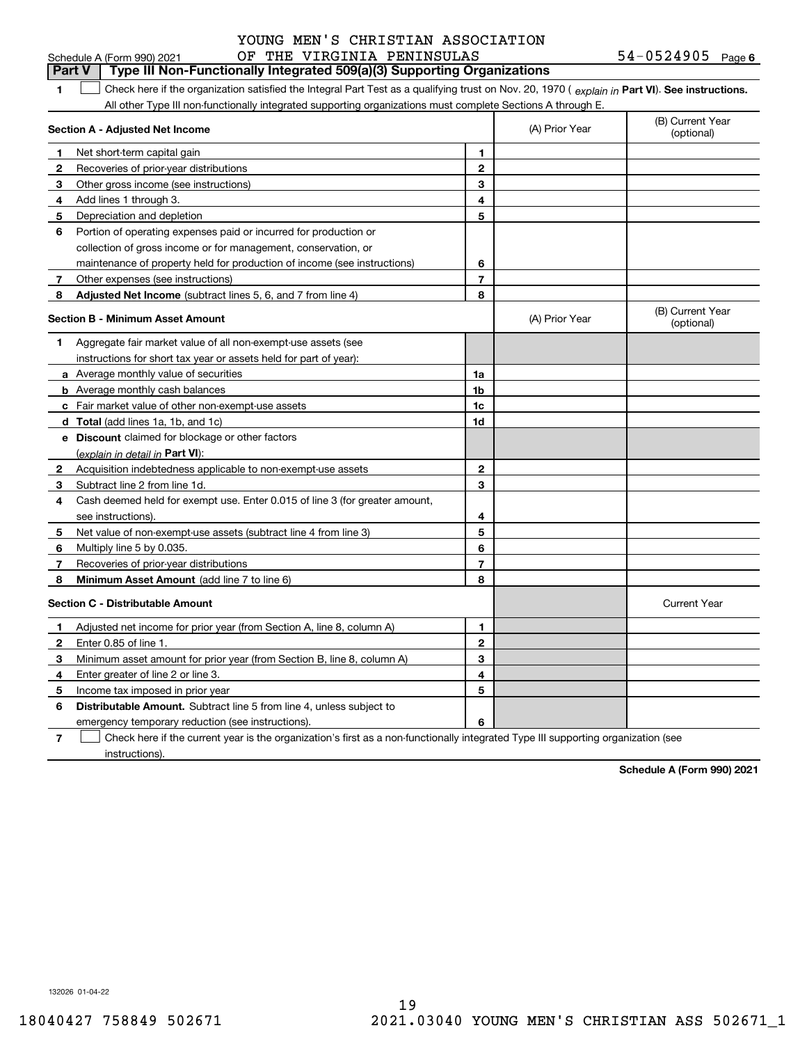|  |                            | YOUNG MEN'S CHRISTIAN ASSOCIATION |  |
|--|----------------------------|-----------------------------------|--|
|  | OF THE VIRGINIA PENINSULAS |                                   |  |

|               | OF THE VIRGINIA PENINSULAS<br>Schedule A (Form 990) 2021                                                                                       |                |                | $54 - 0524905$ Page 6          |
|---------------|------------------------------------------------------------------------------------------------------------------------------------------------|----------------|----------------|--------------------------------|
| <b>Part V</b> | Type III Non-Functionally Integrated 509(a)(3) Supporting Organizations                                                                        |                |                |                                |
| 1             | Check here if the organization satisfied the Integral Part Test as a qualifying trust on Nov. 20, 1970 (explain in Part VI). See instructions. |                |                |                                |
|               | All other Type III non-functionally integrated supporting organizations must complete Sections A through E.                                    |                |                |                                |
|               | Section A - Adjusted Net Income                                                                                                                |                | (A) Prior Year | (B) Current Year<br>(optional) |
| $\mathbf 1$   | Net short-term capital gain                                                                                                                    | 1              |                |                                |
| $\mathbf{2}$  | Recoveries of prior year distributions                                                                                                         | $\mathbf{2}$   |                |                                |
| 3             | Other gross income (see instructions)                                                                                                          | 3              |                |                                |
| 4             | Add lines 1 through 3.                                                                                                                         | 4              |                |                                |
| 5             | Depreciation and depletion                                                                                                                     | 5              |                |                                |
| 6             | Portion of operating expenses paid or incurred for production or                                                                               |                |                |                                |
|               | collection of gross income or for management, conservation, or                                                                                 |                |                |                                |
|               | maintenance of property held for production of income (see instructions)                                                                       | 6              |                |                                |
| 7             | Other expenses (see instructions)                                                                                                              | $\overline{7}$ |                |                                |
| 8             | <b>Adjusted Net Income</b> (subtract lines 5, 6, and 7 from line 4)                                                                            | 8              |                |                                |
|               | <b>Section B - Minimum Asset Amount</b>                                                                                                        |                | (A) Prior Year | (B) Current Year<br>(optional) |
| 1             | Aggregate fair market value of all non-exempt-use assets (see                                                                                  |                |                |                                |
|               | instructions for short tax year or assets held for part of year):                                                                              |                |                |                                |
|               | a Average monthly value of securities                                                                                                          | 1a             |                |                                |
|               | <b>b</b> Average monthly cash balances                                                                                                         | 1 <sub>b</sub> |                |                                |
|               | c Fair market value of other non-exempt-use assets                                                                                             | 1 <sub>c</sub> |                |                                |
|               | <b>d</b> Total (add lines 1a, 1b, and 1c)                                                                                                      | 1d             |                |                                |
|               | e Discount claimed for blockage or other factors                                                                                               |                |                |                                |
|               | (explain in detail in Part VI):                                                                                                                |                |                |                                |
| $\mathbf{2}$  | Acquisition indebtedness applicable to non-exempt-use assets                                                                                   | $\overline{2}$ |                |                                |
| 3             | Subtract line 2 from line 1d.                                                                                                                  | 3              |                |                                |
| 4             | Cash deemed held for exempt use. Enter 0.015 of line 3 (for greater amount,                                                                    |                |                |                                |
|               | see instructions)                                                                                                                              | 4              |                |                                |
| 5             | Net value of non-exempt-use assets (subtract line 4 from line 3)                                                                               | 5              |                |                                |
| 6             | Multiply line 5 by 0.035.                                                                                                                      | 6              |                |                                |
| 7             | Recoveries of prior-year distributions                                                                                                         | $\overline{7}$ |                |                                |
| 8             | Minimum Asset Amount (add line 7 to line 6)                                                                                                    | 8              |                |                                |
|               | <b>Section C - Distributable Amount</b>                                                                                                        |                |                | <b>Current Year</b>            |
| 1             | Adjusted net income for prior year (from Section A, line 8, column A)                                                                          | 1              |                |                                |
| $\mathbf{2}$  | Enter 0.85 of line 1.                                                                                                                          | $\mathbf{2}$   |                |                                |
| з             | Minimum asset amount for prior year (from Section B, line 8, column A)                                                                         | 3              |                |                                |
| 4             | Enter greater of line 2 or line 3.                                                                                                             | 4              |                |                                |
| 5             | Income tax imposed in prior year                                                                                                               | 5              |                |                                |
| 6             | <b>Distributable Amount.</b> Subtract line 5 from line 4, unless subject to                                                                    |                |                |                                |
|               | emergency temporary reduction (see instructions).                                                                                              | 6              |                |                                |

**7**Check here if the current year is the organization's first as a non-functionally integrated Type III supporting organization (see instructions).

**Schedule A (Form 990) 2021**

132026 01-04-22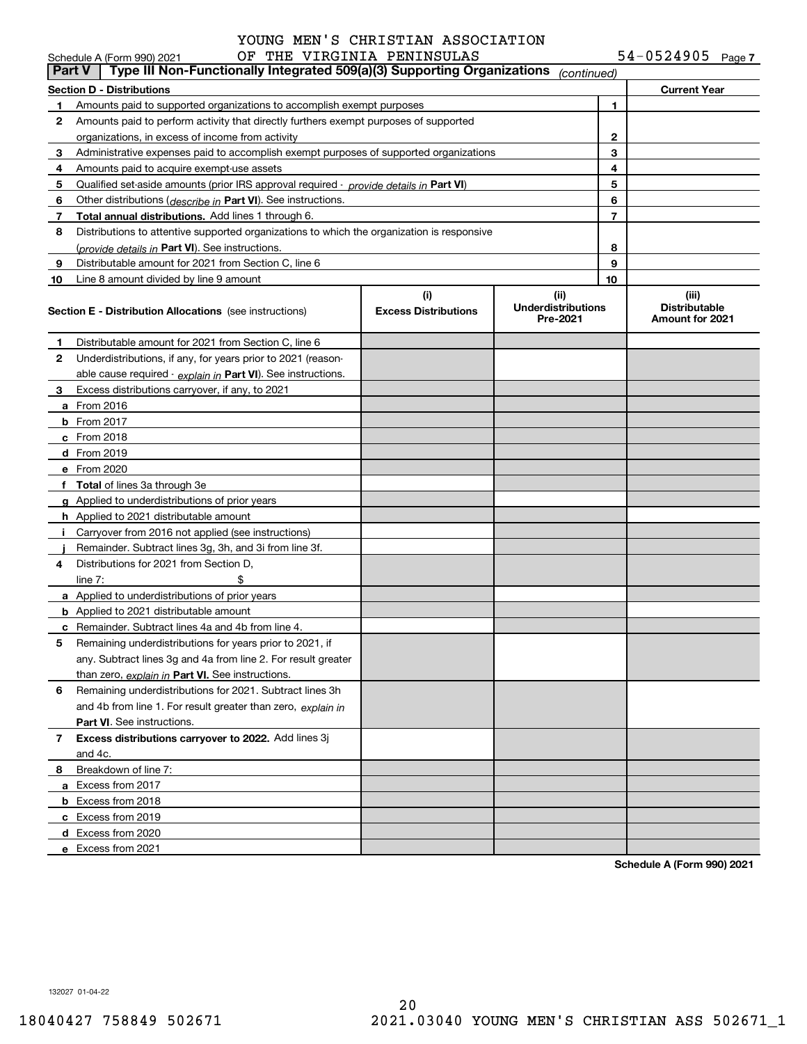# YOUNG MEN'S CHRISTIAN ASSOCIATION

|              | Schedule A (Form 990) 2021<br>OF THE VIRGINIA PENINSULAS<br>Type III Non-Functionally Integrated 509(a)(3) Supporting Organizations |                             |                                       |        | 54-0524905 Page7                        |  |
|--------------|-------------------------------------------------------------------------------------------------------------------------------------|-----------------------------|---------------------------------------|--------|-----------------------------------------|--|
|              | <b>Part V</b>                                                                                                                       |                             | (continued)                           |        |                                         |  |
|              | <b>Section D - Distributions</b>                                                                                                    |                             |                                       |        | <b>Current Year</b>                     |  |
| 1            | Amounts paid to supported organizations to accomplish exempt purposes                                                               |                             |                                       | 1      |                                         |  |
| $\mathbf{2}$ | Amounts paid to perform activity that directly furthers exempt purposes of supported                                                |                             |                                       |        |                                         |  |
|              | organizations, in excess of income from activity                                                                                    |                             |                                       | 2<br>3 |                                         |  |
| 3            | Administrative expenses paid to accomplish exempt purposes of supported organizations                                               |                             |                                       |        |                                         |  |
| 4            | Amounts paid to acquire exempt-use assets                                                                                           |                             |                                       | 4<br>5 |                                         |  |
| 5            | Qualified set-aside amounts (prior IRS approval required - provide details in Part VI)                                              |                             |                                       | 6      |                                         |  |
| 6<br>7       | Other distributions ( <i>describe in</i> Part VI). See instructions.<br>Total annual distributions. Add lines 1 through 6.          |                             |                                       | 7      |                                         |  |
| 8            | Distributions to attentive supported organizations to which the organization is responsive                                          |                             |                                       |        |                                         |  |
|              | (provide details in Part VI). See instructions.                                                                                     |                             |                                       | 8      |                                         |  |
| 9            | Distributable amount for 2021 from Section C, line 6                                                                                |                             |                                       | 9      |                                         |  |
| 10           | Line 8 amount divided by line 9 amount                                                                                              |                             |                                       | 10     |                                         |  |
|              |                                                                                                                                     | (i)                         | (ii)                                  |        | (iii)                                   |  |
|              | <b>Section E - Distribution Allocations</b> (see instructions)                                                                      | <b>Excess Distributions</b> | <b>Underdistributions</b><br>Pre-2021 |        | <b>Distributable</b><br>Amount for 2021 |  |
| 1            | Distributable amount for 2021 from Section C, line 6                                                                                |                             |                                       |        |                                         |  |
| $\mathbf{2}$ | Underdistributions, if any, for years prior to 2021 (reason-                                                                        |                             |                                       |        |                                         |  |
|              | able cause required - explain in Part VI). See instructions.                                                                        |                             |                                       |        |                                         |  |
| 3.           | Excess distributions carryover, if any, to 2021                                                                                     |                             |                                       |        |                                         |  |
|              | a From 2016                                                                                                                         |                             |                                       |        |                                         |  |
|              | <b>b</b> From $2017$                                                                                                                |                             |                                       |        |                                         |  |
|              | $c$ From 2018                                                                                                                       |                             |                                       |        |                                         |  |
|              | <b>d</b> From 2019                                                                                                                  |                             |                                       |        |                                         |  |
|              | e From 2020                                                                                                                         |                             |                                       |        |                                         |  |
|              | f Total of lines 3a through 3e                                                                                                      |                             |                                       |        |                                         |  |
|              | g Applied to underdistributions of prior years                                                                                      |                             |                                       |        |                                         |  |
|              | h Applied to 2021 distributable amount                                                                                              |                             |                                       |        |                                         |  |
| Ť.           | Carryover from 2016 not applied (see instructions)                                                                                  |                             |                                       |        |                                         |  |
|              | Remainder. Subtract lines 3g, 3h, and 3i from line 3f.                                                                              |                             |                                       |        |                                         |  |
| 4            | Distributions for 2021 from Section D,                                                                                              |                             |                                       |        |                                         |  |
|              | \$<br>line $7:$                                                                                                                     |                             |                                       |        |                                         |  |
|              | a Applied to underdistributions of prior years                                                                                      |                             |                                       |        |                                         |  |
|              | <b>b</b> Applied to 2021 distributable amount                                                                                       |                             |                                       |        |                                         |  |
|              | <b>c</b> Remainder. Subtract lines 4a and 4b from line 4.                                                                           |                             |                                       |        |                                         |  |
| 5            | Remaining underdistributions for years prior to 2021, if                                                                            |                             |                                       |        |                                         |  |
|              | any. Subtract lines 3g and 4a from line 2. For result greater                                                                       |                             |                                       |        |                                         |  |
|              | than zero, explain in Part VI. See instructions.                                                                                    |                             |                                       |        |                                         |  |
| 6            | Remaining underdistributions for 2021. Subtract lines 3h                                                                            |                             |                                       |        |                                         |  |
|              | and 4b from line 1. For result greater than zero, explain in                                                                        |                             |                                       |        |                                         |  |
|              | Part VI. See instructions.                                                                                                          |                             |                                       |        |                                         |  |
| 7            | Excess distributions carryover to 2022. Add lines 3j                                                                                |                             |                                       |        |                                         |  |
|              | and 4c.                                                                                                                             |                             |                                       |        |                                         |  |
| 8            | Breakdown of line 7:                                                                                                                |                             |                                       |        |                                         |  |
|              | a Excess from 2017                                                                                                                  |                             |                                       |        |                                         |  |
|              | <b>b</b> Excess from 2018                                                                                                           |                             |                                       |        |                                         |  |
|              | c Excess from 2019                                                                                                                  |                             |                                       |        |                                         |  |
|              | d Excess from 2020                                                                                                                  |                             |                                       |        |                                         |  |
|              | e Excess from 2021                                                                                                                  |                             |                                       |        |                                         |  |

**Schedule A (Form 990) 2021**

132027 01-04-22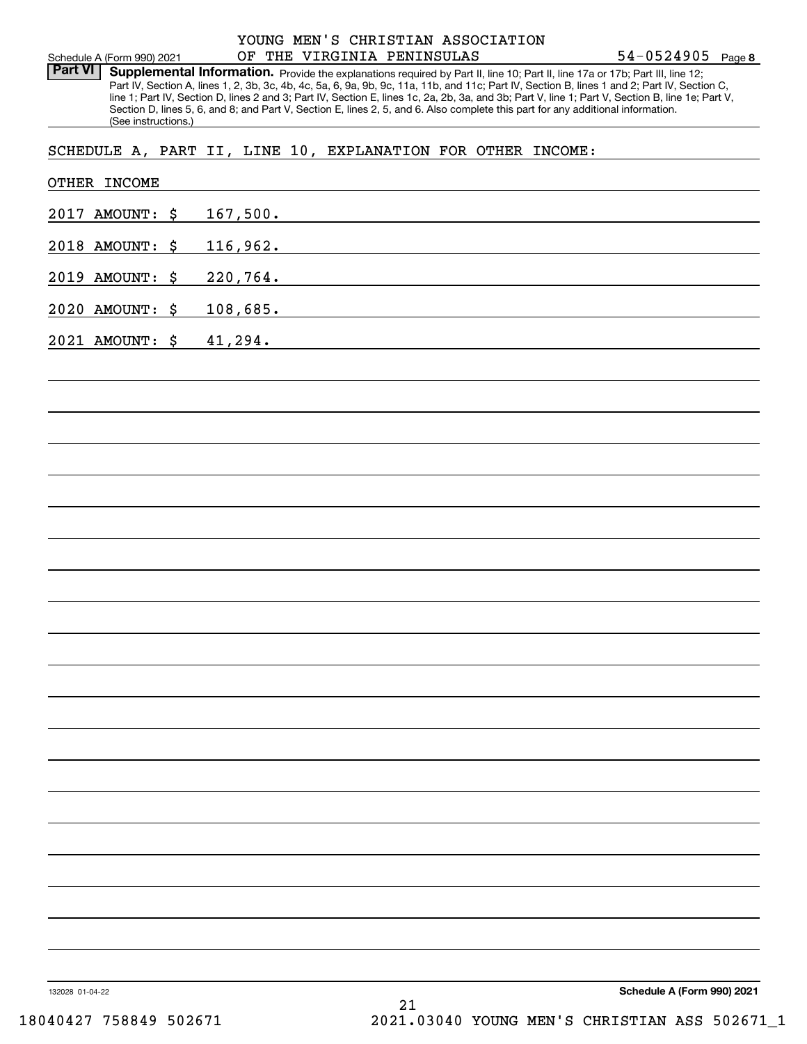| Schedule A (Form 990) 2021 |  |  |
|----------------------------|--|--|
|                            |  |  |

Part VI | Supplemental Information. Provide the explanations required by Part II, line 10; Part II, line 17a or 17b; Part III, line 12; Part IV, Section A, lines 1, 2, 3b, 3c, 4b, 4c, 5a, 6, 9a, 9b, 9c, 11a, 11b, and 11c; Part IV, Section B, lines 1 and 2; Part IV, Section C, line 1; Part IV, Section D, lines 2 and 3; Part IV, Section E, lines 1c, 2a, 2b, 3a, and 3b; Part V, line 1; Part V, Section B, line 1e; Part V, Section D, lines 5, 6, and 8; and Part V, Section E, lines 2, 5, and 6. Also complete this part for any additional information. (See instructions.)

SCHEDULE A, PART II, LINE 10, EXPLANATION FOR OTHER INCOME:

|                 | OTHER INCOME    |          |    |                                                                                                                        |                            |
|-----------------|-----------------|----------|----|------------------------------------------------------------------------------------------------------------------------|----------------------------|
|                 | 2017 AMOUNT: \$ | 167,500. |    |                                                                                                                        |                            |
|                 | 2018 AMOUNT: \$ | 116,962. |    |                                                                                                                        |                            |
|                 | 2019 AMOUNT: \$ | 220,764. |    | <u> 1989 - Johann Stein, marwolaethau a bhann an t-Albann an t-Albann an t-Albann an t-Albann an t-Albann an t-Alb</u> |                            |
|                 | 2020 AMOUNT: \$ | 108,685. |    | <u> 1980 - Johann Barbara, martxa alemaniar argumento estas estas estas en la construcción de la construcción de</u>   |                            |
|                 | 2021 AMOUNT: \$ | 41, 294. |    |                                                                                                                        |                            |
|                 |                 |          |    |                                                                                                                        |                            |
|                 |                 |          |    |                                                                                                                        |                            |
|                 |                 |          |    |                                                                                                                        |                            |
|                 |                 |          |    |                                                                                                                        |                            |
|                 |                 |          |    |                                                                                                                        |                            |
|                 |                 |          |    |                                                                                                                        |                            |
|                 |                 |          |    |                                                                                                                        |                            |
|                 |                 |          |    |                                                                                                                        |                            |
|                 |                 |          |    |                                                                                                                        |                            |
|                 |                 |          |    |                                                                                                                        |                            |
|                 |                 |          |    |                                                                                                                        |                            |
|                 |                 |          |    |                                                                                                                        |                            |
|                 |                 |          |    |                                                                                                                        |                            |
|                 |                 |          |    |                                                                                                                        |                            |
|                 |                 |          |    |                                                                                                                        |                            |
|                 |                 |          |    |                                                                                                                        |                            |
|                 |                 |          |    |                                                                                                                        |                            |
|                 |                 |          |    |                                                                                                                        |                            |
|                 |                 |          |    |                                                                                                                        |                            |
|                 |                 |          |    |                                                                                                                        |                            |
| 132028 01-04-22 |                 |          | 21 |                                                                                                                        | Schedule A (Form 990) 2021 |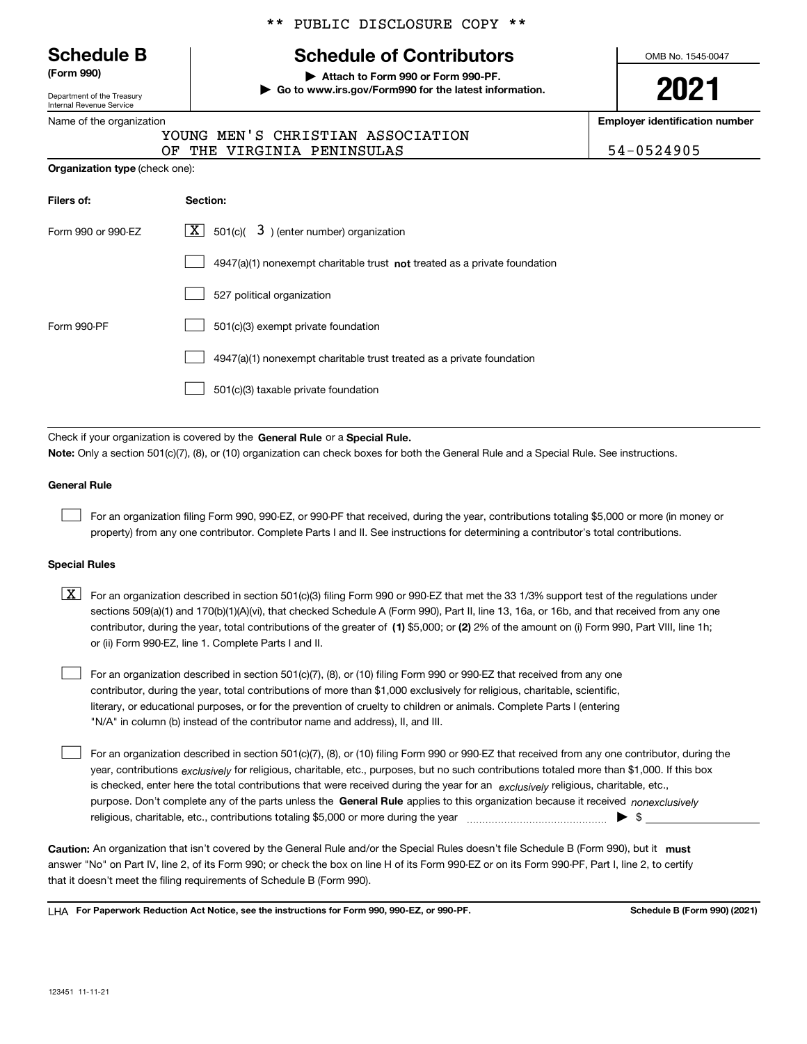Department of the Treasury Internal Revenue Service

#### Name of the organization

### \*\* PUBLIC DISCLOSURE COPY \*\*

## **Schedule B Schedule of Contributors**

**(Form 990) | Attach to Form 990 or Form 990-PF. | Go to www.irs.gov/Form990 for the latest information.** OMB No. 1545-0047

**2021**

**Employer identification number**

IA PENINSULAS  $\vert$  54-0524905

|  |                            | YOUNG MEN'S CHRISTIAN ASSOCIATION |
|--|----------------------------|-----------------------------------|
|  | OF THE VIRGINIA PENINSULAS |                                   |

| Filers of:         | Section:                                                                           |
|--------------------|------------------------------------------------------------------------------------|
| Form 990 or 990-EZ | $\lfloor x \rfloor$ 501(c)( 3) (enter number) organization                         |
|                    | $4947(a)(1)$ nonexempt charitable trust <b>not</b> treated as a private foundation |
|                    | 527 political organization                                                         |
| Form 990-PF        | 501(c)(3) exempt private foundation                                                |
|                    | 4947(a)(1) nonexempt charitable trust treated as a private foundation              |
|                    | 501(c)(3) taxable private foundation                                               |

Check if your organization is covered by the **General Rule** or a **Special Rule. Note:**  Only a section 501(c)(7), (8), or (10) organization can check boxes for both the General Rule and a Special Rule. See instructions.

#### **General Rule**

 $\mathcal{L}^{\text{max}}$ 

For an organization filing Form 990, 990-EZ, or 990-PF that received, during the year, contributions totaling \$5,000 or more (in money or property) from any one contributor. Complete Parts I and II. See instructions for determining a contributor's total contributions.

#### **Special Rules**

contributor, during the year, total contributions of the greater of (1**)** \$5,000; or (2) 2% of the amount on (i) Form 990, Part VIII, line 1h;  $\boxed{\textbf{X}}$  For an organization described in section 501(c)(3) filing Form 990 or 990-EZ that met the 33 1/3% support test of the regulations under sections 509(a)(1) and 170(b)(1)(A)(vi), that checked Schedule A (Form 990), Part II, line 13, 16a, or 16b, and that received from any one or (ii) Form 990-EZ, line 1. Complete Parts I and II.

For an organization described in section 501(c)(7), (8), or (10) filing Form 990 or 990-EZ that received from any one contributor, during the year, total contributions of more than \$1,000 exclusively for religious, charitable, scientific, literary, or educational purposes, or for the prevention of cruelty to children or animals. Complete Parts I (entering "N/A" in column (b) instead of the contributor name and address), II, and III.  $\mathcal{L}^{\text{max}}$ 

purpose. Don't complete any of the parts unless the **General Rule** applies to this organization because it received *nonexclusively* year, contributions <sub>exclusively</sub> for religious, charitable, etc., purposes, but no such contributions totaled more than \$1,000. If this box is checked, enter here the total contributions that were received during the year for an  $\;$ exclusively religious, charitable, etc., For an organization described in section 501(c)(7), (8), or (10) filing Form 990 or 990-EZ that received from any one contributor, during the religious, charitable, etc., contributions totaling \$5,000 or more during the year  $\Box$ — $\Box$   $\Box$  $\mathcal{L}^{\text{max}}$ 

Caution: An organization that isn't covered by the General Rule and/or the Special Rules doesn't file Schedule B (Form 990), but it **must** answer "No" on Part IV, line 2, of its Form 990; or check the box on line H of its Form 990-EZ or on its Form 990-PF, Part I, line 2, to certify that it doesn't meet the filing requirements of Schedule B (Form 990).

LHA For Paperwork Reduction Act Notice, see the instructions for Form 990, 990-EZ, or 990-PF. **In the act and Schedule B** (Form 990) (2021)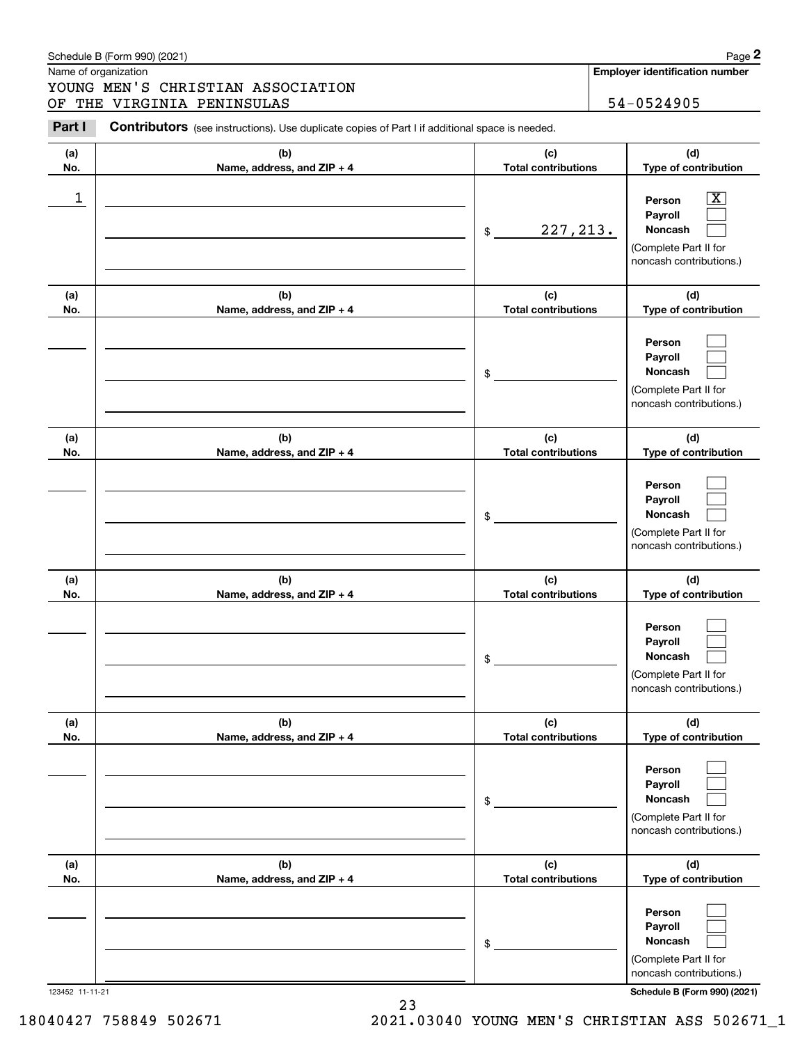### Schedule B (Form 990) (2021) Page 2

|            | Schedule B (Form 990) (2021)                                                                          |                                   | Page 2                                                                                                    |
|------------|-------------------------------------------------------------------------------------------------------|-----------------------------------|-----------------------------------------------------------------------------------------------------------|
|            | Name of organization<br>YOUNG MEN'S CHRISTIAN ASSOCIATION                                             |                                   | <b>Employer identification number</b>                                                                     |
|            | OF THE VIRGINIA PENINSULAS                                                                            |                                   | 54-0524905                                                                                                |
| Part I     | <b>Contributors</b> (see instructions). Use duplicate copies of Part I if additional space is needed. |                                   |                                                                                                           |
| (a)<br>No. | (b)<br>Name, address, and ZIP + 4                                                                     | (c)<br><b>Total contributions</b> | (d)<br>Type of contribution                                                                               |
| 1          |                                                                                                       | 227, 213.<br>\$                   | $\overline{\text{X}}$<br>Person<br>Payroll<br>Noncash<br>(Complete Part II for<br>noncash contributions.) |
| (a)<br>No. | (b)<br>Name, address, and ZIP + 4                                                                     | (c)<br><b>Total contributions</b> | (d)<br>Type of contribution                                                                               |
|            |                                                                                                       | \$                                | Person<br>Payroll<br>Noncash<br>(Complete Part II for<br>noncash contributions.)                          |
| (a)<br>No. | (b)<br>Name, address, and ZIP + 4                                                                     | (c)<br><b>Total contributions</b> | (d)<br>Type of contribution                                                                               |
|            |                                                                                                       | \$                                | Person<br>Payroll<br>Noncash<br>(Complete Part II for<br>noncash contributions.)                          |
| (a)<br>No. | (b)<br>Name, address, and ZIP + 4                                                                     | (c)<br><b>Total contributions</b> | (d)<br>Type of contribution                                                                               |
|            |                                                                                                       | \$                                | Person<br>Payroll<br>Noncash<br>(Complete Part II for<br>noncash contributions.)                          |
| (a)<br>No. | (b)<br>Name, address, and ZIP + 4                                                                     | (c)<br><b>Total contributions</b> | (d)<br>Type of contribution                                                                               |
|            |                                                                                                       | \$                                | Person<br>Payroll<br>Noncash<br>(Complete Part II for<br>noncash contributions.)                          |
| (a)<br>No. | (b)<br>Name, address, and ZIP + 4                                                                     | (c)<br><b>Total contributions</b> | (d)<br>Type of contribution                                                                               |
|            |                                                                                                       | \$                                | Person<br>Payroll<br>Noncash<br>(Complete Part II for<br>noncash contributions.)                          |

123452 11-11-21 **Schedule B (Form 990) (2021)**

23

18040427 758849 502671 2021.03040 YOUNG MEN'S CHRISTIAN ASS 502671\_1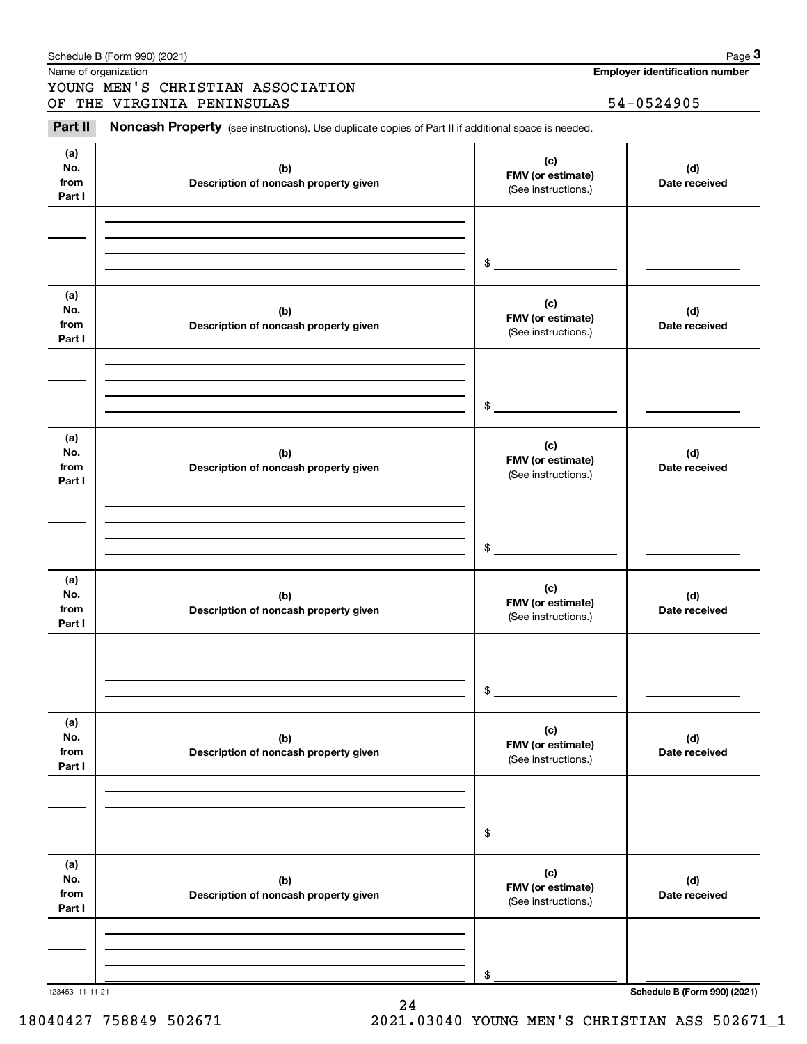|                              | Schedule B (Form 990) (2021)<br>Name of organization                                                |                                                 | Page 3<br><b>Employer identification number</b> |
|------------------------------|-----------------------------------------------------------------------------------------------------|-------------------------------------------------|-------------------------------------------------|
|                              | YOUNG MEN'S CHRISTIAN ASSOCIATION<br>OF THE VIRGINIA PENINSULAS                                     |                                                 | 54-0524905                                      |
| Part II                      | Noncash Property (see instructions). Use duplicate copies of Part II if additional space is needed. |                                                 |                                                 |
| (a)<br>No.<br>from<br>Part I | (b)<br>Description of noncash property given                                                        | (c)<br>FMV (or estimate)<br>(See instructions.) | (d)<br>Date received                            |
| (a)                          |                                                                                                     | \$                                              |                                                 |
| No.<br>from<br>Part I        | (b)<br>Description of noncash property given                                                        | (c)<br>FMV (or estimate)<br>(See instructions.) | (d)<br>Date received                            |
|                              |                                                                                                     | \$                                              |                                                 |
| (a)<br>No.<br>from<br>Part I | (b)<br>Description of noncash property given                                                        | (c)<br>FMV (or estimate)<br>(See instructions.) | (d)<br>Date received                            |
|                              |                                                                                                     | \$                                              |                                                 |
| (a)<br>No.<br>from<br>Part I | (b)<br>Description of noncash property given                                                        | (c)<br>FMV (or estimate)<br>(See instructions.) | (d)<br>Date received                            |
|                              |                                                                                                     | \$                                              |                                                 |
| (a)<br>No.<br>from<br>Part I | (b)<br>Description of noncash property given                                                        | (c)<br>FMV (or estimate)<br>(See instructions.) | (d)<br>Date received                            |
|                              |                                                                                                     | \$                                              |                                                 |
| (a)<br>No.<br>from<br>Part I | (b)<br>Description of noncash property given                                                        | (c)<br>FMV (or estimate)<br>(See instructions.) | (d)<br>Date received                            |
|                              |                                                                                                     |                                                 |                                                 |
| 123453 11-11-21              |                                                                                                     | \$                                              | Schedule B (Form 990) (2021)                    |

24

18040427 758849 502671 2021.03040 YOUNG MEN'S CHRISTIAN ASS 502671\_1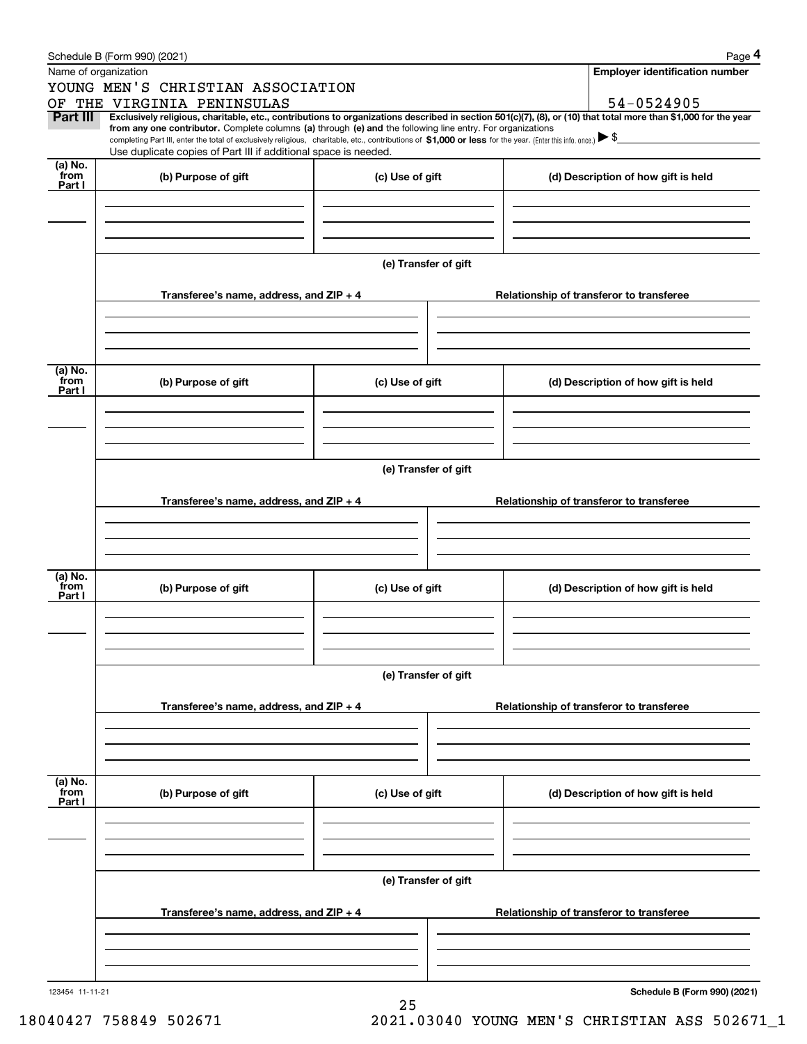|                 | Schedule B (Form 990) (2021)                                                                                                                                                                                                                                                 |                      |  |  | Page 4                                   |  |  |
|-----------------|------------------------------------------------------------------------------------------------------------------------------------------------------------------------------------------------------------------------------------------------------------------------------|----------------------|--|--|------------------------------------------|--|--|
|                 | Name of organization                                                                                                                                                                                                                                                         |                      |  |  | <b>Employer identification number</b>    |  |  |
|                 | YOUNG MEN'S CHRISTIAN ASSOCIATION                                                                                                                                                                                                                                            |                      |  |  |                                          |  |  |
|                 | OF THE VIRGINIA PENINSULAS                                                                                                                                                                                                                                                   |                      |  |  | 54-0524905                               |  |  |
| Part III        | Exclusively religious, charitable, etc., contributions to organizations described in section 501(c)(7), (8), or (10) that total more than \$1,000 for the year<br>from any one contributor. Complete columns (a) through (e) and the following line entry. For organizations |                      |  |  |                                          |  |  |
|                 | completing Part III, enter the total of exclusively religious, charitable, etc., contributions of \$1,000 or less for the year. (Enter this info. once.) $\blacktriangleright$ \$                                                                                            |                      |  |  |                                          |  |  |
|                 | Use duplicate copies of Part III if additional space is needed.                                                                                                                                                                                                              |                      |  |  |                                          |  |  |
| (a) No.<br>from | (b) Purpose of gift                                                                                                                                                                                                                                                          | (c) Use of gift      |  |  | (d) Description of how gift is held      |  |  |
| Part I          |                                                                                                                                                                                                                                                                              |                      |  |  |                                          |  |  |
|                 |                                                                                                                                                                                                                                                                              |                      |  |  |                                          |  |  |
|                 |                                                                                                                                                                                                                                                                              |                      |  |  |                                          |  |  |
|                 |                                                                                                                                                                                                                                                                              |                      |  |  |                                          |  |  |
|                 |                                                                                                                                                                                                                                                                              | (e) Transfer of gift |  |  |                                          |  |  |
|                 |                                                                                                                                                                                                                                                                              |                      |  |  |                                          |  |  |
|                 | Transferee's name, address, and ZIP + 4                                                                                                                                                                                                                                      |                      |  |  | Relationship of transferor to transferee |  |  |
|                 |                                                                                                                                                                                                                                                                              |                      |  |  |                                          |  |  |
|                 |                                                                                                                                                                                                                                                                              |                      |  |  |                                          |  |  |
|                 |                                                                                                                                                                                                                                                                              |                      |  |  |                                          |  |  |
| (a) No.         |                                                                                                                                                                                                                                                                              |                      |  |  |                                          |  |  |
| from<br>Part I  | (b) Purpose of gift                                                                                                                                                                                                                                                          | (c) Use of gift      |  |  | (d) Description of how gift is held      |  |  |
|                 |                                                                                                                                                                                                                                                                              |                      |  |  |                                          |  |  |
|                 |                                                                                                                                                                                                                                                                              |                      |  |  |                                          |  |  |
|                 |                                                                                                                                                                                                                                                                              |                      |  |  |                                          |  |  |
|                 |                                                                                                                                                                                                                                                                              |                      |  |  |                                          |  |  |
|                 | (e) Transfer of gift                                                                                                                                                                                                                                                         |                      |  |  |                                          |  |  |
|                 | Transferee's name, address, and ZIP + 4<br>Relationship of transferor to transferee                                                                                                                                                                                          |                      |  |  |                                          |  |  |
|                 |                                                                                                                                                                                                                                                                              |                      |  |  |                                          |  |  |
|                 |                                                                                                                                                                                                                                                                              |                      |  |  |                                          |  |  |
|                 |                                                                                                                                                                                                                                                                              |                      |  |  |                                          |  |  |
|                 |                                                                                                                                                                                                                                                                              |                      |  |  |                                          |  |  |
| (a) No.<br>from | (b) Purpose of gift                                                                                                                                                                                                                                                          | (c) Use of gift      |  |  | (d) Description of how gift is held      |  |  |
| Part I          |                                                                                                                                                                                                                                                                              |                      |  |  |                                          |  |  |
|                 |                                                                                                                                                                                                                                                                              |                      |  |  |                                          |  |  |
|                 |                                                                                                                                                                                                                                                                              |                      |  |  |                                          |  |  |
|                 |                                                                                                                                                                                                                                                                              |                      |  |  |                                          |  |  |
|                 |                                                                                                                                                                                                                                                                              | (e) Transfer of gift |  |  |                                          |  |  |
|                 |                                                                                                                                                                                                                                                                              |                      |  |  |                                          |  |  |
|                 | Transferee's name, address, and $ZIP + 4$                                                                                                                                                                                                                                    |                      |  |  | Relationship of transferor to transferee |  |  |
|                 |                                                                                                                                                                                                                                                                              |                      |  |  |                                          |  |  |
|                 |                                                                                                                                                                                                                                                                              |                      |  |  |                                          |  |  |
|                 |                                                                                                                                                                                                                                                                              |                      |  |  |                                          |  |  |
| (a) No.<br>from |                                                                                                                                                                                                                                                                              |                      |  |  |                                          |  |  |
| Part I          | (b) Purpose of gift                                                                                                                                                                                                                                                          | (c) Use of gift      |  |  | (d) Description of how gift is held      |  |  |
|                 |                                                                                                                                                                                                                                                                              |                      |  |  |                                          |  |  |
|                 |                                                                                                                                                                                                                                                                              |                      |  |  |                                          |  |  |
|                 |                                                                                                                                                                                                                                                                              |                      |  |  |                                          |  |  |
|                 |                                                                                                                                                                                                                                                                              |                      |  |  |                                          |  |  |
|                 |                                                                                                                                                                                                                                                                              | (e) Transfer of gift |  |  |                                          |  |  |
|                 | Transferee's name, address, and $ZIP + 4$                                                                                                                                                                                                                                    |                      |  |  | Relationship of transferor to transferee |  |  |
|                 |                                                                                                                                                                                                                                                                              |                      |  |  |                                          |  |  |
|                 |                                                                                                                                                                                                                                                                              |                      |  |  |                                          |  |  |
|                 |                                                                                                                                                                                                                                                                              |                      |  |  |                                          |  |  |
|                 |                                                                                                                                                                                                                                                                              |                      |  |  |                                          |  |  |
| 123454 11-11-21 |                                                                                                                                                                                                                                                                              |                      |  |  | Schedule B (Form 990) (2021)             |  |  |

25 18040427 758849 502671 2021.03040 YOUNG MEN'S CHRISTIAN ASS 502671\_1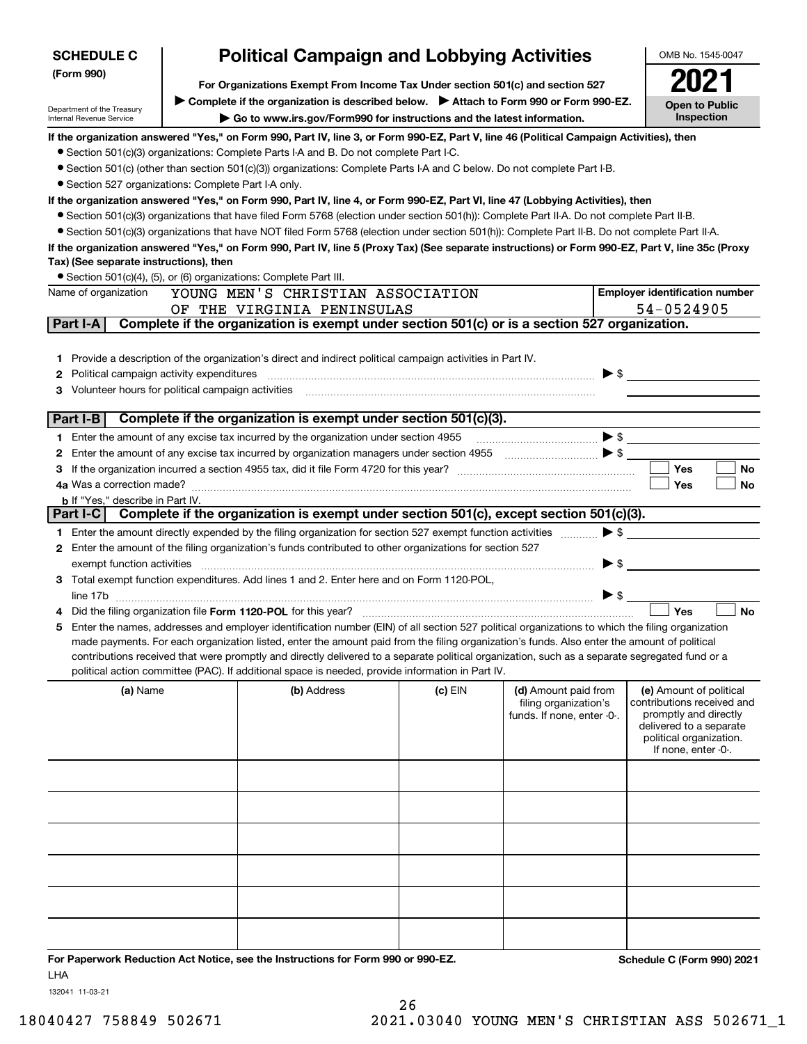| <b>SCHEDULE C</b>                                                    | <b>Political Campaign and Lobbying Activities</b>                                                                                                                                                                                                                                                                                                                                                                                                                                                                                                    |           |                                                                             |                     | OMB No. 1545-0047                                                                                                                                           |
|----------------------------------------------------------------------|------------------------------------------------------------------------------------------------------------------------------------------------------------------------------------------------------------------------------------------------------------------------------------------------------------------------------------------------------------------------------------------------------------------------------------------------------------------------------------------------------------------------------------------------------|-----------|-----------------------------------------------------------------------------|---------------------|-------------------------------------------------------------------------------------------------------------------------------------------------------------|
| (Form 990)<br>Department of the Treasury<br>Internal Revenue Service | For Organizations Exempt From Income Tax Under section 501(c) and section 527<br>▶ Complete if the organization is described below. ▶ Attach to Form 990 or Form 990-EZ.<br>Go to www.irs.gov/Form990 for instructions and the latest information.                                                                                                                                                                                                                                                                                                   |           |                                                                             |                     | <b>Open to Public</b><br>Inspection                                                                                                                         |
|                                                                      | If the organization answered "Yes," on Form 990, Part IV, line 3, or Form 990-EZ, Part V, line 46 (Political Campaign Activities), then<br>• Section 501(c)(3) organizations: Complete Parts I-A and B. Do not complete Part I-C.<br>• Section 501(c) (other than section 501(c)(3)) organizations: Complete Parts I-A and C below. Do not complete Part I-B.                                                                                                                                                                                        |           |                                                                             |                     |                                                                                                                                                             |
| • Section 527 organizations: Complete Part I-A only.                 |                                                                                                                                                                                                                                                                                                                                                                                                                                                                                                                                                      |           |                                                                             |                     |                                                                                                                                                             |
|                                                                      | If the organization answered "Yes," on Form 990, Part IV, line 4, or Form 990-EZ, Part VI, line 47 (Lobbying Activities), then<br>• Section 501(c)(3) organizations that have filed Form 5768 (election under section 501(h)): Complete Part II-A. Do not complete Part II-B.<br>• Section 501(c)(3) organizations that have NOT filed Form 5768 (election under section 501(h)): Complete Part II-B. Do not complete Part II-A.                                                                                                                     |           |                                                                             |                     |                                                                                                                                                             |
| Tax) (See separate instructions), then                               | If the organization answered "Yes," on Form 990, Part IV, line 5 (Proxy Tax) (See separate instructions) or Form 990-EZ, Part V, line 35c (Proxy<br>• Section 501(c)(4), (5), or (6) organizations: Complete Part III.                                                                                                                                                                                                                                                                                                                               |           |                                                                             |                     |                                                                                                                                                             |
| Name of organization<br>Part I-A                                     | YOUNG MEN'S CHRISTIAN ASSOCIATION<br>OF THE VIRGINIA PENINSULAS<br>Complete if the organization is exempt under section 501(c) or is a section 527 organization.                                                                                                                                                                                                                                                                                                                                                                                     |           |                                                                             |                     | <b>Employer identification number</b><br>54-0524905                                                                                                         |
|                                                                      |                                                                                                                                                                                                                                                                                                                                                                                                                                                                                                                                                      |           |                                                                             |                     |                                                                                                                                                             |
| Political campaign activity expenditures<br>2<br>3                   | 1 Provide a description of the organization's direct and indirect political campaign activities in Part IV.<br>Volunteer hours for political campaign activities [11] matter content to the state of political campaign activities [11] matter content to the state of political campaign activities [11] matter content of the state of the                                                                                                                                                                                                         |           |                                                                             |                     | $\triangleright$ \$                                                                                                                                         |
| Part I-B                                                             | Complete if the organization is exempt under section 501(c)(3).                                                                                                                                                                                                                                                                                                                                                                                                                                                                                      |           |                                                                             |                     |                                                                                                                                                             |
|                                                                      | 1 Enter the amount of any excise tax incurred by the organization under section 4955                                                                                                                                                                                                                                                                                                                                                                                                                                                                 |           |                                                                             |                     | $\blacktriangleright$ \$                                                                                                                                    |
| 2                                                                    |                                                                                                                                                                                                                                                                                                                                                                                                                                                                                                                                                      |           |                                                                             |                     |                                                                                                                                                             |
| З                                                                    |                                                                                                                                                                                                                                                                                                                                                                                                                                                                                                                                                      |           |                                                                             |                     | No<br>Yes                                                                                                                                                   |
|                                                                      |                                                                                                                                                                                                                                                                                                                                                                                                                                                                                                                                                      |           |                                                                             |                     | Yes<br>No                                                                                                                                                   |
| <b>b</b> If "Yes," describe in Part IV.                              |                                                                                                                                                                                                                                                                                                                                                                                                                                                                                                                                                      |           |                                                                             |                     |                                                                                                                                                             |
| Part I-C                                                             | Complete if the organization is exempt under section 501(c), except section 501(c)(3).                                                                                                                                                                                                                                                                                                                                                                                                                                                               |           |                                                                             |                     |                                                                                                                                                             |
|                                                                      | 1 Enter the amount directly expended by the filing organization for section 527 exempt function activities<br>2 Enter the amount of the filing organization's funds contributed to other organizations for section 527                                                                                                                                                                                                                                                                                                                               |           |                                                                             |                     | $\blacktriangleright$ \$                                                                                                                                    |
| exempt function activities                                           | 3 Total exempt function expenditures. Add lines 1 and 2. Enter here and on Form 1120-POL,                                                                                                                                                                                                                                                                                                                                                                                                                                                            |           |                                                                             | $\triangleright$ \$ |                                                                                                                                                             |
|                                                                      |                                                                                                                                                                                                                                                                                                                                                                                                                                                                                                                                                      |           |                                                                             | $\triangleright$ \$ |                                                                                                                                                             |
|                                                                      |                                                                                                                                                                                                                                                                                                                                                                                                                                                                                                                                                      |           |                                                                             |                     | <b>Yes</b><br>No                                                                                                                                            |
|                                                                      | Enter the names, addresses and employer identification number (EIN) of all section 527 political organizations to which the filing organization<br>made payments. For each organization listed, enter the amount paid from the filing organization's funds. Also enter the amount of political<br>contributions received that were promptly and directly delivered to a separate political organization, such as a separate segregated fund or a<br>political action committee (PAC). If additional space is needed, provide information in Part IV. |           |                                                                             |                     |                                                                                                                                                             |
| (a) Name                                                             | (b) Address                                                                                                                                                                                                                                                                                                                                                                                                                                                                                                                                          | $(c)$ EIN | (d) Amount paid from<br>filing organization's<br>funds. If none, enter -0-. |                     | (e) Amount of political<br>contributions received and<br>promptly and directly<br>delivered to a separate<br>political organization.<br>If none, enter -0-. |
|                                                                      |                                                                                                                                                                                                                                                                                                                                                                                                                                                                                                                                                      |           |                                                                             |                     |                                                                                                                                                             |
|                                                                      |                                                                                                                                                                                                                                                                                                                                                                                                                                                                                                                                                      |           |                                                                             |                     |                                                                                                                                                             |
|                                                                      |                                                                                                                                                                                                                                                                                                                                                                                                                                                                                                                                                      |           |                                                                             |                     |                                                                                                                                                             |
|                                                                      |                                                                                                                                                                                                                                                                                                                                                                                                                                                                                                                                                      |           |                                                                             |                     |                                                                                                                                                             |
|                                                                      | For Paperwork Reduction Act Notice, see the Instructions for Form 990 or 990-EZ.                                                                                                                                                                                                                                                                                                                                                                                                                                                                     |           |                                                                             |                     | Schedule C (Form 990) 2021                                                                                                                                  |
| LHA                                                                  |                                                                                                                                                                                                                                                                                                                                                                                                                                                                                                                                                      |           |                                                                             |                     |                                                                                                                                                             |

132041 11-03-21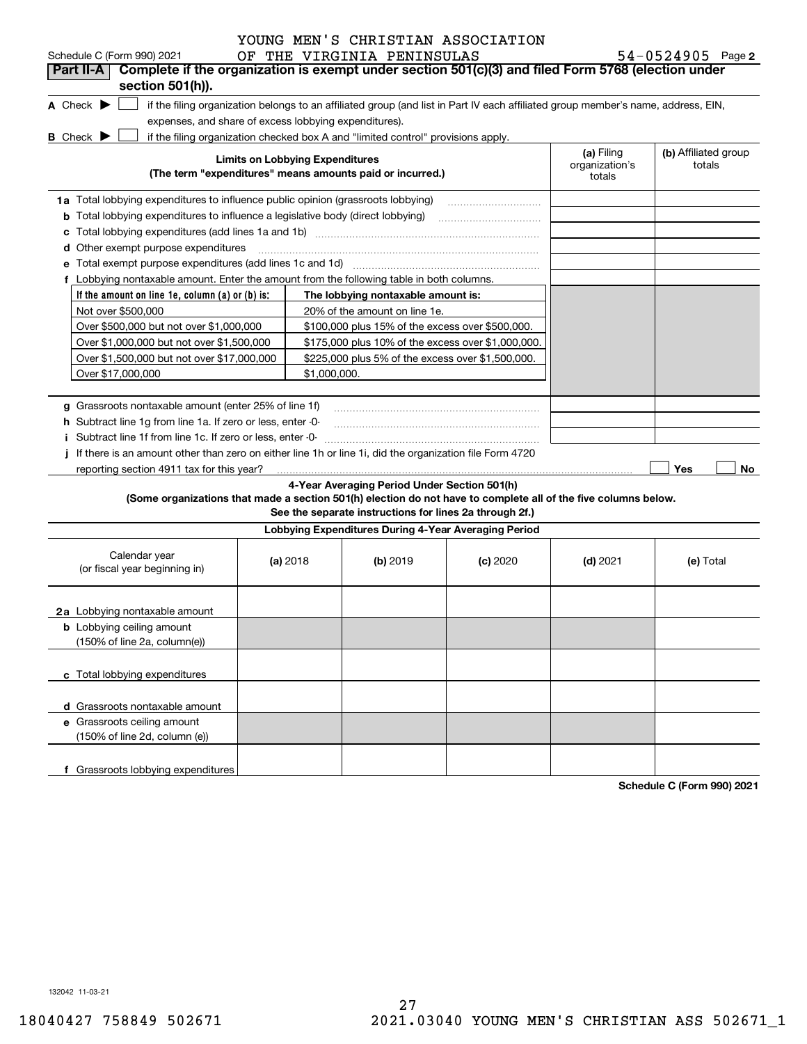| Schedule C (Form 990) 2021<br>Complete if the organization is exempt under section 501(c)(3) and filed Form 5768 (election under<br>Part II-A<br>section 501(h)).    |                                        | YOUNG MEN'S CHRISTIAN ASSOCIATION<br>OF THE VIRGINIA PENINSULAS                                         |            |                                        | $54 - 0524905$ Page 2          |
|----------------------------------------------------------------------------------------------------------------------------------------------------------------------|----------------------------------------|---------------------------------------------------------------------------------------------------------|------------|----------------------------------------|--------------------------------|
| A Check $\blacktriangleright$<br>if the filing organization belongs to an affiliated group (and list in Part IV each affiliated group member's name, address, EIN,   |                                        |                                                                                                         |            |                                        |                                |
| expenses, and share of excess lobbying expenditures).                                                                                                                |                                        |                                                                                                         |            |                                        |                                |
| <b>B</b> Check $\blacktriangleright$<br>if the filing organization checked box A and "limited control" provisions apply.                                             |                                        |                                                                                                         |            |                                        |                                |
| (The term "expenditures" means amounts paid or incurred.)                                                                                                            | <b>Limits on Lobbying Expenditures</b> |                                                                                                         |            | (a) Filing<br>organization's<br>totals | (b) Affiliated group<br>totals |
| <b>1a</b> Total lobbying expenditures to influence public opinion (grassroots lobbying)                                                                              |                                        |                                                                                                         |            |                                        |                                |
| <b>b</b> Total lobbying expenditures to influence a legislative body (direct lobbying)                                                                               |                                        |                                                                                                         |            |                                        |                                |
|                                                                                                                                                                      |                                        |                                                                                                         |            |                                        |                                |
| Other exempt purpose expenditures                                                                                                                                    |                                        |                                                                                                         |            |                                        |                                |
| е                                                                                                                                                                    |                                        |                                                                                                         |            |                                        |                                |
| f Lobbying nontaxable amount. Enter the amount from the following table in both columns.                                                                             |                                        |                                                                                                         |            |                                        |                                |
| If the amount on line 1e, column $(a)$ or $(b)$ is:                                                                                                                  |                                        | The lobbying nontaxable amount is:                                                                      |            |                                        |                                |
| Not over \$500,000                                                                                                                                                   |                                        | 20% of the amount on line 1e.                                                                           |            |                                        |                                |
| Over \$500,000 but not over \$1,000,000                                                                                                                              |                                        | \$100,000 plus 15% of the excess over \$500,000.                                                        |            |                                        |                                |
| Over \$1,000,000 but not over \$1,500,000                                                                                                                            |                                        | \$175,000 plus 10% of the excess over \$1,000,000.                                                      |            |                                        |                                |
| Over \$1,500,000 but not over \$17,000,000                                                                                                                           |                                        | \$225,000 plus 5% of the excess over \$1,500,000.                                                       |            |                                        |                                |
| Over \$17,000,000                                                                                                                                                    | \$1,000,000.                           |                                                                                                         |            |                                        |                                |
| g Grassroots nontaxable amount (enter 25% of line 1f)                                                                                                                |                                        |                                                                                                         |            |                                        |                                |
| h Subtract line 1g from line 1a. If zero or less, enter -0-                                                                                                          |                                        |                                                                                                         |            |                                        |                                |
| i Subtract line 1f from line 1c. If zero or less, enter 0<br>If there is an amount other than zero on either line 1h or line 1i, did the organization file Form 4720 |                                        |                                                                                                         |            |                                        |                                |
| reporting section 4911 tax for this year?                                                                                                                            |                                        |                                                                                                         |            |                                        | Yes<br>No                      |
| (Some organizations that made a section 501(h) election do not have to complete all of the five columns below.                                                       |                                        | 4-Year Averaging Period Under Section 501(h)<br>See the separate instructions for lines 2a through 2f.) |            |                                        |                                |
|                                                                                                                                                                      |                                        | Lobbying Expenditures During 4-Year Averaging Period                                                    |            |                                        |                                |
| Calendar year<br>(or fiscal year beginning in)                                                                                                                       | (a) 2018                               | $(b)$ 2019                                                                                              | $(c)$ 2020 | $(d)$ 2021                             | (e) Total                      |
| <b>2a</b> Lobbying nontaxable amount                                                                                                                                 |                                        |                                                                                                         |            |                                        |                                |
| <b>b</b> Lobbying ceiling amount<br>(150% of line 2a, column(e))                                                                                                     |                                        |                                                                                                         |            |                                        |                                |
| c Total lobbying expenditures                                                                                                                                        |                                        |                                                                                                         |            |                                        |                                |
| d Grassroots nontaxable amount                                                                                                                                       |                                        |                                                                                                         |            |                                        |                                |
| e Grassroots ceiling amount<br>(150% of line 2d, column (e))                                                                                                         |                                        |                                                                                                         |            |                                        |                                |
| f Grassroots lobbying expenditures                                                                                                                                   |                                        |                                                                                                         |            |                                        | Schodule C (Form 000) 2021     |

**Schedule C (Form 990) 2021**

132042 11-03-21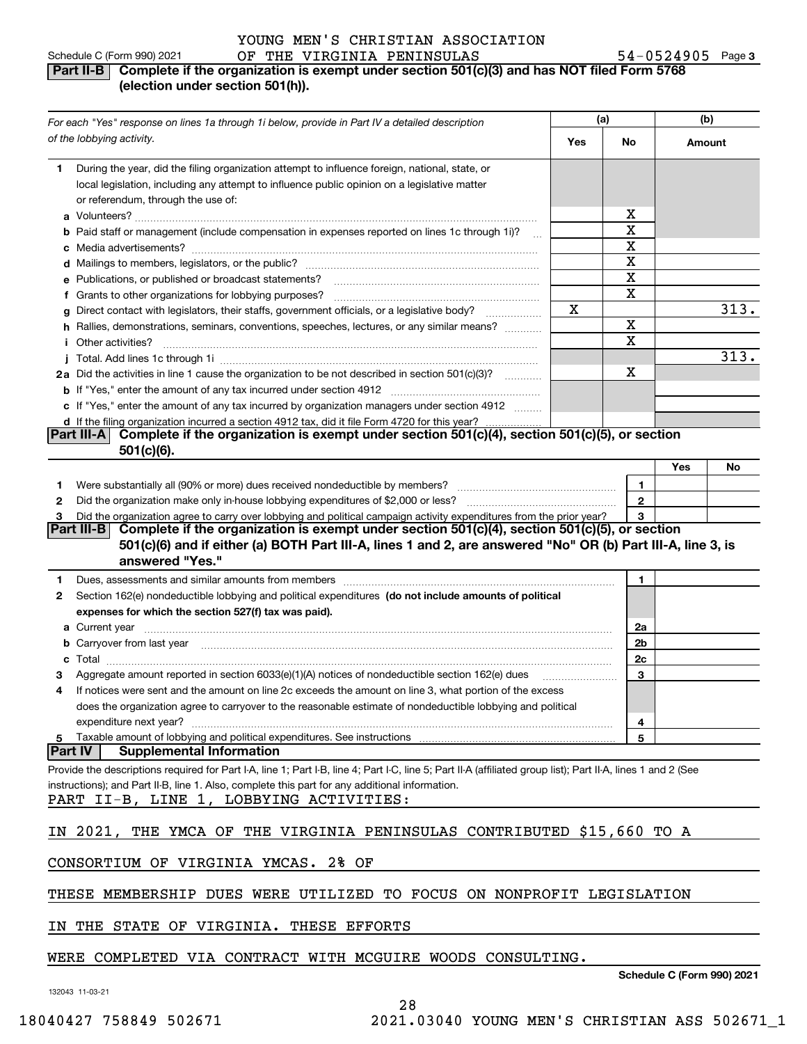#### **Part II-B** Complete if the organization is exempt under section 501(c)(3) and has NOT filed Form 5768 **(election under section 501(h)).**

|                                                                                                | For each "Yes" response on lines 1a through 1i below, provide in Part IV a detailed description                                                                                                                                     | (a) |                         |     | (b)    |
|------------------------------------------------------------------------------------------------|-------------------------------------------------------------------------------------------------------------------------------------------------------------------------------------------------------------------------------------|-----|-------------------------|-----|--------|
| of the lobbying activity.                                                                      |                                                                                                                                                                                                                                     | Yes | No                      |     | Amount |
| 1.                                                                                             | During the year, did the filing organization attempt to influence foreign, national, state, or<br>local legislation, including any attempt to influence public opinion on a legislative matter                                      |     |                         |     |        |
| or referendum, through the use of:                                                             |                                                                                                                                                                                                                                     |     | х                       |     |        |
|                                                                                                |                                                                                                                                                                                                                                     |     | X                       |     |        |
|                                                                                                | <b>b</b> Paid staff or management (include compensation in expenses reported on lines 1c through 1i)?                                                                                                                               |     | X                       |     |        |
|                                                                                                |                                                                                                                                                                                                                                     |     | X                       |     |        |
| e Publications, or published or broadcast statements?                                          |                                                                                                                                                                                                                                     |     | X                       |     |        |
| f Grants to other organizations for lobbying purposes?                                         |                                                                                                                                                                                                                                     |     | $\mathbf X$             |     |        |
|                                                                                                | Direct contact with legislators, their staffs, government officials, or a legislative body?                                                                                                                                         | X   |                         |     | 313.   |
|                                                                                                | h Rallies, demonstrations, seminars, conventions, speeches, lectures, or any similar means?                                                                                                                                         |     | $\mathbf X$             |     |        |
| <i>i</i> Other activities?                                                                     |                                                                                                                                                                                                                                     |     | $\overline{\mathbf{x}}$ |     |        |
|                                                                                                |                                                                                                                                                                                                                                     |     |                         |     | 313.   |
|                                                                                                | 2a Did the activities in line 1 cause the organization to be not described in section 501(c)(3)?                                                                                                                                    |     | X                       |     |        |
|                                                                                                |                                                                                                                                                                                                                                     |     |                         |     |        |
|                                                                                                | c If "Yes," enter the amount of any tax incurred by organization managers under section 4912                                                                                                                                        |     |                         |     |        |
|                                                                                                | d If the filing organization incurred a section 4912 tax, did it file Form 4720 for this year?                                                                                                                                      |     |                         |     |        |
| Part III-A                                                                                     | Complete if the organization is exempt under section 501(c)(4), section 501(c)(5), or section                                                                                                                                       |     |                         |     |        |
| $501(c)(6)$ .                                                                                  |                                                                                                                                                                                                                                     |     |                         |     |        |
|                                                                                                |                                                                                                                                                                                                                                     |     |                         | Yes | No     |
| 1                                                                                              | Were substantially all (90% or more) dues received nondeductible by members?                                                                                                                                                        |     | 1                       |     |        |
| 2                                                                                              | Did the organization make only in-house lobbying expenditures of \$2,000 or less?                                                                                                                                                   |     | $\overline{2}$          |     |        |
| з                                                                                              | Did the organization agree to carry over lobbying and political campaign activity expenditures from the prior year?                                                                                                                 |     | 3                       |     |        |
| Part III-B                                                                                     | Complete if the organization is exempt under section 501(c)(4), section 501(c)(5), or section                                                                                                                                       |     |                         |     |        |
| answered "Yes."                                                                                | 501(c)(6) and if either (a) BOTH Part III-A, lines 1 and 2, are answered "No" OR (b) Part III-A, line 3, is                                                                                                                         |     |                         |     |        |
| 1                                                                                              |                                                                                                                                                                                                                                     |     | 1                       |     |        |
| 2                                                                                              | Section 162(e) nondeductible lobbying and political expenditures (do not include amounts of political                                                                                                                               |     |                         |     |        |
| expenses for which the section 527(f) tax was paid).                                           |                                                                                                                                                                                                                                     |     |                         |     |        |
| а                                                                                              |                                                                                                                                                                                                                                     |     | 2a                      |     |        |
|                                                                                                | <b>b</b> Carryover from last year manufactured and content to content the content of the content of the content of the content of the content of the content of the content of the content of the content of the content of the con |     | 2 <sub>b</sub>          |     |        |
| c                                                                                              |                                                                                                                                                                                                                                     |     | 2c                      |     |        |
| З                                                                                              | Aggregate amount reported in section 6033(e)(1)(A) notices of nondeductible section 162(e) dues                                                                                                                                     |     | 3                       |     |        |
| 4                                                                                              | If notices were sent and the amount on line 2c exceeds the amount on line 3, what portion of the excess                                                                                                                             |     |                         |     |        |
|                                                                                                | does the organization agree to carryover to the reasonable estimate of nondeductible lobbying and political                                                                                                                         |     |                         |     |        |
| expenditure next year?                                                                         |                                                                                                                                                                                                                                     |     | 4                       |     |        |
| Taxable amount of lobbying and political expenditures. See instructions<br>5                   |                                                                                                                                                                                                                                     |     | 5                       |     |        |
| Part IV<br><b>Supplemental Information</b>                                                     |                                                                                                                                                                                                                                     |     |                         |     |        |
|                                                                                                | Provide the descriptions required for Part I-A, line 1; Part I-B, line 4; Part I-C, line 5; Part II-A (affiliated group list); Part II-A, lines 1 and 2 (See                                                                        |     |                         |     |        |
| instructions); and Part II-B, line 1. Also, complete this part for any additional information. |                                                                                                                                                                                                                                     |     |                         |     |        |
| PART II-B, LINE 1, LOBBYING ACTIVITIES:                                                        |                                                                                                                                                                                                                                     |     |                         |     |        |
|                                                                                                |                                                                                                                                                                                                                                     |     |                         |     |        |
|                                                                                                | IN 2021, THE YMCA OF THE VIRGINIA PENINSULAS CONTRIBUTED \$15,660 TO A                                                                                                                                                              |     |                         |     |        |
| CONSORTIUM OF VIRGINIA YMCAS.                                                                  | 2% OF                                                                                                                                                                                                                               |     |                         |     |        |
| MEMBERSHIP DUES WERE UTILIZED<br>THESE                                                         | TO FOCUS ON NONPROFIT LEGISLATION                                                                                                                                                                                                   |     |                         |     |        |
| STATE OF VIRGINIA.<br>THE<br>ти                                                                | THESE EFFORTS                                                                                                                                                                                                                       |     |                         |     |        |
|                                                                                                |                                                                                                                                                                                                                                     |     |                         |     |        |

#### WERE COMPLETED VIA CONTRACT WITH MCGUIRE WOODS CONSULTING.

**Schedule C (Form 990) 2021**

132043 11-03-21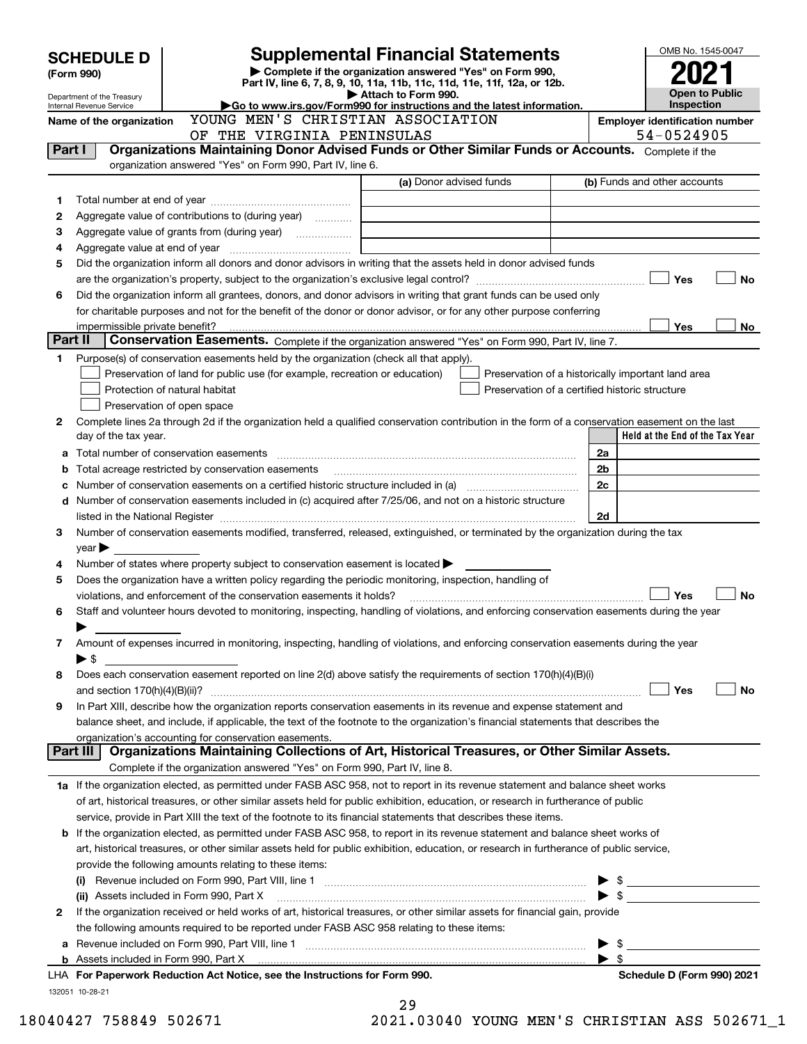|         | <b>SCHEDULE D</b>                                    |                                                                                                        | <b>Supplemental Financial Statements</b>                                                                                                                                                                                                |                                                    | OMB No. 1545-0047                                          |
|---------|------------------------------------------------------|--------------------------------------------------------------------------------------------------------|-----------------------------------------------------------------------------------------------------------------------------------------------------------------------------------------------------------------------------------------|----------------------------------------------------|------------------------------------------------------------|
|         | (Form 990)                                           |                                                                                                        | Complete if the organization answered "Yes" on Form 990,<br>Part IV, line 6, 7, 8, 9, 10, 11a, 11b, 11c, 11d, 11e, 11f, 12a, or 12b.                                                                                                    |                                                    |                                                            |
|         | Department of the Treasury                           |                                                                                                        | Attach to Form 990.                                                                                                                                                                                                                     |                                                    | <b>Open to Public</b>                                      |
|         | Internal Revenue Service<br>Name of the organization | YOUNG MEN'S CHRISTIAN ASSOCIATION                                                                      | Go to www.irs.gov/Form990 for instructions and the latest information.                                                                                                                                                                  |                                                    | <b>Inspection</b><br><b>Employer identification number</b> |
|         |                                                      | OF THE VIRGINIA PENINSULAS                                                                             |                                                                                                                                                                                                                                         |                                                    | 54-0524905                                                 |
| Part I  |                                                      |                                                                                                        | Organizations Maintaining Donor Advised Funds or Other Similar Funds or Accounts. Complete if the                                                                                                                                       |                                                    |                                                            |
|         |                                                      | organization answered "Yes" on Form 990, Part IV, line 6.                                              |                                                                                                                                                                                                                                         |                                                    |                                                            |
|         |                                                      |                                                                                                        | (a) Donor advised funds                                                                                                                                                                                                                 |                                                    | (b) Funds and other accounts                               |
| 1       |                                                      |                                                                                                        |                                                                                                                                                                                                                                         |                                                    |                                                            |
| 2       |                                                      | Aggregate value of contributions to (during year)                                                      |                                                                                                                                                                                                                                         |                                                    |                                                            |
| З       |                                                      |                                                                                                        |                                                                                                                                                                                                                                         |                                                    |                                                            |
| 4       |                                                      |                                                                                                        |                                                                                                                                                                                                                                         |                                                    |                                                            |
| 5       |                                                      |                                                                                                        | Did the organization inform all donors and donor advisors in writing that the assets held in donor advised funds                                                                                                                        |                                                    |                                                            |
|         |                                                      |                                                                                                        |                                                                                                                                                                                                                                         |                                                    | Yes<br>No                                                  |
| 6       |                                                      |                                                                                                        | Did the organization inform all grantees, donors, and donor advisors in writing that grant funds can be used only<br>for charitable purposes and not for the benefit of the donor or donor advisor, or for any other purpose conferring |                                                    |                                                            |
|         |                                                      |                                                                                                        |                                                                                                                                                                                                                                         |                                                    | <b>Yes</b><br>No                                           |
| Part II |                                                      |                                                                                                        | Conservation Easements. Complete if the organization answered "Yes" on Form 990, Part IV, line 7.                                                                                                                                       |                                                    |                                                            |
| 1.      |                                                      | Purpose(s) of conservation easements held by the organization (check all that apply).                  |                                                                                                                                                                                                                                         |                                                    |                                                            |
|         |                                                      | Preservation of land for public use (for example, recreation or education)                             |                                                                                                                                                                                                                                         | Preservation of a historically important land area |                                                            |
|         |                                                      | Protection of natural habitat                                                                          |                                                                                                                                                                                                                                         | Preservation of a certified historic structure     |                                                            |
|         |                                                      | Preservation of open space                                                                             |                                                                                                                                                                                                                                         |                                                    |                                                            |
| 2       |                                                      |                                                                                                        | Complete lines 2a through 2d if the organization held a qualified conservation contribution in the form of a conservation easement on the last                                                                                          |                                                    |                                                            |
|         | day of the tax year.                                 |                                                                                                        |                                                                                                                                                                                                                                         |                                                    | Held at the End of the Tax Year                            |
| а       |                                                      | Total number of conservation easements                                                                 |                                                                                                                                                                                                                                         | 2a                                                 |                                                            |
| b       |                                                      | Total acreage restricted by conservation easements                                                     |                                                                                                                                                                                                                                         | 2 <sub>b</sub>                                     |                                                            |
| с       |                                                      |                                                                                                        |                                                                                                                                                                                                                                         | 2c                                                 |                                                            |
| d       |                                                      |                                                                                                        | Number of conservation easements included in (c) acquired after 7/25/06, and not on a historic structure                                                                                                                                |                                                    |                                                            |
|         |                                                      |                                                                                                        |                                                                                                                                                                                                                                         | 2d                                                 |                                                            |
| З.      |                                                      |                                                                                                        | Number of conservation easements modified, transferred, released, extinguished, or terminated by the organization during the tax                                                                                                        |                                                    |                                                            |
|         | $year \blacktriangleright$                           |                                                                                                        |                                                                                                                                                                                                                                         |                                                    |                                                            |
| 4       |                                                      | Number of states where property subject to conservation easement is located $\blacktriangleright$      |                                                                                                                                                                                                                                         |                                                    |                                                            |
| 5       |                                                      | Does the organization have a written policy regarding the periodic monitoring, inspection, handling of |                                                                                                                                                                                                                                         |                                                    |                                                            |
|         |                                                      | violations, and enforcement of the conservation easements it holds?                                    |                                                                                                                                                                                                                                         |                                                    | Yes<br>No                                                  |
| 6       |                                                      |                                                                                                        | Staff and volunteer hours devoted to monitoring, inspecting, handling of violations, and enforcing conservation easements during the year                                                                                               |                                                    |                                                            |
|         |                                                      |                                                                                                        |                                                                                                                                                                                                                                         |                                                    |                                                            |
| 7       |                                                      |                                                                                                        | Amount of expenses incurred in monitoring, inspecting, handling of violations, and enforcing conservation easements during the year                                                                                                     |                                                    |                                                            |
| 8       | $\blacktriangleright$ \$                             |                                                                                                        | Does each conservation easement reported on line 2(d) above satisfy the requirements of section 170(h)(4)(B)(i)                                                                                                                         |                                                    |                                                            |
|         |                                                      |                                                                                                        |                                                                                                                                                                                                                                         |                                                    | Yes<br>No                                                  |
| 9       |                                                      |                                                                                                        | In Part XIII, describe how the organization reports conservation easements in its revenue and expense statement and                                                                                                                     |                                                    |                                                            |
|         |                                                      |                                                                                                        | balance sheet, and include, if applicable, the text of the footnote to the organization's financial statements that describes the                                                                                                       |                                                    |                                                            |
|         |                                                      | organization's accounting for conservation easements.                                                  |                                                                                                                                                                                                                                         |                                                    |                                                            |
|         | Part III I                                           |                                                                                                        | Organizations Maintaining Collections of Art, Historical Treasures, or Other Similar Assets.                                                                                                                                            |                                                    |                                                            |
|         |                                                      | Complete if the organization answered "Yes" on Form 990, Part IV, line 8.                              |                                                                                                                                                                                                                                         |                                                    |                                                            |
|         |                                                      |                                                                                                        | 1a If the organization elected, as permitted under FASB ASC 958, not to report in its revenue statement and balance sheet works                                                                                                         |                                                    |                                                            |
|         |                                                      |                                                                                                        | of art, historical treasures, or other similar assets held for public exhibition, education, or research in furtherance of public                                                                                                       |                                                    |                                                            |
|         |                                                      |                                                                                                        | service, provide in Part XIII the text of the footnote to its financial statements that describes these items.                                                                                                                          |                                                    |                                                            |
| b       |                                                      |                                                                                                        | If the organization elected, as permitted under FASB ASC 958, to report in its revenue statement and balance sheet works of                                                                                                             |                                                    |                                                            |
|         |                                                      |                                                                                                        | art, historical treasures, or other similar assets held for public exhibition, education, or research in furtherance of public service,                                                                                                 |                                                    |                                                            |
|         |                                                      | provide the following amounts relating to these items:                                                 |                                                                                                                                                                                                                                         |                                                    |                                                            |
|         |                                                      |                                                                                                        | (i) Revenue included on Form 990, Part VIII, line 1 <i>maching communically contained included</i> on Form 990, Part VIII, line 1                                                                                                       | \$                                                 |                                                            |
|         |                                                      | (ii) Assets included in Form 990, Part X                                                               |                                                                                                                                                                                                                                         | $\blacktriangleright$ \$                           |                                                            |
| 2       |                                                      |                                                                                                        | If the organization received or held works of art, historical treasures, or other similar assets for financial gain, provide                                                                                                            |                                                    |                                                            |
|         |                                                      | the following amounts required to be reported under FASB ASC 958 relating to these items:              |                                                                                                                                                                                                                                         |                                                    |                                                            |
| а       |                                                      |                                                                                                        |                                                                                                                                                                                                                                         | \$                                                 |                                                            |
|         |                                                      |                                                                                                        |                                                                                                                                                                                                                                         | - \$                                               |                                                            |
|         |                                                      | LHA For Paperwork Reduction Act Notice, see the Instructions for Form 990.                             |                                                                                                                                                                                                                                         |                                                    | Schedule D (Form 990) 2021                                 |
|         | 132051 10-28-21                                      |                                                                                                        | 29                                                                                                                                                                                                                                      |                                                    |                                                            |
|         |                                                      |                                                                                                        |                                                                                                                                                                                                                                         |                                                    |                                                            |

|  | 18040427 758849 502671 |
|--|------------------------|
|--|------------------------|

|   | 42 | , u |   |   |     |  |
|---|----|-----|---|---|-----|--|
| - |    |     | - | - | . . |  |

71 2021.03040 YOUNG MEN'S CHRISTIAN ASS 502671\_1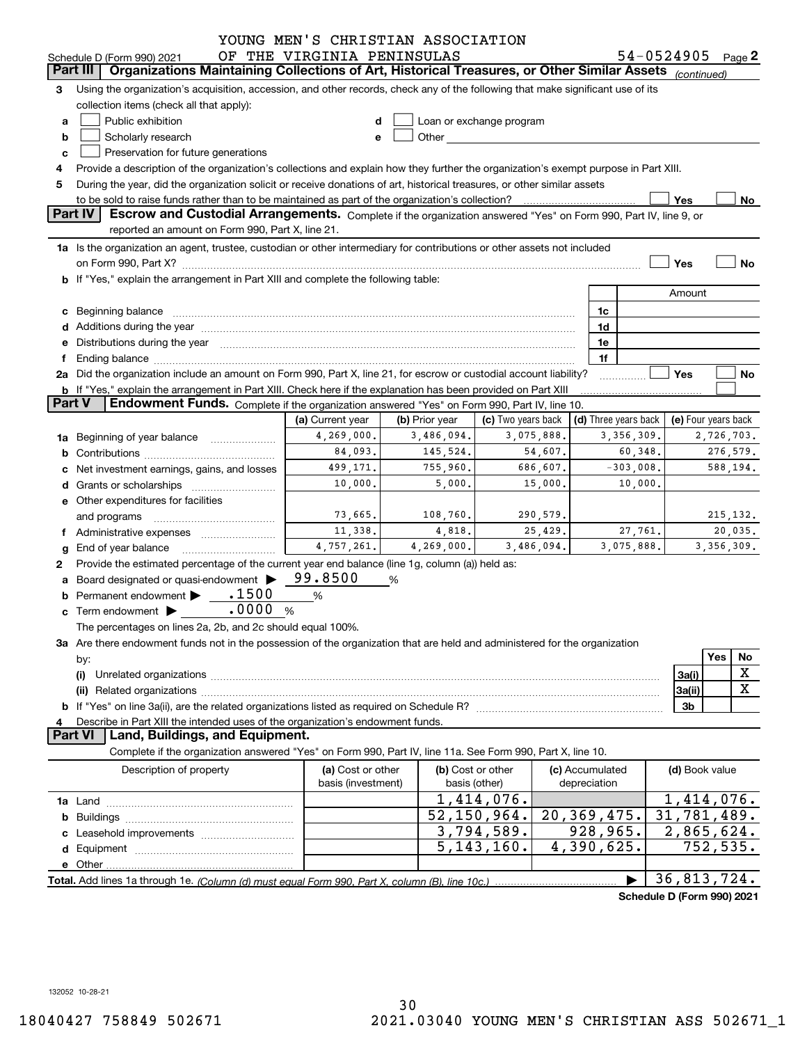|               |                                                                                                                                                                                                                                | YOUNG MEN'S CHRISTIAN ASSOCIATION |                |                                                                                                                                                                                                                                |            |                             |         |                            |     |              |
|---------------|--------------------------------------------------------------------------------------------------------------------------------------------------------------------------------------------------------------------------------|-----------------------------------|----------------|--------------------------------------------------------------------------------------------------------------------------------------------------------------------------------------------------------------------------------|------------|-----------------------------|---------|----------------------------|-----|--------------|
|               | Schedule D (Form 990) 2021                                                                                                                                                                                                     | OF THE VIRGINIA PENINSULAS        |                |                                                                                                                                                                                                                                |            |                             |         | $54 - 0524905$ Page 2      |     |              |
|               | Organizations Maintaining Collections of Art, Historical Treasures, or Other Similar Assets (continued)<br>Part III                                                                                                            |                                   |                |                                                                                                                                                                                                                                |            |                             |         |                            |     |              |
| 3             | Using the organization's acquisition, accession, and other records, check any of the following that make significant use of its<br>collection items (check all that apply):                                                    |                                   |                |                                                                                                                                                                                                                                |            |                             |         |                            |     |              |
| a             | Public exhibition                                                                                                                                                                                                              |                                   |                | Loan or exchange program                                                                                                                                                                                                       |            |                             |         |                            |     |              |
| b             | Scholarly research                                                                                                                                                                                                             |                                   |                | Other the contract of the contract of the contract of the contract of the contract of the contract of the contract of the contract of the contract of the contract of the contract of the contract of the contract of the cont |            |                             |         |                            |     |              |
| c             | Preservation for future generations                                                                                                                                                                                            |                                   |                |                                                                                                                                                                                                                                |            |                             |         |                            |     |              |
| 4             | Provide a description of the organization's collections and explain how they further the organization's exempt purpose in Part XIII.                                                                                           |                                   |                |                                                                                                                                                                                                                                |            |                             |         |                            |     |              |
| 5             | During the year, did the organization solicit or receive donations of art, historical treasures, or other similar assets                                                                                                       |                                   |                |                                                                                                                                                                                                                                |            |                             |         |                            |     |              |
|               | to be sold to raise funds rather than to be maintained as part of the organization's collection?                                                                                                                               |                                   |                |                                                                                                                                                                                                                                |            |                             |         | Yes                        |     | No           |
|               | <b>Part IV</b><br>Escrow and Custodial Arrangements. Complete if the organization answered "Yes" on Form 990, Part IV, line 9, or                                                                                              |                                   |                |                                                                                                                                                                                                                                |            |                             |         |                            |     |              |
|               | reported an amount on Form 990, Part X, line 21.                                                                                                                                                                               |                                   |                |                                                                                                                                                                                                                                |            |                             |         |                            |     |              |
|               |                                                                                                                                                                                                                                |                                   |                |                                                                                                                                                                                                                                |            |                             |         |                            |     |              |
|               | 1a Is the organization an agent, trustee, custodian or other intermediary for contributions or other assets not included                                                                                                       |                                   |                |                                                                                                                                                                                                                                |            |                             |         |                            |     |              |
|               |                                                                                                                                                                                                                                |                                   |                |                                                                                                                                                                                                                                |            |                             |         | Yes                        |     | <b>No</b>    |
|               | b If "Yes," explain the arrangement in Part XIII and complete the following table:                                                                                                                                             |                                   |                |                                                                                                                                                                                                                                |            |                             |         |                            |     |              |
|               |                                                                                                                                                                                                                                |                                   |                |                                                                                                                                                                                                                                |            |                             |         | Amount                     |     |              |
|               | c Beginning balance measurements and the state of the state of the state of the state of the state of the state of the state of the state of the state of the state of the state of the state of the state of the state of the |                                   |                |                                                                                                                                                                                                                                |            | 1c                          |         |                            |     |              |
|               |                                                                                                                                                                                                                                |                                   |                |                                                                                                                                                                                                                                |            | 1d                          |         |                            |     |              |
|               | e Distributions during the year manufactured and contained and contained and contained and contained and contained and contained and contained and contained and contained and contained and contained and contained and conta |                                   |                |                                                                                                                                                                                                                                |            | 1e                          |         |                            |     |              |
| f             | Ending balance manufactured and contract and contract and contract and contract and contract and contract and                                                                                                                  |                                   |                |                                                                                                                                                                                                                                |            | 1f                          |         |                            |     |              |
|               | 2a Did the organization include an amount on Form 990, Part X, line 21, for escrow or custodial account liability?                                                                                                             |                                   |                |                                                                                                                                                                                                                                |            | .                           |         | Yes                        |     | No           |
|               | <b>b</b> If "Yes," explain the arrangement in Part XIII. Check here if the explanation has been provided on Part XIII                                                                                                          |                                   |                |                                                                                                                                                                                                                                |            |                             |         |                            |     |              |
| <b>Part V</b> | Endowment Funds. Complete if the organization answered "Yes" on Form 990, Part IV, line 10.                                                                                                                                    |                                   |                |                                                                                                                                                                                                                                |            |                             |         |                            |     |              |
|               |                                                                                                                                                                                                                                | (a) Current year                  | (b) Prior year | (c) Two years back                                                                                                                                                                                                             |            | (d) Three years back        |         | (e) Four years back        |     |              |
|               | 1a Beginning of year balance                                                                                                                                                                                                   | 4,269,000.                        | 3,486,094.     |                                                                                                                                                                                                                                | 3,075,888. | 3,356,309.                  |         |                            |     | 2,726,703.   |
|               |                                                                                                                                                                                                                                | 84,093.                           | 145,524.       |                                                                                                                                                                                                                                | 54,607.    |                             | 60,348. |                            |     | 276,579.     |
|               | c Net investment earnings, gains, and losses                                                                                                                                                                                   | 499,171.                          | 755,960.       |                                                                                                                                                                                                                                | 686,607.   | $-303,008.$                 |         |                            |     | 588,194.     |
|               |                                                                                                                                                                                                                                | 10,000.                           | 5,000.         |                                                                                                                                                                                                                                | 15,000.    |                             | 10,000. |                            |     |              |
|               | e Other expenditures for facilities                                                                                                                                                                                            |                                   |                |                                                                                                                                                                                                                                |            |                             |         |                            |     |              |
|               | and programs                                                                                                                                                                                                                   | 73,665.                           | 108,760.       |                                                                                                                                                                                                                                | 290,579.   |                             |         |                            |     | 215, 132.    |
|               |                                                                                                                                                                                                                                | 11,338.                           | 4,818.         |                                                                                                                                                                                                                                | 25,429.    |                             | 27,761. |                            |     | 20,035.      |
|               | f Administrative expenses <i></i>                                                                                                                                                                                              | 4,757,261.                        | 4,269,000.     |                                                                                                                                                                                                                                | 3,486,094. | 3,075,888.                  |         |                            |     | 3, 356, 309. |
|               | g End of year balance                                                                                                                                                                                                          |                                   |                |                                                                                                                                                                                                                                |            |                             |         |                            |     |              |
| 2             | Provide the estimated percentage of the current year end balance (line 1g, column (a)) held as:                                                                                                                                |                                   |                |                                                                                                                                                                                                                                |            |                             |         |                            |     |              |
|               | a Board designated or quasi-endowment >                                                                                                                                                                                        | 99.8500                           | %              |                                                                                                                                                                                                                                |            |                             |         |                            |     |              |
|               | .1500<br>Permanent endowment                                                                                                                                                                                                   | %                                 |                |                                                                                                                                                                                                                                |            |                             |         |                            |     |              |
|               | .0000<br>$\mathbf c$ Term endowment $\blacktriangleright$                                                                                                                                                                      | %                                 |                |                                                                                                                                                                                                                                |            |                             |         |                            |     |              |
|               | The percentages on lines 2a, 2b, and 2c should equal 100%.                                                                                                                                                                     |                                   |                |                                                                                                                                                                                                                                |            |                             |         |                            |     |              |
|               | 3a Are there endowment funds not in the possession of the organization that are held and administered for the organization                                                                                                     |                                   |                |                                                                                                                                                                                                                                |            |                             |         |                            |     |              |
|               | by:                                                                                                                                                                                                                            |                                   |                |                                                                                                                                                                                                                                |            |                             |         |                            | Yes | No           |
|               | (i)                                                                                                                                                                                                                            |                                   |                |                                                                                                                                                                                                                                |            |                             |         | 3a(i)                      |     | X            |
|               |                                                                                                                                                                                                                                |                                   |                |                                                                                                                                                                                                                                |            |                             |         | 3a(ii)                     |     | X            |
|               |                                                                                                                                                                                                                                |                                   |                |                                                                                                                                                                                                                                |            |                             |         | 3b                         |     |              |
|               | Describe in Part XIII the intended uses of the organization's endowment funds.                                                                                                                                                 |                                   |                |                                                                                                                                                                                                                                |            |                             |         |                            |     |              |
|               | Land, Buildings, and Equipment.<br><b>Part VI</b>                                                                                                                                                                              |                                   |                |                                                                                                                                                                                                                                |            |                             |         |                            |     |              |
|               | Complete if the organization answered "Yes" on Form 990, Part IV, line 11a. See Form 990, Part X, line 10.                                                                                                                     |                                   |                |                                                                                                                                                                                                                                |            |                             |         |                            |     |              |
|               | Description of property                                                                                                                                                                                                        | (a) Cost or other                 |                | (b) Cost or other                                                                                                                                                                                                              |            | (c) Accumulated             |         | (d) Book value             |     |              |
|               |                                                                                                                                                                                                                                | basis (investment)                |                | basis (other)                                                                                                                                                                                                                  |            | depreciation                |         |                            |     |              |
|               |                                                                                                                                                                                                                                |                                   |                | 1,414,076.                                                                                                                                                                                                                     |            |                             |         | 1,414,076.                 |     |              |
|               |                                                                                                                                                                                                                                |                                   |                | $\overline{52,150,964}$ .                                                                                                                                                                                                      |            | $\overline{20}$ , 369, 475. |         | 31,781,489.                |     |              |
|               |                                                                                                                                                                                                                                |                                   |                | 3,794,589.                                                                                                                                                                                                                     |            | 928, 965.                   |         | $\overline{2,865,624.}$    |     |              |
|               |                                                                                                                                                                                                                                |                                   |                | 5, 143, 160.                                                                                                                                                                                                                   |            | 4,390,625.                  |         |                            |     | 752,535.     |
|               |                                                                                                                                                                                                                                |                                   |                |                                                                                                                                                                                                                                |            |                             |         |                            |     |              |
|               |                                                                                                                                                                                                                                |                                   |                |                                                                                                                                                                                                                                |            |                             |         | 36,813,724.                |     |              |
|               |                                                                                                                                                                                                                                |                                   |                |                                                                                                                                                                                                                                |            |                             |         |                            |     |              |
|               |                                                                                                                                                                                                                                |                                   |                |                                                                                                                                                                                                                                |            |                             |         | Schedule D (Form 990) 2021 |     |              |

132052 10-28-21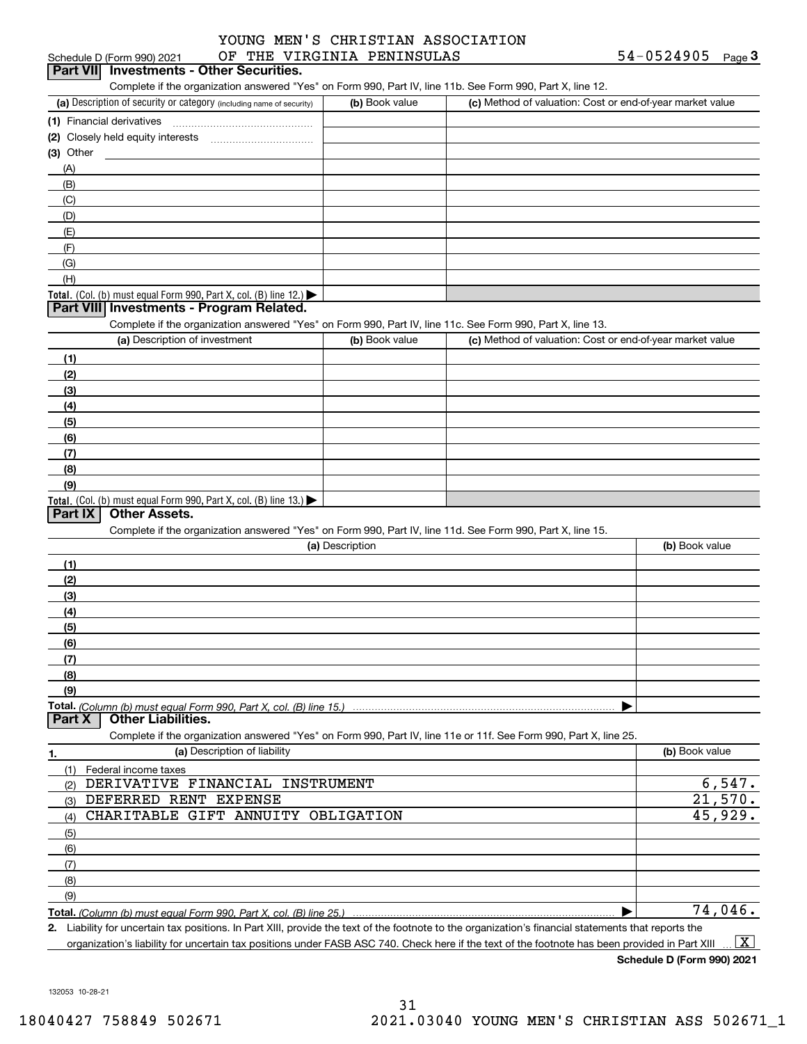# YOUNG MEN'S CHRISTIAN ASSOCIATION

| Schedule D (Form 990) 2021                                                                                        | OF THE VIRGINIA PENINSULAS |                                                           | 54-0524905     | $_{\text{Page}}$ 3 |
|-------------------------------------------------------------------------------------------------------------------|----------------------------|-----------------------------------------------------------|----------------|--------------------|
| <b>Investments - Other Securities.</b><br><b>Part VII</b>                                                         |                            |                                                           |                |                    |
| Complete if the organization answered "Yes" on Form 990, Part IV, line 11b. See Form 990, Part X, line 12.        |                            |                                                           |                |                    |
| (a) Description of security or category (including name of security)                                              | (b) Book value             | (c) Method of valuation: Cost or end-of-year market value |                |                    |
| (1) Financial derivatives                                                                                         |                            |                                                           |                |                    |
| (2)                                                                                                               |                            |                                                           |                |                    |
| $(3)$ Other                                                                                                       |                            |                                                           |                |                    |
| (A)                                                                                                               |                            |                                                           |                |                    |
| (B)                                                                                                               |                            |                                                           |                |                    |
| (C)                                                                                                               |                            |                                                           |                |                    |
| (D)                                                                                                               |                            |                                                           |                |                    |
| (E)                                                                                                               |                            |                                                           |                |                    |
| (F)                                                                                                               |                            |                                                           |                |                    |
| (G)                                                                                                               |                            |                                                           |                |                    |
| (H)                                                                                                               |                            |                                                           |                |                    |
| Total. (Col. (b) must equal Form 990, Part X, col. (B) line 12.)                                                  |                            |                                                           |                |                    |
| Part VIII Investments - Program Related.                                                                          |                            |                                                           |                |                    |
| Complete if the organization answered "Yes" on Form 990, Part IV, line 11c. See Form 990, Part X, line 13.        |                            |                                                           |                |                    |
| (a) Description of investment                                                                                     | (b) Book value             | (c) Method of valuation: Cost or end-of-year market value |                |                    |
| (1)                                                                                                               |                            |                                                           |                |                    |
| (2)                                                                                                               |                            |                                                           |                |                    |
| (3)                                                                                                               |                            |                                                           |                |                    |
| (4)                                                                                                               |                            |                                                           |                |                    |
| (5)                                                                                                               |                            |                                                           |                |                    |
| (6)                                                                                                               |                            |                                                           |                |                    |
| (7)                                                                                                               |                            |                                                           |                |                    |
| (8)                                                                                                               |                            |                                                           |                |                    |
| (9)                                                                                                               |                            |                                                           |                |                    |
| <b>Total.</b> (Col. (b) must equal Form 990, Part X, col. (B) line $13.$                                          |                            |                                                           |                |                    |
| <b>Other Assets.</b><br>Part IX                                                                                   |                            |                                                           |                |                    |
| Complete if the organization answered "Yes" on Form 990, Part IV, line 11d. See Form 990, Part X, line 15.        |                            |                                                           |                |                    |
|                                                                                                                   | (a) Description            |                                                           | (b) Book value |                    |
| (1)                                                                                                               |                            |                                                           |                |                    |
| (2)                                                                                                               |                            |                                                           |                |                    |
|                                                                                                                   |                            |                                                           |                |                    |
| (3)                                                                                                               |                            |                                                           |                |                    |
| (4)                                                                                                               |                            |                                                           |                |                    |
| (5)                                                                                                               |                            |                                                           |                |                    |
| (6)                                                                                                               |                            |                                                           |                |                    |
| (7)                                                                                                               |                            |                                                           |                |                    |
| (8)                                                                                                               |                            |                                                           |                |                    |
| (9)                                                                                                               |                            |                                                           |                |                    |
| <b>Other Liabilities.</b><br>Part X                                                                               |                            |                                                           |                |                    |
|                                                                                                                   |                            |                                                           |                |                    |
| Complete if the organization answered "Yes" on Form 990, Part IV, line 11e or 11f. See Form 990, Part X, line 25. |                            |                                                           |                |                    |
| (a) Description of liability<br>1.                                                                                |                            |                                                           | (b) Book value |                    |
| Federal income taxes<br>(1)                                                                                       |                            |                                                           |                |                    |
| DERIVATIVE FINANCIAL INSTRUMENT<br>(2)                                                                            |                            |                                                           |                | 6,547.             |
| DEFERRED RENT EXPENSE<br>(3)                                                                                      |                            |                                                           | 21,570.        |                    |
| CHARITABLE GIFT ANNUITY OBLIGATION<br>(4)                                                                         |                            |                                                           | 45,929.        |                    |
| (5)                                                                                                               |                            |                                                           |                |                    |
| (6)                                                                                                               |                            |                                                           |                |                    |
| (7)                                                                                                               |                            |                                                           |                |                    |
|                                                                                                                   |                            |                                                           |                |                    |
| (8)                                                                                                               |                            |                                                           |                |                    |
| (9)                                                                                                               |                            |                                                           | 74,046.        |                    |

**2.** Liability for uncertain tax positions. In Part XIII, provide the text of the footnote to the organization's financial statements that reports the organization's liability for uncertain tax positions under FASB ASC 740. Check here if the text of the footnote has been provided in Part XIII  $\boxed{\text{X}}$ 

**Schedule D (Form 990) 2021**

132053 10-28-21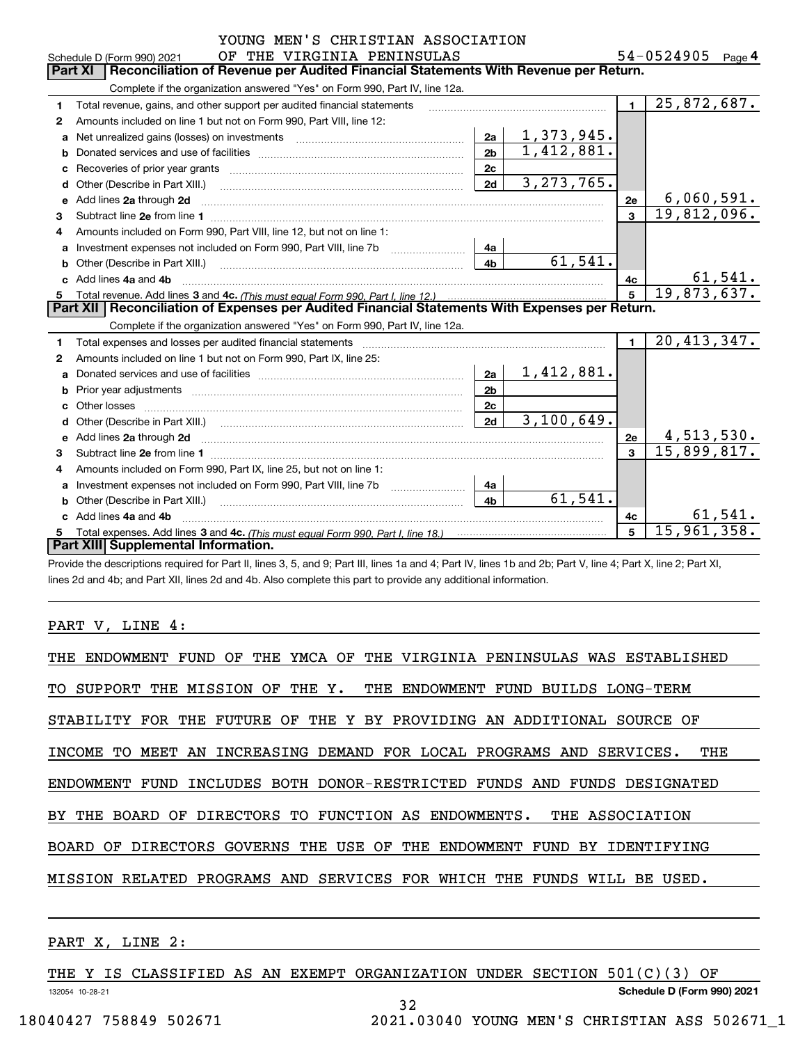|   | YOUNG MEN'S CHRISTIAN ASSOCIATION                                                                                                                                                                                         |                |              |                |                       |
|---|---------------------------------------------------------------------------------------------------------------------------------------------------------------------------------------------------------------------------|----------------|--------------|----------------|-----------------------|
|   | OF THE VIRGINIA PENINSULAS<br>Schedule D (Form 990) 2021                                                                                                                                                                  |                |              |                | $54 - 0524905$ Page 4 |
|   | Reconciliation of Revenue per Audited Financial Statements With Revenue per Return.<br><b>Part XI</b>                                                                                                                     |                |              |                |                       |
|   | Complete if the organization answered "Yes" on Form 990, Part IV, line 12a.                                                                                                                                               |                |              |                |                       |
| 1 | Total revenue, gains, and other support per audited financial statements                                                                                                                                                  |                |              | $\blacksquare$ | 25,872,687.           |
| 2 | Amounts included on line 1 but not on Form 990, Part VIII, line 12:                                                                                                                                                       |                |              |                |                       |
| a | Net unrealized gains (losses) on investments [11] matter contracts and in the unrealized matter stress on investments and the unrealized matter stress and the unrealized matter stress and the unrealized matter stress. | 2a             | 1,373,945.   |                |                       |
| b |                                                                                                                                                                                                                           | 2 <sub>b</sub> | 1,412,881.   |                |                       |
| c |                                                                                                                                                                                                                           | 2c             |              |                |                       |
| d | Other (Describe in Part XIII.)                                                                                                                                                                                            | 2d             | 3, 273, 765. |                |                       |
| е | Add lines 2a through 2d                                                                                                                                                                                                   |                |              | 2е             | 6,060,591.            |
| 3 |                                                                                                                                                                                                                           |                |              | 3              | 19,812,096.           |
| 4 | Amounts included on Form 990, Part VIII, line 12, but not on line 1:                                                                                                                                                      |                |              |                |                       |
| a | Investment expenses not included on Form 990, Part VIII, line 7b [1000000000000000000000000000000000                                                                                                                      | 4a             |              |                |                       |
| b | Other (Describe in Part XIII.) <b>Construction Contract Construction</b> Chemistry Chemistry Chemistry Chemistry Chemistry                                                                                                | 4 <sub>b</sub> | 61,541.      |                |                       |
|   | c Add lines 4a and 4b                                                                                                                                                                                                     |                |              | 4c             | 61,541.               |
| 5 |                                                                                                                                                                                                                           |                |              | 5              | 19,873,637.           |
|   | Part XII   Reconciliation of Expenses per Audited Financial Statements With Expenses per Return.                                                                                                                          |                |              |                |                       |
|   | Complete if the organization answered "Yes" on Form 990, Part IV, line 12a.                                                                                                                                               |                |              |                |                       |
| 1 |                                                                                                                                                                                                                           |                |              | $\blacksquare$ | 20,413,347.           |
| 2 | Amounts included on line 1 but not on Form 990, Part IX, line 25:                                                                                                                                                         |                |              |                |                       |
| a |                                                                                                                                                                                                                           | 2a             | 1,412,881.   |                |                       |
| b |                                                                                                                                                                                                                           | 2 <sub>b</sub> |              |                |                       |
|   |                                                                                                                                                                                                                           | 2c             |              |                |                       |
| d |                                                                                                                                                                                                                           | 2d             | 3,100,649.   |                |                       |
|   |                                                                                                                                                                                                                           |                |              | 2e             | 4,513,530.            |
| 3 |                                                                                                                                                                                                                           |                |              | $\mathbf{a}$   | 15,899,817.           |
| 4 | Amounts included on Form 990, Part IX, line 25, but not on line 1:                                                                                                                                                        |                |              |                |                       |
| a | Investment expenses not included on Form 990, Part VIII, line 7b                                                                                                                                                          | 4a             |              |                |                       |
| b |                                                                                                                                                                                                                           | 4 <sub>h</sub> | 61, 541.     |                |                       |
|   | Add lines 4a and 4b                                                                                                                                                                                                       |                |              | 4c             | 61, 541.              |
| 5 |                                                                                                                                                                                                                           |                |              | 5              | 15,961,358.           |
|   | Part XIII Supplemental Information.                                                                                                                                                                                       |                |              |                |                       |

Provide the descriptions required for Part II, lines 3, 5, and 9; Part III, lines 1a and 4; Part IV, lines 1b and 2b; Part V, line 4; Part X, line 2; Part XI, lines 2d and 4b; and Part XII, lines 2d and 4b. Also complete this part to provide any additional information.

#### PART V, LINE 4:

| OF THE YMCA OF THE VIRGINIA PENINSULAS WAS ESTABLISHED<br>THE ENDOWMENT<br>FUND   |
|-----------------------------------------------------------------------------------|
| TO SUPPORT THE MISSION OF THE Y. THE ENDOWMENT FUND<br>BUILDS LONG-TERM           |
| STABILITY FOR THE FUTURE OF THE Y BY PROVIDING AN ADDITIONAL SOURCE OF            |
| MEET AN INCREASING DEMAND FOR LOCAL PROGRAMS AND<br>THE<br>INCOME TO<br>SERVICES. |
| INCLUDES BOTH DONOR-RESTRICTED FUNDS AND FUNDS DESIGNATED<br>ENDOWMENT FUND       |
| BY THE BOARD OF DIRECTORS TO FUNCTION AS ENDOWMENTS. THE ASSOCIATION              |
| BOARD OF DIRECTORS GOVERNS THE USE OF THE ENDOWMENT FUND<br>BY IDENTIFYING        |
| PROGRAMS AND SERVICES FOR WHICH THE FUNDS WILL BE USED.<br>MISSION RELATED        |
|                                                                                   |

#### PART X, LINE 2:

THE Y IS CLASSIFIED AS AN EXEMPT ORGANIZATION UNDER SECTION 501(C)(3) OF

132054 10-28-21

**Schedule D (Form 990) 2021**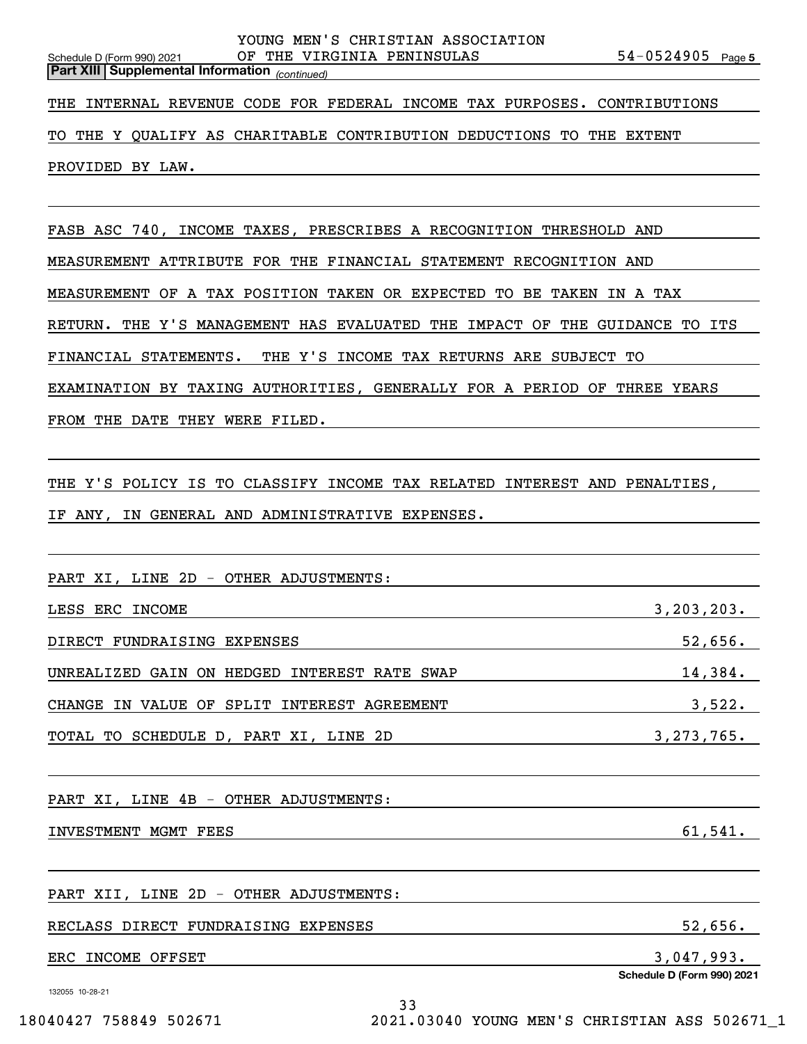|                                                                            | FASB ASC 740, INCOME TAXES, PRESCRIBES A RECOGNITION THRESHOLD AND |
|----------------------------------------------------------------------------|--------------------------------------------------------------------|
| MEASUREMENT ATTRIBUTE FOR THE FINANCIAL STATEMENT RECOGNITION AND          |                                                                    |
| MEASUREMENT OF A TAX POSITION TAKEN OR EXPECTED TO BE TAKEN IN A TAX       |                                                                    |
| RETURN. THE Y'S MANAGEMENT HAS EVALUATED THE IMPACT OF THE GUIDANCE TO ITS |                                                                    |
| FINANCIAL STATEMENTS. THE Y'S INCOME TAX RETURNS ARE SUBJECT TO            |                                                                    |
| EXAMINATION BY TAXING AUTHORITIES, GENERALLY FOR A PERIOD OF THREE YEARS   |                                                                    |
| FROM THE DATE THEY WERE FILED.                                             |                                                                    |
|                                                                            |                                                                    |
| THE Y'S POLICY IS TO CLASSIFY INCOME TAX RELATED INTEREST AND PENALTIES,   |                                                                    |
| IF ANY, IN GENERAL AND ADMINISTRATIVE EXPENSES.                            |                                                                    |
|                                                                            |                                                                    |
| PART XI, LINE 2D - OTHER ADJUSTMENTS:                                      |                                                                    |
| LESS ERC INCOME                                                            | 3, 203, 203.                                                       |
| DIRECT FUNDRAISING EXPENSES                                                | 52,656.                                                            |
| UNREALIZED GAIN ON HEDGED INTEREST RATE SWAP                               | 14,384.                                                            |
| CHANGE IN VALUE OF SPLIT INTEREST AGREEMENT                                | 3,522.                                                             |
| TOTAL TO SCHEDULE D, PART XI, LINE 2D                                      | 3,273,765.                                                         |
|                                                                            |                                                                    |
| PART XI, LINE 4B - OTHER ADJUSTMENTS:                                      |                                                                    |
| INVESTMENT MGMT FEES                                                       | 61,541.                                                            |
|                                                                            |                                                                    |
| PART XII, LINE 2D - OTHER ADJUSTMENTS:                                     |                                                                    |
| RECLASS DIRECT FUNDRAISING EXPENSES                                        | 52,656.                                                            |
| ERC INCOME OFFSET                                                          | 3,047,993.                                                         |
| 132055 10-28-21                                                            | Schedule D (Form 990) 2021                                         |

*(continued)* **Part XIII Supplemental Information**  Schedule D (Form 990) 2021 OF THE VIRGINIA PENINSULAS 54-0524905 Page

TO THE Y QUALIFY AS CHARITABLE CONTRIBUTION DEDUCTIONS TO THE EXTENT

PROVIDED BY LAW.

THE INTERNAL REVENUE CODE FOR FEDERAL INCOME TAX PURPOSES. CONTRIBUTIONS

YOUNG MEN'S CHRISTIAN ASSOCIATION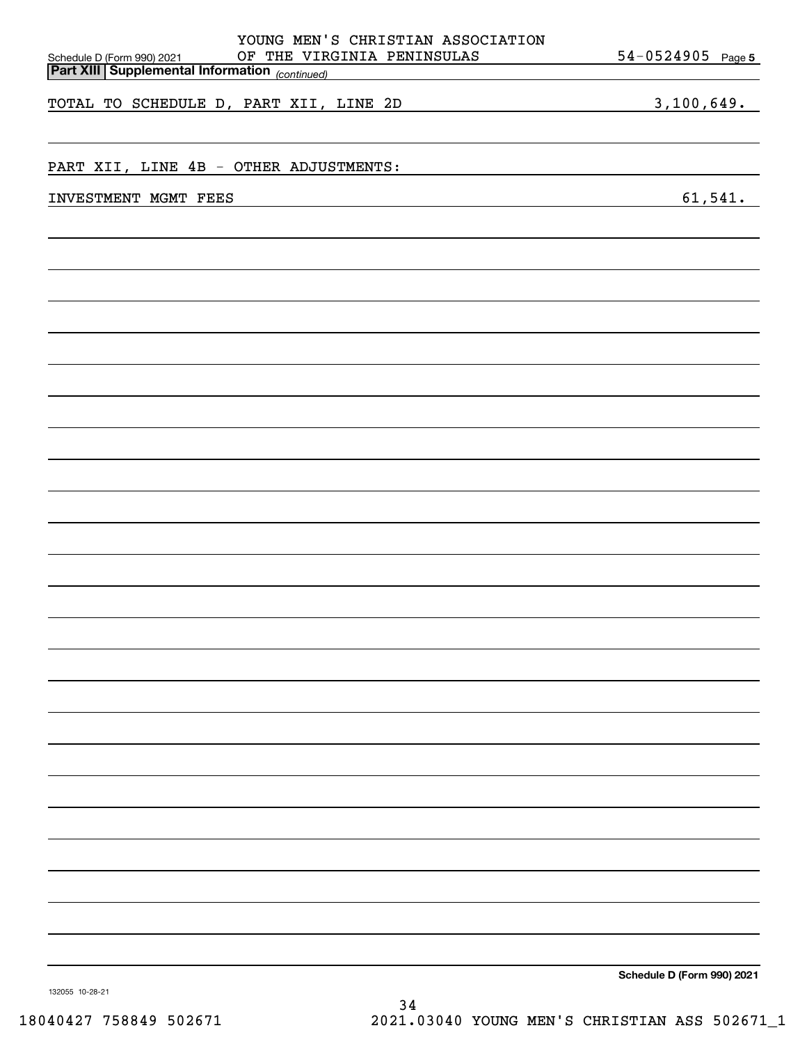| YOUNG MEN'S CHRISTIAN ASSOCIATION<br>OF THE VIRGINIA PENINSULAS                     | $54 - 0524905$ Page 5      |
|-------------------------------------------------------------------------------------|----------------------------|
| Schedule D (Form 990) 2021<br><b>Part XIII Supplemental Information</b> (continued) |                            |
|                                                                                     |                            |
| TOTAL TO SCHEDULE D, PART XII, LINE 2D                                              | 3,100,649.                 |
|                                                                                     |                            |
|                                                                                     |                            |
|                                                                                     |                            |
| PART XII, LINE 4B - OTHER ADJUSTMENTS:                                              |                            |
|                                                                                     |                            |
| INVESTMENT MGMT FEES                                                                | 61,541.                    |
|                                                                                     |                            |
|                                                                                     |                            |
|                                                                                     |                            |
|                                                                                     |                            |
|                                                                                     |                            |
|                                                                                     |                            |
|                                                                                     |                            |
|                                                                                     |                            |
|                                                                                     |                            |
|                                                                                     |                            |
|                                                                                     |                            |
|                                                                                     |                            |
|                                                                                     |                            |
|                                                                                     |                            |
|                                                                                     |                            |
|                                                                                     |                            |
|                                                                                     |                            |
|                                                                                     |                            |
|                                                                                     |                            |
|                                                                                     |                            |
|                                                                                     |                            |
|                                                                                     |                            |
|                                                                                     |                            |
|                                                                                     |                            |
|                                                                                     |                            |
|                                                                                     |                            |
|                                                                                     |                            |
|                                                                                     |                            |
|                                                                                     |                            |
|                                                                                     |                            |
|                                                                                     |                            |
|                                                                                     |                            |
|                                                                                     |                            |
|                                                                                     |                            |
|                                                                                     |                            |
|                                                                                     |                            |
|                                                                                     |                            |
|                                                                                     |                            |
|                                                                                     |                            |
|                                                                                     |                            |
|                                                                                     |                            |
|                                                                                     |                            |
|                                                                                     |                            |
|                                                                                     |                            |
|                                                                                     |                            |
|                                                                                     |                            |
|                                                                                     | Schedule D (Form 990) 2021 |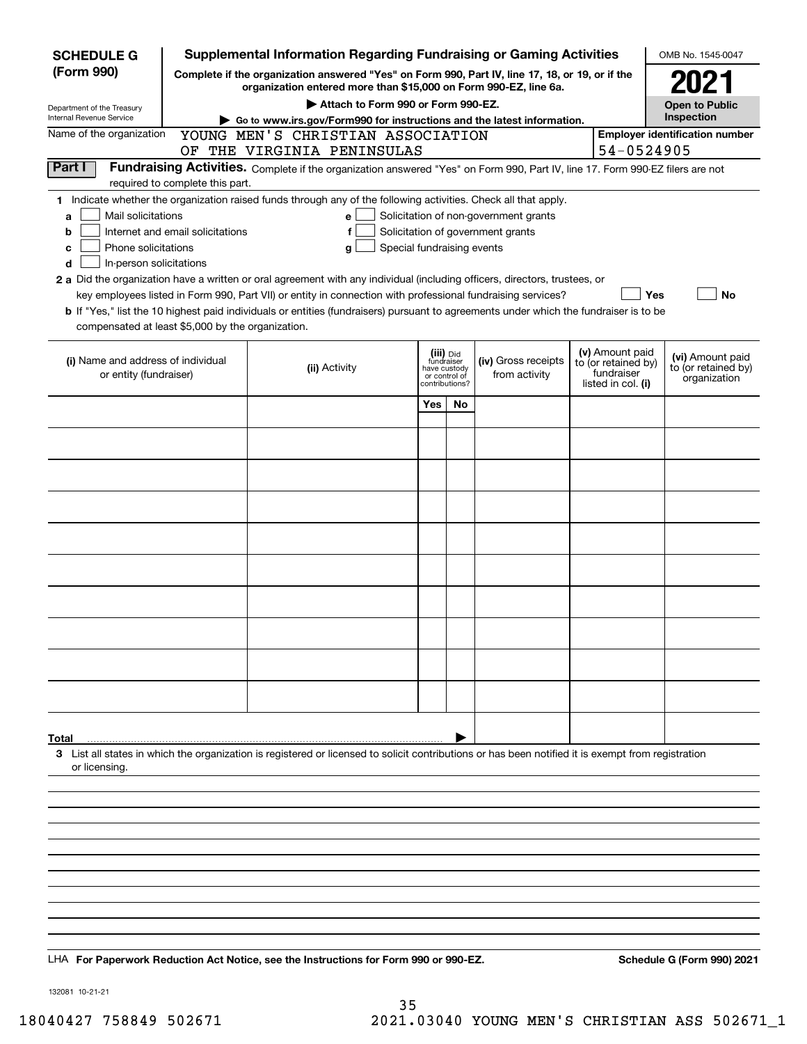| <b>SCHEDULE G</b>                                            | <b>Supplemental Information Regarding Fundraising or Gaming Activities</b> |                                                                                                                                                                     | OMB No. 1545-0047                                         |               |                                                                            |  |                                                         |                                                         |
|--------------------------------------------------------------|----------------------------------------------------------------------------|---------------------------------------------------------------------------------------------------------------------------------------------------------------------|-----------------------------------------------------------|---------------|----------------------------------------------------------------------------|--|---------------------------------------------------------|---------------------------------------------------------|
| (Form 990)                                                   |                                                                            | Complete if the organization answered "Yes" on Form 990, Part IV, line 17, 18, or 19, or if the<br>organization entered more than \$15,000 on Form 990-EZ, line 6a. |                                                           |               |                                                                            |  |                                                         | 2021                                                    |
|                                                              |                                                                            | Attach to Form 990 or Form 990-EZ.                                                                                                                                  |                                                           |               |                                                                            |  |                                                         | <b>Open to Public</b>                                   |
| Department of the Treasury<br>Internal Revenue Service       |                                                                            | Go to www.irs.gov/Form990 for instructions and the latest information.                                                                                              |                                                           |               |                                                                            |  |                                                         | Inspection                                              |
| Name of the organization                                     |                                                                            | YOUNG MEN'S CHRISTIAN ASSOCIATION<br>OF THE VIRGINIA PENINSULAS                                                                                                     |                                                           |               |                                                                            |  | 54-0524905                                              | <b>Employer identification number</b>                   |
| Part I                                                       |                                                                            | Fundraising Activities. Complete if the organization answered "Yes" on Form 990, Part IV, line 17. Form 990-EZ filers are not                                       |                                                           |               |                                                                            |  |                                                         |                                                         |
|                                                              | required to complete this part.                                            | 1 Indicate whether the organization raised funds through any of the following activities. Check all that apply.                                                     |                                                           |               |                                                                            |  |                                                         |                                                         |
| Mail solicitations<br>a<br>b                                 | Internet and email solicitations                                           | е<br>f                                                                                                                                                              |                                                           |               | Solicitation of non-government grants<br>Solicitation of government grants |  |                                                         |                                                         |
| Phone solicitations<br>с                                     |                                                                            | Special fundraising events<br>g                                                                                                                                     |                                                           |               |                                                                            |  |                                                         |                                                         |
| In-person solicitations<br>d                                 |                                                                            |                                                                                                                                                                     |                                                           |               |                                                                            |  |                                                         |                                                         |
|                                                              |                                                                            | 2 a Did the organization have a written or oral agreement with any individual (including officers, directors, trustees, or                                          |                                                           |               |                                                                            |  |                                                         |                                                         |
|                                                              |                                                                            | key employees listed in Form 990, Part VII) or entity in connection with professional fundraising services?                                                         |                                                           |               |                                                                            |  | Yes                                                     | No                                                      |
| compensated at least \$5,000 by the organization.            |                                                                            | <b>b</b> If "Yes," list the 10 highest paid individuals or entities (fundraisers) pursuant to agreements under which the fundraiser is to be                        |                                                           |               |                                                                            |  |                                                         |                                                         |
|                                                              |                                                                            |                                                                                                                                                                     |                                                           |               |                                                                            |  | (v) Amount paid                                         |                                                         |
| (i) Name and address of individual<br>or entity (fundraiser) |                                                                            | (ii) Activity                                                                                                                                                       | (iii) Did<br>fundraiser<br>have custody<br>contributions? | or control of | (iv) Gross receipts<br>from activity                                       |  | to (or retained by)<br>fundraiser<br>listed in col. (i) | (vi) Amount paid<br>to (or retained by)<br>organization |
|                                                              |                                                                            |                                                                                                                                                                     | Yes                                                       | No.           |                                                                            |  |                                                         |                                                         |
|                                                              |                                                                            |                                                                                                                                                                     |                                                           |               |                                                                            |  |                                                         |                                                         |
|                                                              |                                                                            |                                                                                                                                                                     |                                                           |               |                                                                            |  |                                                         |                                                         |
|                                                              |                                                                            |                                                                                                                                                                     |                                                           |               |                                                                            |  |                                                         |                                                         |
|                                                              |                                                                            |                                                                                                                                                                     |                                                           |               |                                                                            |  |                                                         |                                                         |
|                                                              |                                                                            |                                                                                                                                                                     |                                                           |               |                                                                            |  |                                                         |                                                         |
|                                                              |                                                                            |                                                                                                                                                                     |                                                           |               |                                                                            |  |                                                         |                                                         |
|                                                              |                                                                            |                                                                                                                                                                     |                                                           |               |                                                                            |  |                                                         |                                                         |
|                                                              |                                                                            |                                                                                                                                                                     |                                                           |               |                                                                            |  |                                                         |                                                         |
|                                                              |                                                                            |                                                                                                                                                                     |                                                           |               |                                                                            |  |                                                         |                                                         |
|                                                              |                                                                            |                                                                                                                                                                     |                                                           |               |                                                                            |  |                                                         |                                                         |
|                                                              |                                                                            |                                                                                                                                                                     |                                                           |               |                                                                            |  |                                                         |                                                         |
| Total<br>or licensing.                                       |                                                                            | 3 List all states in which the organization is registered or licensed to solicit contributions or has been notified it is exempt from registration                  |                                                           |               |                                                                            |  |                                                         |                                                         |
|                                                              |                                                                            |                                                                                                                                                                     |                                                           |               |                                                                            |  |                                                         |                                                         |
|                                                              |                                                                            |                                                                                                                                                                     |                                                           |               |                                                                            |  |                                                         |                                                         |
|                                                              |                                                                            |                                                                                                                                                                     |                                                           |               |                                                                            |  |                                                         |                                                         |
|                                                              |                                                                            |                                                                                                                                                                     |                                                           |               |                                                                            |  |                                                         |                                                         |
|                                                              |                                                                            |                                                                                                                                                                     |                                                           |               |                                                                            |  |                                                         |                                                         |
|                                                              |                                                                            |                                                                                                                                                                     |                                                           |               |                                                                            |  |                                                         |                                                         |
|                                                              |                                                                            |                                                                                                                                                                     |                                                           |               |                                                                            |  |                                                         |                                                         |
|                                                              |                                                                            |                                                                                                                                                                     |                                                           |               |                                                                            |  |                                                         |                                                         |
|                                                              |                                                                            | LHA For Paperwork Reduction Act Notice, see the Instructions for Form 990 or 990-EZ.                                                                                |                                                           |               |                                                                            |  |                                                         | Schedule G (Form 990) 2021                              |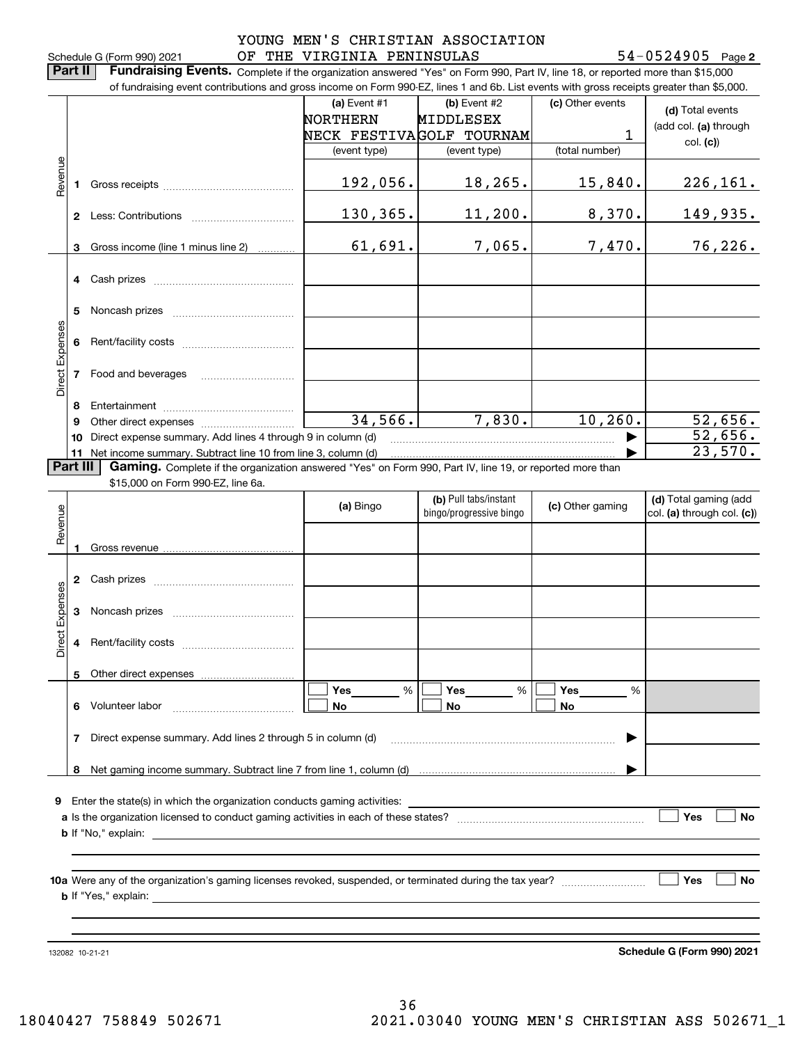|                 |          |                                                                                                                                           |                            | YOUNG MEN'S CHRISTIAN ASSOCIATION                |                  |                                                     |
|-----------------|----------|-------------------------------------------------------------------------------------------------------------------------------------------|----------------------------|--------------------------------------------------|------------------|-----------------------------------------------------|
|                 |          | Schedule G (Form 990) 2021                                                                                                                | OF THE VIRGINIA PENINSULAS |                                                  |                  | 54-0524905 Page 2                                   |
|                 | Part II  | Fundraising Events. Complete if the organization answered "Yes" on Form 990, Part IV, line 18, or reported more than \$15,000             |                            |                                                  |                  |                                                     |
|                 |          | of fundraising event contributions and gross income on Form 990-EZ, lines 1 and 6b. List events with gross receipts greater than \$5,000. | (a) Event #1               | (b) Event #2                                     | (c) Other events |                                                     |
|                 |          |                                                                                                                                           | <b>NORTHERN</b>            | MIDDLESEX                                        |                  | (d) Total events                                    |
|                 |          |                                                                                                                                           |                            | NECK FESTIVAGOLF TOURNAM                         | 1                | (add col. (a) through                               |
|                 |          |                                                                                                                                           | (event type)               | (event type)                                     | (total number)   | col. (c)                                            |
|                 |          |                                                                                                                                           |                            |                                                  |                  |                                                     |
| Revenue         | 1        |                                                                                                                                           | 192,056.                   | 18,265.                                          | 15,840.          | <u>226,161.</u>                                     |
|                 |          |                                                                                                                                           |                            |                                                  |                  |                                                     |
|                 |          |                                                                                                                                           | 130, 365.                  | 11,200.                                          | 8,370.           | <u>149,935.</u>                                     |
|                 |          |                                                                                                                                           |                            |                                                  |                  |                                                     |
|                 | 3        | Gross income (line 1 minus line 2)                                                                                                        | 61,691.                    | 7,065.                                           | 7,470.           | 76, 226.                                            |
|                 |          |                                                                                                                                           |                            |                                                  |                  |                                                     |
|                 |          |                                                                                                                                           |                            |                                                  |                  |                                                     |
|                 | 5        |                                                                                                                                           |                            |                                                  |                  |                                                     |
|                 |          |                                                                                                                                           |                            |                                                  |                  |                                                     |
|                 | 6        |                                                                                                                                           |                            |                                                  |                  |                                                     |
| Direct Expenses |          |                                                                                                                                           |                            |                                                  |                  |                                                     |
|                 | 7        |                                                                                                                                           |                            |                                                  |                  |                                                     |
|                 | 8        |                                                                                                                                           |                            |                                                  |                  |                                                     |
|                 | 9        |                                                                                                                                           | 34,566.                    | 7,830.                                           | 10, 260.         | 52,656.                                             |
|                 | 10       | Direct expense summary. Add lines 4 through 9 in column (d)                                                                               |                            |                                                  |                  | 52,656.                                             |
|                 |          | 11 Net income summary. Subtract line 10 from line 3, column (d)                                                                           |                            |                                                  |                  | 23,570.                                             |
|                 | Part III | Gaming. Complete if the organization answered "Yes" on Form 990, Part IV, line 19, or reported more than                                  |                            |                                                  |                  |                                                     |
|                 |          | \$15,000 on Form 990-EZ, line 6a.                                                                                                         |                            |                                                  |                  |                                                     |
|                 |          |                                                                                                                                           | (a) Bingo                  | (b) Pull tabs/instant<br>bingo/progressive bingo | (c) Other gaming | (d) Total gaming (add<br>col. (a) through col. (c)) |
| Revenue         |          |                                                                                                                                           |                            |                                                  |                  |                                                     |
|                 |          |                                                                                                                                           |                            |                                                  |                  |                                                     |
|                 |          |                                                                                                                                           |                            |                                                  |                  |                                                     |
|                 |          |                                                                                                                                           |                            |                                                  |                  |                                                     |
| ixpenses        |          |                                                                                                                                           |                            |                                                  |                  |                                                     |
|                 | 3        |                                                                                                                                           |                            |                                                  |                  |                                                     |
| Direct E        |          |                                                                                                                                           |                            |                                                  |                  |                                                     |
|                 | 4        |                                                                                                                                           |                            |                                                  |                  |                                                     |
|                 | 5        |                                                                                                                                           |                            |                                                  |                  |                                                     |
|                 |          |                                                                                                                                           | Yes<br>%                   | Yes<br>%                                         | Yes<br>%         |                                                     |
|                 | 6        | Volunteer labor                                                                                                                           | No                         | No                                               | No               |                                                     |
|                 |          |                                                                                                                                           |                            |                                                  |                  |                                                     |
|                 |          | 7 Direct expense summary. Add lines 2 through 5 in column (d)                                                                             |                            |                                                  |                  |                                                     |
|                 | 8        |                                                                                                                                           |                            |                                                  |                  |                                                     |
|                 |          |                                                                                                                                           |                            |                                                  |                  |                                                     |
| 9               |          |                                                                                                                                           |                            |                                                  |                  |                                                     |
|                 |          |                                                                                                                                           |                            |                                                  |                  | Yes<br>No                                           |
|                 |          | <b>b</b> If "No," explain:                                                                                                                |                            |                                                  |                  |                                                     |
|                 |          |                                                                                                                                           |                            |                                                  |                  |                                                     |
|                 |          |                                                                                                                                           |                            |                                                  |                  |                                                     |
|                 |          |                                                                                                                                           |                            |                                                  |                  | Yes<br>No                                           |
|                 |          |                                                                                                                                           |                            |                                                  |                  |                                                     |
|                 |          |                                                                                                                                           |                            |                                                  |                  |                                                     |
|                 |          |                                                                                                                                           |                            |                                                  |                  |                                                     |

132082 10-21-21

**Schedule G (Form 990) 2021**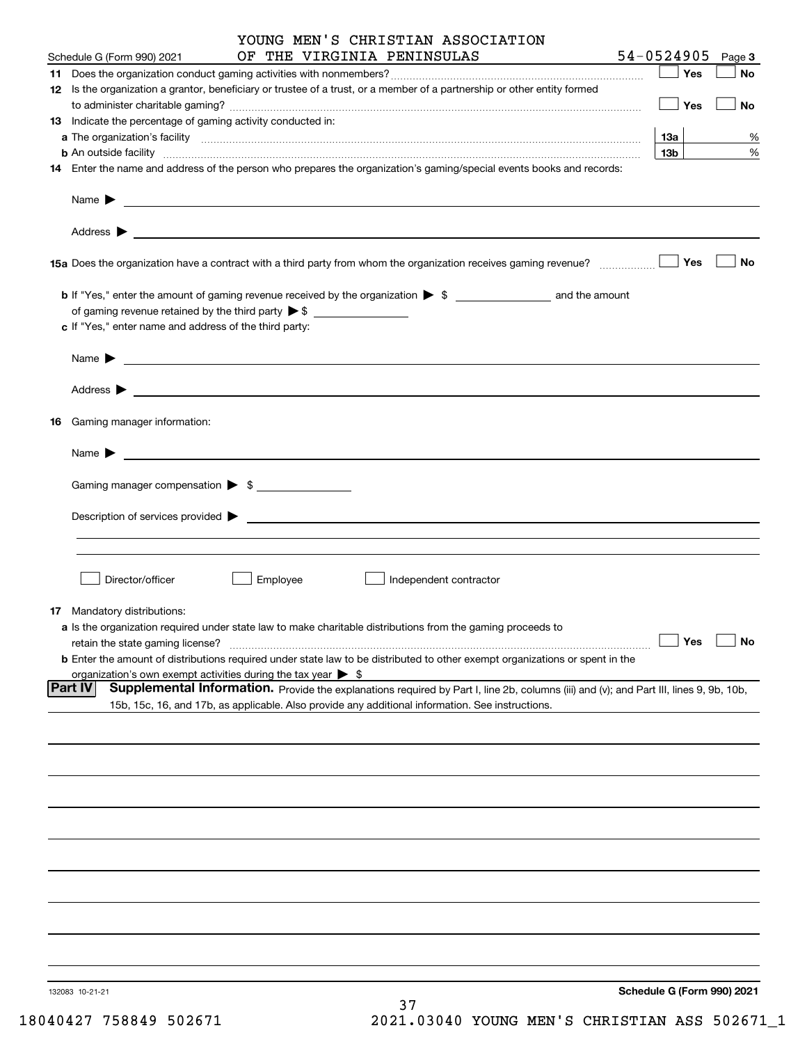| YOUNG MEN'S CHRISTIAN ASSOCIATION                                                                                                                                                                                                                      |                 |            |                            |
|--------------------------------------------------------------------------------------------------------------------------------------------------------------------------------------------------------------------------------------------------------|-----------------|------------|----------------------------|
| OF THE VIRGINIA PENINSULAS<br>Schedule G (Form 990) 2021                                                                                                                                                                                               | 54-0524905      |            | Page 3                     |
| 12 Is the organization a grantor, beneficiary or trustee of a trust, or a member of a partnership or other entity formed                                                                                                                               | $\Box$ Yes      |            | No                         |
|                                                                                                                                                                                                                                                        |                 | $\Box$ Yes | No                         |
| 13 Indicate the percentage of gaming activity conducted in:                                                                                                                                                                                            | ∣ 13a           |            | %                          |
| <b>b</b> An outside facility <i>www.communicality.communicality.communicality www.communicality.communicality.communicality</i>                                                                                                                        | 13 <sub>b</sub> |            | %                          |
| 14 Enter the name and address of the person who prepares the organization's gaming/special events books and records:                                                                                                                                   |                 |            |                            |
|                                                                                                                                                                                                                                                        |                 |            |                            |
|                                                                                                                                                                                                                                                        |                 |            |                            |
|                                                                                                                                                                                                                                                        |                 |            | No                         |
| <b>b</b> If "Yes," enter the amount of gaming revenue received by the organization $\triangleright$ \$                                                                                                                                                 |                 |            |                            |
|                                                                                                                                                                                                                                                        |                 |            |                            |
| c If "Yes," enter name and address of the third party:                                                                                                                                                                                                 |                 |            |                            |
| Name $\blacktriangleright$ $\lrcorner$                                                                                                                                                                                                                 |                 |            |                            |
|                                                                                                                                                                                                                                                        |                 |            |                            |
| 16 Gaming manager information:                                                                                                                                                                                                                         |                 |            |                            |
| Name $\blacktriangleright$ $\lrcorner$                                                                                                                                                                                                                 |                 |            |                            |
| Gaming manager compensation > \$                                                                                                                                                                                                                       |                 |            |                            |
| $Description of services provided$ $\triangleright$                                                                                                                                                                                                    |                 |            |                            |
|                                                                                                                                                                                                                                                        |                 |            |                            |
|                                                                                                                                                                                                                                                        |                 |            |                            |
| Director/officer<br>Employee<br>Independent contractor                                                                                                                                                                                                 |                 |            |                            |
| 17 Mandatory distributions:                                                                                                                                                                                                                            |                 |            |                            |
| a Is the organization required under state law to make charitable distributions from the gaming proceeds to                                                                                                                                            |                 |            |                            |
| retain the state gaming license?<br><b>b</b> Enter the amount of distributions required under state law to be distributed to other exempt organizations or spent in the                                                                                |                 | Yes        | No                         |
| organization's own exempt activities during the tax year $\triangleright$ \$                                                                                                                                                                           |                 |            |                            |
| Supplemental Information. Provide the explanations required by Part I, line 2b, columns (iii) and (v); and Part III, lines 9, 9b, 10b,<br>∣Part IV<br>15b, 15c, 16, and 17b, as applicable. Also provide any additional information. See instructions. |                 |            |                            |
|                                                                                                                                                                                                                                                        |                 |            |                            |
|                                                                                                                                                                                                                                                        |                 |            |                            |
|                                                                                                                                                                                                                                                        |                 |            |                            |
|                                                                                                                                                                                                                                                        |                 |            |                            |
|                                                                                                                                                                                                                                                        |                 |            |                            |
|                                                                                                                                                                                                                                                        |                 |            |                            |
|                                                                                                                                                                                                                                                        |                 |            |                            |
|                                                                                                                                                                                                                                                        |                 |            |                            |
|                                                                                                                                                                                                                                                        |                 |            |                            |
| 132083 10-21-21                                                                                                                                                                                                                                        |                 |            | Schedule G (Form 990) 2021 |
| 37                                                                                                                                                                                                                                                     |                 |            |                            |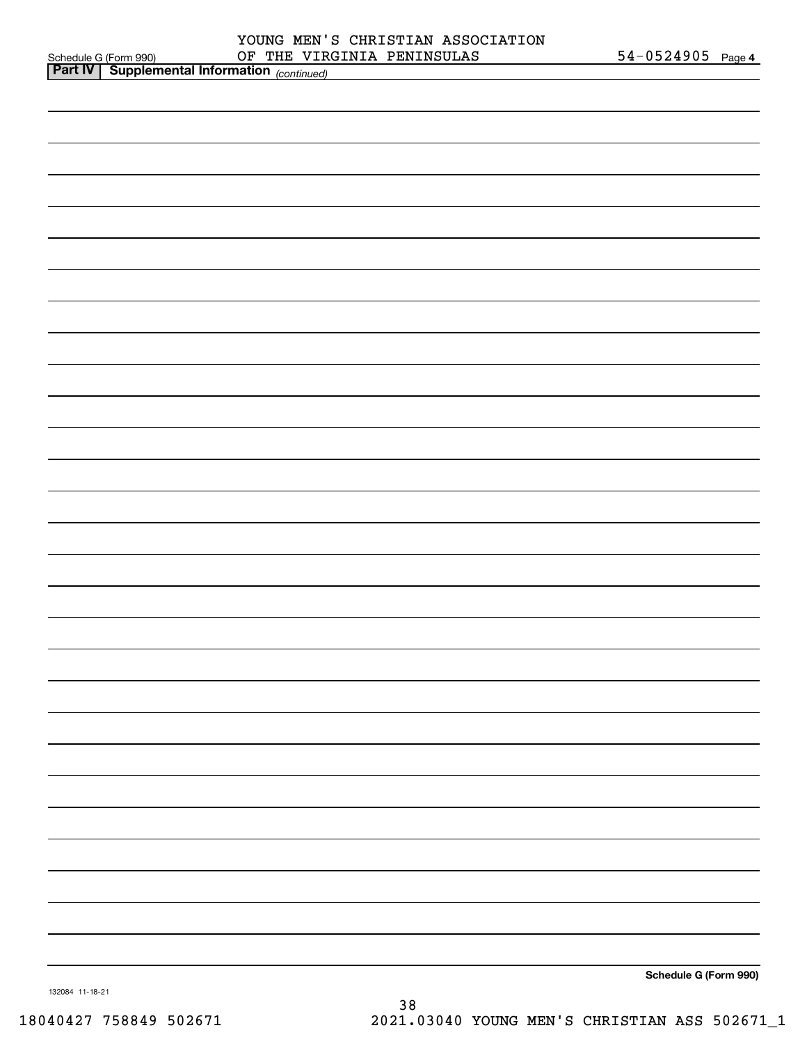| Schedule G (Form 990)                               | YOUNG MEN'S CHRISTIAN ASSOCIATION<br>OF THE VIRGINIA PENINSULAS | 54-0524905 | Page |
|-----------------------------------------------------|-----------------------------------------------------------------|------------|------|
| <b>Part IV Supplemental Information</b> (continued) |                                                                 |            |      |
|                                                     |                                                                 |            |      |
|                                                     |                                                                 |            |      |
|                                                     |                                                                 |            |      |
|                                                     |                                                                 |            |      |
|                                                     |                                                                 |            |      |
|                                                     |                                                                 |            |      |
|                                                     |                                                                 |            |      |
|                                                     |                                                                 |            |      |

**Schedule G (Form 990)**

**4**

132084 11-18-21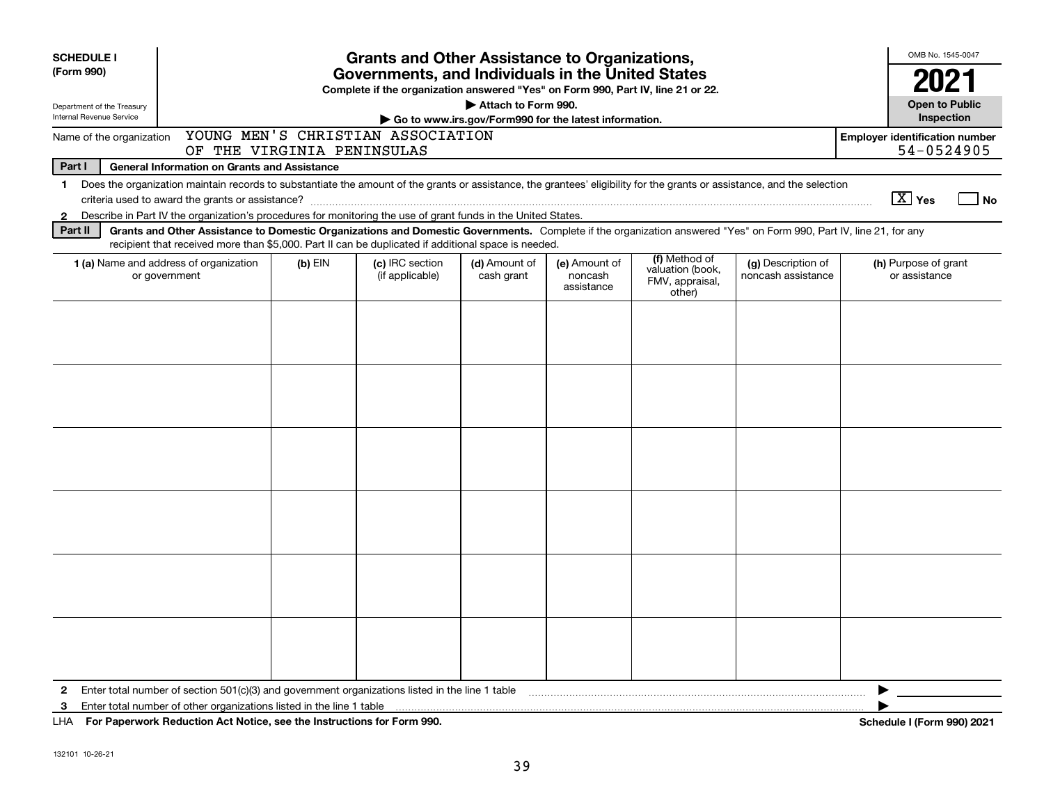| <b>SCHEDULE I</b><br>(Form 990)<br>Department of the Treasury<br>Internal Revenue Service                                                                                                                                                                                                                                 |                            | <b>Grants and Other Assistance to Organizations,</b><br>Governments, and Individuals in the United States<br>Complete if the organization answered "Yes" on Form 990, Part IV, line 21 or 22. | Attach to Form 990.         | Go to www.irs.gov/Form990 for the latest information. |                                                                |                                          | OMB No. 1545-0047<br><b>Open to Public</b><br>Inspection |
|---------------------------------------------------------------------------------------------------------------------------------------------------------------------------------------------------------------------------------------------------------------------------------------------------------------------------|----------------------------|-----------------------------------------------------------------------------------------------------------------------------------------------------------------------------------------------|-----------------------------|-------------------------------------------------------|----------------------------------------------------------------|------------------------------------------|----------------------------------------------------------|
| Name of the organization                                                                                                                                                                                                                                                                                                  | OF THE VIRGINIA PENINSULAS | YOUNG MEN'S CHRISTIAN ASSOCIATION                                                                                                                                                             |                             |                                                       |                                                                |                                          | <b>Employer identification number</b><br>54-0524905      |
| Part I<br><b>General Information on Grants and Assistance</b>                                                                                                                                                                                                                                                             |                            |                                                                                                                                                                                               |                             |                                                       |                                                                |                                          |                                                          |
| Does the organization maintain records to substantiate the amount of the grants or assistance, the grantees' eligibility for the grants or assistance, and the selection<br>$\mathbf{1}$<br>Describe in Part IV the organization's procedures for monitoring the use of grant funds in the United States.<br>$\mathbf{2}$ |                            |                                                                                                                                                                                               |                             |                                                       |                                                                |                                          | $\boxed{\text{X}}$ Yes<br>  No                           |
| Part II<br>Grants and Other Assistance to Domestic Organizations and Domestic Governments. Complete if the organization answered "Yes" on Form 990, Part IV, line 21, for any<br>recipient that received more than \$5,000. Part II can be duplicated if additional space is needed.                                      |                            |                                                                                                                                                                                               |                             |                                                       |                                                                |                                          |                                                          |
| 1 (a) Name and address of organization<br>or government                                                                                                                                                                                                                                                                   | $(b)$ EIN                  | (c) IRC section<br>(if applicable)                                                                                                                                                            | (d) Amount of<br>cash grant | (e) Amount of<br>noncash<br>assistance                | (f) Method of<br>valuation (book,<br>FMV, appraisal,<br>other) | (g) Description of<br>noncash assistance | (h) Purpose of grant<br>or assistance                    |
|                                                                                                                                                                                                                                                                                                                           |                            |                                                                                                                                                                                               |                             |                                                       |                                                                |                                          |                                                          |
|                                                                                                                                                                                                                                                                                                                           |                            |                                                                                                                                                                                               |                             |                                                       |                                                                |                                          |                                                          |
|                                                                                                                                                                                                                                                                                                                           |                            |                                                                                                                                                                                               |                             |                                                       |                                                                |                                          |                                                          |
|                                                                                                                                                                                                                                                                                                                           |                            |                                                                                                                                                                                               |                             |                                                       |                                                                |                                          |                                                          |
|                                                                                                                                                                                                                                                                                                                           |                            |                                                                                                                                                                                               |                             |                                                       |                                                                |                                          |                                                          |
| 2 Enter total number of section 501(c)(3) and government organizations listed in the line 1 table [1, 11] manuman manuman manuman manuman manuman manuman manuman manuman manuman manuman<br>3<br>LLIA Deu Den surrout: Dedication Ant Nation and the Instructions for Form 000                                           |                            |                                                                                                                                                                                               |                             |                                                       |                                                                |                                          | ▶<br>Calconial UFam<br>00010004                          |

**For Paperwork Reduction Act Notice, see the Instructions for Form 990. Schedule I (Form 990) 2021** LHA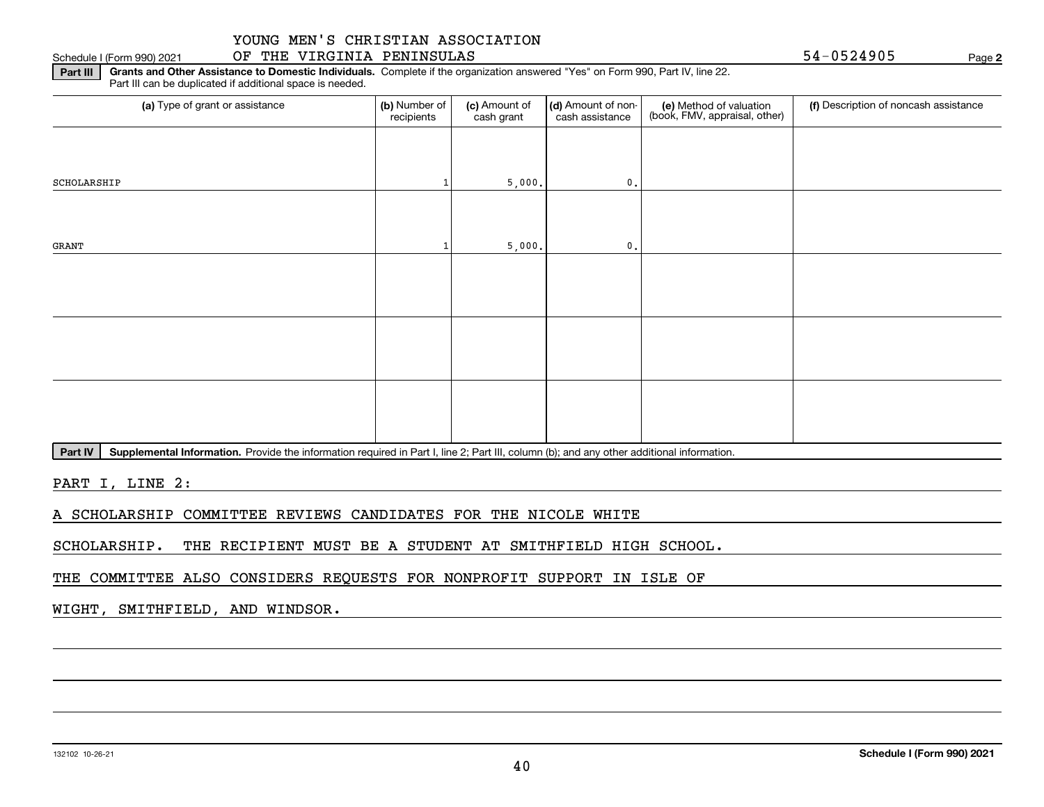#### YOUNG MEN'S CHRISTIAN ASSOCIATION

#### Schedule I (Form 990) 2021 OF THE VIRGINIA PENINSULAS 54-0524905 Page

**2**

**Part III Grants and Other Assistance to Domestic Individuals.**  Complete if the organization answered "Yes" on Form 990, Part IV, line 22. Part III can be duplicated if additional space is needed.

| (a) Type of grant or assistance | (b) Number of<br>recipients | (c) Amount of<br>cash grant | (d) Amount of non-<br>cash assistance | (e) Method of valuation<br>(book, FMV, appraisal, other) | (f) Description of noncash assistance |
|---------------------------------|-----------------------------|-----------------------------|---------------------------------------|----------------------------------------------------------|---------------------------------------|
|                                 |                             |                             |                                       |                                                          |                                       |
| SCHOLARSHIP                     |                             | 5,000.                      | $\mathfrak o$ .                       |                                                          |                                       |
|                                 |                             |                             |                                       |                                                          |                                       |
| GRANT                           |                             | 5,000.                      | $\mathfrak o$ .                       |                                                          |                                       |
|                                 |                             |                             |                                       |                                                          |                                       |
|                                 |                             |                             |                                       |                                                          |                                       |
|                                 |                             |                             |                                       |                                                          |                                       |
|                                 |                             |                             |                                       |                                                          |                                       |
|                                 |                             |                             |                                       |                                                          |                                       |
|                                 |                             |                             |                                       |                                                          |                                       |

Part IV | Supplemental Information. Provide the information required in Part I, line 2; Part III, column (b); and any other additional information.

PART I, LINE 2:

A SCHOLARSHIP COMMITTEE REVIEWS CANDIDATES FOR THE NICOLE WHITE

SCHOLARSHIP. THE RECIPIENT MUST BE A STUDENT AT SMITHFIELD HIGH SCHOOL.

THE COMMITTEE ALSO CONSIDERS REQUESTS FOR NONPROFIT SUPPORT IN ISLE OF

WIGHT, SMITHFIELD, AND WINDSOR.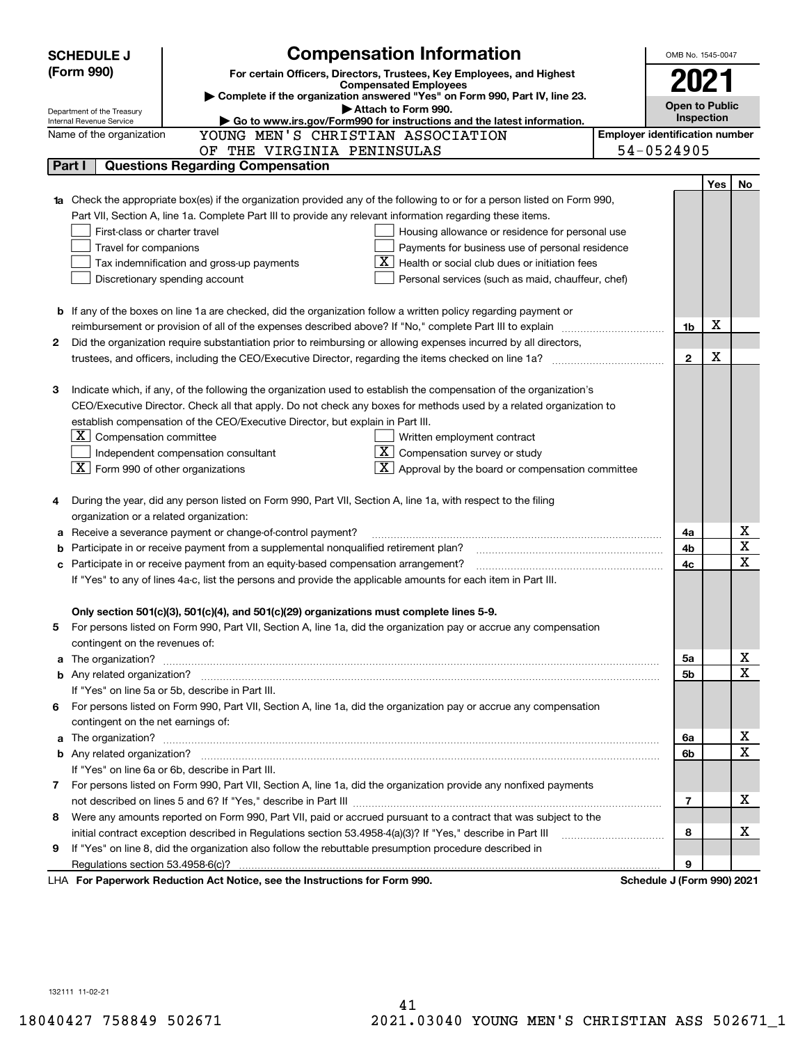|    |                                                                                                                                                                                                                                                                                                                                                                                                                                                                                                                                                                                                                                                                                                                                                                                                                                                                                                                                                                                                                                                                                                                                                                                                                                                                                                                                                                                                                                                                                                                                                                                                                                                                                                                                                                                                                                                                                                                                                                                                                                                                                                                                                                                                                                                                                                                                                                                                                                                                                                                                                                                                                                                                                                                                                                                                                                                                                                                                                                                                                                                                                                                                                                                                                                                                                                                                                                                  |                                                                                                                    |  | OMB No. 1545-0047          |    |                         |
|----|----------------------------------------------------------------------------------------------------------------------------------------------------------------------------------------------------------------------------------------------------------------------------------------------------------------------------------------------------------------------------------------------------------------------------------------------------------------------------------------------------------------------------------------------------------------------------------------------------------------------------------------------------------------------------------------------------------------------------------------------------------------------------------------------------------------------------------------------------------------------------------------------------------------------------------------------------------------------------------------------------------------------------------------------------------------------------------------------------------------------------------------------------------------------------------------------------------------------------------------------------------------------------------------------------------------------------------------------------------------------------------------------------------------------------------------------------------------------------------------------------------------------------------------------------------------------------------------------------------------------------------------------------------------------------------------------------------------------------------------------------------------------------------------------------------------------------------------------------------------------------------------------------------------------------------------------------------------------------------------------------------------------------------------------------------------------------------------------------------------------------------------------------------------------------------------------------------------------------------------------------------------------------------------------------------------------------------------------------------------------------------------------------------------------------------------------------------------------------------------------------------------------------------------------------------------------------------------------------------------------------------------------------------------------------------------------------------------------------------------------------------------------------------------------------------------------------------------------------------------------------------------------------------------------------------------------------------------------------------------------------------------------------------------------------------------------------------------------------------------------------------------------------------------------------------------------------------------------------------------------------------------------------------------------------------------------------------------------------------------------------------|--------------------------------------------------------------------------------------------------------------------|--|----------------------------|----|-------------------------|
|    |                                                                                                                                                                                                                                                                                                                                                                                                                                                                                                                                                                                                                                                                                                                                                                                                                                                                                                                                                                                                                                                                                                                                                                                                                                                                                                                                                                                                                                                                                                                                                                                                                                                                                                                                                                                                                                                                                                                                                                                                                                                                                                                                                                                                                                                                                                                                                                                                                                                                                                                                                                                                                                                                                                                                                                                                                                                                                                                                                                                                                                                                                                                                                                                                                                                                                                                                                                                  |                                                                                                                    |  |                            |    |                         |
|    |                                                                                                                                                                                                                                                                                                                                                                                                                                                                                                                                                                                                                                                                                                                                                                                                                                                                                                                                                                                                                                                                                                                                                                                                                                                                                                                                                                                                                                                                                                                                                                                                                                                                                                                                                                                                                                                                                                                                                                                                                                                                                                                                                                                                                                                                                                                                                                                                                                                                                                                                                                                                                                                                                                                                                                                                                                                                                                                                                                                                                                                                                                                                                                                                                                                                                                                                                                                  |                                                                                                                    |  | 2021                       |    |                         |
|    |                                                                                                                                                                                                                                                                                                                                                                                                                                                                                                                                                                                                                                                                                                                                                                                                                                                                                                                                                                                                                                                                                                                                                                                                                                                                                                                                                                                                                                                                                                                                                                                                                                                                                                                                                                                                                                                                                                                                                                                                                                                                                                                                                                                                                                                                                                                                                                                                                                                                                                                                                                                                                                                                                                                                                                                                                                                                                                                                                                                                                                                                                                                                                                                                                                                                                                                                                                                  |                                                                                                                    |  | <b>Open to Public</b>      |    |                         |
|    |                                                                                                                                                                                                                                                                                                                                                                                                                                                                                                                                                                                                                                                                                                                                                                                                                                                                                                                                                                                                                                                                                                                                                                                                                                                                                                                                                                                                                                                                                                                                                                                                                                                                                                                                                                                                                                                                                                                                                                                                                                                                                                                                                                                                                                                                                                                                                                                                                                                                                                                                                                                                                                                                                                                                                                                                                                                                                                                                                                                                                                                                                                                                                                                                                                                                                                                                                                                  |                                                                                                                    |  | Inspection                 |    |                         |
|    |                                                                                                                                                                                                                                                                                                                                                                                                                                                                                                                                                                                                                                                                                                                                                                                                                                                                                                                                                                                                                                                                                                                                                                                                                                                                                                                                                                                                                                                                                                                                                                                                                                                                                                                                                                                                                                                                                                                                                                                                                                                                                                                                                                                                                                                                                                                                                                                                                                                                                                                                                                                                                                                                                                                                                                                                                                                                                                                                                                                                                                                                                                                                                                                                                                                                                                                                                                                  |                                                                                                                    |  |                            |    |                         |
|    |                                                                                                                                                                                                                                                                                                                                                                                                                                                                                                                                                                                                                                                                                                                                                                                                                                                                                                                                                                                                                                                                                                                                                                                                                                                                                                                                                                                                                                                                                                                                                                                                                                                                                                                                                                                                                                                                                                                                                                                                                                                                                                                                                                                                                                                                                                                                                                                                                                                                                                                                                                                                                                                                                                                                                                                                                                                                                                                                                                                                                                                                                                                                                                                                                                                                                                                                                                                  |                                                                                                                    |  |                            |    |                         |
|    |                                                                                                                                                                                                                                                                                                                                                                                                                                                                                                                                                                                                                                                                                                                                                                                                                                                                                                                                                                                                                                                                                                                                                                                                                                                                                                                                                                                                                                                                                                                                                                                                                                                                                                                                                                                                                                                                                                                                                                                                                                                                                                                                                                                                                                                                                                                                                                                                                                                                                                                                                                                                                                                                                                                                                                                                                                                                                                                                                                                                                                                                                                                                                                                                                                                                                                                                                                                  |                                                                                                                    |  |                            |    |                         |
|    | <b>Compensation Information</b><br><b>SCHEDULE J</b><br>(Form 990)<br>For certain Officers, Directors, Trustees, Key Employees, and Highest<br><b>Compensated Employees</b><br>Complete if the organization answered "Yes" on Form 990, Part IV, line 23.<br>Attach to Form 990.<br>Department of the Treasury<br>Go to www.irs.gov/Form990 for instructions and the latest information.<br>Internal Revenue Service<br>YOUNG MEN'S CHRISTIAN ASSOCIATION<br><b>Employer identification number</b><br>Name of the organization<br>54-0524905<br>OF THE VIRGINIA PENINSULAS<br><b>Questions Regarding Compensation</b><br>Part I<br><b>1a</b> Check the appropriate box(es) if the organization provided any of the following to or for a person listed on Form 990,<br>Part VII, Section A, line 1a. Complete Part III to provide any relevant information regarding these items.<br>First-class or charter travel<br>Housing allowance or residence for personal use<br>Payments for business use of personal residence<br>Travel for companions<br>Health or social club dues or initiation fees<br>Tax indemnification and gross-up payments<br>Discretionary spending account<br>Personal services (such as maid, chauffeur, chef)<br><b>b</b> If any of the boxes on line 1a are checked, did the organization follow a written policy regarding payment or<br>reimbursement or provision of all of the expenses described above? If "No," complete Part III to explain<br>Did the organization require substantiation prior to reimbursing or allowing expenses incurred by all directors,<br>Indicate which, if any, of the following the organization used to establish the compensation of the organization's<br>CEO/Executive Director. Check all that apply. Do not check any boxes for methods used by a related organization to<br>establish compensation of the CEO/Executive Director, but explain in Part III.<br>$ \mathbf{X} $ Compensation committee<br>Written employment contract<br>Compensation survey or study<br>Independent compensation consultant<br>$\boxed{\textbf{X}}$ Form 990 of other organizations<br>Approval by the board or compensation committee<br>During the year, did any person listed on Form 990, Part VII, Section A, line 1a, with respect to the filing<br>organization or a related organization:<br>Receive a severance payment or change-of-control payment?<br>Participate in or receive payment from a supplemental nonqualified retirement plan?<br>Participate in or receive payment from an equity-based compensation arrangement?<br>If "Yes" to any of lines 4a-c, list the persons and provide the applicable amounts for each item in Part III.<br>Only section 501(c)(3), 501(c)(4), and 501(c)(29) organizations must complete lines 5-9.<br>For persons listed on Form 990, Part VII, Section A, line 1a, did the organization pay or accrue any compensation<br>contingent on the revenues of:<br>a The organization? <b>Entitled Strategies and Strategies and Strategies and Strategies and Strategies and Strategies and Strategies and Strategies and Strategies and Strategies and Strategies and Strategies and Strategies a</b><br>If "Yes" on line 5a or 5b, describe in Part III.<br>For persons listed on Form 990, Part VII, Section A, line 1a, did the organization pay or accrue any compensation |                                                                                                                    |  | <b>Yes</b>                 | No |                         |
|    |                                                                                                                                                                                                                                                                                                                                                                                                                                                                                                                                                                                                                                                                                                                                                                                                                                                                                                                                                                                                                                                                                                                                                                                                                                                                                                                                                                                                                                                                                                                                                                                                                                                                                                                                                                                                                                                                                                                                                                                                                                                                                                                                                                                                                                                                                                                                                                                                                                                                                                                                                                                                                                                                                                                                                                                                                                                                                                                                                                                                                                                                                                                                                                                                                                                                                                                                                                                  |                                                                                                                    |  |                            |    |                         |
|    |                                                                                                                                                                                                                                                                                                                                                                                                                                                                                                                                                                                                                                                                                                                                                                                                                                                                                                                                                                                                                                                                                                                                                                                                                                                                                                                                                                                                                                                                                                                                                                                                                                                                                                                                                                                                                                                                                                                                                                                                                                                                                                                                                                                                                                                                                                                                                                                                                                                                                                                                                                                                                                                                                                                                                                                                                                                                                                                                                                                                                                                                                                                                                                                                                                                                                                                                                                                  |                                                                                                                    |  |                            |    |                         |
|    |                                                                                                                                                                                                                                                                                                                                                                                                                                                                                                                                                                                                                                                                                                                                                                                                                                                                                                                                                                                                                                                                                                                                                                                                                                                                                                                                                                                                                                                                                                                                                                                                                                                                                                                                                                                                                                                                                                                                                                                                                                                                                                                                                                                                                                                                                                                                                                                                                                                                                                                                                                                                                                                                                                                                                                                                                                                                                                                                                                                                                                                                                                                                                                                                                                                                                                                                                                                  |                                                                                                                    |  |                            |    |                         |
|    |                                                                                                                                                                                                                                                                                                                                                                                                                                                                                                                                                                                                                                                                                                                                                                                                                                                                                                                                                                                                                                                                                                                                                                                                                                                                                                                                                                                                                                                                                                                                                                                                                                                                                                                                                                                                                                                                                                                                                                                                                                                                                                                                                                                                                                                                                                                                                                                                                                                                                                                                                                                                                                                                                                                                                                                                                                                                                                                                                                                                                                                                                                                                                                                                                                                                                                                                                                                  |                                                                                                                    |  |                            |    |                         |
|    |                                                                                                                                                                                                                                                                                                                                                                                                                                                                                                                                                                                                                                                                                                                                                                                                                                                                                                                                                                                                                                                                                                                                                                                                                                                                                                                                                                                                                                                                                                                                                                                                                                                                                                                                                                                                                                                                                                                                                                                                                                                                                                                                                                                                                                                                                                                                                                                                                                                                                                                                                                                                                                                                                                                                                                                                                                                                                                                                                                                                                                                                                                                                                                                                                                                                                                                                                                                  |                                                                                                                    |  |                            |    |                         |
|    |                                                                                                                                                                                                                                                                                                                                                                                                                                                                                                                                                                                                                                                                                                                                                                                                                                                                                                                                                                                                                                                                                                                                                                                                                                                                                                                                                                                                                                                                                                                                                                                                                                                                                                                                                                                                                                                                                                                                                                                                                                                                                                                                                                                                                                                                                                                                                                                                                                                                                                                                                                                                                                                                                                                                                                                                                                                                                                                                                                                                                                                                                                                                                                                                                                                                                                                                                                                  |                                                                                                                    |  |                            |    |                         |
|    |                                                                                                                                                                                                                                                                                                                                                                                                                                                                                                                                                                                                                                                                                                                                                                                                                                                                                                                                                                                                                                                                                                                                                                                                                                                                                                                                                                                                                                                                                                                                                                                                                                                                                                                                                                                                                                                                                                                                                                                                                                                                                                                                                                                                                                                                                                                                                                                                                                                                                                                                                                                                                                                                                                                                                                                                                                                                                                                                                                                                                                                                                                                                                                                                                                                                                                                                                                                  |                                                                                                                    |  |                            |    |                         |
|    |                                                                                                                                                                                                                                                                                                                                                                                                                                                                                                                                                                                                                                                                                                                                                                                                                                                                                                                                                                                                                                                                                                                                                                                                                                                                                                                                                                                                                                                                                                                                                                                                                                                                                                                                                                                                                                                                                                                                                                                                                                                                                                                                                                                                                                                                                                                                                                                                                                                                                                                                                                                                                                                                                                                                                                                                                                                                                                                                                                                                                                                                                                                                                                                                                                                                                                                                                                                  |                                                                                                                    |  |                            |    |                         |
|    |                                                                                                                                                                                                                                                                                                                                                                                                                                                                                                                                                                                                                                                                                                                                                                                                                                                                                                                                                                                                                                                                                                                                                                                                                                                                                                                                                                                                                                                                                                                                                                                                                                                                                                                                                                                                                                                                                                                                                                                                                                                                                                                                                                                                                                                                                                                                                                                                                                                                                                                                                                                                                                                                                                                                                                                                                                                                                                                                                                                                                                                                                                                                                                                                                                                                                                                                                                                  |                                                                                                                    |  | 1b                         | х  |                         |
| 2  |                                                                                                                                                                                                                                                                                                                                                                                                                                                                                                                                                                                                                                                                                                                                                                                                                                                                                                                                                                                                                                                                                                                                                                                                                                                                                                                                                                                                                                                                                                                                                                                                                                                                                                                                                                                                                                                                                                                                                                                                                                                                                                                                                                                                                                                                                                                                                                                                                                                                                                                                                                                                                                                                                                                                                                                                                                                                                                                                                                                                                                                                                                                                                                                                                                                                                                                                                                                  |                                                                                                                    |  |                            |    |                         |
|    |                                                                                                                                                                                                                                                                                                                                                                                                                                                                                                                                                                                                                                                                                                                                                                                                                                                                                                                                                                                                                                                                                                                                                                                                                                                                                                                                                                                                                                                                                                                                                                                                                                                                                                                                                                                                                                                                                                                                                                                                                                                                                                                                                                                                                                                                                                                                                                                                                                                                                                                                                                                                                                                                                                                                                                                                                                                                                                                                                                                                                                                                                                                                                                                                                                                                                                                                                                                  |                                                                                                                    |  | $\mathbf{2}$               | X  |                         |
|    |                                                                                                                                                                                                                                                                                                                                                                                                                                                                                                                                                                                                                                                                                                                                                                                                                                                                                                                                                                                                                                                                                                                                                                                                                                                                                                                                                                                                                                                                                                                                                                                                                                                                                                                                                                                                                                                                                                                                                                                                                                                                                                                                                                                                                                                                                                                                                                                                                                                                                                                                                                                                                                                                                                                                                                                                                                                                                                                                                                                                                                                                                                                                                                                                                                                                                                                                                                                  |                                                                                                                    |  |                            |    |                         |
| з  |                                                                                                                                                                                                                                                                                                                                                                                                                                                                                                                                                                                                                                                                                                                                                                                                                                                                                                                                                                                                                                                                                                                                                                                                                                                                                                                                                                                                                                                                                                                                                                                                                                                                                                                                                                                                                                                                                                                                                                                                                                                                                                                                                                                                                                                                                                                                                                                                                                                                                                                                                                                                                                                                                                                                                                                                                                                                                                                                                                                                                                                                                                                                                                                                                                                                                                                                                                                  |                                                                                                                    |  |                            |    |                         |
|    |                                                                                                                                                                                                                                                                                                                                                                                                                                                                                                                                                                                                                                                                                                                                                                                                                                                                                                                                                                                                                                                                                                                                                                                                                                                                                                                                                                                                                                                                                                                                                                                                                                                                                                                                                                                                                                                                                                                                                                                                                                                                                                                                                                                                                                                                                                                                                                                                                                                                                                                                                                                                                                                                                                                                                                                                                                                                                                                                                                                                                                                                                                                                                                                                                                                                                                                                                                                  |                                                                                                                    |  |                            |    |                         |
|    |                                                                                                                                                                                                                                                                                                                                                                                                                                                                                                                                                                                                                                                                                                                                                                                                                                                                                                                                                                                                                                                                                                                                                                                                                                                                                                                                                                                                                                                                                                                                                                                                                                                                                                                                                                                                                                                                                                                                                                                                                                                                                                                                                                                                                                                                                                                                                                                                                                                                                                                                                                                                                                                                                                                                                                                                                                                                                                                                                                                                                                                                                                                                                                                                                                                                                                                                                                                  |                                                                                                                    |  |                            |    |                         |
|    |                                                                                                                                                                                                                                                                                                                                                                                                                                                                                                                                                                                                                                                                                                                                                                                                                                                                                                                                                                                                                                                                                                                                                                                                                                                                                                                                                                                                                                                                                                                                                                                                                                                                                                                                                                                                                                                                                                                                                                                                                                                                                                                                                                                                                                                                                                                                                                                                                                                                                                                                                                                                                                                                                                                                                                                                                                                                                                                                                                                                                                                                                                                                                                                                                                                                                                                                                                                  |                                                                                                                    |  |                            |    |                         |
|    |                                                                                                                                                                                                                                                                                                                                                                                                                                                                                                                                                                                                                                                                                                                                                                                                                                                                                                                                                                                                                                                                                                                                                                                                                                                                                                                                                                                                                                                                                                                                                                                                                                                                                                                                                                                                                                                                                                                                                                                                                                                                                                                                                                                                                                                                                                                                                                                                                                                                                                                                                                                                                                                                                                                                                                                                                                                                                                                                                                                                                                                                                                                                                                                                                                                                                                                                                                                  |                                                                                                                    |  |                            |    |                         |
|    |                                                                                                                                                                                                                                                                                                                                                                                                                                                                                                                                                                                                                                                                                                                                                                                                                                                                                                                                                                                                                                                                                                                                                                                                                                                                                                                                                                                                                                                                                                                                                                                                                                                                                                                                                                                                                                                                                                                                                                                                                                                                                                                                                                                                                                                                                                                                                                                                                                                                                                                                                                                                                                                                                                                                                                                                                                                                                                                                                                                                                                                                                                                                                                                                                                                                                                                                                                                  |                                                                                                                    |  |                            |    |                         |
|    |                                                                                                                                                                                                                                                                                                                                                                                                                                                                                                                                                                                                                                                                                                                                                                                                                                                                                                                                                                                                                                                                                                                                                                                                                                                                                                                                                                                                                                                                                                                                                                                                                                                                                                                                                                                                                                                                                                                                                                                                                                                                                                                                                                                                                                                                                                                                                                                                                                                                                                                                                                                                                                                                                                                                                                                                                                                                                                                                                                                                                                                                                                                                                                                                                                                                                                                                                                                  |                                                                                                                    |  |                            |    |                         |
|    |                                                                                                                                                                                                                                                                                                                                                                                                                                                                                                                                                                                                                                                                                                                                                                                                                                                                                                                                                                                                                                                                                                                                                                                                                                                                                                                                                                                                                                                                                                                                                                                                                                                                                                                                                                                                                                                                                                                                                                                                                                                                                                                                                                                                                                                                                                                                                                                                                                                                                                                                                                                                                                                                                                                                                                                                                                                                                                                                                                                                                                                                                                                                                                                                                                                                                                                                                                                  |                                                                                                                    |  |                            |    |                         |
|    |                                                                                                                                                                                                                                                                                                                                                                                                                                                                                                                                                                                                                                                                                                                                                                                                                                                                                                                                                                                                                                                                                                                                                                                                                                                                                                                                                                                                                                                                                                                                                                                                                                                                                                                                                                                                                                                                                                                                                                                                                                                                                                                                                                                                                                                                                                                                                                                                                                                                                                                                                                                                                                                                                                                                                                                                                                                                                                                                                                                                                                                                                                                                                                                                                                                                                                                                                                                  |                                                                                                                    |  | 4a                         |    | x                       |
|    |                                                                                                                                                                                                                                                                                                                                                                                                                                                                                                                                                                                                                                                                                                                                                                                                                                                                                                                                                                                                                                                                                                                                                                                                                                                                                                                                                                                                                                                                                                                                                                                                                                                                                                                                                                                                                                                                                                                                                                                                                                                                                                                                                                                                                                                                                                                                                                                                                                                                                                                                                                                                                                                                                                                                                                                                                                                                                                                                                                                                                                                                                                                                                                                                                                                                                                                                                                                  |                                                                                                                    |  | 4b                         |    | $\overline{\mathbf{x}}$ |
|    |                                                                                                                                                                                                                                                                                                                                                                                                                                                                                                                                                                                                                                                                                                                                                                                                                                                                                                                                                                                                                                                                                                                                                                                                                                                                                                                                                                                                                                                                                                                                                                                                                                                                                                                                                                                                                                                                                                                                                                                                                                                                                                                                                                                                                                                                                                                                                                                                                                                                                                                                                                                                                                                                                                                                                                                                                                                                                                                                                                                                                                                                                                                                                                                                                                                                                                                                                                                  |                                                                                                                    |  | 4c                         |    | $\overline{\text{x}}$   |
|    |                                                                                                                                                                                                                                                                                                                                                                                                                                                                                                                                                                                                                                                                                                                                                                                                                                                                                                                                                                                                                                                                                                                                                                                                                                                                                                                                                                                                                                                                                                                                                                                                                                                                                                                                                                                                                                                                                                                                                                                                                                                                                                                                                                                                                                                                                                                                                                                                                                                                                                                                                                                                                                                                                                                                                                                                                                                                                                                                                                                                                                                                                                                                                                                                                                                                                                                                                                                  |                                                                                                                    |  |                            |    |                         |
|    |                                                                                                                                                                                                                                                                                                                                                                                                                                                                                                                                                                                                                                                                                                                                                                                                                                                                                                                                                                                                                                                                                                                                                                                                                                                                                                                                                                                                                                                                                                                                                                                                                                                                                                                                                                                                                                                                                                                                                                                                                                                                                                                                                                                                                                                                                                                                                                                                                                                                                                                                                                                                                                                                                                                                                                                                                                                                                                                                                                                                                                                                                                                                                                                                                                                                                                                                                                                  |                                                                                                                    |  |                            |    |                         |
|    |                                                                                                                                                                                                                                                                                                                                                                                                                                                                                                                                                                                                                                                                                                                                                                                                                                                                                                                                                                                                                                                                                                                                                                                                                                                                                                                                                                                                                                                                                                                                                                                                                                                                                                                                                                                                                                                                                                                                                                                                                                                                                                                                                                                                                                                                                                                                                                                                                                                                                                                                                                                                                                                                                                                                                                                                                                                                                                                                                                                                                                                                                                                                                                                                                                                                                                                                                                                  |                                                                                                                    |  |                            |    |                         |
| 5. |                                                                                                                                                                                                                                                                                                                                                                                                                                                                                                                                                                                                                                                                                                                                                                                                                                                                                                                                                                                                                                                                                                                                                                                                                                                                                                                                                                                                                                                                                                                                                                                                                                                                                                                                                                                                                                                                                                                                                                                                                                                                                                                                                                                                                                                                                                                                                                                                                                                                                                                                                                                                                                                                                                                                                                                                                                                                                                                                                                                                                                                                                                                                                                                                                                                                                                                                                                                  |                                                                                                                    |  |                            |    |                         |
|    |                                                                                                                                                                                                                                                                                                                                                                                                                                                                                                                                                                                                                                                                                                                                                                                                                                                                                                                                                                                                                                                                                                                                                                                                                                                                                                                                                                                                                                                                                                                                                                                                                                                                                                                                                                                                                                                                                                                                                                                                                                                                                                                                                                                                                                                                                                                                                                                                                                                                                                                                                                                                                                                                                                                                                                                                                                                                                                                                                                                                                                                                                                                                                                                                                                                                                                                                                                                  |                                                                                                                    |  |                            |    |                         |
|    |                                                                                                                                                                                                                                                                                                                                                                                                                                                                                                                                                                                                                                                                                                                                                                                                                                                                                                                                                                                                                                                                                                                                                                                                                                                                                                                                                                                                                                                                                                                                                                                                                                                                                                                                                                                                                                                                                                                                                                                                                                                                                                                                                                                                                                                                                                                                                                                                                                                                                                                                                                                                                                                                                                                                                                                                                                                                                                                                                                                                                                                                                                                                                                                                                                                                                                                                                                                  |                                                                                                                    |  | 5a                         |    | <u>x</u>                |
|    |                                                                                                                                                                                                                                                                                                                                                                                                                                                                                                                                                                                                                                                                                                                                                                                                                                                                                                                                                                                                                                                                                                                                                                                                                                                                                                                                                                                                                                                                                                                                                                                                                                                                                                                                                                                                                                                                                                                                                                                                                                                                                                                                                                                                                                                                                                                                                                                                                                                                                                                                                                                                                                                                                                                                                                                                                                                                                                                                                                                                                                                                                                                                                                                                                                                                                                                                                                                  |                                                                                                                    |  | 5b                         |    | $\overline{\mathbf{x}}$ |
|    |                                                                                                                                                                                                                                                                                                                                                                                                                                                                                                                                                                                                                                                                                                                                                                                                                                                                                                                                                                                                                                                                                                                                                                                                                                                                                                                                                                                                                                                                                                                                                                                                                                                                                                                                                                                                                                                                                                                                                                                                                                                                                                                                                                                                                                                                                                                                                                                                                                                                                                                                                                                                                                                                                                                                                                                                                                                                                                                                                                                                                                                                                                                                                                                                                                                                                                                                                                                  |                                                                                                                    |  |                            |    |                         |
| 6. |                                                                                                                                                                                                                                                                                                                                                                                                                                                                                                                                                                                                                                                                                                                                                                                                                                                                                                                                                                                                                                                                                                                                                                                                                                                                                                                                                                                                                                                                                                                                                                                                                                                                                                                                                                                                                                                                                                                                                                                                                                                                                                                                                                                                                                                                                                                                                                                                                                                                                                                                                                                                                                                                                                                                                                                                                                                                                                                                                                                                                                                                                                                                                                                                                                                                                                                                                                                  |                                                                                                                    |  |                            |    |                         |
|    | contingent on the net earnings of:                                                                                                                                                                                                                                                                                                                                                                                                                                                                                                                                                                                                                                                                                                                                                                                                                                                                                                                                                                                                                                                                                                                                                                                                                                                                                                                                                                                                                                                                                                                                                                                                                                                                                                                                                                                                                                                                                                                                                                                                                                                                                                                                                                                                                                                                                                                                                                                                                                                                                                                                                                                                                                                                                                                                                                                                                                                                                                                                                                                                                                                                                                                                                                                                                                                                                                                                               |                                                                                                                    |  |                            |    |                         |
|    |                                                                                                                                                                                                                                                                                                                                                                                                                                                                                                                                                                                                                                                                                                                                                                                                                                                                                                                                                                                                                                                                                                                                                                                                                                                                                                                                                                                                                                                                                                                                                                                                                                                                                                                                                                                                                                                                                                                                                                                                                                                                                                                                                                                                                                                                                                                                                                                                                                                                                                                                                                                                                                                                                                                                                                                                                                                                                                                                                                                                                                                                                                                                                                                                                                                                                                                                                                                  |                                                                                                                    |  | 6a                         |    | <u>x</u>                |
|    |                                                                                                                                                                                                                                                                                                                                                                                                                                                                                                                                                                                                                                                                                                                                                                                                                                                                                                                                                                                                                                                                                                                                                                                                                                                                                                                                                                                                                                                                                                                                                                                                                                                                                                                                                                                                                                                                                                                                                                                                                                                                                                                                                                                                                                                                                                                                                                                                                                                                                                                                                                                                                                                                                                                                                                                                                                                                                                                                                                                                                                                                                                                                                                                                                                                                                                                                                                                  |                                                                                                                    |  | 6b                         |    | $\overline{\mathbf{x}}$ |
|    |                                                                                                                                                                                                                                                                                                                                                                                                                                                                                                                                                                                                                                                                                                                                                                                                                                                                                                                                                                                                                                                                                                                                                                                                                                                                                                                                                                                                                                                                                                                                                                                                                                                                                                                                                                                                                                                                                                                                                                                                                                                                                                                                                                                                                                                                                                                                                                                                                                                                                                                                                                                                                                                                                                                                                                                                                                                                                                                                                                                                                                                                                                                                                                                                                                                                                                                                                                                  | If "Yes" on line 6a or 6b, describe in Part III.                                                                   |  |                            |    |                         |
|    |                                                                                                                                                                                                                                                                                                                                                                                                                                                                                                                                                                                                                                                                                                                                                                                                                                                                                                                                                                                                                                                                                                                                                                                                                                                                                                                                                                                                                                                                                                                                                                                                                                                                                                                                                                                                                                                                                                                                                                                                                                                                                                                                                                                                                                                                                                                                                                                                                                                                                                                                                                                                                                                                                                                                                                                                                                                                                                                                                                                                                                                                                                                                                                                                                                                                                                                                                                                  | 7 For persons listed on Form 990, Part VII, Section A, line 1a, did the organization provide any nonfixed payments |  |                            |    |                         |
|    |                                                                                                                                                                                                                                                                                                                                                                                                                                                                                                                                                                                                                                                                                                                                                                                                                                                                                                                                                                                                                                                                                                                                                                                                                                                                                                                                                                                                                                                                                                                                                                                                                                                                                                                                                                                                                                                                                                                                                                                                                                                                                                                                                                                                                                                                                                                                                                                                                                                                                                                                                                                                                                                                                                                                                                                                                                                                                                                                                                                                                                                                                                                                                                                                                                                                                                                                                                                  |                                                                                                                    |  | 7                          |    | х                       |
| 8  |                                                                                                                                                                                                                                                                                                                                                                                                                                                                                                                                                                                                                                                                                                                                                                                                                                                                                                                                                                                                                                                                                                                                                                                                                                                                                                                                                                                                                                                                                                                                                                                                                                                                                                                                                                                                                                                                                                                                                                                                                                                                                                                                                                                                                                                                                                                                                                                                                                                                                                                                                                                                                                                                                                                                                                                                                                                                                                                                                                                                                                                                                                                                                                                                                                                                                                                                                                                  | Were any amounts reported on Form 990, Part VII, paid or accrued pursuant to a contract that was subject to the    |  |                            |    |                         |
|    |                                                                                                                                                                                                                                                                                                                                                                                                                                                                                                                                                                                                                                                                                                                                                                                                                                                                                                                                                                                                                                                                                                                                                                                                                                                                                                                                                                                                                                                                                                                                                                                                                                                                                                                                                                                                                                                                                                                                                                                                                                                                                                                                                                                                                                                                                                                                                                                                                                                                                                                                                                                                                                                                                                                                                                                                                                                                                                                                                                                                                                                                                                                                                                                                                                                                                                                                                                                  |                                                                                                                    |  | 8                          |    | х                       |
| 9  |                                                                                                                                                                                                                                                                                                                                                                                                                                                                                                                                                                                                                                                                                                                                                                                                                                                                                                                                                                                                                                                                                                                                                                                                                                                                                                                                                                                                                                                                                                                                                                                                                                                                                                                                                                                                                                                                                                                                                                                                                                                                                                                                                                                                                                                                                                                                                                                                                                                                                                                                                                                                                                                                                                                                                                                                                                                                                                                                                                                                                                                                                                                                                                                                                                                                                                                                                                                  | If "Yes" on line 8, did the organization also follow the rebuttable presumption procedure described in             |  |                            |    |                         |
|    |                                                                                                                                                                                                                                                                                                                                                                                                                                                                                                                                                                                                                                                                                                                                                                                                                                                                                                                                                                                                                                                                                                                                                                                                                                                                                                                                                                                                                                                                                                                                                                                                                                                                                                                                                                                                                                                                                                                                                                                                                                                                                                                                                                                                                                                                                                                                                                                                                                                                                                                                                                                                                                                                                                                                                                                                                                                                                                                                                                                                                                                                                                                                                                                                                                                                                                                                                                                  |                                                                                                                    |  | 9                          |    |                         |
|    |                                                                                                                                                                                                                                                                                                                                                                                                                                                                                                                                                                                                                                                                                                                                                                                                                                                                                                                                                                                                                                                                                                                                                                                                                                                                                                                                                                                                                                                                                                                                                                                                                                                                                                                                                                                                                                                                                                                                                                                                                                                                                                                                                                                                                                                                                                                                                                                                                                                                                                                                                                                                                                                                                                                                                                                                                                                                                                                                                                                                                                                                                                                                                                                                                                                                                                                                                                                  | LHA For Paperwork Reduction Act Notice, see the Instructions for Form 990.                                         |  | Schedule J (Form 990) 2021 |    |                         |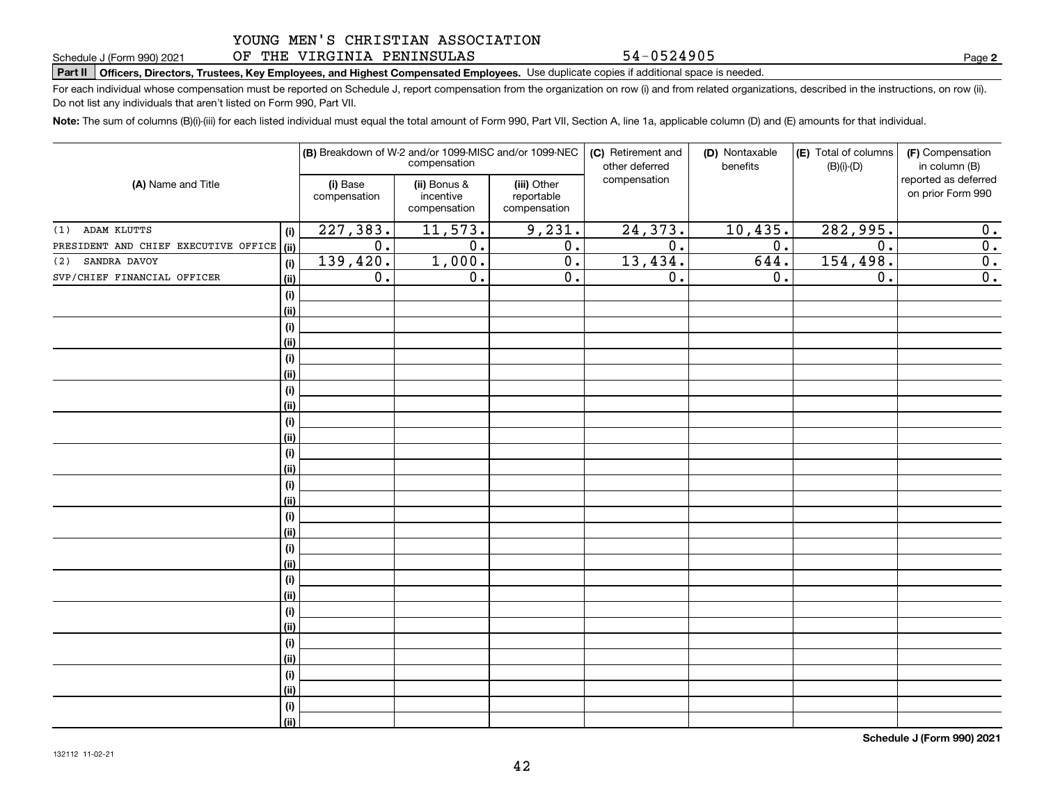#### YOUNG MEN'S CHRISTIAN ASSOCIATION

OF THE VIRGINIA PENINSULAS

**Part II Officers, Directors, Trustees, Key Employees, and Highest Compensated Employees.**  Schedule J (Form 990) 2021 Page Use duplicate copies if additional space is needed.

For each individual whose compensation must be reported on Schedule J, report compensation from the organization on row (i) and from related organizations, described in the instructions, on row (ii). Do not list any individuals that aren't listed on Form 990, Part VII.

**Note:**  The sum of columns (B)(i)-(iii) for each listed individual must equal the total amount of Form 990, Part VII, Section A, line 1a, applicable column (D) and (E) amounts for that individual.

|                                              |                          | (B) Breakdown of W-2 and/or 1099-MISC and/or 1099-NEC<br>compensation |                                           | (C) Retirement and<br>other deferred | (D) Nontaxable<br>benefits | (E) Total of columns<br>$(B)(i)-(D)$ | (F) Compensation<br>in column (B)         |
|----------------------------------------------|--------------------------|-----------------------------------------------------------------------|-------------------------------------------|--------------------------------------|----------------------------|--------------------------------------|-------------------------------------------|
| (A) Name and Title                           | (i) Base<br>compensation | (ii) Bonus &<br>incentive<br>compensation                             | (iii) Other<br>reportable<br>compensation | compensation                         |                            |                                      | reported as deferred<br>on prior Form 990 |
| (1) ADAM KLUTTS<br>(i)                       | 227, 383.                | 11,573.                                                               | 9,231.                                    | 24, 373.                             | 10,435.                    | 282,995.                             | 0.                                        |
| PRESIDENT AND CHIEF EXECUTIVE OFFICE<br>(ii) | $\overline{0}$ .         | $0$ .                                                                 | $\overline{0}$ .                          | $\overline{0}$ .                     | 0.                         | 0.                                   | $\overline{\mathbf{0}}$ .                 |
| SANDRA DAVOY<br>(2)<br>(i)                   | 139,420.                 | 1,000.                                                                | $\overline{0}$ .                          | 13,434.                              | 644.                       | 154,498.                             | $\overline{\mathbf{0}}$ .                 |
| SVP/CHIEF FINANCIAL OFFICER<br><u>(ii)</u>   | 0.                       | $\mathbf 0$ .                                                         | 0.                                        | 0.                                   | 0.                         | 0.                                   | $\overline{\mathbf{0}}$ .                 |
| (i)                                          |                          |                                                                       |                                           |                                      |                            |                                      |                                           |
| <u>(ii)</u>                                  |                          |                                                                       |                                           |                                      |                            |                                      |                                           |
| (i)                                          |                          |                                                                       |                                           |                                      |                            |                                      |                                           |
| <u>(ii)</u>                                  |                          |                                                                       |                                           |                                      |                            |                                      |                                           |
| (i)                                          |                          |                                                                       |                                           |                                      |                            |                                      |                                           |
| <u>(ii)</u>                                  |                          |                                                                       |                                           |                                      |                            |                                      |                                           |
| (i)                                          |                          |                                                                       |                                           |                                      |                            |                                      |                                           |
| <u>(ii)</u>                                  |                          |                                                                       |                                           |                                      |                            |                                      |                                           |
| (i)                                          |                          |                                                                       |                                           |                                      |                            |                                      |                                           |
| <u>(ii)</u>                                  |                          |                                                                       |                                           |                                      |                            |                                      |                                           |
| (i)                                          |                          |                                                                       |                                           |                                      |                            |                                      |                                           |
| <u>(ii)</u>                                  |                          |                                                                       |                                           |                                      |                            |                                      |                                           |
| (i)                                          |                          |                                                                       |                                           |                                      |                            |                                      |                                           |
| <u>(ii)</u>                                  |                          |                                                                       |                                           |                                      |                            |                                      |                                           |
| (i)                                          |                          |                                                                       |                                           |                                      |                            |                                      |                                           |
| <u>(ii)</u>                                  |                          |                                                                       |                                           |                                      |                            |                                      |                                           |
| (i)                                          |                          |                                                                       |                                           |                                      |                            |                                      |                                           |
| <u>(ii)</u>                                  |                          |                                                                       |                                           |                                      |                            |                                      |                                           |
| (i)                                          |                          |                                                                       |                                           |                                      |                            |                                      |                                           |
| <u>(ii)</u>                                  |                          |                                                                       |                                           |                                      |                            |                                      |                                           |
| (i)                                          |                          |                                                                       |                                           |                                      |                            |                                      |                                           |
| <u>(ii)</u>                                  |                          |                                                                       |                                           |                                      |                            |                                      |                                           |
| (i)                                          |                          |                                                                       |                                           |                                      |                            |                                      |                                           |
| <u>(ii)</u>                                  |                          |                                                                       |                                           |                                      |                            |                                      |                                           |
| (i)<br><u>(ii)</u>                           |                          |                                                                       |                                           |                                      |                            |                                      |                                           |
|                                              |                          |                                                                       |                                           |                                      |                            |                                      |                                           |
| (i)<br>  (ii)                                |                          |                                                                       |                                           |                                      |                            |                                      |                                           |
|                                              |                          |                                                                       |                                           |                                      |                            |                                      |                                           |

**2**

54-0524905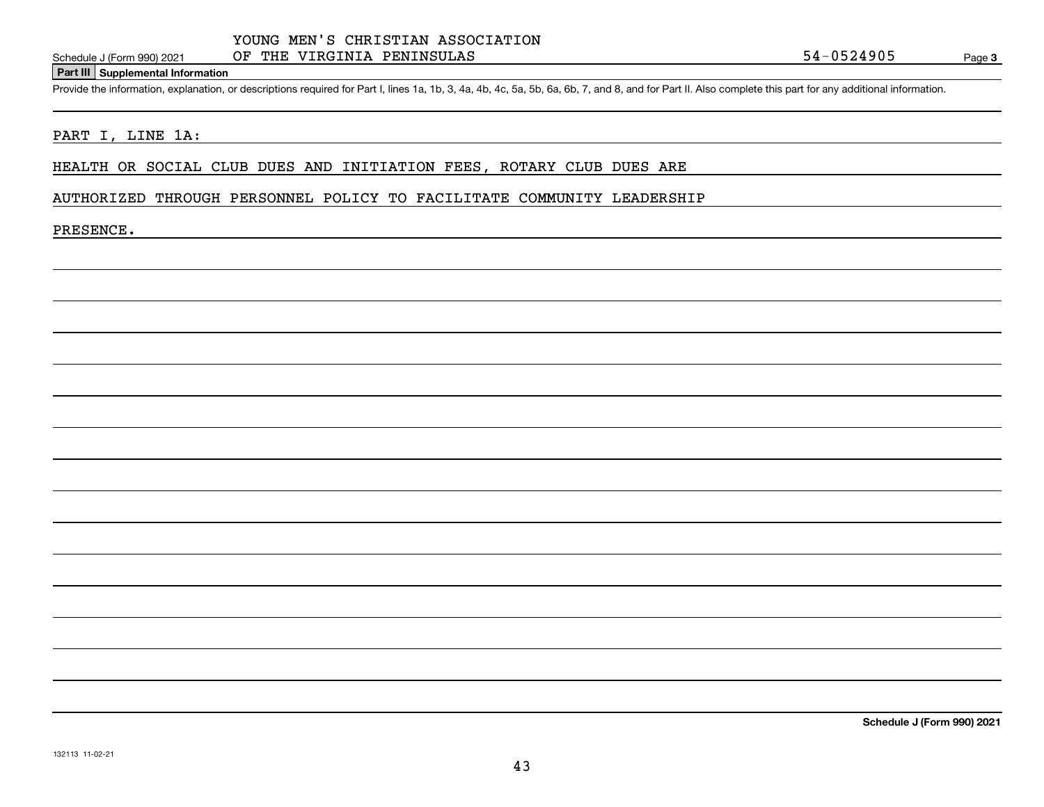#### YOUNG MEN'S CHRISTIAN ASSOCIATION OF THE VIRGINIA PENINSULAS

#### **Part III Supplemental Information**

Schedule J (Form 990) 2021 OF THE VIRGINIA PENINSULAS<br>Part III Supplemental Information<br>Provide the information, explanation, or descriptions required for Part I, lines 1a, 1b, 3, 4a, 4b, 4c, 5a, 5b, 6a, 6b, 7, and 8, and

#### PART I, LINE 1A:

HEALTH OR SOCIAL CLUB DUES AND INITIATION FEES, ROTARY CLUB DUES ARE

#### AUTHORIZED THROUGH PERSONNEL POLICY TO FACILITATE COMMUNITY LEADERSHIP

#### PRESENCE.

**Schedule J (Form 990) 2021**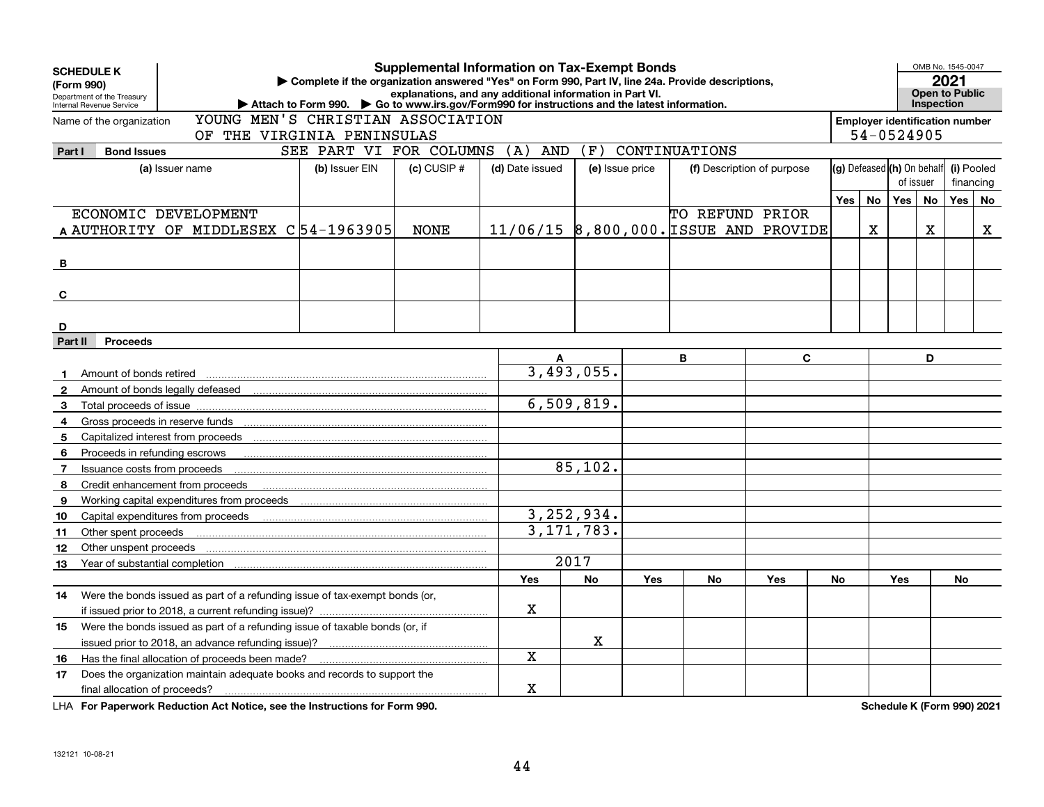|              | <b>SCHEDULE K</b>                                      |                                                                             |                                                                                                   | <b>Supplemental Information on Tax-Exempt Bonds</b>      |                 |                 |                 |                      |                                       |     |             |                            | OMB No. 1545-0047                     |            |    |
|--------------|--------------------------------------------------------|-----------------------------------------------------------------------------|---------------------------------------------------------------------------------------------------|----------------------------------------------------------|-----------------|-----------------|-----------------|----------------------|---------------------------------------|-----|-------------|----------------------------|---------------------------------------|------------|----|
| (Form 990)   |                                                        |                                                                             | Complete if the organization answered "Yes" on Form 990, Part IV, line 24a. Provide descriptions, |                                                          |                 |                 |                 |                      |                                       |     |             |                            |                                       | 2021       |    |
|              | Department of the Treasury<br>Internal Revenue Service |                                                                             | ▶ Attach to Form 990. ▶ Go to www.irs.gov/Form990 for instructions and the latest information.    | explanations, and any additional information in Part VI. |                 |                 |                 |                      |                                       |     |             |                            | <b>Open to Public</b><br>Inspection   |            |    |
|              | Name of the organization                               | YOUNG MEN'S CHRISTIAN ASSOCIATION                                           |                                                                                                   |                                                          |                 |                 |                 |                      |                                       |     |             |                            | <b>Employer identification number</b> |            |    |
|              |                                                        | OF THE VIRGINIA PENINSULAS                                                  |                                                                                                   |                                                          |                 |                 |                 |                      |                                       |     |             | 54-0524905                 |                                       |            |    |
| Part I       | <b>Bond Issues</b>                                     |                                                                             | SEE PART VI FOR COLUMNS                                                                           |                                                          | $(A)$ AND       | (F)             |                 | <b>CONTINUATIONS</b> |                                       |     |             |                            |                                       |            |    |
|              | (a) Issuer name                                        |                                                                             | (b) Issuer EIN                                                                                    | $(c)$ CUSIP $#$                                          | (d) Date issued |                 | (e) Issue price |                      | (f) Description of purpose            |     |             | (g) Defeased (h) On behalf |                                       | (i) Pooled |    |
|              |                                                        |                                                                             |                                                                                                   |                                                          |                 |                 |                 |                      |                                       |     |             |                            | of issuer                             | financing  |    |
|              |                                                        |                                                                             |                                                                                                   |                                                          |                 |                 |                 |                      |                                       | Yes | No          | Yes                        | No                                    | Yes        | No |
|              | ECONOMIC DEVELOPMENT                                   |                                                                             |                                                                                                   |                                                          |                 |                 |                 | TO REFUND PRIOR      |                                       |     |             |                            |                                       |            |    |
|              |                                                        | A AUTHORITY OF MIDDLESEX C 54-1963905                                       |                                                                                                   | <b>NONE</b>                                              |                 |                 |                 |                      | 11/06/15 8,800,000. ISSUE AND PROVIDE |     | $\mathbf X$ |                            | x                                     |            | X  |
|              |                                                        |                                                                             |                                                                                                   |                                                          |                 |                 |                 |                      |                                       |     |             |                            |                                       |            |    |
| в            |                                                        |                                                                             |                                                                                                   |                                                          |                 |                 |                 |                      |                                       |     |             |                            |                                       |            |    |
|              |                                                        |                                                                             |                                                                                                   |                                                          |                 |                 |                 |                      |                                       |     |             |                            |                                       |            |    |
| C            |                                                        |                                                                             |                                                                                                   |                                                          |                 |                 |                 |                      |                                       |     |             |                            |                                       |            |    |
|              |                                                        |                                                                             |                                                                                                   |                                                          |                 |                 |                 |                      |                                       |     |             |                            |                                       |            |    |
| D            |                                                        |                                                                             |                                                                                                   |                                                          |                 |                 |                 |                      |                                       |     |             |                            |                                       |            |    |
| Part II      | <b>Proceeds</b>                                        |                                                                             |                                                                                                   |                                                          |                 |                 |                 |                      |                                       |     |             |                            |                                       |            |    |
|              |                                                        |                                                                             |                                                                                                   |                                                          |                 | A<br>3,493,055. |                 | B                    | C                                     |     |             |                            | D                                     |            |    |
|              | Amount of bonds retired                                |                                                                             |                                                                                                   |                                                          |                 |                 |                 |                      |                                       |     |             |                            |                                       |            |    |
|              | Amount of bonds legally defeased                       |                                                                             |                                                                                                   |                                                          |                 | 6,509,819.      |                 |                      |                                       |     |             |                            |                                       |            |    |
| 3            | Total proceeds of issue                                |                                                                             |                                                                                                   |                                                          |                 |                 |                 |                      |                                       |     |             |                            |                                       |            |    |
| 4            |                                                        |                                                                             |                                                                                                   |                                                          |                 |                 |                 |                      |                                       |     |             |                            |                                       |            |    |
| 5<br>6       | Proceeds in refunding escrows                          |                                                                             |                                                                                                   |                                                          |                 |                 |                 |                      |                                       |     |             |                            |                                       |            |    |
| $\mathbf{7}$ | Issuance costs from proceeds                           |                                                                             |                                                                                                   |                                                          |                 | 85,102.         |                 |                      |                                       |     |             |                            |                                       |            |    |
| 8            | Credit enhancement from proceeds                       |                                                                             |                                                                                                   |                                                          |                 |                 |                 |                      |                                       |     |             |                            |                                       |            |    |
| 9            |                                                        | Working capital expenditures from proceeds                                  |                                                                                                   |                                                          |                 |                 |                 |                      |                                       |     |             |                            |                                       |            |    |
| 10           |                                                        |                                                                             |                                                                                                   |                                                          |                 | 3,252,934.      |                 |                      |                                       |     |             |                            |                                       |            |    |
| 11           | Other spent proceeds                                   |                                                                             |                                                                                                   |                                                          |                 | 3, 171, 783.    |                 |                      |                                       |     |             |                            |                                       |            |    |
| 12           | Other unspent proceeds                                 |                                                                             |                                                                                                   |                                                          |                 |                 |                 |                      |                                       |     |             |                            |                                       |            |    |
| 13           |                                                        |                                                                             |                                                                                                   |                                                          |                 | 2017            |                 |                      |                                       |     |             |                            |                                       |            |    |
|              |                                                        |                                                                             |                                                                                                   |                                                          | Yes             | <b>No</b>       | Yes             | No                   | Yes                                   | No  |             | Yes                        |                                       | No         |    |
| 14           |                                                        | Were the bonds issued as part of a refunding issue of tax-exempt bonds (or, |                                                                                                   |                                                          |                 |                 |                 |                      |                                       |     |             |                            |                                       |            |    |
|              |                                                        |                                                                             |                                                                                                   |                                                          | х               |                 |                 |                      |                                       |     |             |                            |                                       |            |    |
| 15           |                                                        | Were the bonds issued as part of a refunding issue of taxable bonds (or, if |                                                                                                   |                                                          |                 |                 |                 |                      |                                       |     |             |                            |                                       |            |    |
|              |                                                        |                                                                             |                                                                                                   |                                                          |                 | X               |                 |                      |                                       |     |             |                            |                                       |            |    |
| 16           |                                                        | Has the final allocation of proceeds been made?                             |                                                                                                   |                                                          | X               |                 |                 |                      |                                       |     |             |                            |                                       |            |    |
| 17           |                                                        | Does the organization maintain adequate books and records to support the    |                                                                                                   |                                                          |                 |                 |                 |                      |                                       |     |             |                            |                                       |            |    |
|              | final allocation of proceeds?                          |                                                                             |                                                                                                   |                                                          | X               |                 |                 |                      |                                       |     |             |                            |                                       |            |    |

**For Paperwork Reduction Act Notice, see the Instructions for Form 990. Schedule K (Form 990) 2021** LHA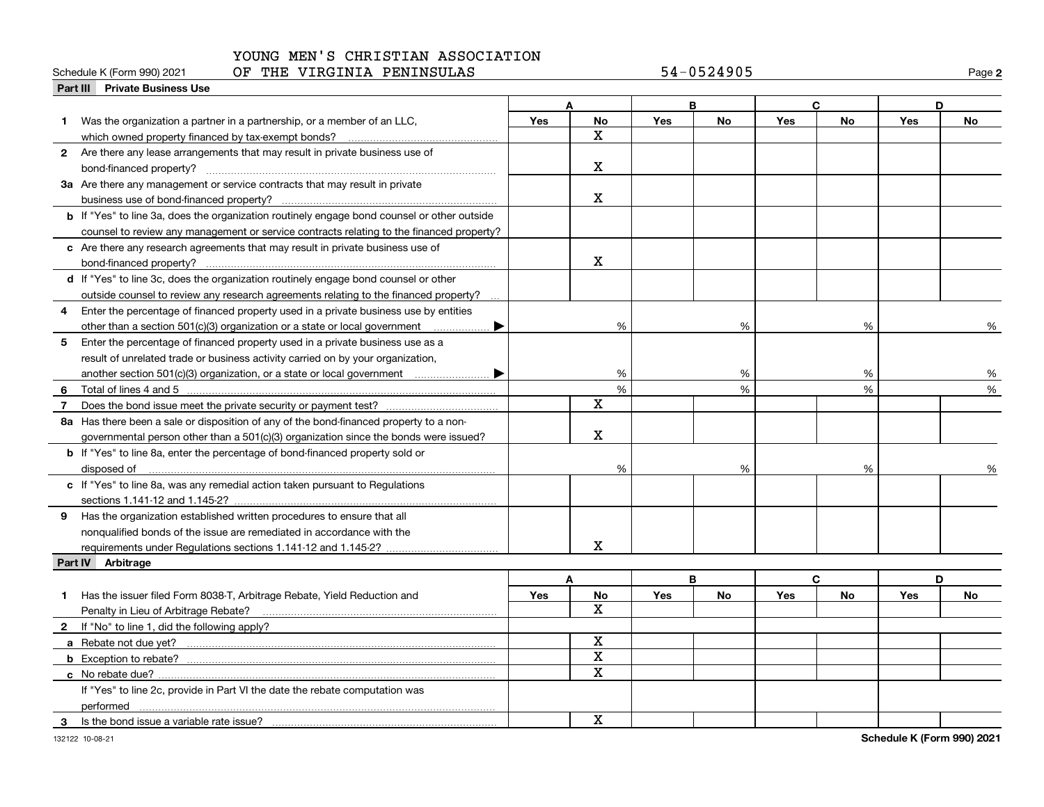### YOUNG MEN'S CHRISTIAN ASSOCIATION

#### Schedule K (Form 990) 2021 Page OF THE VIRGINIA PENINSULAS 54-0524905

**2**

|                | Part III Private Business Use                                                                                                                           |            |             |            |           |     |           |            |    |  |
|----------------|---------------------------------------------------------------------------------------------------------------------------------------------------------|------------|-------------|------------|-----------|-----|-----------|------------|----|--|
|                |                                                                                                                                                         |            | Δ           | B          |           |     | C         | D          |    |  |
| 1.             | Was the organization a partner in a partnership, or a member of an LLC,                                                                                 | <b>Yes</b> | <b>No</b>   | <b>Yes</b> | <b>No</b> | Yes | <b>No</b> | Yes        | No |  |
|                |                                                                                                                                                         |            | X           |            |           |     |           |            |    |  |
|                | 2 Are there any lease arrangements that may result in private business use of                                                                           |            |             |            |           |     |           |            |    |  |
|                |                                                                                                                                                         |            | $\mathbf x$ |            |           |     |           |            |    |  |
|                | 3a Are there any management or service contracts that may result in private                                                                             |            |             |            |           |     |           |            |    |  |
|                |                                                                                                                                                         |            | x           |            |           |     |           |            |    |  |
|                | b If "Yes" to line 3a, does the organization routinely engage bond counsel or other outside                                                             |            |             |            |           |     |           |            |    |  |
|                | counsel to review any management or service contracts relating to the financed property?                                                                |            |             |            |           |     |           |            |    |  |
|                | c Are there any research agreements that may result in private business use of                                                                          |            |             |            |           |     |           |            |    |  |
|                |                                                                                                                                                         |            | $\mathbf X$ |            |           |     |           |            |    |  |
|                | d If "Yes" to line 3c, does the organization routinely engage bond counsel or other                                                                     |            |             |            |           |     |           |            |    |  |
|                | outside counsel to review any research agreements relating to the financed property?                                                                    |            |             |            |           |     |           |            |    |  |
|                | 4 Enter the percentage of financed property used in a private business use by entities                                                                  |            |             |            |           |     |           |            |    |  |
|                | other than a section 501(c)(3) organization or a state or local government $\ldots$ $\blacksquare$                                                      |            | %           |            | %         |     | %         |            | %  |  |
|                | 5 Enter the percentage of financed property used in a private business use as a                                                                         |            |             |            |           |     |           |            |    |  |
|                | result of unrelated trade or business activity carried on by your organization,                                                                         |            |             |            |           |     |           |            |    |  |
|                | another section 501(c)(3) organization, or a state or local government $\ldots$ $\blacksquare$                                                          |            | %           |            | %         |     | %         |            | %  |  |
| 6              | Total of lines 4 and 5 <b>manual contract and contract and 5</b> Total of lines 4 and 5                                                                 |            | %           |            | %         |     | %         |            | %  |  |
| $\overline{7}$ |                                                                                                                                                         |            | X           |            |           |     |           |            |    |  |
|                | 8a Has there been a sale or disposition of any of the bond-financed property to a non-                                                                  |            |             |            |           |     |           |            |    |  |
|                | governmental person other than a 501(c)(3) organization since the bonds were issued?                                                                    |            | $\mathbf x$ |            |           |     |           |            |    |  |
|                | <b>b</b> If "Yes" to line 8a, enter the percentage of bond-financed property sold or                                                                    |            |             |            |           |     |           |            |    |  |
|                |                                                                                                                                                         |            | %           |            | %         |     | %         |            |    |  |
|                | disposed of <u>www.communications.communications.communications.com</u><br>c If "Yes" to line 8a, was any remedial action taken pursuant to Regulations |            |             |            |           |     |           |            |    |  |
|                |                                                                                                                                                         |            |             |            |           |     |           |            |    |  |
|                |                                                                                                                                                         |            |             |            |           |     |           |            |    |  |
|                | 9 Has the organization established written procedures to ensure that all                                                                                |            |             |            |           |     |           |            |    |  |
|                | nonqualified bonds of the issue are remediated in accordance with the                                                                                   |            | x           |            |           |     |           |            |    |  |
|                | Part IV Arbitrage                                                                                                                                       |            |             |            |           |     |           |            |    |  |
|                |                                                                                                                                                         |            | A           | B          |           |     | C         |            | D  |  |
| 1.             |                                                                                                                                                         | Yes        | No          | <b>Yes</b> | <b>No</b> | Yes | <b>No</b> | <b>Yes</b> | No |  |
|                | Has the issuer filed Form 8038-T, Arbitrage Rebate, Yield Reduction and                                                                                 |            | X           |            |           |     |           |            |    |  |
|                | Penalty in Lieu of Arbitrage Rebate?                                                                                                                    |            |             |            |           |     |           |            |    |  |
|                | <b>2</b> If "No" to line 1, did the following apply?                                                                                                    |            | x           |            |           |     |           |            |    |  |
|                |                                                                                                                                                         |            | X           |            |           |     |           |            |    |  |
|                |                                                                                                                                                         |            | X           |            |           |     |           |            |    |  |
|                | c No rebate due?                                                                                                                                        |            |             |            |           |     |           |            |    |  |
|                | If "Yes" to line 2c, provide in Part VI the date the rebate computation was                                                                             |            |             |            |           |     |           |            |    |  |
|                | performed                                                                                                                                               |            |             |            |           |     |           |            |    |  |
| 3              | Is the bond issue a variable rate issue?                                                                                                                |            | x           |            |           |     |           |            |    |  |

132122 10-08-21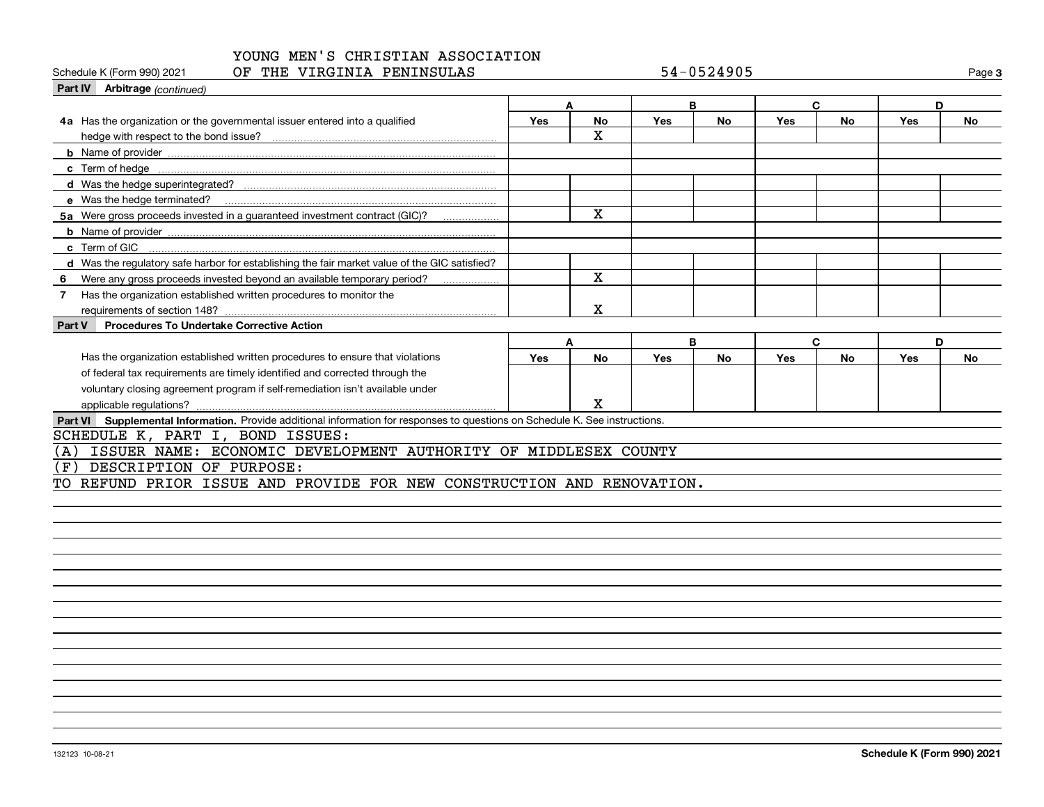### YOUNG MEN'S CHRISTIAN ASSOCIATION

Schedule K (Form 990) 2021 Page OF THE VIRGINIA PENINSULAS 54-0524905

| Part IV Arbitrage (continued)                                                                                                |            |           |     |           |     |           |            |           |
|------------------------------------------------------------------------------------------------------------------------------|------------|-----------|-----|-----------|-----|-----------|------------|-----------|
|                                                                                                                              | Α          |           |     | B         |     | C         | D          |           |
| 4a Has the organization or the governmental issuer entered into a qualified                                                  | Yes        | <b>No</b> | Yes | <b>No</b> | Yes | No.       | Yes        | No.       |
|                                                                                                                              |            | x         |     |           |     |           |            |           |
|                                                                                                                              |            |           |     |           |     |           |            |           |
|                                                                                                                              |            |           |     |           |     |           |            |           |
|                                                                                                                              |            |           |     |           |     |           |            |           |
|                                                                                                                              |            |           |     |           |     |           |            |           |
| 5a Were gross proceeds invested in a guaranteed investment contract (GIC)?                                                   |            | X         |     |           |     |           |            |           |
|                                                                                                                              |            |           |     |           |     |           |            |           |
|                                                                                                                              |            |           |     |           |     |           |            |           |
| d Was the regulatory safe harbor for establishing the fair market value of the GIC satisfied?                                |            |           |     |           |     |           |            |           |
| Were any gross proceeds invested beyond an available temporary period?<br>6                                                  |            | x         |     |           |     |           |            |           |
| Has the organization established written procedures to monitor the                                                           |            |           |     |           |     |           |            |           |
|                                                                                                                              |            | x         |     |           |     |           |            |           |
| Part V Procedures To Undertake Corrective Action                                                                             |            |           |     |           |     |           |            |           |
|                                                                                                                              |            |           |     | B         |     | C         | D          |           |
| Has the organization established written procedures to ensure that violations                                                | <b>Yes</b> | <b>No</b> | Yes | <b>No</b> | Yes | <b>No</b> | <b>Yes</b> | <b>No</b> |
| of federal tax requirements are timely identified and corrected through the                                                  |            |           |     |           |     |           |            |           |
| voluntary closing agreement program if self-remediation isn't available under                                                |            |           |     |           |     |           |            |           |
|                                                                                                                              |            | x         |     |           |     |           |            |           |
| Part VI Supplemental Information. Provide additional information for responses to questions on Schedule K. See instructions. |            |           |     |           |     |           |            |           |
| SCHEDULE K, PART I, BOND ISSUES:                                                                                             |            |           |     |           |     |           |            |           |
| ISSUER NAME: ECONOMIC DEVELOPMENT AUTHORITY OF MIDDLESEX COUNTY<br>(A)                                                       |            |           |     |           |     |           |            |           |
| DESCRIPTION OF PURPOSE:<br>(F)                                                                                               |            |           |     |           |     |           |            |           |
| TO REFUND PRIOR ISSUE AND PROVIDE FOR NEW CONSTRUCTION AND RENOVATION.                                                       |            |           |     |           |     |           |            |           |
|                                                                                                                              |            |           |     |           |     |           |            |           |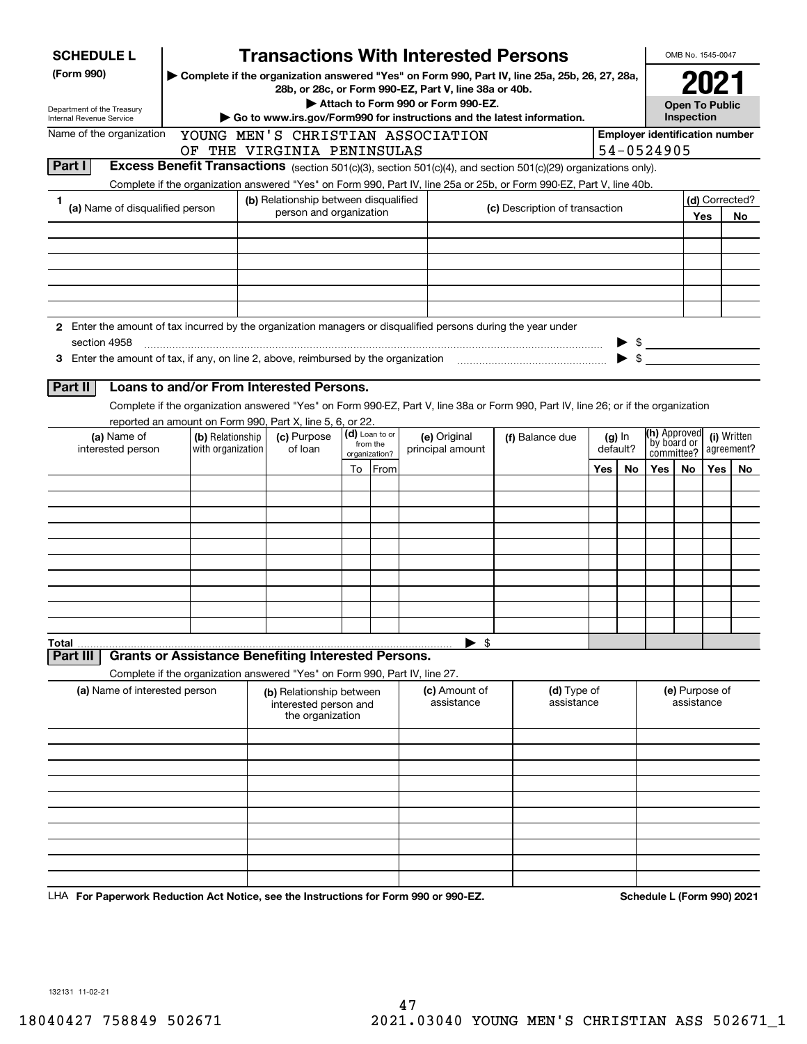| <b>SCHEDULE L</b>                                                                                                             |                                                                                                       |                                                                                                                                                                                                                                                                            |                                                                       |    |                            | <b>Transactions With Interested Persons</b>                                                                                        |  |                                |     |                         |                                           |            | OMB No. 1545-0047                   |                           |  |  |
|-------------------------------------------------------------------------------------------------------------------------------|-------------------------------------------------------------------------------------------------------|----------------------------------------------------------------------------------------------------------------------------------------------------------------------------------------------------------------------------------------------------------------------------|-----------------------------------------------------------------------|----|----------------------------|------------------------------------------------------------------------------------------------------------------------------------|--|--------------------------------|-----|-------------------------|-------------------------------------------|------------|-------------------------------------|---------------------------|--|--|
| (Form 990)<br>Department of the Treasury                                                                                      |                                                                                                       | ▶ Complete if the organization answered "Yes" on Form 990, Part IV, line 25a, 25b, 26, 27, 28a,<br>28b, or 28c, or Form 990-EZ, Part V, line 38a or 40b.<br>Attach to Form 990 or Form 990-EZ.<br>▶ Go to www.irs.gov/Form990 for instructions and the latest information. |                                                                       |    |                            |                                                                                                                                    |  |                                |     |                         |                                           |            | <b>Open To Public</b><br>Inspection |                           |  |  |
| Internal Revenue Service<br>Name of the organization                                                                          |                                                                                                       |                                                                                                                                                                                                                                                                            |                                                                       |    |                            | YOUNG MEN'S CHRISTIAN ASSOCIATION                                                                                                  |  |                                |     |                         | <b>Employer identification number</b>     |            |                                     |                           |  |  |
|                                                                                                                               |                                                                                                       |                                                                                                                                                                                                                                                                            | OF THE VIRGINIA PENINSULAS                                            |    |                            |                                                                                                                                    |  |                                |     |                         | 54-0524905                                |            |                                     |                           |  |  |
| Part I                                                                                                                        |                                                                                                       |                                                                                                                                                                                                                                                                            |                                                                       |    |                            | Excess Benefit Transactions (section 501(c)(3), section 501(c)(4), and section 501(c)(29) organizations only).                     |  |                                |     |                         |                                           |            |                                     |                           |  |  |
|                                                                                                                               |                                                                                                       |                                                                                                                                                                                                                                                                            |                                                                       |    |                            | Complete if the organization answered "Yes" on Form 990, Part IV, line 25a or 25b, or Form 990-EZ, Part V, line 40b.               |  |                                |     |                         |                                           |            |                                     |                           |  |  |
| 1.<br>(a) Name of disqualified person                                                                                         |                                                                                                       |                                                                                                                                                                                                                                                                            | (b) Relationship between disqualified<br>person and organization      |    |                            |                                                                                                                                    |  | (c) Description of transaction |     |                         |                                           |            |                                     | (d) Corrected?            |  |  |
|                                                                                                                               |                                                                                                       |                                                                                                                                                                                                                                                                            |                                                                       |    |                            |                                                                                                                                    |  |                                |     |                         |                                           |            | Yes                                 | No.                       |  |  |
|                                                                                                                               |                                                                                                       |                                                                                                                                                                                                                                                                            |                                                                       |    |                            |                                                                                                                                    |  |                                |     |                         |                                           |            |                                     |                           |  |  |
|                                                                                                                               |                                                                                                       |                                                                                                                                                                                                                                                                            |                                                                       |    |                            |                                                                                                                                    |  |                                |     |                         |                                           |            |                                     |                           |  |  |
| 2 Enter the amount of tax incurred by the organization managers or disqualified persons during the year under<br>section 4958 |                                                                                                       |                                                                                                                                                                                                                                                                            |                                                                       |    |                            |                                                                                                                                    |  |                                |     | $\blacktriangleright$ s | $\frac{1}{2}$                             |            |                                     |                           |  |  |
| 3 Enter the amount of tax, if any, on line 2, above, reimbursed by the organization                                           |                                                                                                       |                                                                                                                                                                                                                                                                            |                                                                       |    |                            |                                                                                                                                    |  |                                |     |                         |                                           |            |                                     |                           |  |  |
| Part II                                                                                                                       | Loans to and/or From Interested Persons.<br>reported an amount on Form 990, Part X, line 5, 6, or 22. |                                                                                                                                                                                                                                                                            |                                                                       |    |                            | Complete if the organization answered "Yes" on Form 990-EZ, Part V, line 38a or Form 990, Part IV, line 26; or if the organization |  |                                |     |                         |                                           |            |                                     |                           |  |  |
| (a) Name of<br>interested person                                                                                              | (b) Relationship<br>with organization                                                                 |                                                                                                                                                                                                                                                                            | (c) Purpose<br>of loan                                                |    | (d) Loan to or<br>from the | (e) Original<br>principal amount                                                                                                   |  | (f) Balance due                |     | (g) In<br>default?      | (h) Approved<br>by board or<br>committee? |            |                                     | (i) Written<br>agreement? |  |  |
|                                                                                                                               |                                                                                                       |                                                                                                                                                                                                                                                                            |                                                                       | To | organization?<br>From      |                                                                                                                                    |  |                                | Yes | No                      | Yes                                       | No.        | Yes                                 | No                        |  |  |
|                                                                                                                               |                                                                                                       |                                                                                                                                                                                                                                                                            |                                                                       |    |                            |                                                                                                                                    |  |                                |     |                         |                                           |            |                                     |                           |  |  |
|                                                                                                                               |                                                                                                       |                                                                                                                                                                                                                                                                            |                                                                       |    |                            |                                                                                                                                    |  |                                |     |                         |                                           |            |                                     |                           |  |  |
|                                                                                                                               |                                                                                                       |                                                                                                                                                                                                                                                                            |                                                                       |    |                            |                                                                                                                                    |  |                                |     |                         |                                           |            |                                     |                           |  |  |
|                                                                                                                               |                                                                                                       |                                                                                                                                                                                                                                                                            |                                                                       |    |                            |                                                                                                                                    |  |                                |     |                         |                                           |            |                                     |                           |  |  |
|                                                                                                                               |                                                                                                       |                                                                                                                                                                                                                                                                            |                                                                       |    |                            |                                                                                                                                    |  |                                |     |                         |                                           |            |                                     |                           |  |  |
|                                                                                                                               |                                                                                                       |                                                                                                                                                                                                                                                                            |                                                                       |    |                            |                                                                                                                                    |  |                                |     |                         |                                           |            |                                     |                           |  |  |
| Total<br>Part III                                                                                                             | <b>Grants or Assistance Benefiting Interested Persons.</b>                                            |                                                                                                                                                                                                                                                                            |                                                                       |    |                            | \$                                                                                                                                 |  |                                |     |                         |                                           |            |                                     |                           |  |  |
|                                                                                                                               | Complete if the organization answered "Yes" on Form 990, Part IV, line 27.                            |                                                                                                                                                                                                                                                                            |                                                                       |    |                            |                                                                                                                                    |  |                                |     |                         |                                           |            |                                     |                           |  |  |
| (a) Name of interested person                                                                                                 |                                                                                                       |                                                                                                                                                                                                                                                                            | (b) Relationship between<br>interested person and<br>the organization |    |                            | (c) Amount of<br>assistance                                                                                                        |  | (d) Type of<br>assistance      |     |                         |                                           | assistance | (e) Purpose of                      |                           |  |  |
|                                                                                                                               |                                                                                                       |                                                                                                                                                                                                                                                                            |                                                                       |    |                            |                                                                                                                                    |  |                                |     |                         |                                           |            |                                     |                           |  |  |
|                                                                                                                               |                                                                                                       |                                                                                                                                                                                                                                                                            |                                                                       |    |                            |                                                                                                                                    |  |                                |     |                         |                                           |            |                                     |                           |  |  |
|                                                                                                                               |                                                                                                       |                                                                                                                                                                                                                                                                            |                                                                       |    |                            |                                                                                                                                    |  |                                |     |                         |                                           |            |                                     |                           |  |  |
|                                                                                                                               |                                                                                                       |                                                                                                                                                                                                                                                                            |                                                                       |    |                            |                                                                                                                                    |  |                                |     |                         |                                           |            |                                     |                           |  |  |
|                                                                                                                               |                                                                                                       |                                                                                                                                                                                                                                                                            |                                                                       |    |                            |                                                                                                                                    |  |                                |     |                         |                                           |            |                                     |                           |  |  |
|                                                                                                                               |                                                                                                       |                                                                                                                                                                                                                                                                            |                                                                       |    |                            |                                                                                                                                    |  |                                |     |                         |                                           |            |                                     |                           |  |  |
|                                                                                                                               |                                                                                                       |                                                                                                                                                                                                                                                                            |                                                                       |    |                            |                                                                                                                                    |  |                                |     |                         |                                           |            |                                     |                           |  |  |

**For Paperwork Reduction Act Notice, see the Instructions for Form 990 or 990-EZ. Schedule L (Form 990) 2021** LHA

132131 11-02-21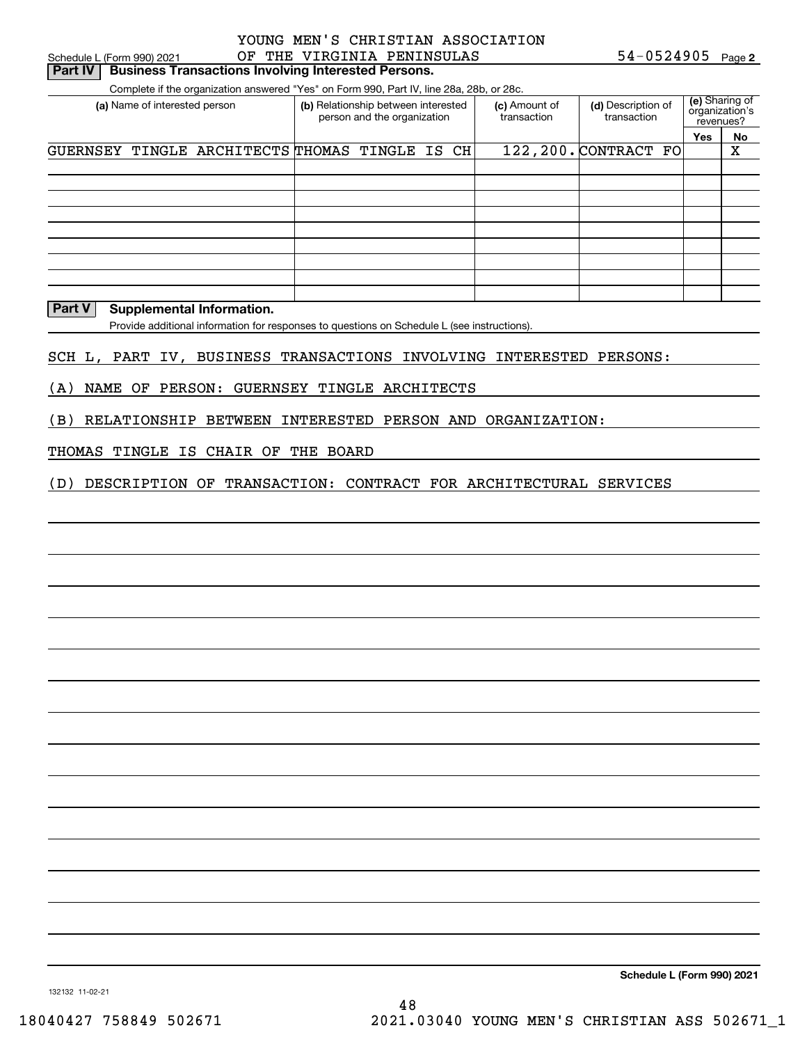| Schedule L (Form 990) 2021 |                               |                                                                                          | OF THE VIRGINIA PENINSULAS |                                                                    |       |                              | 54-0524905                        |     | Page 2                                        |
|----------------------------|-------------------------------|------------------------------------------------------------------------------------------|----------------------------|--------------------------------------------------------------------|-------|------------------------------|-----------------------------------|-----|-----------------------------------------------|
| Part IV                    |                               | <b>Business Transactions Involving Interested Persons.</b>                               |                            |                                                                    |       |                              |                                   |     |                                               |
|                            |                               | Complete if the organization answered "Yes" on Form 990, Part IV, line 28a, 28b, or 28c. |                            |                                                                    |       |                              |                                   |     |                                               |
|                            | (a) Name of interested person |                                                                                          |                            | (b) Relationship between interested<br>person and the organization |       | (c) Amount of<br>transaction | (d) Description of<br>transaction |     | (e) Sharing of<br>organization's<br>revenues? |
|                            |                               |                                                                                          |                            |                                                                    |       |                              |                                   | Yes | No.                                           |
|                            |                               | GUERNSEY TINGLE ARCHITECTS THOMAS TINGLE                                                 |                            |                                                                    | IS CH |                              | 122,200. CONTRACT FO              |     | х                                             |
|                            |                               |                                                                                          |                            |                                                                    |       |                              |                                   |     |                                               |
|                            |                               |                                                                                          |                            |                                                                    |       |                              |                                   |     |                                               |
|                            |                               |                                                                                          |                            |                                                                    |       |                              |                                   |     |                                               |
|                            |                               |                                                                                          |                            |                                                                    |       |                              |                                   |     |                                               |
|                            |                               |                                                                                          |                            |                                                                    |       |                              |                                   |     |                                               |
|                            |                               |                                                                                          |                            |                                                                    |       |                              |                                   |     |                                               |
|                            |                               |                                                                                          |                            |                                                                    |       |                              |                                   |     |                                               |
|                            |                               |                                                                                          |                            |                                                                    |       |                              |                                   |     |                                               |
|                            |                               |                                                                                          |                            |                                                                    |       |                              |                                   |     |                                               |
|                            |                               |                                                                                          |                            |                                                                    |       |                              |                                   |     |                                               |

YOUNG MEN'S CHRISTIAN ASSOCIATION

**Part V** Supplemental Information.

Provide additional information for responses to questions on Schedule L (see instructions).

SCH L, PART IV, BUSINESS TRANSACTIONS INVOLVING INTERESTED PERSONS:

(A) NAME OF PERSON: GUERNSEY TINGLE ARCHITECTS

(B) RELATIONSHIP BETWEEN INTERESTED PERSON AND ORGANIZATION:

THOMAS TINGLE IS CHAIR OF THE BOARD

(D) DESCRIPTION OF TRANSACTION: CONTRACT FOR ARCHITECTURAL SERVICES

132132 11-02-21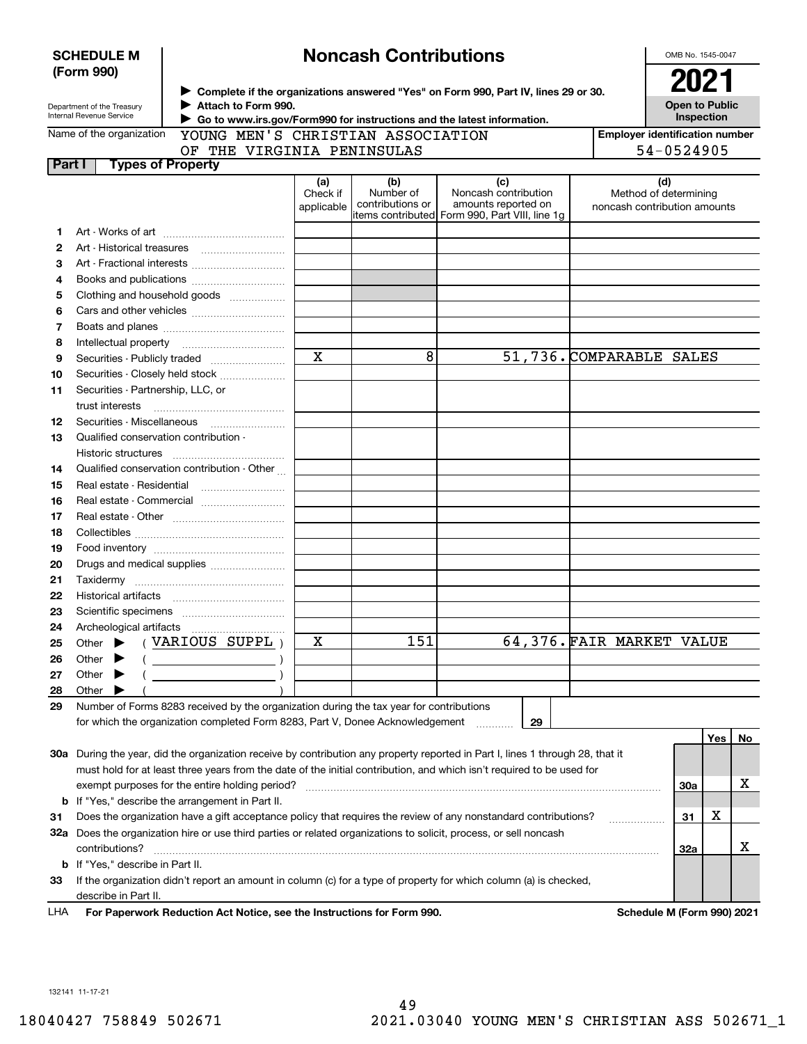|          | <b>SCHEDULE M</b>                                       |                                      |                                             |                               | <b>Noncash Contributions</b>                                                                                                   |                                                                                                      |    |                                                       | OMB No. 1545-0047     |     |    |  |  |
|----------|---------------------------------------------------------|--------------------------------------|---------------------------------------------|-------------------------------|--------------------------------------------------------------------------------------------------------------------------------|------------------------------------------------------------------------------------------------------|----|-------------------------------------------------------|-----------------------|-----|----|--|--|
|          | (Form 990)                                              |                                      |                                             |                               |                                                                                                                                |                                                                                                      |    |                                                       | 2021                  |     |    |  |  |
|          |                                                         |                                      | Attach to Form 990.                         |                               | ▶ Complete if the organizations answered "Yes" on Form 990, Part IV, lines 29 or 30.                                           |                                                                                                      |    |                                                       | <b>Open to Public</b> |     |    |  |  |
|          | Department of the Treasury<br>Internal Revenue Service  |                                      |                                             |                               | Go to www.irs.gov/Form990 for instructions and the latest information.                                                         |                                                                                                      |    |                                                       | Inspection            |     |    |  |  |
|          | Name of the organization                                |                                      |                                             |                               | YOUNG MEN'S CHRISTIAN ASSOCIATION                                                                                              |                                                                                                      |    | <b>Employer identification number</b>                 |                       |     |    |  |  |
|          |                                                         |                                      |                                             |                               | OF THE VIRGINIA PENINSULAS                                                                                                     |                                                                                                      |    |                                                       | 54-0524905            |     |    |  |  |
| Part I   |                                                         | <b>Types of Property</b>             |                                             |                               |                                                                                                                                |                                                                                                      |    |                                                       |                       |     |    |  |  |
|          |                                                         |                                      |                                             | (a)<br>Check if<br>applicable | (b)<br>Number of<br>contributions or                                                                                           | (c)<br>Noncash contribution<br>amounts reported on<br>items contributed Form 990, Part VIII, line 1g |    | Method of determining<br>noncash contribution amounts | (d)                   |     |    |  |  |
| 1.       |                                                         |                                      |                                             |                               |                                                                                                                                |                                                                                                      |    |                                                       |                       |     |    |  |  |
| 2        |                                                         |                                      |                                             |                               |                                                                                                                                |                                                                                                      |    |                                                       |                       |     |    |  |  |
| З        |                                                         |                                      |                                             |                               |                                                                                                                                |                                                                                                      |    |                                                       |                       |     |    |  |  |
| 4        |                                                         |                                      |                                             |                               |                                                                                                                                |                                                                                                      |    |                                                       |                       |     |    |  |  |
| 5        |                                                         |                                      | Clothing and household goods                |                               |                                                                                                                                |                                                                                                      |    |                                                       |                       |     |    |  |  |
| 6        |                                                         |                                      |                                             |                               |                                                                                                                                |                                                                                                      |    |                                                       |                       |     |    |  |  |
| 7        |                                                         |                                      |                                             |                               |                                                                                                                                |                                                                                                      |    |                                                       |                       |     |    |  |  |
| 8        |                                                         |                                      |                                             |                               |                                                                                                                                |                                                                                                      |    |                                                       |                       |     |    |  |  |
| 9        |                                                         |                                      | Securities - Publicly traded                | $\mathbf X$                   | 8                                                                                                                              |                                                                                                      |    | 51,736. COMPARABLE SALES                              |                       |     |    |  |  |
| 10       |                                                         |                                      | Securities - Closely held stock             |                               |                                                                                                                                |                                                                                                      |    |                                                       |                       |     |    |  |  |
| 11       | Securities - Partnership, LLC, or                       |                                      |                                             |                               |                                                                                                                                |                                                                                                      |    |                                                       |                       |     |    |  |  |
|          | trust interests                                         |                                      |                                             |                               |                                                                                                                                |                                                                                                      |    |                                                       |                       |     |    |  |  |
| 12       | Securities - Miscellaneous                              |                                      |                                             |                               |                                                                                                                                |                                                                                                      |    |                                                       |                       |     |    |  |  |
| 13       | Qualified conservation contribution -                   |                                      |                                             |                               |                                                                                                                                |                                                                                                      |    |                                                       |                       |     |    |  |  |
|          | Historic structures                                     |                                      |                                             |                               |                                                                                                                                |                                                                                                      |    |                                                       |                       |     |    |  |  |
| 14       |                                                         |                                      | Qualified conservation contribution - Other |                               |                                                                                                                                |                                                                                                      |    |                                                       |                       |     |    |  |  |
| 15       | Real estate - Residential                               |                                      |                                             |                               |                                                                                                                                |                                                                                                      |    |                                                       |                       |     |    |  |  |
| 16       |                                                         |                                      | Real estate - Commercial                    |                               |                                                                                                                                |                                                                                                      |    |                                                       |                       |     |    |  |  |
| 17       |                                                         |                                      |                                             |                               |                                                                                                                                |                                                                                                      |    |                                                       |                       |     |    |  |  |
| 18       |                                                         |                                      |                                             |                               |                                                                                                                                |                                                                                                      |    |                                                       |                       |     |    |  |  |
| 19       |                                                         |                                      |                                             |                               |                                                                                                                                |                                                                                                      |    |                                                       |                       |     |    |  |  |
| 20       |                                                         |                                      | Drugs and medical supplies                  |                               |                                                                                                                                |                                                                                                      |    |                                                       |                       |     |    |  |  |
| 21<br>22 |                                                         |                                      |                                             |                               |                                                                                                                                |                                                                                                      |    |                                                       |                       |     |    |  |  |
| 23       | Historical artifacts                                    |                                      |                                             |                               |                                                                                                                                |                                                                                                      |    |                                                       |                       |     |    |  |  |
| 24       |                                                         |                                      |                                             |                               |                                                                                                                                |                                                                                                      |    |                                                       |                       |     |    |  |  |
| 25       | Other                                                   |                                      | VARIOUS SUPPL )                             | х                             | 151                                                                                                                            |                                                                                                      |    | 64,376. FAIR MARKET VALUE                             |                       |     |    |  |  |
| 26       | Other                                                   | <u> 1980 - Johann Barbara, martx</u> |                                             |                               |                                                                                                                                |                                                                                                      |    |                                                       |                       |     |    |  |  |
| 27       | Other                                                   |                                      |                                             |                               |                                                                                                                                |                                                                                                      |    |                                                       |                       |     |    |  |  |
| 28       | Other                                                   |                                      |                                             |                               |                                                                                                                                |                                                                                                      |    |                                                       |                       |     |    |  |  |
| 29       |                                                         |                                      |                                             |                               | Number of Forms 8283 received by the organization during the tax year for contributions                                        |                                                                                                      |    |                                                       |                       |     |    |  |  |
|          |                                                         |                                      |                                             |                               | for which the organization completed Form 8283, Part V, Donee Acknowledgement                                                  |                                                                                                      | 29 |                                                       |                       |     |    |  |  |
|          |                                                         |                                      |                                             |                               |                                                                                                                                |                                                                                                      |    |                                                       |                       | Yes | No |  |  |
|          |                                                         |                                      |                                             |                               | 30a During the year, did the organization receive by contribution any property reported in Part I, lines 1 through 28, that it |                                                                                                      |    |                                                       |                       |     |    |  |  |
|          |                                                         |                                      |                                             |                               | must hold for at least three years from the date of the initial contribution, and which isn't required to be used for          |                                                                                                      |    |                                                       |                       |     |    |  |  |
|          |                                                         |                                      |                                             |                               |                                                                                                                                |                                                                                                      |    |                                                       | 30a                   |     | х  |  |  |
|          | <b>b</b> If "Yes," describe the arrangement in Part II. |                                      |                                             |                               |                                                                                                                                |                                                                                                      |    |                                                       |                       |     |    |  |  |
| 31       |                                                         |                                      |                                             |                               | Does the organization have a gift acceptance policy that requires the review of any nonstandard contributions?                 |                                                                                                      |    |                                                       | 31                    | х   |    |  |  |
|          |                                                         |                                      |                                             |                               | 32a Does the organization hire or use third parties or related organizations to solicit, process, or sell noncash              |                                                                                                      |    |                                                       |                       |     |    |  |  |
|          | contributions?                                          |                                      |                                             |                               |                                                                                                                                |                                                                                                      |    |                                                       | 32a                   |     | x  |  |  |
|          | <b>b</b> If "Yes," describe in Part II.                 |                                      |                                             |                               |                                                                                                                                |                                                                                                      |    |                                                       |                       |     |    |  |  |
| 33       |                                                         |                                      |                                             |                               | If the organization didn't report an amount in column (c) for a type of property for which column (a) is checked,              |                                                                                                      |    |                                                       |                       |     |    |  |  |
|          | describe in Part II.                                    |                                      |                                             |                               |                                                                                                                                |                                                                                                      |    |                                                       |                       |     |    |  |  |

**For Paperwork Reduction Act Notice, see the Instructions for Form 990. Schedule M (Form 990) 2021** LHA

132141 11-17-21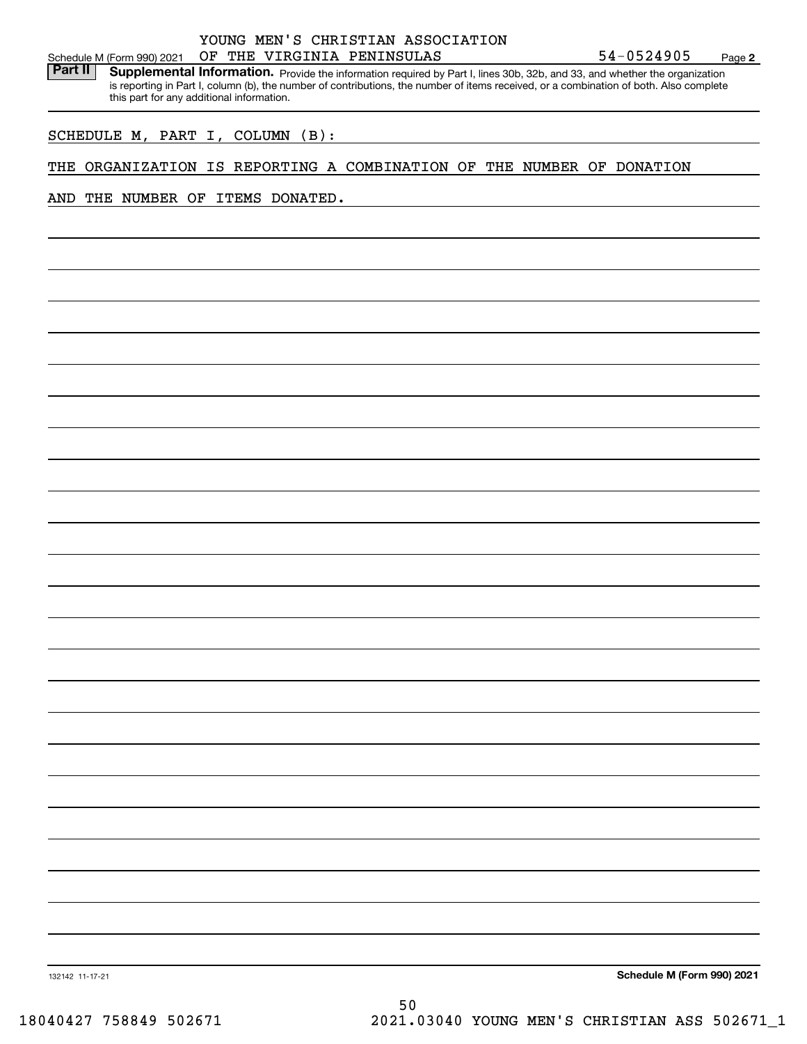#### Schedule M (Form 990) 2021 Page OF THE VIRGINIA PENINSULAS 54-0524905 YOUNG MEN'S CHRISTIAN ASSOCIATION

Part II | Supplemental Information. Provide the information required by Part I, lines 30b, 32b, and 33, and whether the organization is reporting in Part I, column (b), the number of contributions, the number of items received, or a combination of both. Also complete this part for any additional information.

#### SCHEDULE M, PART I, COLUMN (B):

#### THE ORGANIZATION IS REPORTING A COMBINATION OF THE NUMBER OF DONATION

AND THE NUMBER OF ITEMS DONATED.

**Schedule M (Form 990) 2021**

132142 11-17-21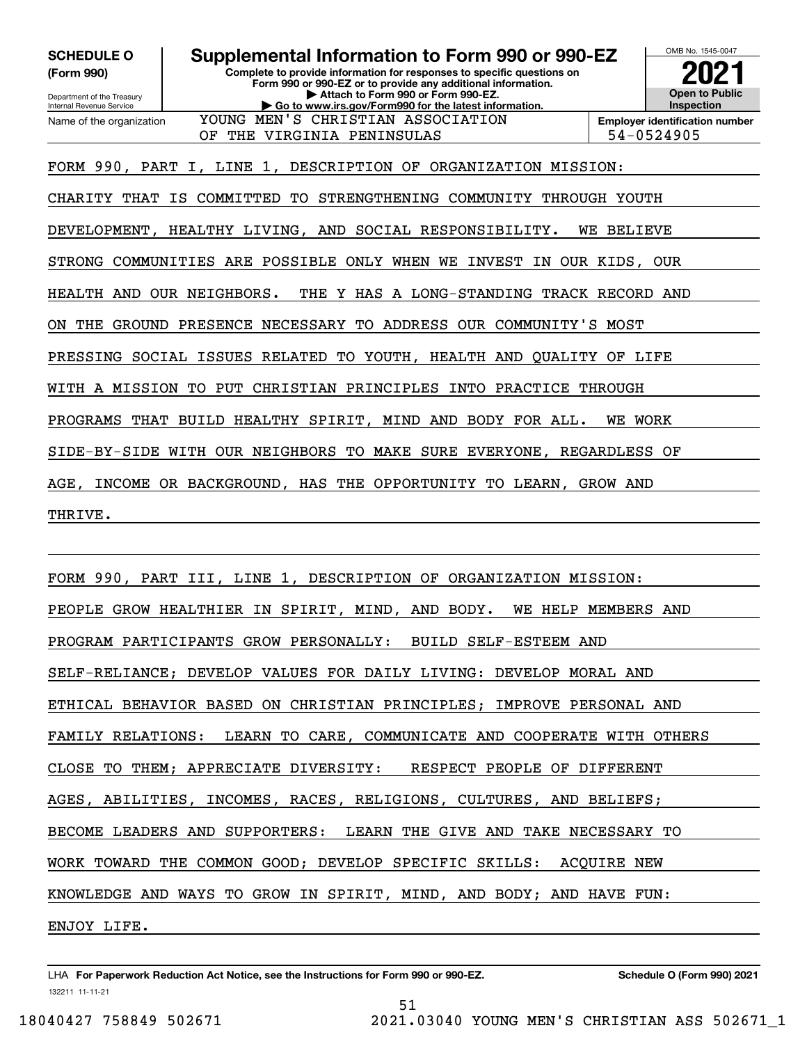**(Form 990)**

Department of the Treasury Internal Revenue Service Name of the organization

#### **Complete to provide information for responses to specific questions on Form 990 or 990-EZ or to provide any additional information. | Attach to Form 990 or Form 990-EZ. SCHEDULE O Supplemental Information to Form 990 or 990-EZ**

OF THE VIRGINIA PENINSULAS FOR SALL 54-0524905

**| Go to www.irs.gov/Form990 for the latest information.**

OMB No. 1545-0047 **Open to Public InspectionEmployer identification number 2021**

FORM 990, PART I, LINE 1, DESCRIPTION OF ORGANIZATION MISSION:

CHARITY THAT IS COMMITTED TO STRENGTHENING COMMUNITY THROUGH YOUTH

YOUNG MEN'S CHRISTIAN ASSOCIATION

DEVELOPMENT, HEALTHY LIVING, AND SOCIAL RESPONSIBILITY. WE BELIEVE

STRONG COMMUNITIES ARE POSSIBLE ONLY WHEN WE INVEST IN OUR KIDS, OUR

HEALTH AND OUR NEIGHBORS. THE Y HAS A LONG-STANDING TRACK RECORD AND

ON THE GROUND PRESENCE NECESSARY TO ADDRESS OUR COMMUNITY'S MOST

PRESSING SOCIAL ISSUES RELATED TO YOUTH, HEALTH AND QUALITY OF LIFE

WITH A MISSION TO PUT CHRISTIAN PRINCIPLES INTO PRACTICE THROUGH

PROGRAMS THAT BUILD HEALTHY SPIRIT, MIND AND BODY FOR ALL. WE WORK

SIDE-BY-SIDE WITH OUR NEIGHBORS TO MAKE SURE EVERYONE, REGARDLESS OF

AGE, INCOME OR BACKGROUND, HAS THE OPPORTUNITY TO LEARN, GROW AND

THRIVE.

FORM 990, PART III, LINE 1, DESCRIPTION OF ORGANIZATION MISSION: PEOPLE GROW HEALTHIER IN SPIRIT, MIND, AND BODY. WE HELP MEMBERS AND PROGRAM PARTICIPANTS GROW PERSONALLY: BUILD SELF-ESTEEM AND SELF-RELIANCE; DEVELOP VALUES FOR DAILY LIVING: DEVELOP MORAL AND ETHICAL BEHAVIOR BASED ON CHRISTIAN PRINCIPLES; IMPROVE PERSONAL AND FAMILY RELATIONS: LEARN TO CARE, COMMUNICATE AND COOPERATE WITH OTHERS CLOSE TO THEM; APPRECIATE DIVERSITY: RESPECT PEOPLE OF DIFFERENT AGES, ABILITIES, INCOMES, RACES, RELIGIONS, CULTURES, AND BELIEFS; BECOME LEADERS AND SUPPORTERS: LEARN THE GIVE AND TAKE NECESSARY TO WORK TOWARD THE COMMON GOOD; DEVELOP SPECIFIC SKILLS: ACQUIRE NEW KNOWLEDGE AND WAYS TO GROW IN SPIRIT, MIND, AND BODY; AND HAVE FUN: ENJOY LIFE.

132211 11-11-21 LHA For Paperwork Reduction Act Notice, see the Instructions for Form 990 or 990-EZ. Schedule O (Form 990) 2021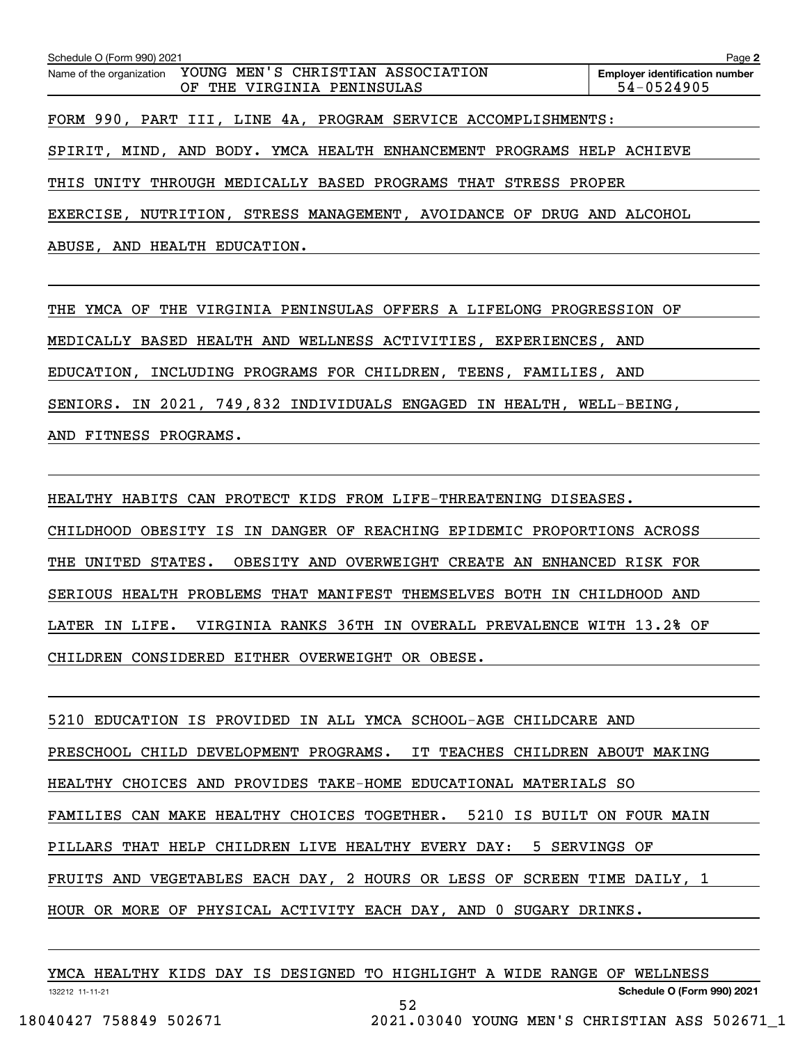**2Employer identification number** Schedule O (Form 990) 2021 Page Name of the organization YOUNG MEN'S CHRISTIAN ASSOCIATION FORM 990, PART III, LINE 4A, PROGRAM SERVICE ACCOMPLISHMENTS: SPIRIT, MIND, AND BODY. YMCA HEALTH ENHANCEMENT PROGRAMS HELP ACHIEVE THIS UNITY THROUGH MEDICALLY BASED PROGRAMS THAT STRESS PROPER EXERCISE, NUTRITION, STRESS MANAGEMENT, AVOIDANCE OF DRUG AND ALCOHOL ABUSE, AND HEALTH EDUCATION. OF THE VIRGINIA PENINSULAS **1990** 124-0524905

THE YMCA OF THE VIRGINIA PENINSULAS OFFERS A LIFELONG PROGRESSION OF MEDICALLY BASED HEALTH AND WELLNESS ACTIVITIES, EXPERIENCES, AND EDUCATION, INCLUDING PROGRAMS FOR CHILDREN, TEENS, FAMILIES, AND SENIORS. IN 2021, 749,832 INDIVIDUALS ENGAGED IN HEALTH, WELL-BEING, AND FITNESS PROGRAMS.

HEALTHY HABITS CAN PROTECT KIDS FROM LIFE-THREATENING DISEASES. CHILDHOOD OBESITY IS IN DANGER OF REACHING EPIDEMIC PROPORTIONS ACROSS THE UNITED STATES. OBESITY AND OVERWEIGHT CREATE AN ENHANCED RISK FOR SERIOUS HEALTH PROBLEMS THAT MANIFEST THEMSELVES BOTH IN CHILDHOOD AND LATER IN LIFE. VIRGINIA RANKS 36TH IN OVERALL PREVALENCE WITH 13.2% OF CHILDREN CONSIDERED EITHER OVERWEIGHT OR OBESE.

5210 EDUCATION IS PROVIDED IN ALL YMCA SCHOOL-AGE CHILDCARE AND PRESCHOOL CHILD DEVELOPMENT PROGRAMS. IT TEACHES CHILDREN ABOUT MAKING HEALTHY CHOICES AND PROVIDES TAKE-HOME EDUCATIONAL MATERIALS SO FAMILIES CAN MAKE HEALTHY CHOICES TOGETHER. 5210 IS BUILT ON FOUR MAIN PILLARS THAT HELP CHILDREN LIVE HEALTHY EVERY DAY: 5 SERVINGS OF FRUITS AND VEGETABLES EACH DAY, 2 HOURS OR LESS OF SCREEN TIME DAILY, 1 HOUR OR MORE OF PHYSICAL ACTIVITY EACH DAY, AND 0 SUGARY DRINKS.

132212 11-11-21 **Schedule O (Form 990) 2021** YMCA HEALTHY KIDS DAY IS DESIGNED TO HIGHLIGHT A WIDE RANGE OF WELLNESS 52 18040427 758849 502671 2021.03040 YOUNG MEN'S CHRISTIAN ASS 502671\_1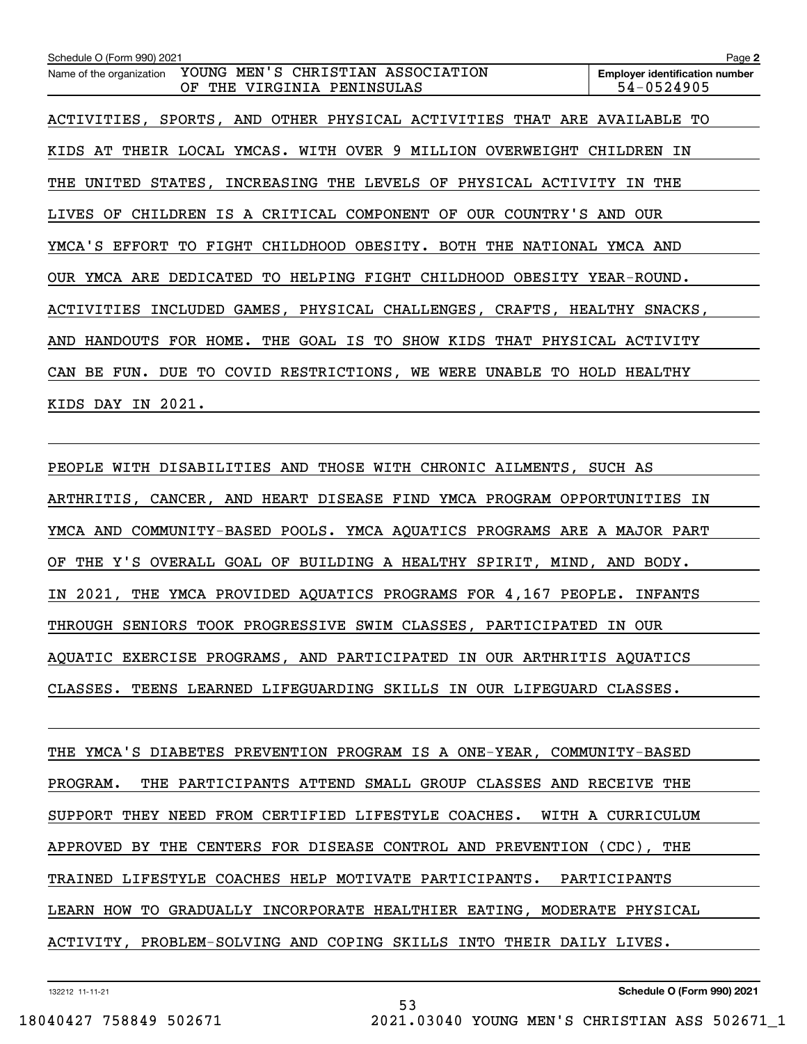| Schedule O (Form 990) 2021                                                                        | Page 2                                              |
|---------------------------------------------------------------------------------------------------|-----------------------------------------------------|
| YOUNG MEN'S CHRISTIAN ASSOCIATION<br>Name of the organization<br>THE<br>VIRGINIA PENINSULAS<br>OF | <b>Employer identification number</b><br>54-0524905 |
|                                                                                                   |                                                     |
| ACTIVITIES, SPORTS, AND OTHER PHYSICAL ACTIVITIES THAT ARE AVAILABLE TO                           |                                                     |
| KIDS AT THEIR LOCAL YMCAS. WITH OVER 9 MILLION OVERWEIGHT CHILDREN IN                             |                                                     |
| THE UNITED STATES, INCREASING THE LEVELS OF PHYSICAL ACTIVITY                                     | IN THE                                              |
| LIVES OF CHILDREN IS A CRITICAL COMPONENT OF OUR COUNTRY'S AND OUR                                |                                                     |
| YMCA'S EFFORT TO FIGHT CHILDHOOD OBESITY. BOTH THE                                                | NATIONAL YMCA AND                                   |
| OUR YMCA ARE DEDICATED TO HELPING FIGHT CHILDHOOD OBESITY YEAR-ROUND.                             |                                                     |
| ACTIVITIES INCLUDED GAMES, PHYSICAL CHALLENGES, CRAFTS, HEALTHY SNACKS,                           |                                                     |
| AND HANDOUTS FOR HOME. THE GOAL IS TO SHOW KIDS THAT PHYSICAL ACTIVITY                            |                                                     |
| CAN BE FUN. DUE TO COVID RESTRICTIONS, WE WERE UNABLE TO HOLD HEALTHY                             |                                                     |
| KIDS DAY IN 2021.                                                                                 |                                                     |

PEOPLE WITH DISABILITIES AND THOSE WITH CHRONIC AILMENTS, SUCH AS ARTHRITIS, CANCER, AND HEART DISEASE FIND YMCA PROGRAM OPPORTUNITIES IN YMCA AND COMMUNITY-BASED POOLS. YMCA AQUATICS PROGRAMS ARE A MAJOR PART OF THE Y'S OVERALL GOAL OF BUILDING A HEALTHY SPIRIT, MIND, AND BODY. IN 2021, THE YMCA PROVIDED AQUATICS PROGRAMS FOR 4,167 PEOPLE. INFANTS THROUGH SENIORS TOOK PROGRESSIVE SWIM CLASSES, PARTICIPATED IN OUR AQUATIC EXERCISE PROGRAMS, AND PARTICIPATED IN OUR ARTHRITIS AQUATICS CLASSES. TEENS LEARNED LIFEGUARDING SKILLS IN OUR LIFEGUARD CLASSES.

THE YMCA'S DIABETES PREVENTION PROGRAM IS A ONE-YEAR, COMMUNITY-BASED PROGRAM. THE PARTICIPANTS ATTEND SMALL GROUP CLASSES AND RECEIVE THE SUPPORT THEY NEED FROM CERTIFIED LIFESTYLE COACHES. WITH A CURRICULUM APPROVED BY THE CENTERS FOR DISEASE CONTROL AND PREVENTION (CDC), THE TRAINED LIFESTYLE COACHES HELP MOTIVATE PARTICIPANTS. PARTICIPANTS LEARN HOW TO GRADUALLY INCORPORATE HEALTHIER EATING, MODERATE PHYSICAL ACTIVITY, PROBLEM-SOLVING AND COPING SKILLS INTO THEIR DAILY LIVES.

53

132212 11-11-21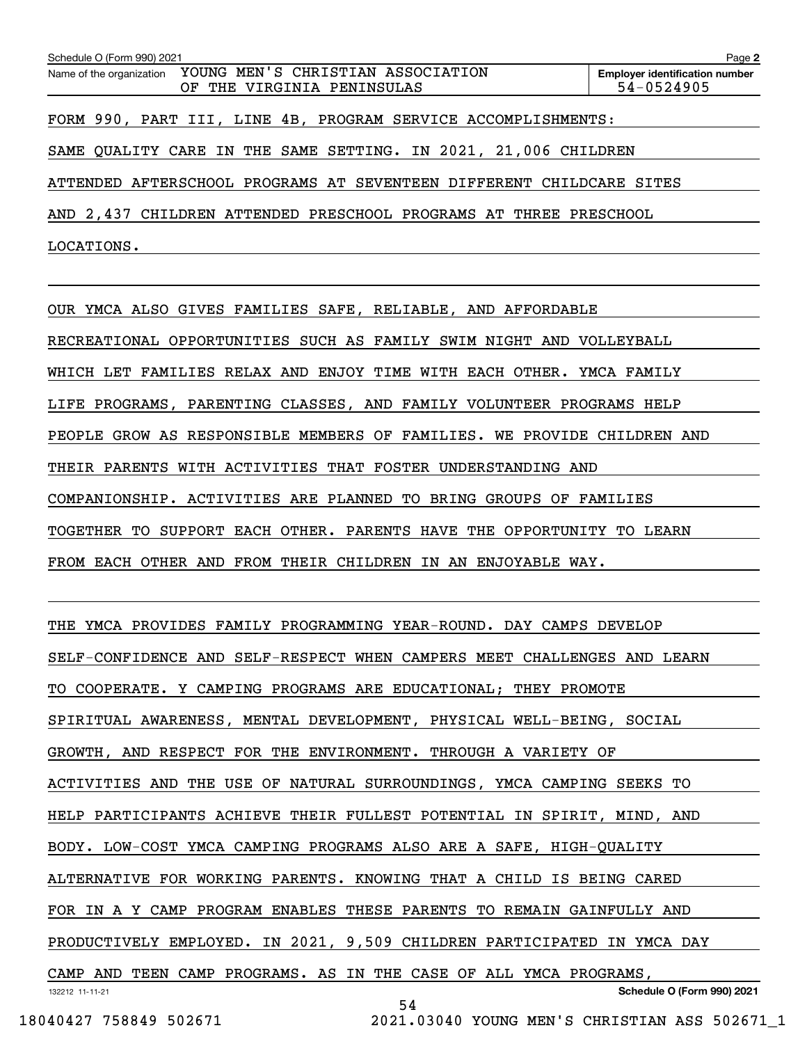| Schedule O (Form 990) 2021                                                               | Page 2                                              |
|------------------------------------------------------------------------------------------|-----------------------------------------------------|
| Name of the organization YOUNG MEN'S CHRISTIAN ASSOCIATION<br>OF THE VIRGINIA PENINSULAS | <b>Employer identification number</b><br>54-0524905 |
| FORM 990, PART III, LINE 4B, PROGRAM SERVICE ACCOMPLISHMENTS:                            |                                                     |
| SAME QUALITY CARE IN THE SAME SETTING. IN 2021, 21,006 CHILDREN                          |                                                     |
| ATTENDED AFTERSCHOOL PROGRAMS AT SEVENTEEN DIFFERENT CHILDCARE SITES                     |                                                     |
| AND 2,437 CHILDREN ATTENDED PRESCHOOL PROGRAMS AT THREE PRESCHOOL                        |                                                     |
| LOCATIONS.                                                                               |                                                     |

OUR YMCA ALSO GIVES FAMILIES SAFE, RELIABLE, AND AFFORDABLE

RECREATIONAL OPPORTUNITIES SUCH AS FAMILY SWIM NIGHT AND VOLLEYBALL

WHICH LET FAMILIES RELAX AND ENJOY TIME WITH EACH OTHER. YMCA FAMILY

LIFE PROGRAMS, PARENTING CLASSES, AND FAMILY VOLUNTEER PROGRAMS HELP

PEOPLE GROW AS RESPONSIBLE MEMBERS OF FAMILIES. WE PROVIDE CHILDREN AND

THEIR PARENTS WITH ACTIVITIES THAT FOSTER UNDERSTANDING AND

COMPANIONSHIP. ACTIVITIES ARE PLANNED TO BRING GROUPS OF FAMILIES

TOGETHER TO SUPPORT EACH OTHER. PARENTS HAVE THE OPPORTUNITY TO LEARN

FROM EACH OTHER AND FROM THEIR CHILDREN IN AN ENJOYABLE WAY.

132212 11-11-21 **Schedule O (Form 990) 2021** THE YMCA PROVIDES FAMILY PROGRAMMING YEAR-ROUND. DAY CAMPS DEVELOP SELF-CONFIDENCE AND SELF-RESPECT WHEN CAMPERS MEET CHALLENGES AND LEARN TO COOPERATE. Y CAMPING PROGRAMS ARE EDUCATIONAL; THEY PROMOTE SPIRITUAL AWARENESS, MENTAL DEVELOPMENT, PHYSICAL WELL-BEING, SOCIAL GROWTH, AND RESPECT FOR THE ENVIRONMENT. THROUGH A VARIETY OF ACTIVITIES AND THE USE OF NATURAL SURROUNDINGS, YMCA CAMPING SEEKS TO HELP PARTICIPANTS ACHIEVE THEIR FULLEST POTENTIAL IN SPIRIT, MIND, AND BODY. LOW-COST YMCA CAMPING PROGRAMS ALSO ARE A SAFE, HIGH-QUALITY ALTERNATIVE FOR WORKING PARENTS. KNOWING THAT A CHILD IS BEING CARED FOR IN A Y CAMP PROGRAM ENABLES THESE PARENTS TO REMAIN GAINFULLY AND PRODUCTIVELY EMPLOYED. IN 2021, 9,509 CHILDREN PARTICIPATED IN YMCA DAY CAMP AND TEEN CAMP PROGRAMS. AS IN THE CASE OF ALL YMCA PROGRAMS, 54

18040427 758849 502671 2021.03040 YOUNG MEN'S CHRISTIAN ASS 502671\_1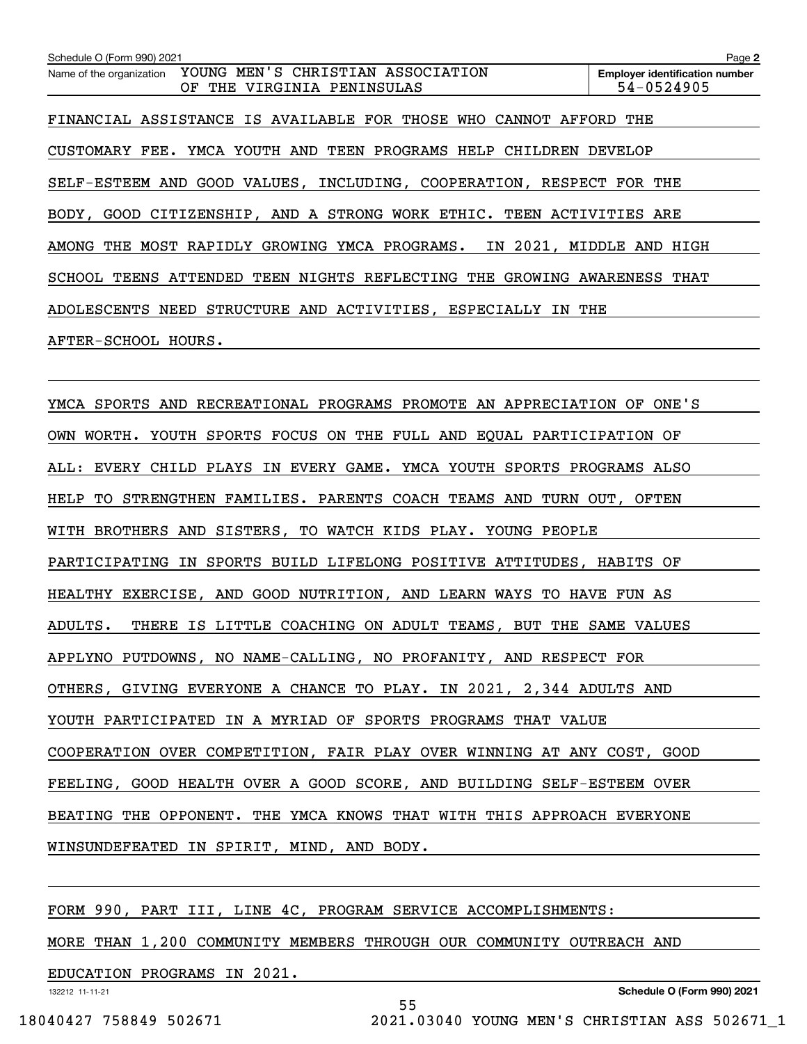**2Employer identification number** Schedule O (Form 990) 2021 Page Name of the organization YOUNG MEN'S CHRISTIAN ASSOCIATION FINANCIAL ASSISTANCE IS AVAILABLE FOR THOSE WHO CANNOT AFFORD THE CUSTOMARY FEE. YMCA YOUTH AND TEEN PROGRAMS HELP CHILDREN DEVELOP SELF-ESTEEM AND GOOD VALUES, INCLUDING, COOPERATION, RESPECT FOR THE BODY, GOOD CITIZENSHIP, AND A STRONG WORK ETHIC. TEEN ACTIVITIES ARE AMONG THE MOST RAPIDLY GROWING YMCA PROGRAMS. IN 2021, MIDDLE AND HIGH SCHOOL TEENS ATTENDED TEEN NIGHTS REFLECTING THE GROWING AWARENESS THAT ADOLESCENTS NEED STRUCTURE AND ACTIVITIES, ESPECIALLY IN THE AFTER-SCHOOL HOURS. OF THE VIRGINIA PENINSULAS **1990** 124-0524905

YMCA SPORTS AND RECREATIONAL PROGRAMS PROMOTE AN APPRECIATION OF ONE'S OWN WORTH. YOUTH SPORTS FOCUS ON THE FULL AND EQUAL PARTICIPATION OF ALL: EVERY CHILD PLAYS IN EVERY GAME. YMCA YOUTH SPORTS PROGRAMS ALSO HELP TO STRENGTHEN FAMILIES. PARENTS COACH TEAMS AND TURN OUT, OFTEN WITH BROTHERS AND SISTERS, TO WATCH KIDS PLAY. YOUNG PEOPLE PARTICIPATING IN SPORTS BUILD LIFELONG POSITIVE ATTITUDES, HABITS OF HEALTHY EXERCISE, AND GOOD NUTRITION, AND LEARN WAYS TO HAVE FUN AS ADULTS. THERE IS LITTLE COACHING ON ADULT TEAMS, BUT THE SAME VALUES APPLYNO PUTDOWNS, NO NAME-CALLING, NO PROFANITY, AND RESPECT FOR OTHERS, GIVING EVERYONE A CHANCE TO PLAY. IN 2021, 2,344 ADULTS AND YOUTH PARTICIPATED IN A MYRIAD OF SPORTS PROGRAMS THAT VALUE COOPERATION OVER COMPETITION, FAIR PLAY OVER WINNING AT ANY COST, GOOD FEELING, GOOD HEALTH OVER A GOOD SCORE, AND BUILDING SELF-ESTEEM OVER BEATING THE OPPONENT. THE YMCA KNOWS THAT WITH THIS APPROACH EVERYONE WINSUNDEFEATED IN SPIRIT, MIND, AND BODY.

FORM 990, PART III, LINE 4C, PROGRAM SERVICE ACCOMPLISHMENTS:

MORE THAN 1,200 COMMUNITY MEMBERS THROUGH OUR COMMUNITY OUTREACH AND

55

EDUCATION PROGRAMS IN 2021.

132212 11-11-21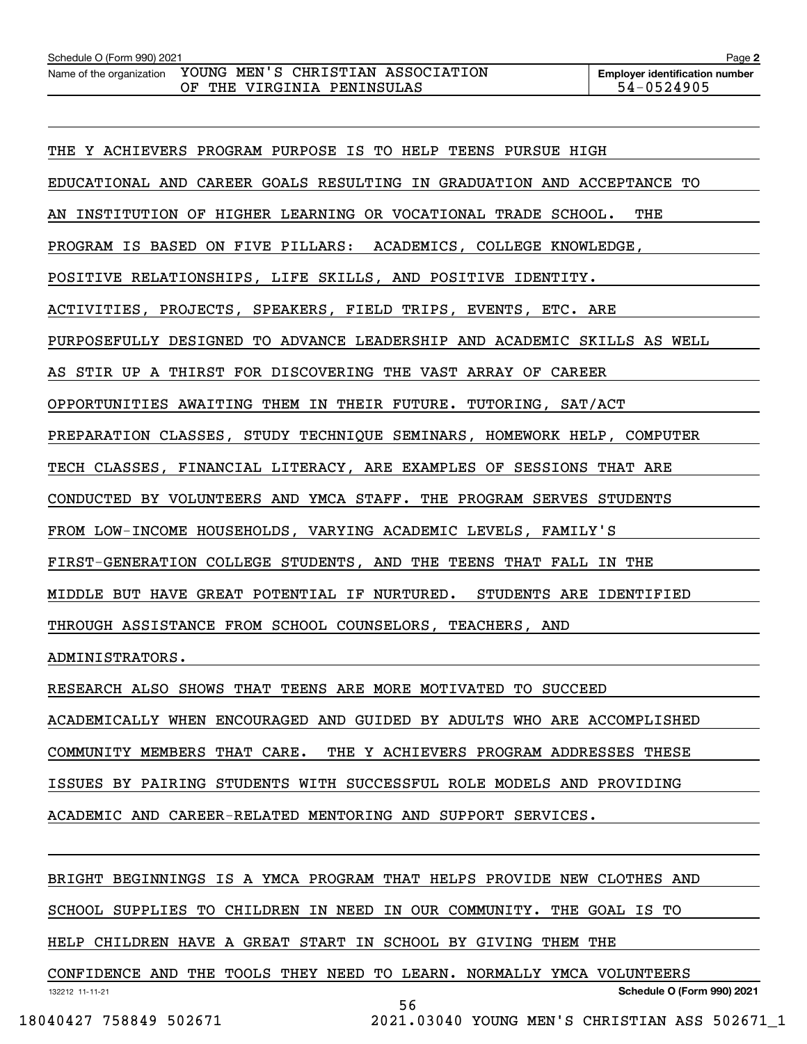**2**

THE Y ACHIEVERS PROGRAM PURPOSE IS TO HELP TEENS PURSUE HIGH EDUCATIONAL AND CAREER GOALS RESULTING IN GRADUATION AND ACCEPTANCE TO AN INSTITUTION OF HIGHER LEARNING OR VOCATIONAL TRADE SCHOOL. THE PROGRAM IS BASED ON FIVE PILLARS: ACADEMICS, COLLEGE KNOWLEDGE, POSITIVE RELATIONSHIPS, LIFE SKILLS, AND POSITIVE IDENTITY. ACTIVITIES, PROJECTS, SPEAKERS, FIELD TRIPS, EVENTS, ETC. ARE PURPOSEFULLY DESIGNED TO ADVANCE LEADERSHIP AND ACADEMIC SKILLS AS WELL AS STIR UP A THIRST FOR DISCOVERING THE VAST ARRAY OF CAREER OPPORTUNITIES AWAITING THEM IN THEIR FUTURE. TUTORING, SAT/ACT PREPARATION CLASSES, STUDY TECHNIQUE SEMINARS, HOMEWORK HELP, COMPUTER TECH CLASSES, FINANCIAL LITERACY, ARE EXAMPLES OF SESSIONS THAT ARE CONDUCTED BY VOLUNTEERS AND YMCA STAFF. THE PROGRAM SERVES STUDENTS FROM LOW-INCOME HOUSEHOLDS, VARYING ACADEMIC LEVELS, FAMILY'S FIRST-GENERATION COLLEGE STUDENTS, AND THE TEENS THAT FALL IN THE MIDDLE BUT HAVE GREAT POTENTIAL IF NURTURED. STUDENTS ARE IDENTIFIED THROUGH ASSISTANCE FROM SCHOOL COUNSELORS, TEACHERS, AND ADMINISTRATORS. RESEARCH ALSO SHOWS THAT TEENS ARE MORE MOTIVATED TO SUCCEED ACADEMICALLY WHEN ENCOURAGED AND GUIDED BY ADULTS WHO ARE ACCOMPLISHED COMMUNITY MEMBERS THAT CARE. THE Y ACHIEVERS PROGRAM ADDRESSES THESE

ISSUES BY PAIRING STUDENTS WITH SUCCESSFUL ROLE MODELS AND PROVIDING

ACADEMIC AND CAREER-RELATED MENTORING AND SUPPORT SERVICES.

BRIGHT BEGINNINGS IS A YMCA PROGRAM THAT HELPS PROVIDE NEW CLOTHES AND

SCHOOL SUPPLIES TO CHILDREN IN NEED IN OUR COMMUNITY. THE GOAL IS TO

HELP CHILDREN HAVE A GREAT START IN SCHOOL BY GIVING THEM THE

132212 11-11-21 **Schedule O (Form 990) 2021** CONFIDENCE AND THE TOOLS THEY NEED TO LEARN. NORMALLY YMCA VOLUNTEERS 56

18040427 758849 502671 2021.03040 YOUNG MEN'S CHRISTIAN ASS 502671\_1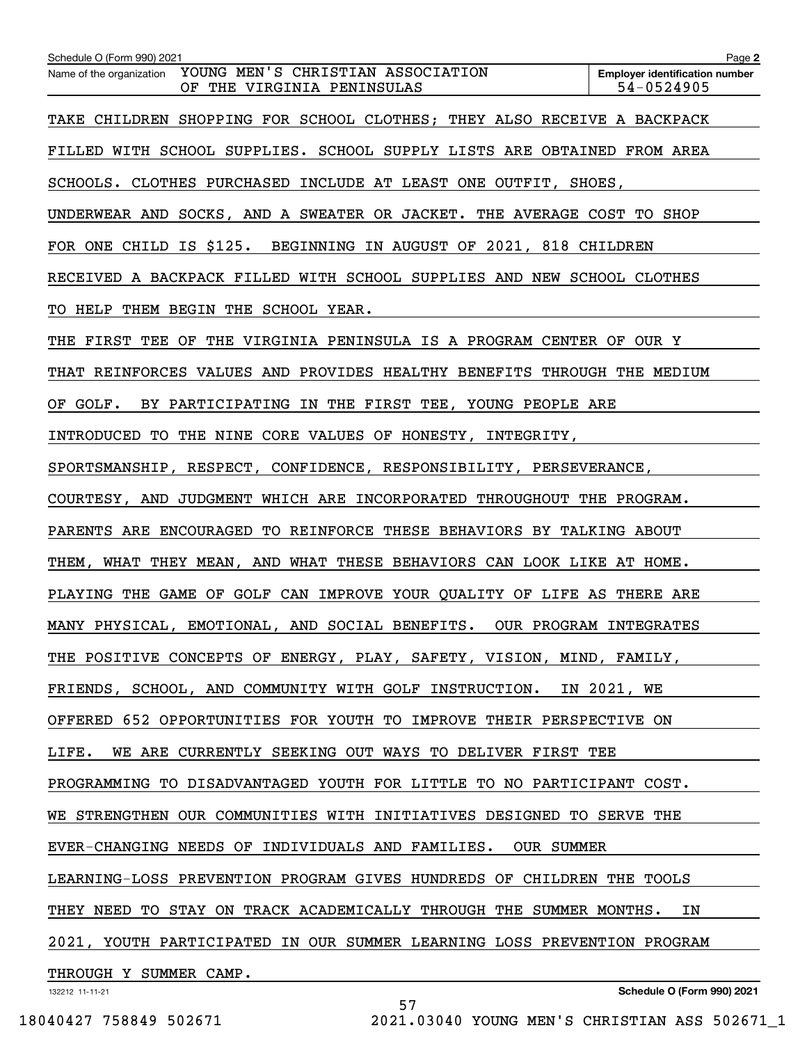| Schedule O (Form 990) 2021<br>Name of the organization YOUNG MEN'S CHRISTIAN ASSOCIATION<br>OF THE VIRGINIA PENINSULAS | Page 2<br><b>Employer identification number</b><br>54-0524905 |
|------------------------------------------------------------------------------------------------------------------------|---------------------------------------------------------------|
| TAKE CHILDREN SHOPPING FOR SCHOOL CLOTHES; THEY ALSO RECEIVE A BACKPACK                                                |                                                               |
|                                                                                                                        |                                                               |
| FILLED WITH SCHOOL SUPPLIES. SCHOOL SUPPLY LISTS ARE OBTAINED FROM AREA                                                |                                                               |
| SCHOOLS. CLOTHES PURCHASED INCLUDE AT LEAST ONE OUTFIT, SHOES,                                                         |                                                               |
| UNDERWEAR AND SOCKS, AND A SWEATER OR JACKET. THE AVERAGE COST TO SHOP                                                 |                                                               |
| FOR ONE CHILD IS \$125. BEGINNING IN AUGUST OF 2021, 818 CHILDREN                                                      |                                                               |
| RECEIVED A BACKPACK FILLED WITH SCHOOL SUPPLIES AND NEW SCHOOL CLOTHES                                                 |                                                               |
| TO HELP THEM BEGIN THE SCHOOL YEAR. THE LITTLE AND THE SCHOOL SEAR.                                                    |                                                               |
| THE FIRST TEE OF THE VIRGINIA PENINSULA IS A PROGRAM CENTER OF OUR Y                                                   |                                                               |
| THAT REINFORCES VALUES AND PROVIDES HEALTHY BENEFITS THROUGH THE MEDIUM                                                |                                                               |
| BY PARTICIPATING IN THE FIRST TEE, YOUNG PEOPLE ARE<br>OF GOLF.                                                        |                                                               |
| INTRODUCED TO THE NINE CORE VALUES OF HONESTY, INTEGRITY, NETRODUCED TO THE NINE CORE VALUES OF HONESTY,               |                                                               |
| SPORTSMANSHIP, RESPECT, CONFIDENCE, RESPONSIBILITY, PERSEVERANCE,                                                      |                                                               |
| COURTESY, AND JUDGMENT WHICH ARE INCORPORATED THROUGHOUT THE PROGRAM.                                                  |                                                               |
| PARENTS ARE ENCOURAGED TO REINFORCE THESE BEHAVIORS BY TALKING ABOUT                                                   |                                                               |
| THEM, WHAT THEY MEAN, AND WHAT THESE BEHAVIORS CAN LOOK LIKE AT HOME.                                                  |                                                               |
| PLAYING THE GAME OF GOLF CAN IMPROVE YOUR QUALITY OF LIFE AS THERE ARE                                                 |                                                               |
| MANY PHYSICAL, EMOTIONAL, AND SOCIAL BENEFITS. OUR PROGRAM INTEGRATES                                                  |                                                               |
| THE POSITIVE CONCEPTS OF ENERGY, PLAY, SAFETY, VISION, MIND, FAMILY,                                                   |                                                               |
| FRIENDS, SCHOOL, AND COMMUNITY WITH GOLF INSTRUCTION. IN 2021, WE                                                      |                                                               |
| OFFERED 652 OPPORTUNITIES FOR YOUTH TO IMPROVE THEIR PERSPECTIVE ON                                                    |                                                               |
| LIFE. WE ARE CURRENTLY SEEKING OUT WAYS TO DELIVER FIRST TEE                                                           |                                                               |
| PROGRAMMING TO DISADVANTAGED YOUTH FOR LITTLE TO NO PARTICIPANT COST.                                                  |                                                               |
| WE STRENGTHEN OUR COMMUNITIES WITH INITIATIVES DESIGNED TO SERVE THE                                                   |                                                               |
| EVER-CHANGING NEEDS OF INDIVIDUALS AND FAMILIES. OUR SUMMER                                                            |                                                               |
| LEARNING-LOSS PREVENTION PROGRAM GIVES HUNDREDS OF CHILDREN THE TOOLS                                                  |                                                               |
| THEY NEED TO STAY ON TRACK ACADEMICALLY THROUGH THE SUMMER MONTHS.                                                     | IN.                                                           |
| 2021, YOUTH PARTICIPATED IN OUR SUMMER LEARNING LOSS PREVENTION PROGRAM                                                |                                                               |
| THROUGH Y SUMMER CAMP.<br>132212 11-11-21                                                                              | Schedule O (Form 990) 2021                                    |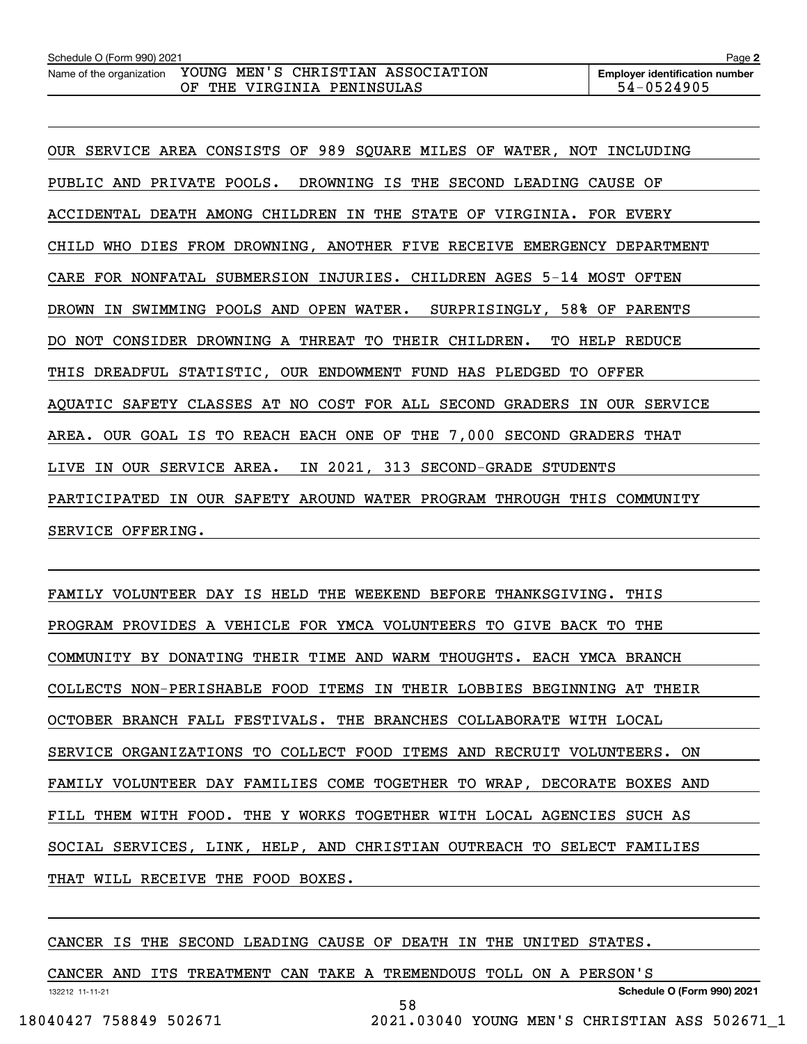OUR SERVICE AREA CONSISTS OF 989 SQUARE MILES OF WATER, NOT INCLUDING PUBLIC AND PRIVATE POOLS. DROWNING IS THE SECOND LEADING CAUSE OF ACCIDENTAL DEATH AMONG CHILDREN IN THE STATE OF VIRGINIA. FOR EVERY CHILD WHO DIES FROM DROWNING, ANOTHER FIVE RECEIVE EMERGENCY DEPARTMENT CARE FOR NONFATAL SUBMERSION INJURIES. CHILDREN AGES 5-14 MOST OFTEN DROWN IN SWIMMING POOLS AND OPEN WATER. SURPRISINGLY, 58% OF PARENTS DO NOT CONSIDER DROWNING A THREAT TO THEIR CHILDREN. TO HELP REDUCE THIS DREADFUL STATISTIC, OUR ENDOWMENT FUND HAS PLEDGED TO OFFER AQUATIC SAFETY CLASSES AT NO COST FOR ALL SECOND GRADERS IN OUR SERVICE AREA. OUR GOAL IS TO REACH EACH ONE OF THE 7,000 SECOND GRADERS THAT LIVE IN OUR SERVICE AREA. IN 2021, 313 SECOND-GRADE STUDENTS PARTICIPATED IN OUR SAFETY AROUND WATER PROGRAM THROUGH THIS COMMUNITY SERVICE OFFERING.

FAMILY VOLUNTEER DAY IS HELD THE WEEKEND BEFORE THANKSGIVING. THIS PROGRAM PROVIDES A VEHICLE FOR YMCA VOLUNTEERS TO GIVE BACK TO THE COMMUNITY BY DONATING THEIR TIME AND WARM THOUGHTS. EACH YMCA BRANCH COLLECTS NON-PERISHABLE FOOD ITEMS IN THEIR LOBBIES BEGINNING AT THEIR OCTOBER BRANCH FALL FESTIVALS. THE BRANCHES COLLABORATE WITH LOCAL SERVICE ORGANIZATIONS TO COLLECT FOOD ITEMS AND RECRUIT VOLUNTEERS. ON FAMILY VOLUNTEER DAY FAMILIES COME TOGETHER TO WRAP, DECORATE BOXES AND FILL THEM WITH FOOD. THE Y WORKS TOGETHER WITH LOCAL AGENCIES SUCH AS SOCIAL SERVICES, LINK, HELP, AND CHRISTIAN OUTREACH TO SELECT FAMILIES THAT WILL RECEIVE THE FOOD BOXES.

CANCER IS THE SECOND LEADING CAUSE OF DEATH IN THE UNITED STATES.

132212 11-11-21 **Schedule O (Form 990) 2021** CANCER AND ITS TREATMENT CAN TAKE A TREMENDOUS TOLL ON A PERSON'S 58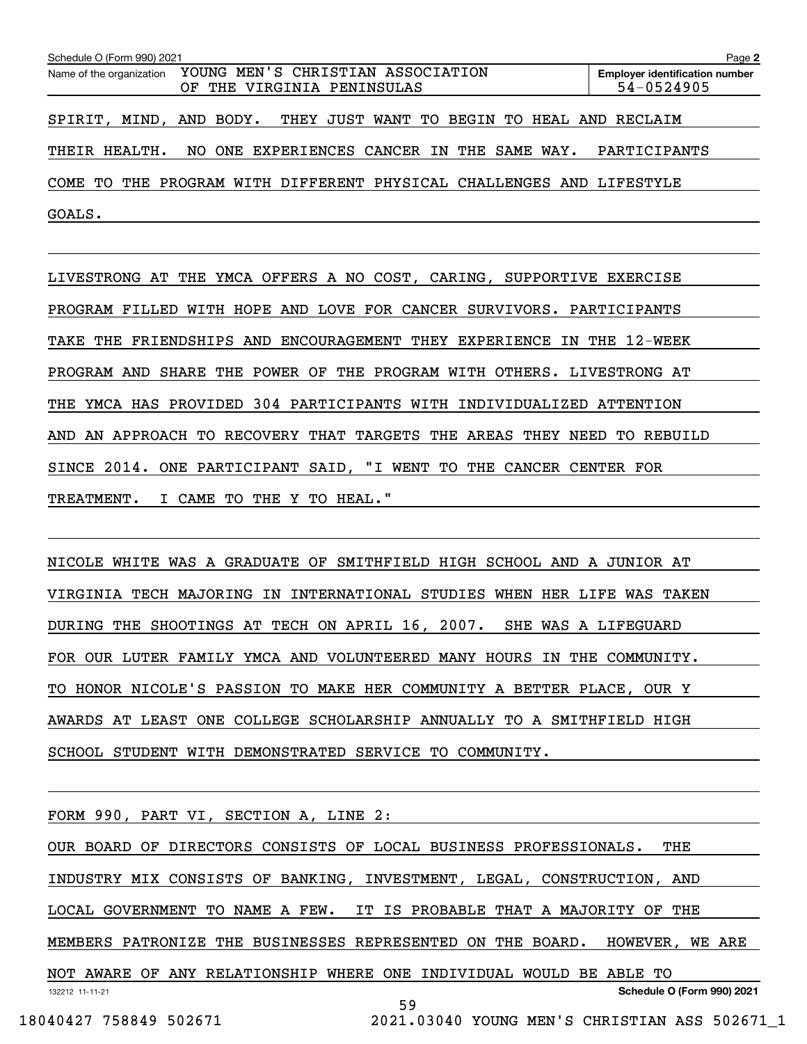| Schedule O (Form 990) 2021 |                                                                 | Page 2                                              |
|----------------------------|-----------------------------------------------------------------|-----------------------------------------------------|
| Name of the organization   | YOUNG MEN'S CHRISTIAN ASSOCIATION<br>OF THE VIRGINIA PENINSULAS | <b>Employer identification number</b><br>54-0524905 |
| SPIRIT,                    | MIND, AND BODY. THEY JUST WANT TO BEGIN<br>TO HEAL AND RECLAIM  |                                                     |
| THEIR HEALTH.              | NO ONE EXPERIENCES CANCER IN THE SAME WAY.                      | PARTICIPANTS                                        |
| COME<br>TO.                | THE PROGRAM WITH DIFFERENT PHYSICAL CHALLENGES AND LIFESTYLE    |                                                     |
| GOALS.                     |                                                                 |                                                     |

LIVESTRONG AT THE YMCA OFFERS A NO COST, CARING, SUPPORTIVE EXERCISE PROGRAM FILLED WITH HOPE AND LOVE FOR CANCER SURVIVORS. PARTICIPANTS TAKE THE FRIENDSHIPS AND ENCOURAGEMENT THEY EXPERIENCE IN THE 12-WEEK PROGRAM AND SHARE THE POWER OF THE PROGRAM WITH OTHERS. LIVESTRONG AT THE YMCA HAS PROVIDED 304 PARTICIPANTS WITH INDIVIDUALIZED ATTENTION AND AN APPROACH TO RECOVERY THAT TARGETS THE AREAS THEY NEED TO REBUILD SINCE 2014. ONE PARTICIPANT SAID, "I WENT TO THE CANCER CENTER FOR TREATMENT. I CAME TO THE Y TO HEAL."

NICOLE WHITE WAS A GRADUATE OF SMITHFIELD HIGH SCHOOL AND A JUNIOR AT VIRGINIA TECH MAJORING IN INTERNATIONAL STUDIES WHEN HER LIFE WAS TAKEN DURING THE SHOOTINGS AT TECH ON APRIL 16, 2007. SHE WAS A LIFEGUARD FOR OUR LUTER FAMILY YMCA AND VOLUNTEERED MANY HOURS IN THE COMMUNITY. TO HONOR NICOLE'S PASSION TO MAKE HER COMMUNITY A BETTER PLACE, OUR Y AWARDS AT LEAST ONE COLLEGE SCHOLARSHIP ANNUALLY TO A SMITHFIELD HIGH SCHOOL STUDENT WITH DEMONSTRATED SERVICE TO COMMUNITY.

132212 11-11-21 **Schedule O (Form 990) 2021** FORM 990, PART VI, SECTION A, LINE 2: OUR BOARD OF DIRECTORS CONSISTS OF LOCAL BUSINESS PROFESSIONALS. THE INDUSTRY MIX CONSISTS OF BANKING, INVESTMENT, LEGAL, CONSTRUCTION, AND LOCAL GOVERNMENT TO NAME A FEW. IT IS PROBABLE THAT A MAJORITY OF THE MEMBERS PATRONIZE THE BUSINESSES REPRESENTED ON THE BOARD. HOWEVER, WE ARE NOT AWARE OF ANY RELATIONSHIP WHERE ONE INDIVIDUAL WOULD BE ABLE TO 59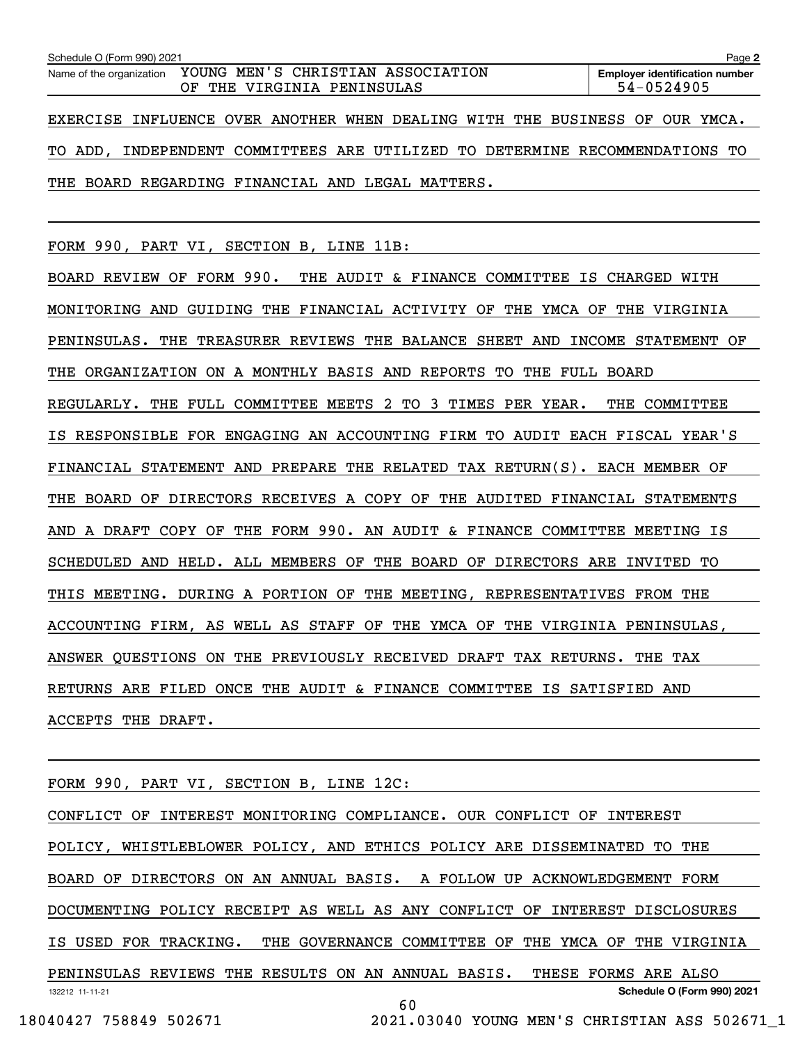| Schedule O (Form 990) 2021                                                  |                                                                     |  |  | Page 2 |
|-----------------------------------------------------------------------------|---------------------------------------------------------------------|--|--|--------|
| Name of the organization                                                    | <b>Employer identification number</b><br>54-0524905                 |  |  |        |
| EXERCISE INFLUENCE OVER ANOTHER WHEN DEALING WITH THE BUSINESS OF OUR YMCA. |                                                                     |  |  |        |
| TO ADD.                                                                     | INDEPENDENT COMMITTEES ARE UTILIZED TO DETERMINE RECOMMENDATIONS TO |  |  |        |
| THE BOARD REGARDING FINANCIAL AND LEGAL MATTERS.                            |                                                                     |  |  |        |

FORM 990, PART VI, SECTION B, LINE 11B:

BOARD REVIEW OF FORM 990. THE AUDIT & FINANCE COMMITTEE IS CHARGED WITH MONITORING AND GUIDING THE FINANCIAL ACTIVITY OF THE YMCA OF THE VIRGINIA PENINSULAS. THE TREASURER REVIEWS THE BALANCE SHEET AND INCOME STATEMENT OF THE ORGANIZATION ON A MONTHLY BASIS AND REPORTS TO THE FULL BOARD REGULARLY. THE FULL COMMITTEE MEETS 2 TO 3 TIMES PER YEAR. THE COMMITTEE IS RESPONSIBLE FOR ENGAGING AN ACCOUNTING FIRM TO AUDIT EACH FISCAL YEAR'S FINANCIAL STATEMENT AND PREPARE THE RELATED TAX RETURN(S). EACH MEMBER OF THE BOARD OF DIRECTORS RECEIVES A COPY OF THE AUDITED FINANCIAL STATEMENTS AND A DRAFT COPY OF THE FORM 990. AN AUDIT & FINANCE COMMITTEE MEETING IS SCHEDULED AND HELD. ALL MEMBERS OF THE BOARD OF DIRECTORS ARE INVITED TO THIS MEETING. DURING A PORTION OF THE MEETING, REPRESENTATIVES FROM THE ACCOUNTING FIRM, AS WELL AS STAFF OF THE YMCA OF THE VIRGINIA PENINSULAS, ANSWER QUESTIONS ON THE PREVIOUSLY RECEIVED DRAFT TAX RETURNS. THE TAX RETURNS ARE FILED ONCE THE AUDIT & FINANCE COMMITTEE IS SATISFIED AND ACCEPTS THE DRAFT.

132212 11-11-21 **Schedule O (Form 990) 2021** FORM 990, PART VI, SECTION B, LINE 12C: CONFLICT OF INTEREST MONITORING COMPLIANCE. OUR CONFLICT OF INTEREST POLICY, WHISTLEBLOWER POLICY, AND ETHICS POLICY ARE DISSEMINATED TO THE BOARD OF DIRECTORS ON AN ANNUAL BASIS. A FOLLOW UP ACKNOWLEDGEMENT FORM DOCUMENTING POLICY RECEIPT AS WELL AS ANY CONFLICT OF INTEREST DISCLOSURES IS USED FOR TRACKING. THE GOVERNANCE COMMITTEE OF THE YMCA OF THE VIRGINIA PENINSULAS REVIEWS THE RESULTS ON AN ANNUAL BASIS. THESE FORMS ARE ALSO 60

18040427 758849 502671 2021.03040 YOUNG MEN'S CHRISTIAN ASS 502671\_1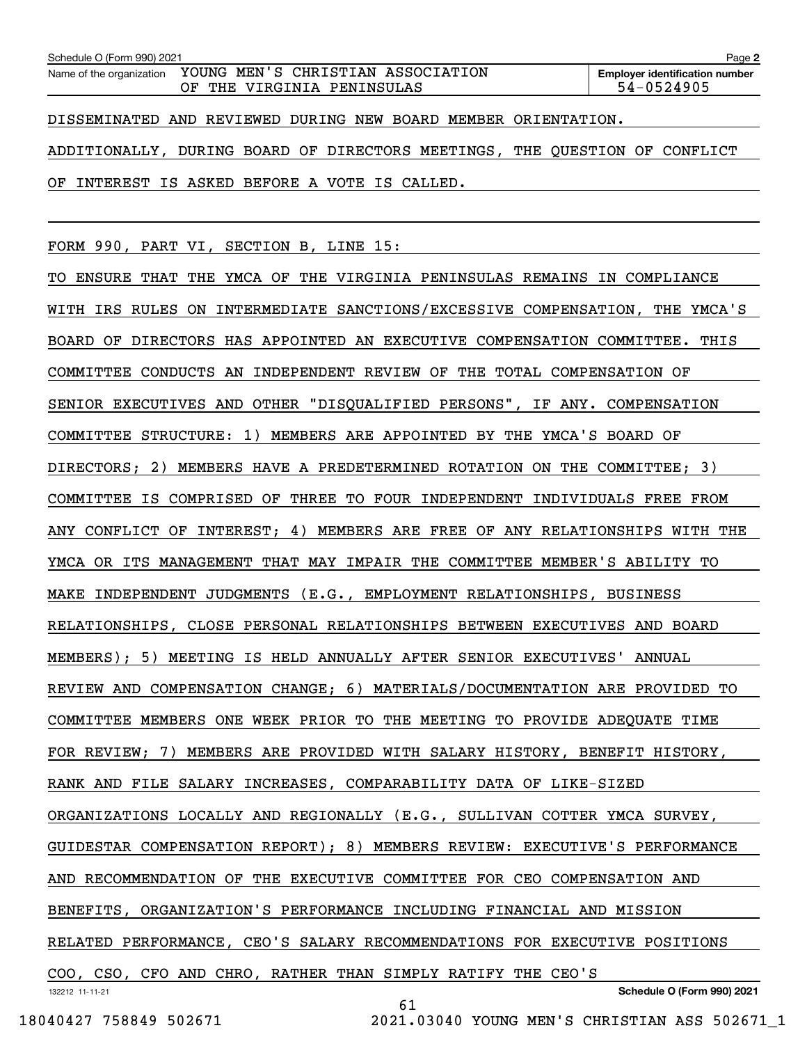| Schedule O (Form 990) 2021                                                 |                            |  |  |  |  |                                                     | Page 2 |
|----------------------------------------------------------------------------|----------------------------|--|--|--|--|-----------------------------------------------------|--------|
| Name of the organization YOUNG MEN'S CHRISTIAN ASSOCIATION                 | OF THE VIRGINIA PENINSULAS |  |  |  |  | <b>Employer identification number</b><br>54-0524905 |        |
| DISSEMINATED AND REVIEWED DURING NEW BOARD MEMBER ORIENTATION.             |                            |  |  |  |  |                                                     |        |
| ADDITIONALLY, DURING BOARD OF DIRECTORS MEETINGS, THE QUESTION OF CONFLICT |                            |  |  |  |  |                                                     |        |
| OF INTEREST IS ASKED BEFORE A VOTE IS CALLED.                              |                            |  |  |  |  |                                                     |        |

FORM 990, PART VI, SECTION B, LINE 15:

132212 11-11-21 **Schedule O (Form 990) 2021** TO ENSURE THAT THE YMCA OF THE VIRGINIA PENINSULAS REMAINS IN COMPLIANCE WITH IRS RULES ON INTERMEDIATE SANCTIONS/EXCESSIVE COMPENSATION, THE YMCA'S BOARD OF DIRECTORS HAS APPOINTED AN EXECUTIVE COMPENSATION COMMITTEE. THIS COMMITTEE CONDUCTS AN INDEPENDENT REVIEW OF THE TOTAL COMPENSATION OF SENIOR EXECUTIVES AND OTHER "DISQUALIFIED PERSONS", IF ANY. COMPENSATION COMMITTEE STRUCTURE: 1) MEMBERS ARE APPOINTED BY THE YMCA'S BOARD OF DIRECTORS; 2) MEMBERS HAVE A PREDETERMINED ROTATION ON THE COMMITTEE; 3) COMMITTEE IS COMPRISED OF THREE TO FOUR INDEPENDENT INDIVIDUALS FREE FROM ANY CONFLICT OF INTEREST; 4) MEMBERS ARE FREE OF ANY RELATIONSHIPS WITH THE YMCA OR ITS MANAGEMENT THAT MAY IMPAIR THE COMMITTEE MEMBER'S ABILITY TO MAKE INDEPENDENT JUDGMENTS (E.G., EMPLOYMENT RELATIONSHIPS, BUSINESS RELATIONSHIPS, CLOSE PERSONAL RELATIONSHIPS BETWEEN EXECUTIVES AND BOARD MEMBERS); 5) MEETING IS HELD ANNUALLY AFTER SENIOR EXECUTIVES' ANNUAL REVIEW AND COMPENSATION CHANGE; 6) MATERIALS/DOCUMENTATION ARE PROVIDED TO COMMITTEE MEMBERS ONE WEEK PRIOR TO THE MEETING TO PROVIDE ADEQUATE TIME FOR REVIEW; 7) MEMBERS ARE PROVIDED WITH SALARY HISTORY, BENEFIT HISTORY, RANK AND FILE SALARY INCREASES, COMPARABILITY DATA OF LIKE-SIZED ORGANIZATIONS LOCALLY AND REGIONALLY (E.G., SULLIVAN COTTER YMCA SURVEY, GUIDESTAR COMPENSATION REPORT); 8) MEMBERS REVIEW: EXECUTIVE'S PERFORMANCE AND RECOMMENDATION OF THE EXECUTIVE COMMITTEE FOR CEO COMPENSATION AND BENEFITS, ORGANIZATION'S PERFORMANCE INCLUDING FINANCIAL AND MISSION RELATED PERFORMANCE, CEO'S SALARY RECOMMENDATIONS FOR EXECUTIVE POSITIONS COO, CSO, CFO AND CHRO, RATHER THAN SIMPLY RATIFY THE CEO'S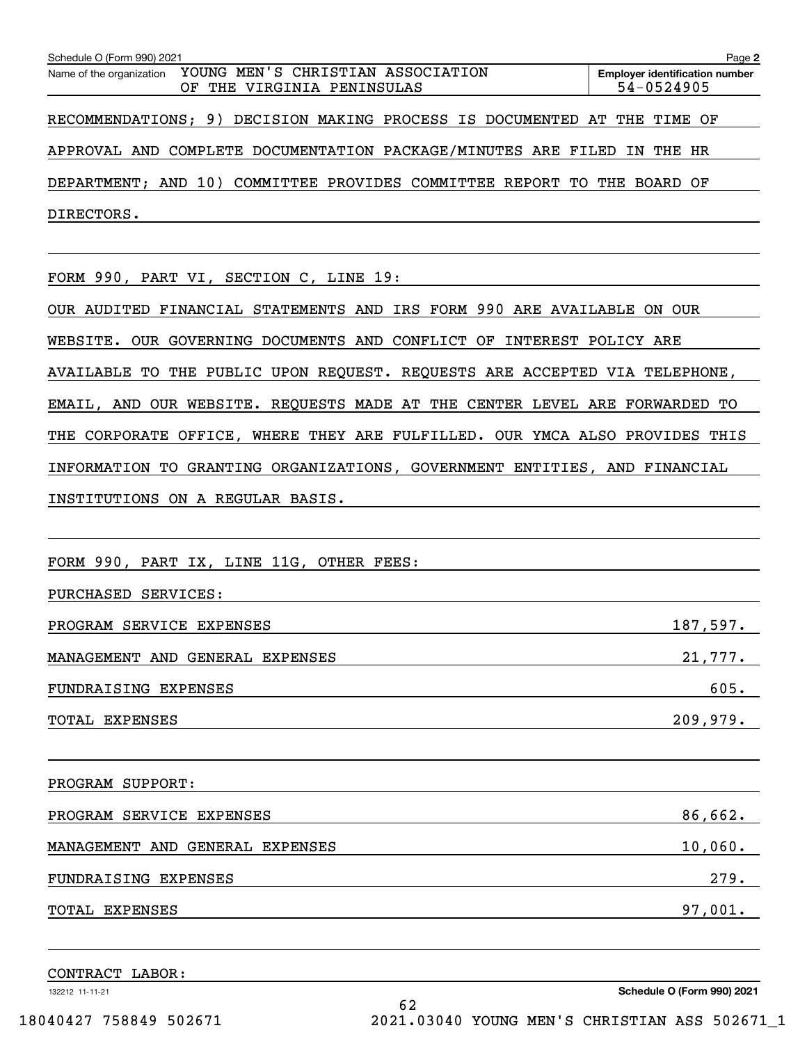| Schedule O (Form 990) 2021                                                               | Page 2                                              |
|------------------------------------------------------------------------------------------|-----------------------------------------------------|
| Name of the organization YOUNG MEN'S CHRISTIAN ASSOCIATION<br>OF THE VIRGINIA PENINSULAS | <b>Employer identification number</b><br>54-0524905 |
| RECOMMENDATIONS; 9) DECISION MAKING PROCESS IS DOCUMENTED AT THE TIME OF                 |                                                     |
| APPROVAL AND COMPLETE DOCUMENTATION PACKAGE/MINUTES ARE FILED IN THE HR                  |                                                     |
| DEPARTMENT; AND 10) COMMITTEE PROVIDES COMMITTEE REPORT TO THE BOARD OF                  |                                                     |
| DIRECTORS.                                                                               |                                                     |
|                                                                                          |                                                     |
| FORM 990, PART VI, SECTION C, LINE 19:                                                   |                                                     |
| OUR AUDITED FINANCIAL STATEMENTS AND IRS FORM 990 ARE AVAILABLE ON OUR                   |                                                     |
| WEBSITE. OUR GOVERNING DOCUMENTS AND CONFLICT OF INTEREST POLICY ARE                     |                                                     |
| AVAILABLE TO THE PUBLIC UPON REQUEST. REQUESTS ARE ACCEPTED VIA TELEPHONE,               |                                                     |
| EMAIL, AND OUR WEBSITE. REQUESTS MADE AT THE CENTER LEVEL ARE FORWARDED TO               |                                                     |
| THE CORPORATE OFFICE, WHERE THEY ARE FULFILLED. OUR YMCA ALSO PROVIDES THIS              |                                                     |
| INFORMATION TO GRANTING ORGANIZATIONS, GOVERNMENT ENTITIES, AND FINANCIAL                |                                                     |
| INSTITUTIONS ON A REGULAR BASIS.                                                         |                                                     |
|                                                                                          |                                                     |
| FORM 990, PART IX, LINE 11G, OTHER FEES:                                                 |                                                     |
| PURCHASED SERVICES:                                                                      |                                                     |
| PROGRAM SERVICE EXPENSES                                                                 | 187,597.                                            |
| MANAGEMENT AND GENERAL EXPENSES                                                          | 21,777.                                             |
| FUNDRAISING EXPENSES                                                                     | 605.                                                |
| TOTAL EXPENSES                                                                           | 209,979.                                            |
|                                                                                          |                                                     |
| PROGRAM SUPPORT:                                                                         |                                                     |
| PROGRAM SERVICE EXPENSES                                                                 | 86,662.                                             |
| MANAGEMENT AND GENERAL EXPENSES                                                          | 10,060.                                             |
| FUNDRAISING EXPENSES                                                                     | 279.                                                |
| TOTAL EXPENSES                                                                           | 97,001.                                             |
|                                                                                          |                                                     |

CONTRACT LABOR:

132212 11-11-21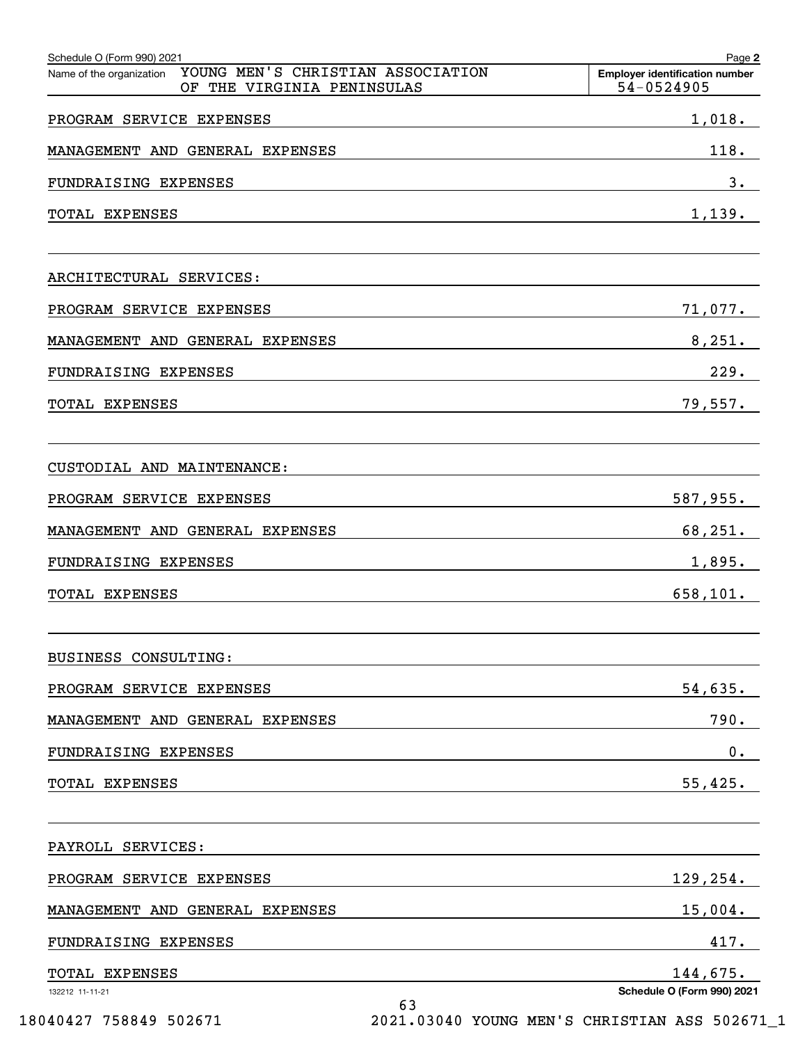| Schedule O (Form 990) 2021<br>YOUNG MEN'S CHRISTIAN ASSOCIATION<br>Name of the organization<br>OF THE VIRGINIA PENINSULAS | Page 2<br><b>Employer identification number</b><br>54-0524905 |
|---------------------------------------------------------------------------------------------------------------------------|---------------------------------------------------------------|
| PROGRAM SERVICE EXPENSES                                                                                                  | 1,018.                                                        |
| MANAGEMENT AND GENERAL EXPENSES                                                                                           | 118.                                                          |
| FUNDRAISING EXPENSES                                                                                                      | 3.                                                            |
| TOTAL EXPENSES                                                                                                            | 1,139.                                                        |
| ARCHITECTURAL SERVICES:                                                                                                   |                                                               |
| PROGRAM SERVICE EXPENSES                                                                                                  | 71,077.                                                       |
| MANAGEMENT AND GENERAL EXPENSES                                                                                           | 8,251.                                                        |
| FUNDRAISING EXPENSES                                                                                                      | 229.                                                          |
| TOTAL EXPENSES                                                                                                            | 79,557.                                                       |
| CUSTODIAL AND MAINTENANCE:                                                                                                |                                                               |
| PROGRAM SERVICE EXPENSES                                                                                                  | 587,955.                                                      |
| MANAGEMENT AND GENERAL EXPENSES                                                                                           | 68,251.                                                       |
| FUNDRAISING EXPENSES                                                                                                      | 1,895.                                                        |
| <b>TOTAL EXPENSES</b>                                                                                                     | 658,101.                                                      |
| BUSINESS CONSULTING:                                                                                                      |                                                               |
| PROGRAM SERVICE EXPENSES                                                                                                  | 54,635.                                                       |
| MANAGEMENT AND GENERAL EXPENSES                                                                                           | 790.                                                          |
| FUNDRAISING EXPENSES                                                                                                      | $0$ .                                                         |
| TOTAL EXPENSES                                                                                                            | 55,425.                                                       |
| PAYROLL SERVICES:                                                                                                         |                                                               |
| PROGRAM SERVICE EXPENSES                                                                                                  | 129,254.                                                      |
| MANAGEMENT AND GENERAL EXPENSES                                                                                           | 15,004.                                                       |
| FUNDRAISING EXPENSES                                                                                                      | 417.                                                          |
| TOTAL EXPENSES                                                                                                            | 144,675.                                                      |
| 132212 11-11-21<br>63                                                                                                     | Schedule O (Form 990) 2021                                    |

18040427 758849 502671 2021.03040 YOUNG MEN'S CHRISTIAN ASS 502671\_1